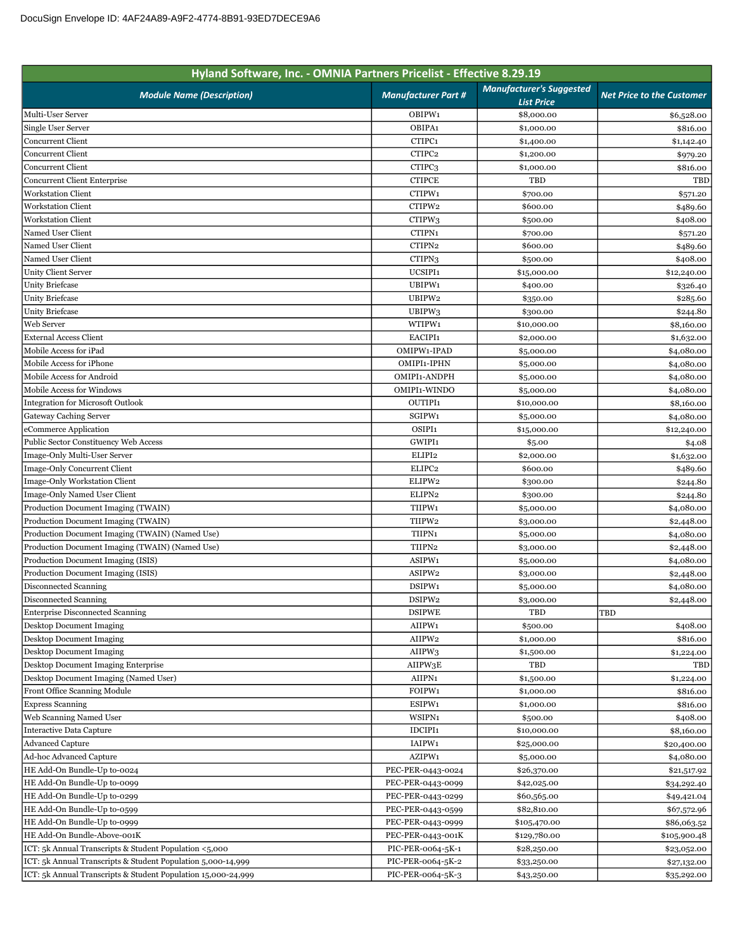| Hyland Software, Inc. - OMNIA Partners Pricelist - Effective 8.29.19 |                            |                                                      |                                  |
|----------------------------------------------------------------------|----------------------------|------------------------------------------------------|----------------------------------|
| <b>Module Name (Description)</b>                                     | <b>Manufacturer Part #</b> | <b>Manufacturer's Suggested</b><br><b>List Price</b> | <b>Net Price to the Customer</b> |
| Multi-User Server                                                    | OBIPW1                     | \$8,000.00                                           | \$6,528.00                       |
| Single User Server                                                   | OBIPA1                     | \$1,000.00                                           | \$816.00                         |
| <b>Concurrent Client</b>                                             | CTIPC1                     | \$1,400.00                                           | \$1,142.40                       |
| <b>Concurrent Client</b>                                             | CTIPC2                     | \$1,200.00                                           | \$979.20                         |
| <b>Concurrent Client</b>                                             | CTIPC <sub>3</sub>         | \$1,000.00                                           | \$816.00                         |
| Concurrent Client Enterprise                                         | <b>CTIPCE</b>              | TBD                                                  | TBD                              |
| <b>Workstation Client</b>                                            | CTIPW1                     | \$700.00                                             | \$571.20                         |
| <b>Workstation Client</b>                                            | CTIPW2                     | \$600.00                                             | \$489.60                         |
| <b>Workstation Client</b>                                            | CTIPW <sub>3</sub>         | \$500.00                                             | \$408.00                         |
| Named User Client                                                    | CTIPN1                     | \$700.00                                             | \$571.20                         |
| Named User Client                                                    | CTIPN2                     | \$600.00                                             | \$489.60                         |
| Named User Client                                                    | CTIPN <sub>3</sub>         | \$500.00                                             | \$408.00                         |
| Unity Client Server                                                  | UCSIPI1                    | \$15,000.00                                          | \$12,240.00                      |
| <b>Unity Briefcase</b>                                               | UBIPW1                     | \$400.00                                             | \$326.40                         |
| <b>Unity Briefcase</b>                                               | UBIPW2                     | \$350.00                                             | \$285.60                         |
| <b>Unity Briefcase</b>                                               | UBIPW <sub>3</sub>         | \$300.00                                             | \$244.80                         |
| Web Server                                                           | WTIPW1                     | \$10,000.00                                          | \$8,160.00                       |
| <b>External Access Client</b>                                        | EACIPI1                    | \$2,000.00                                           | \$1,632.00                       |
| Mobile Access for iPad                                               | OMIPW1-IPAD                | \$5,000.00                                           | \$4,080.00                       |
| Mobile Access for iPhone                                             | OMIPI1-IPHN                |                                                      |                                  |
| Mobile Access for Android                                            | OMIPI1-ANDPH               | \$5,000.00                                           | \$4,080.00                       |
| <b>Mobile Access for Windows</b>                                     |                            | \$5,000.00                                           | \$4,080.00                       |
|                                                                      | OMIPI1-WINDO               | \$5,000.00                                           | \$4,080.00                       |
| <b>Integration for Microsoft Outlook</b>                             | OUTIPI1                    | \$10,000.00                                          | \$8,160.00                       |
| Gateway Caching Server                                               | SGIPW1                     | \$5,000.00                                           | \$4,080.00                       |
| eCommerce Application                                                | OSIPI1                     | \$15,000.00                                          | \$12,240.00                      |
| Public Sector Constituency Web Access                                | GWIPI1                     | \$5.00                                               | \$4.08                           |
| Image-Only Multi-User Server                                         | ELIPI2                     | \$2,000.00                                           | \$1,632.00                       |
| Image-Only Concurrent Client                                         | ELIPC2                     | \$600.00                                             | \$489.60                         |
| Image-Only Workstation Client                                        | ELIPW2                     | \$300.00                                             | \$244.80                         |
| Image-Only Named User Client                                         | ELIPN2                     | \$300.00                                             | \$244.80                         |
| Production Document Imaging (TWAIN)                                  | TIIPW1                     | \$5,000.00                                           | \$4,080.00                       |
| Production Document Imaging (TWAIN)                                  | TIIPW2                     | \$3,000.00                                           | \$2,448.00                       |
| Production Document Imaging (TWAIN) (Named Use)                      | TIIPN1                     | \$5,000.00                                           | \$4,080.00                       |
| Production Document Imaging (TWAIN) (Named Use)                      | TIIPN2                     | \$3,000.00                                           | \$2,448.00                       |
| Production Document Imaging (ISIS)                                   | ASIPW1                     | \$5,000.00                                           | \$4,080.00                       |
| Production Document Imaging (ISIS)                                   | ASIPW2                     | \$3,000.00                                           | \$2,448.00                       |
| Disconnected Scanning                                                | DSIPW1                     | \$5,000.00                                           | \$4,080.00                       |
| Disconnected Scanning                                                | DSIPW2                     | \$3,000.00                                           | \$2,448.00                       |
| <b>Enterprise Disconnected Scanning</b>                              | <b>DSIPWE</b>              | TBD                                                  | TBD                              |
| <b>Desktop Document Imaging</b>                                      | AIIPW1                     | \$500.00                                             | \$408.00                         |
| <b>Desktop Document Imaging</b>                                      | AIIPW2                     | \$1,000.00                                           | \$816.00                         |
| <b>Desktop Document Imaging</b>                                      | AIIPW3                     | \$1,500.00                                           | \$1,224.00                       |
| Desktop Document Imaging Enterprise                                  | AIIPW3E                    | TBD                                                  | TBD                              |
| Desktop Document Imaging (Named User)                                | AIIPN1                     | \$1,500.00                                           | \$1,224.00                       |
| Front Office Scanning Module                                         | FOIPW1                     | \$1,000.00                                           | \$816.00                         |
| <b>Express Scanning</b>                                              | ESIPW1                     | \$1,000.00                                           | \$816.00                         |
| Web Scanning Named User                                              | WSIPN1                     | \$500.00                                             | \$408.00                         |
| <b>Interactive Data Capture</b>                                      | IDCIPI1                    | \$10,000.00                                          | \$8,160.00                       |
| <b>Advanced Capture</b>                                              | IAIPW1                     | \$25,000.00                                          | \$20,400.00                      |
| Ad-hoc Advanced Capture                                              | AZIPW1                     | \$5,000.00                                           | \$4,080.00                       |
| HE Add-On Bundle-Up to-0024                                          | PEC-PER-0443-0024          | \$26,370.00                                          | \$21,517.92                      |
| HE Add-On Bundle-Up to-0099                                          | PEC-PER-0443-0099          | \$42,025.00                                          | \$34,292.40                      |
| HE Add-On Bundle-Up to-0299                                          | PEC-PER-0443-0299          | \$60,565.00                                          | \$49,421.04                      |
| HE Add-On Bundle-Up to-0599                                          | PEC-PER-0443-0599          | \$82,810.00                                          | \$67,572.96                      |
| HE Add-On Bundle-Up to-0999                                          | PEC-PER-0443-0999          | \$105,470.00                                         | \$86,063.52                      |
| HE Add-On Bundle-Above-001K                                          | PEC-PER-0443-001K          | \$129,780.00                                         | \$105,900.48                     |
| ICT: 5k Annual Transcripts & Student Population <5,000               | PIC-PER-0064-5K-1          | \$28,250.00                                          | \$23,052.00                      |
| ICT: 5k Annual Transcripts & Student Population 5,000-14,999         | PIC-PER-0064-5K-2          | \$33,250.00                                          | \$27,132.00                      |
| ICT: 5k Annual Transcripts & Student Population 15,000-24,999        | PIC-PER-0064-5K-3          |                                                      | \$35,292.00                      |
|                                                                      |                            | \$43,250.00                                          |                                  |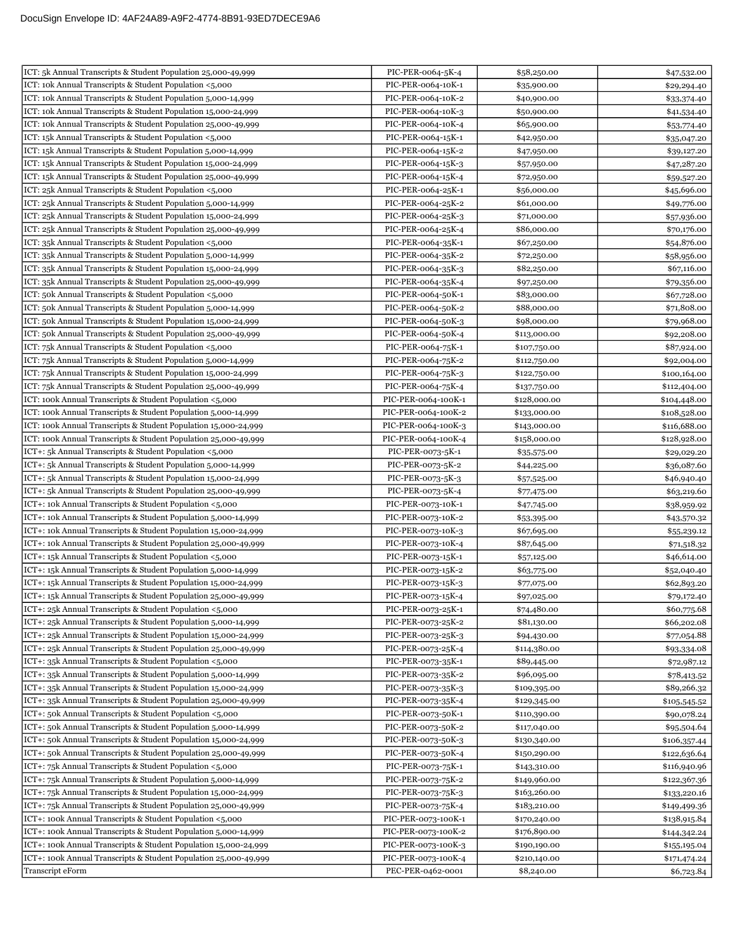| ICT: 5k Annual Transcripts & Student Population 25,000-49,999    | PIC-PER-0064-5K-4   | \$58,250.00  | \$47,532.00  |
|------------------------------------------------------------------|---------------------|--------------|--------------|
| ICT: 10k Annual Transcripts & Student Population <5,000          | PIC-PER-0064-10K-1  | \$35,900.00  | \$29,294.40  |
| ICT: 10k Annual Transcripts & Student Population 5,000-14,999    | PIC-PER-0064-10K-2  | \$40,900.00  | \$33,374.40  |
| ICT: 10k Annual Transcripts & Student Population 15,000-24,999   | PIC-PER-0064-10K-3  | \$50,900.00  | \$41,534.40  |
| ICT: 10k Annual Transcripts & Student Population 25,000-49,999   | PIC-PER-0064-10K-4  | \$65,900.00  | \$53,774.40  |
| ICT: 15k Annual Transcripts & Student Population <5,000          | PIC-PER-0064-15K-1  | \$42,950.00  | \$35,047.20  |
| ICT: 15k Annual Transcripts & Student Population 5,000-14,999    | PIC-PER-0064-15K-2  | \$47,950.00  | \$39,127.20  |
| ICT: 15k Annual Transcripts & Student Population 15,000-24,999   | PIC-PER-0064-15K-3  | \$57,950.00  | \$47,287.20  |
| ICT: 15k Annual Transcripts & Student Population 25,000-49,999   | PIC-PER-0064-15K-4  | \$72,950.00  | \$59,527.20  |
| ICT: 25k Annual Transcripts & Student Population <5,000          | PIC-PER-0064-25K-1  | \$56,000.00  | \$45,696.00  |
| ICT: 25k Annual Transcripts & Student Population 5,000-14,999    | PIC-PER-0064-25K-2  | \$61,000.00  | \$49,776.00  |
| ICT: 25k Annual Transcripts & Student Population 15,000-24,999   | PIC-PER-0064-25K-3  | \$71,000.00  | \$57,936.00  |
| ICT: 25k Annual Transcripts & Student Population 25,000-49,999   | PIC-PER-0064-25K-4  | \$86,000.00  | \$70,176.00  |
| ICT: 35k Annual Transcripts & Student Population <5,000          | PIC-PER-0064-35K-1  | \$67,250.00  | \$54,876.00  |
| ICT: 35k Annual Transcripts & Student Population 5,000-14,999    | PIC-PER-0064-35K-2  | \$72,250.00  | \$58,956.00  |
| ICT: 35k Annual Transcripts & Student Population 15,000-24,999   | PIC-PER-0064-35K-3  | \$82,250.00  | \$67,116.00  |
| ICT: 35k Annual Transcripts & Student Population 25,000-49,999   | PIC-PER-0064-35K-4  | \$97,250.00  | \$79,356.00  |
| ICT: 50k Annual Transcripts & Student Population <5,000          | PIC-PER-0064-50K-1  | \$83,000.00  | \$67,728.00  |
| ICT: 50k Annual Transcripts & Student Population 5,000-14,999    | PIC-PER-0064-50K-2  | \$88,000.00  | \$71,808.00  |
| ICT: 50k Annual Transcripts & Student Population 15,000-24,999   | PIC-PER-0064-50K-3  | \$98,000.00  | \$79,968.00  |
| ICT: 50k Annual Transcripts & Student Population 25,000-49,999   | PIC-PER-0064-50K-4  | \$113,000.00 | \$92,208.00  |
| ICT: 75k Annual Transcripts & Student Population <5,000          | PIC-PER-0064-75K-1  | \$107,750.00 | \$87,924.00  |
| ICT: 75k Annual Transcripts & Student Population 5,000-14,999    | PIC-PER-0064-75K-2  | \$112,750.00 | \$92,004.00  |
| ICT: 75k Annual Transcripts & Student Population 15,000-24,999   | PIC-PER-0064-75K-3  | \$122,750.00 | \$100,164.00 |
| ICT: 75k Annual Transcripts & Student Population 25,000-49,999   | PIC-PER-0064-75K-4  | \$137,750.00 | \$112,404.00 |
| ICT: 100k Annual Transcripts & Student Population <5,000         | PIC-PER-0064-100K-1 | \$128,000.00 | \$104,448.00 |
| ICT: 100k Annual Transcripts & Student Population 5,000-14,999   | PIC-PER-0064-100K-2 | \$133,000.00 | \$108,528.00 |
| ICT: 100k Annual Transcripts & Student Population 15,000-24,999  | PIC-PER-0064-100K-3 | \$143,000.00 | \$116,688.00 |
| ICT: 100k Annual Transcripts & Student Population 25,000-49,999  | PIC-PER-0064-100K-4 | \$158,000.00 | \$128,928.00 |
| ICT+: 5k Annual Transcripts & Student Population <5,000          | PIC-PER-0073-5K-1   | \$35,575.00  | \$29,029.20  |
| ICT+: 5k Annual Transcripts & Student Population 5,000-14,999    | PIC-PER-0073-5K-2   | \$44,225.00  | \$36,087.60  |
| ICT+: 5k Annual Transcripts & Student Population 15,000-24,999   | PIC-PER-0073-5K-3   | \$57,525.00  | \$46,940.40  |
| ICT+: 5k Annual Transcripts & Student Population 25,000-49,999   | PIC-PER-0073-5K-4   | \$77,475.00  | \$63,219.60  |
| ICT+: 10k Annual Transcripts & Student Population <5,000         | PIC-PER-0073-10K-1  | \$47,745.00  | \$38,959.92  |
| ICT+: 10k Annual Transcripts & Student Population 5,000-14,999   | PIC-PER-0073-10K-2  | \$53,395.00  | \$43,570.32  |
| ICT+: 10k Annual Transcripts & Student Population 15,000-24,999  | PIC-PER-0073-10K-3  | \$67,695.00  | \$55,239.12  |
| ICT+: 10k Annual Transcripts & Student Population 25,000-49,999  | PIC-PER-0073-10K-4  | \$87,645.00  | \$71,518.32  |
| ICT+: 15k Annual Transcripts & Student Population <5,000         | PIC-PER-0073-15K-1  | \$57,125.00  | \$46,614.00  |
| ICT+: 15k Annual Transcripts & Student Population 5,000-14,999   | PIC-PER-0073-15K-2  | \$63,775.00  | \$52,040.40  |
| ICT+: 15k Annual Transcripts & Student Population 15,000-24,999  | PIC-PER-0073-15K-3  | \$77,075.00  | \$62,893.20  |
| ICT+: 15k Annual Transcripts & Student Population 25,000-49,999  | PIC-PER-0073-15K-4  | \$97,025.00  | \$79,172.40  |
| ICT+: 25k Annual Transcripts & Student Population <5,000         | PIC-PER-0073-25K-1  | \$74,480.00  | \$60,775.68  |
| ICT+: 25k Annual Transcripts & Student Population 5,000-14,999   | PIC-PER-0073-25K-2  | \$81,130.00  | \$66,202.08  |
| ICT+: 25k Annual Transcripts & Student Population 15,000-24,999  | PIC-PER-0073-25K-3  | \$94,430.00  | \$77,054.88  |
| ICT+: 25k Annual Transcripts & Student Population 25,000-49,999  | PIC-PER-0073-25K-4  | \$114,380.00 | \$93,334.08  |
| ICT+: 35k Annual Transcripts & Student Population <5,000         | PIC-PER-0073-35K-1  | \$89,445.00  | \$72,987.12  |
| ICT+: 35k Annual Transcripts & Student Population 5,000-14,999   | PIC-PER-0073-35K-2  | \$96,095.00  | \$78,413.52  |
| ICT+: 35k Annual Transcripts & Student Population 15,000-24,999  | PIC-PER-0073-35K-3  | \$109,395.00 | \$89,266.32  |
| ICT+: 35k Annual Transcripts & Student Population 25,000-49,999  | PIC-PER-0073-35K-4  | \$129,345.00 | \$105,545.52 |
| ICT+: 50k Annual Transcripts & Student Population <5,000         | PIC-PER-0073-50K-1  | \$110,390.00 | \$90,078.24  |
| ICT+: 50k Annual Transcripts & Student Population 5,000-14,999   | PIC-PER-0073-50K-2  | \$117,040.00 | \$95,504.64  |
| ICT+: 50k Annual Transcripts & Student Population 15,000-24,999  | PIC-PER-0073-50K-3  | \$130,340.00 | \$106,357.44 |
| ICT+: 50k Annual Transcripts & Student Population 25,000-49,999  | PIC-PER-0073-50K-4  | \$150,290.00 | \$122,636.64 |
| ICT+: 75k Annual Transcripts & Student Population <5,000         | PIC-PER-0073-75K-1  | \$143,310.00 | \$116,940.96 |
| ICT+: 75k Annual Transcripts & Student Population 5,000-14,999   | PIC-PER-0073-75K-2  | \$149,960.00 | \$122,367.36 |
| ICT+: 75k Annual Transcripts & Student Population 15,000-24,999  | PIC-PER-0073-75K-3  | \$163,260.00 | \$133,220.16 |
| ICT+: 75k Annual Transcripts & Student Population 25,000-49,999  | PIC-PER-0073-75K-4  | \$183,210.00 | \$149,499.36 |
| ICT+: 100k Annual Transcripts & Student Population <5,000        | PIC-PER-0073-100K-1 | \$170,240.00 | \$138,915.84 |
| ICT+: 100k Annual Transcripts & Student Population 5,000-14,999  | PIC-PER-0073-100K-2 | \$176,890.00 | \$144,342.24 |
| ICT+: 100k Annual Transcripts & Student Population 15,000-24,999 | PIC-PER-0073-100K-3 | \$190,190.00 | \$155,195.04 |
| ICT+: 100k Annual Transcripts & Student Population 25,000-49,999 | PIC-PER-0073-100K-4 | \$210,140.00 | \$171,474.24 |
| Transcript eForm                                                 | PEC-PER-0462-0001   | \$8,240.00   | \$6,723.84   |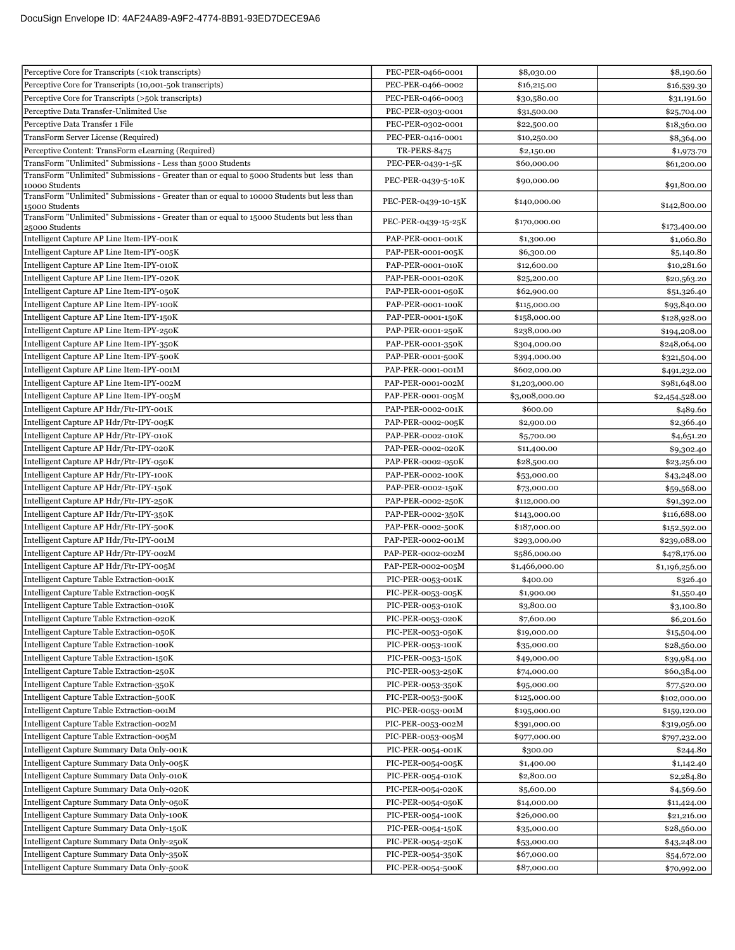| Perceptive Core for Transcripts (<10k transcripts)                                                          | PEC-PER-0466-0001   | \$8,030.00     | \$8,190.60     |
|-------------------------------------------------------------------------------------------------------------|---------------------|----------------|----------------|
| Perceptive Core for Transcripts (10,001-50k transcripts)                                                    | PEC-PER-0466-0002   | \$16,215.00    | \$16,539.30    |
| Perceptive Core for Transcripts (>50k transcripts)                                                          | PEC-PER-0466-0003   | \$30,580.00    | \$31,191.60    |
| Perceptive Data Transfer-Unlimited Use                                                                      | PEC-PER-0303-0001   | \$31,500.00    | \$25,704.00    |
| Perceptive Data Transfer 1 File                                                                             | PEC-PER-0302-0001   | \$22,500.00    | \$18,360.00    |
| TransForm Server License (Required)                                                                         | PEC-PER-0416-0001   | \$10,250.00    | \$8,364.00     |
| Perceptive Content: TransForm eLearning (Required)                                                          | <b>TR-PERS-8475</b> | \$2,150.00     | \$1,973.70     |
| TransForm "Unlimited" Submissions - Less than 5000 Students                                                 | PEC-PER-0439-1-5K   | \$60,000.00    | \$61,200.00    |
| TransForm "Unlimited" Submissions - Greater than or equal to 5000 Students but less than                    |                     |                |                |
| 10000 Students                                                                                              | PEC-PER-0439-5-10K  | \$90,000.00    | \$91,800.00    |
| TransForm "Unlimited" Submissions - Greater than or equal to 10000 Students but less than<br>15000 Students | PEC-PER-0439-10-15K | \$140,000.00   | \$142,800.00   |
| TransForm "Unlimited" Submissions - Greater than or equal to 15000 Students but less than                   |                     |                |                |
| 25000 Students                                                                                              | PEC-PER-0439-15-25K | \$170,000.00   | \$173,400.00   |
| Intelligent Capture AP Line Item-IPY-001K                                                                   | PAP-PER-0001-001K   | \$1,300.00     | \$1,060.80     |
| Intelligent Capture AP Line Item-IPY-005K                                                                   | PAP-PER-0001-005K   | \$6,300.00     | \$5,140.80     |
| Intelligent Capture AP Line Item-IPY-010K                                                                   | PAP-PER-0001-010K   | \$12,600.00    | \$10,281.60    |
| Intelligent Capture AP Line Item-IPY-020K                                                                   | PAP-PER-0001-020K   | \$25,200.00    | \$20,563.20    |
| Intelligent Capture AP Line Item-IPY-050K                                                                   | PAP-PER-0001-050K   | \$62,900.00    | \$51,326.40    |
| Intelligent Capture AP Line Item-IPY-100K                                                                   | PAP-PER-0001-100K   | \$115,000.00   | \$93,840.00    |
| Intelligent Capture AP Line Item-IPY-150K                                                                   | PAP-PER-0001-150K   | \$158,000.00   | \$128,928.00   |
| Intelligent Capture AP Line Item-IPY-250K                                                                   | PAP-PER-0001-250K   | \$238,000.00   | \$194,208.00   |
| Intelligent Capture AP Line Item-IPY-350K                                                                   | PAP-PER-0001-350K   | \$304,000.00   | \$248,064.00   |
| Intelligent Capture AP Line Item-IPY-500K                                                                   | PAP-PER-0001-500K   | \$394,000.00   | \$321,504.00   |
| Intelligent Capture AP Line Item-IPY-001M                                                                   | PAP-PER-0001-001M   | \$602,000.00   | \$491,232.00   |
| Intelligent Capture AP Line Item-IPY-002M                                                                   | PAP-PER-0001-002M   | \$1,203,000.00 | \$981,648.00   |
| Intelligent Capture AP Line Item-IPY-005M                                                                   | PAP-PER-0001-005M   | \$3,008,000.00 | \$2,454,528.00 |
| Intelligent Capture AP Hdr/Ftr-IPY-001K                                                                     | PAP-PER-0002-001K   | \$600.00       | \$489.60       |
| Intelligent Capture AP Hdr/Ftr-IPY-005K                                                                     | PAP-PER-0002-005K   | \$2,900.00     | \$2,366.40     |
| Intelligent Capture AP Hdr/Ftr-IPY-010K                                                                     | PAP-PER-0002-010K   | \$5,700.00     | \$4,651.20     |
| Intelligent Capture AP Hdr/Ftr-IPY-020K                                                                     | PAP-PER-0002-020K   | \$11,400.00    | \$9,302.40     |
| Intelligent Capture AP Hdr/Ftr-IPY-050K                                                                     | PAP-PER-0002-050K   | \$28,500.00    | \$23,256.00    |
| Intelligent Capture AP Hdr/Ftr-IPY-100K                                                                     | PAP-PER-0002-100K   | \$53,000.00    | \$43,248.00    |
| Intelligent Capture AP Hdr/Ftr-IPY-150K                                                                     | PAP-PER-0002-150K   | \$73,000.00    | \$59,568.00    |
| Intelligent Capture AP Hdr/Ftr-IPY-250K                                                                     | PAP-PER-0002-250K   | \$112,000.00   | \$91,392.00    |
| Intelligent Capture AP Hdr/Ftr-IPY-350K                                                                     | PAP-PER-0002-350K   | \$143,000.00   | \$116,688.00   |
| Intelligent Capture AP Hdr/Ftr-IPY-500K                                                                     | PAP-PER-0002-500K   | \$187,000.00   | \$152,592.00   |
| Intelligent Capture AP Hdr/Ftr-IPY-001M                                                                     | PAP-PER-0002-001M   | \$293,000.00   | \$239,088.00   |
| Intelligent Capture AP Hdr/Ftr-IPY-002M                                                                     | PAP-PER-0002-002M   | \$586,000.00   | \$478,176.00   |
| Intelligent Capture AP Hdr/Ftr-IPY-005M                                                                     | PAP-PER-0002-005M   | \$1,466,000.00 | \$1,196,256.00 |
| Intelligent Capture Table Extraction-001K                                                                   | PIC-PER-0053-001K   | \$400.00       | \$326.40       |
| Intelligent Capture Table Extraction-005K                                                                   | PIC-PER-0053-005K   | \$1,900.00     | \$1,550.40     |
| Intelligent Capture Table Extraction-010K                                                                   | PIC-PER-0053-010K   | \$3,800.00     | \$3,100.80     |
| Intelligent Capture Table Extraction-020K                                                                   | PIC-PER-0053-020K   | \$7,600.00     | \$6,201.60     |
| Intelligent Capture Table Extraction-050K                                                                   | PIC-PER-0053-050K   | \$19,000.00    | \$15,504.00    |
| Intelligent Capture Table Extraction-100K                                                                   | PIC-PER-0053-100K   | \$35,000.00    | \$28,560.00    |
| Intelligent Capture Table Extraction-150K                                                                   | PIC-PER-0053-150K   | \$49,000.00    | \$39,984.00    |
| Intelligent Capture Table Extraction-250K                                                                   | PIC-PER-0053-250K   | \$74,000.00    | \$60,384.00    |
| Intelligent Capture Table Extraction-350K                                                                   | PIC-PER-0053-350K   | \$95,000.00    | \$77,520.00    |
| Intelligent Capture Table Extraction-500K                                                                   | PIC-PER-0053-500K   | \$125,000.00   | \$102,000.00   |
| Intelligent Capture Table Extraction-001M                                                                   | PIC-PER-0053-001M   | \$195,000.00   | \$159,120.00   |
| Intelligent Capture Table Extraction-002M                                                                   | PIC-PER-0053-002M   | \$391,000.00   | \$319,056.00   |
| Intelligent Capture Table Extraction-005M                                                                   | PIC-PER-0053-005M   | \$977,000.00   | \$797,232.00   |
| Intelligent Capture Summary Data Only-001K                                                                  | PIC-PER-0054-001K   | \$300.00       | \$244.80       |
| Intelligent Capture Summary Data Only-005K                                                                  | PIC-PER-0054-005K   | \$1,400.00     | \$1,142.40     |
| Intelligent Capture Summary Data Only-010K                                                                  | PIC-PER-0054-010K   | \$2,800.00     | \$2,284.80     |
| Intelligent Capture Summary Data Only-020K                                                                  | PIC-PER-0054-020K   | \$5,600.00     | \$4,569.60     |
| Intelligent Capture Summary Data Only-050K                                                                  | PIC-PER-0054-050K   | \$14,000.00    | \$11,424.00    |
| Intelligent Capture Summary Data Only-100K                                                                  | PIC-PER-0054-100K   | \$26,000.00    | \$21,216.00    |
| Intelligent Capture Summary Data Only-150K                                                                  | PIC-PER-0054-150K   | \$35,000.00    | \$28,560.00    |
| Intelligent Capture Summary Data Only-250K                                                                  | PIC-PER-0054-250K   | \$53,000.00    | \$43,248.00    |
| Intelligent Capture Summary Data Only-350K                                                                  | PIC-PER-0054-350K   | \$67,000.00    | \$54,672.00    |
| Intelligent Capture Summary Data Only-500K                                                                  | PIC-PER-0054-500K   | \$87,000.00    | \$70,992.00    |
|                                                                                                             |                     |                |                |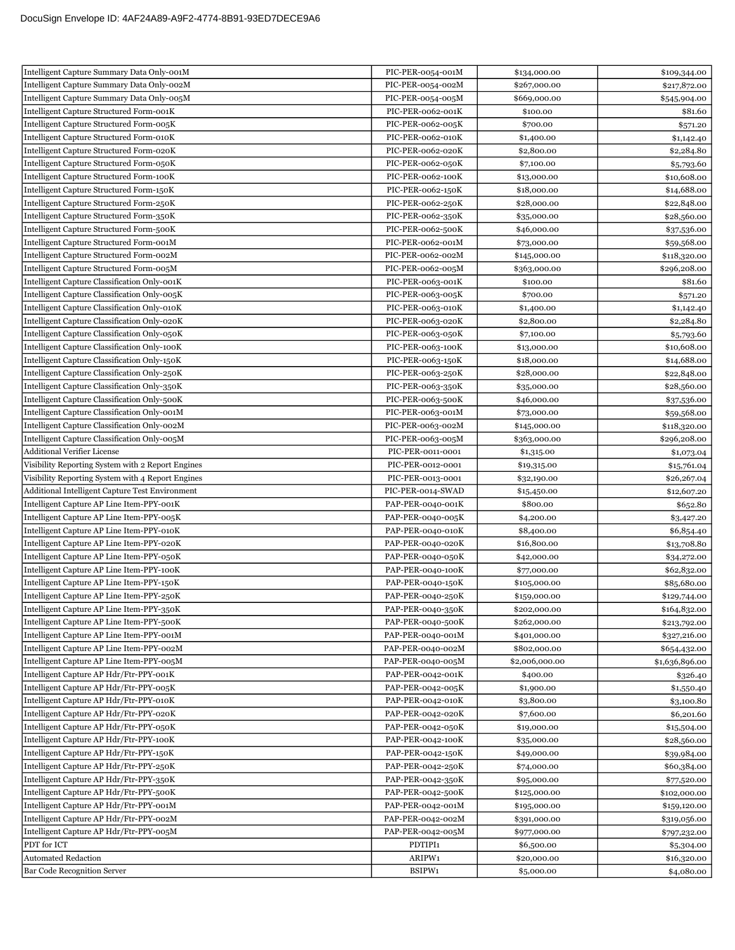| Intelligent Capture Summary Data Only-001M                                         | PIC-PER-0054-001M                      | \$134,000.00               | \$109,344.00               |
|------------------------------------------------------------------------------------|----------------------------------------|----------------------------|----------------------------|
| Intelligent Capture Summary Data Only-002M                                         | PIC-PER-0054-002M                      | \$267,000.00               | \$217,872.00               |
| Intelligent Capture Summary Data Only-005M                                         | PIC-PER-0054-005M                      | \$669,000.00               | \$545,904.00               |
| Intelligent Capture Structured Form-001K                                           | PIC-PER-0062-001K                      | \$100.00                   | \$81.60                    |
| Intelligent Capture Structured Form-005K                                           | PIC-PER-0062-005K                      | \$700.00                   | \$571.20                   |
| Intelligent Capture Structured Form-010K                                           | PIC-PER-0062-010K                      | \$1,400.00                 | \$1,142.40                 |
| Intelligent Capture Structured Form-020K                                           | PIC-PER-0062-020K                      | \$2,800.00                 | \$2,284.80                 |
| Intelligent Capture Structured Form-050K                                           | PIC-PER-0062-050K                      | \$7,100.00                 | \$5,793.60                 |
| Intelligent Capture Structured Form-100K                                           | PIC-PER-0062-100K                      | \$13,000.00                | \$10,608.00                |
| Intelligent Capture Structured Form-150K                                           | PIC-PER-0062-150K                      | \$18,000.00                | \$14,688.00                |
| Intelligent Capture Structured Form-250K                                           | PIC-PER-0062-250K                      | \$28,000.00                | \$22,848.00                |
| Intelligent Capture Structured Form-350K                                           | PIC-PER-0062-350K                      | \$35,000.00                | \$28,560.00                |
| Intelligent Capture Structured Form-500K                                           | PIC-PER-0062-500K                      | \$46,000.00                | \$37,536.00                |
| Intelligent Capture Structured Form-001M                                           | PIC-PER-0062-001M                      | \$73,000.00                | \$59,568.00                |
| Intelligent Capture Structured Form-002M                                           | PIC-PER-0062-002M                      | \$145,000.00               | \$118,320.00               |
| Intelligent Capture Structured Form-005M                                           | PIC-PER-0062-005M                      | \$363,000.00               | \$296,208.00               |
| Intelligent Capture Classification Only-001K                                       | PIC-PER-0063-001K                      | \$100.00                   | \$81.60                    |
| Intelligent Capture Classification Only-005K                                       | PIC-PER-0063-005K                      | \$700.00                   | \$571.20                   |
| Intelligent Capture Classification Only-010K                                       | PIC-PER-0063-010K                      | \$1,400.00                 | \$1,142.40                 |
| Intelligent Capture Classification Only-020K                                       | PIC-PER-0063-020K                      | \$2,800.00                 | \$2,284.80                 |
| Intelligent Capture Classification Only-050K                                       | PIC-PER-0063-050K                      | \$7,100.00                 | \$5,793.60                 |
| Intelligent Capture Classification Only-100K                                       | PIC-PER-0063-100K                      | \$13,000.00                | \$10,608.00                |
| Intelligent Capture Classification Only-150K                                       | PIC-PER-0063-150K                      | \$18,000.00                | \$14,688.00                |
| Intelligent Capture Classification Only-250K                                       | PIC-PER-0063-250K                      | \$28,000.00                | \$22,848.00                |
| Intelligent Capture Classification Only-350K                                       | PIC-PER-0063-350K                      | \$35,000.00                | \$28,560.00                |
| Intelligent Capture Classification Only-500K                                       | PIC-PER-0063-500K                      | \$46,000.00                | \$37,536.00                |
| Intelligent Capture Classification Only-001M                                       | PIC-PER-0063-001M                      | \$73,000.00                | \$59,568.00                |
| Intelligent Capture Classification Only-002M                                       | PIC-PER-0063-002M                      | \$145,000.00               | \$118,320.00               |
| Intelligent Capture Classification Only-005M                                       | PIC-PER-0063-005M                      | \$363,000.00               | \$296,208.00               |
| <b>Additional Verifier License</b>                                                 | PIC-PER-0011-0001                      | \$1,315.00                 | \$1,073.04                 |
| Visibility Reporting System with 2 Report Engines                                  | PIC-PER-0012-0001                      | \$19,315.00                | \$15,761.04                |
| Visibility Reporting System with 4 Report Engines                                  | PIC-PER-0013-0001                      | \$32,190.00                | \$26,267.04                |
| Additional Intelligent Capture Test Environment                                    | PIC-PER-0014-SWAD                      | \$15,450.00                | \$12,607.20                |
| Intelligent Capture AP Line Item-PPY-001K                                          | PAP-PER-0040-001K                      | \$800.00                   | \$652.80                   |
| Intelligent Capture AP Line Item-PPY-005K                                          | PAP-PER-0040-005K                      | \$4,200.00                 | \$3,427.20                 |
| Intelligent Capture AP Line Item-PPY-010K                                          | PAP-PER-0040-010K                      | \$8,400.00                 | \$6,854.40                 |
| Intelligent Capture AP Line Item-PPY-020K                                          | PAP-PER-0040-020K                      | \$16,800.00                | \$13,708.80                |
| Intelligent Capture AP Line Item-PPY-050K                                          | PAP-PER-0040-050K                      | \$42,000.00                | \$34,272.00                |
| Intelligent Capture AP Line Item-PPY-100K                                          | PAP-PER-0040-100K                      | \$77,000.00                | \$62,832.00                |
| Intelligent Capture AP Line Item-PPY-150K                                          | PAP-PER-0040-150K                      | \$105,000.00               | \$85,680.00                |
| Intelligent Capture AP Line Item-PPY-250K                                          | PAP-PER-0040-250K                      | \$159,000.00               | \$129,744.00               |
| Intelligent Capture AP Line Item-PPY-350K                                          | PAP-PER-0040-350K                      | \$202,000.00               | \$164,832.00               |
| Intelligent Capture AP Line Item-PPY-500K                                          | PAP-PER-0040-500K                      | \$262,000.00               | \$213,792.00               |
| Intelligent Capture AP Line Item-PPY-001M                                          | PAP-PER-0040-001M                      | \$401,000.00               | \$327,216.00               |
| Intelligent Capture AP Line Item-PPY-002M                                          | PAP-PER-0040-002M                      | \$802,000.00               | \$654,432.00               |
| Intelligent Capture AP Line Item-PPY-005M                                          | PAP-PER-0040-005M                      |                            | \$1,636,896.00             |
| Intelligent Capture AP Hdr/Ftr-PPY-001K                                            | PAP-PER-0042-001K                      | \$2,006,000.00<br>\$400.00 | \$326.40                   |
| Intelligent Capture AP Hdr/Ftr-PPY-005K                                            | PAP-PER-0042-005K                      | \$1,900.00                 | \$1,550.40                 |
| Intelligent Capture AP Hdr/Ftr-PPY-010K                                            | PAP-PER-0042-010K                      | \$3,800.00                 | \$3,100.80                 |
| Intelligent Capture AP Hdr/Ftr-PPY-020K                                            | PAP-PER-0042-020K                      | \$7,600.00                 | \$6,201.60                 |
| Intelligent Capture AP Hdr/Ftr-PPY-050K                                            | PAP-PER-0042-050K                      | \$19,000.00                | \$15,504.00                |
| Intelligent Capture AP Hdr/Ftr-PPY-100K                                            | PAP-PER-0042-100K                      | \$35,000.00                | \$28,560.00                |
| Intelligent Capture AP Hdr/Ftr-PPY-150K                                            |                                        |                            |                            |
| Intelligent Capture AP Hdr/Ftr-PPY-250K                                            | PAP-PER-0042-150K<br>PAP-PER-0042-250K | \$49,000.00<br>\$74,000.00 | \$39,984.00<br>\$60,384.00 |
| Intelligent Capture AP Hdr/Ftr-PPY-350K                                            | PAP-PER-0042-350K                      | \$95,000.00                |                            |
| Intelligent Capture AP Hdr/Ftr-PPY-500K                                            | PAP-PER-0042-500K                      |                            | \$77,520.00                |
| Intelligent Capture AP Hdr/Ftr-PPY-001M                                            |                                        | \$125,000.00               | \$102,000.00               |
|                                                                                    | PAP-PER-0042-001M                      | \$195,000.00               | \$159,120.00               |
| Intelligent Capture AP Hdr/Ftr-PPY-002M<br>Intelligent Capture AP Hdr/Ftr-PPY-005M | PAP-PER-0042-002M<br>PAP-PER-0042-005M | \$391,000.00               | \$319,056.00               |
| PDT for ICT                                                                        | PDTIPI1                                | \$977,000.00               | \$797,232.00               |
| <b>Automated Redaction</b>                                                         | ARIPW1                                 | \$6,500.00                 | \$5,304.00                 |
|                                                                                    |                                        | \$20,000.00                | \$16,320.00                |
| <b>Bar Code Recognition Server</b>                                                 | BSIPW1                                 | \$5,000.00                 | \$4,080.00                 |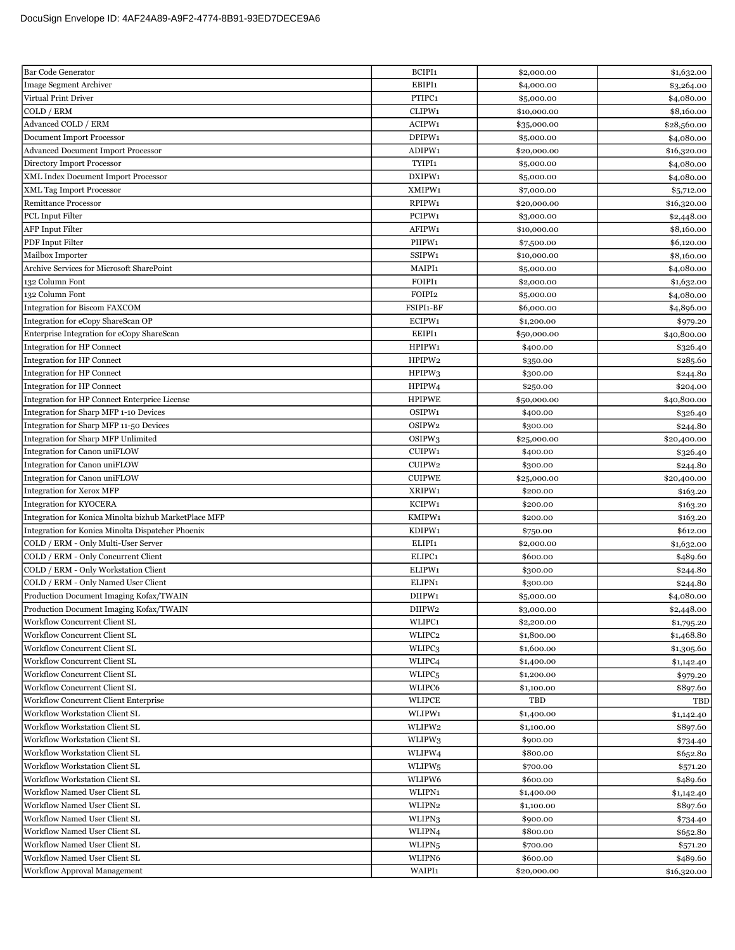| <b>Bar Code Generator</b>                                             | BCIPI1                                   | \$2,000.00               | \$1,632.00           |
|-----------------------------------------------------------------------|------------------------------------------|--------------------------|----------------------|
| <b>Image Segment Archiver</b>                                         | EBIPI1                                   | \$4,000.00               | \$3,264.00           |
| Virtual Print Driver                                                  | PTIPC1                                   | \$5,000.00               | \$4,080.00           |
| COLD / ERM                                                            | CLIPW1                                   | \$10,000.00              | \$8,160.00           |
| Advanced COLD / ERM                                                   | ACIPW1                                   | \$35,000.00              | \$28,560.00          |
| <b>Document Import Processor</b>                                      | DPIPW1                                   | \$5,000.00               | \$4,080.00           |
| <b>Advanced Document Import Processor</b>                             | ADIPW1                                   | \$20,000.00              | \$16,320.00          |
| Directory Import Processor                                            | TYIPI1                                   | \$5,000.00               | \$4,080.00           |
| XML Index Document Import Processor                                   | DXIPW1                                   | \$5,000.00               | \$4,080.00           |
| XML Tag Import Processor                                              | XMIPW1                                   | \$7,000.00               | \$5,712.00           |
| <b>Remittance Processor</b>                                           | RPIPW1                                   | \$20,000.00              | \$16,320.00          |
| PCL Input Filter                                                      | PCIPW1                                   | \$3,000.00               | \$2,448.00           |
| AFP Input Filter                                                      | AFIPW1                                   | \$10,000.00              | \$8,160.00           |
| PDF Input Filter                                                      | PIIPW1                                   | \$7,500.00               | \$6,120.00           |
| Mailbox Importer                                                      | SSIPW1                                   | \$10,000.00              | \$8,160.00           |
| Archive Services for Microsoft SharePoint                             | MAIPI1                                   | \$5,000.00               | \$4,080.00           |
| 132 Column Font                                                       | FOIPI1                                   | \$2,000.00               | \$1,632.00           |
| 132 Column Font                                                       | FOIPI2                                   | \$5,000.00               | \$4,080.00           |
| <b>Integration for Biscom FAXCOM</b>                                  | FSIPI1-BF                                | \$6,000.00               | \$4,896.00           |
| Integration for eCopy ShareScan OP                                    | ECIPW1                                   | \$1,200.00               | \$979.20             |
| Enterprise Integration for eCopy ShareScan                            | EEIPI1                                   | \$50,000.00              | \$40,800.00          |
| Integration for HP Connect                                            | HPIPW1                                   | \$400.00                 | \$326.40             |
| <b>Integration for HP Connect</b>                                     | HPIPW2                                   | \$350.00                 | \$285.60             |
| <b>Integration for HP Connect</b>                                     | HPIPW3                                   | \$300.00                 | \$244.80             |
| Integration for HP Connect                                            | HPIPW4                                   | \$250.00                 | \$204.00             |
| Integration for HP Connect Enterprice License                         | <b>HPIPWE</b>                            | \$50,000.00              | \$40,800.00          |
| Integration for Sharp MFP 1-10 Devices                                | OSIPW1                                   | \$400.00                 | \$326.40             |
| Integration for Sharp MFP 11-50 Devices                               | OSIPW2                                   | \$300.00                 | \$244.80             |
| Integration for Sharp MFP Unlimited                                   | OSIPW <sub>3</sub>                       | \$25,000.00              | \$20,400.00          |
| Integration for Canon uniFLOW                                         | CUIPW1                                   | \$400.00                 | \$326.40             |
| Integration for Canon uniFLOW                                         | CUIPW2                                   | \$300.00                 | \$244.80             |
| Integration for Canon uniFLOW                                         | <b>CUIPWE</b>                            | \$25,000.00              | \$20,400.00          |
| <b>Integration for Xerox MFP</b>                                      | XRIPW1                                   | \$200.00                 | \$163.20             |
| <b>Integration for KYOCERA</b>                                        | KCIPW1                                   | \$200.00                 | \$163.20             |
| Integration for Konica Minolta bizhub MarketPlace MFP                 | KMIPW1                                   | \$200.00                 | \$163.20             |
| Integration for Konica Minolta Dispatcher Phoenix                     | KDIPW1                                   | \$750.00                 | \$612.00             |
| COLD / ERM - Only Multi-User Server                                   | ELIPI1                                   | \$2,000.00               | \$1,632.00           |
| COLD / ERM - Only Concurrent Client                                   | ELIPC1                                   | \$600.00                 | \$489.60             |
| COLD / ERM - Only Workstation Client                                  | ELIPW1                                   | \$300.00                 | \$244.80             |
| COLD / ERM - Only Named User Client                                   | ELIPN1                                   | \$300.00                 | \$244.80             |
| Production Document Imaging Kofax/TWAIN                               | DIIPW1                                   | \$5,000.00               | \$4,080.00           |
| Production Document Imaging Kofax/TWAIN                               | DIIPW2                                   | \$3,000.00               | \$2,448.00           |
| Workflow Concurrent Client SL                                         | WLIPC1                                   | \$2,200.00               | \$1,795.20           |
| Workflow Concurrent Client SL                                         | WLIPC2                                   | \$1,800.00               | \$1,468.80           |
| <b>Workflow Concurrent Client SL</b>                                  | WLIPC3                                   | \$1,600.00               | \$1,305.60           |
| Workflow Concurrent Client SL<br><b>Workflow Concurrent Client SL</b> | WLIPC <sub>4</sub><br>WLIPC <sub>5</sub> | \$1,400.00               | \$1,142.40           |
| <b>Workflow Concurrent Client SL</b>                                  | WLIPC6                                   | \$1,200.00               | \$979.20             |
| Workflow Concurrent Client Enterprise                                 | <b>WLIPCE</b>                            | \$1,100.00<br>TBD        | \$897.60             |
| Workflow Workstation Client SL                                        | WLIPW1                                   |                          | TBD                  |
| Workflow Workstation Client SL                                        | WLIPW2                                   | \$1,400.00<br>\$1,100.00 | \$1,142.40           |
| Workflow Workstation Client SL                                        |                                          |                          | \$897.60             |
| Workflow Workstation Client SL                                        | WLIPW3                                   | \$900.00<br>\$800.00     | \$734.40             |
| Workflow Workstation Client SL                                        | WLIPW4                                   |                          | \$652.80             |
| Workflow Workstation Client SL                                        | WLIPW <sub>5</sub><br>WLIPW6             | \$700.00<br>\$600.00     | \$571.20             |
| Workflow Named User Client SL                                         | WLIPN1                                   |                          | \$489.60             |
| Workflow Named User Client SL                                         | WLIPN2                                   | \$1,400.00<br>\$1,100.00 | \$1,142.40           |
| Workflow Named User Client SL                                         | WLIPN3                                   | \$900.00                 | \$897.60             |
| Workflow Named User Client SL                                         | WLIPN4                                   | \$800.00                 | \$734.40             |
| Workflow Named User Client SL                                         | WLIPN <sub>5</sub>                       | \$700.00                 | \$652.80<br>\$571.20 |
| Workflow Named User Client SL                                         | WLIPN6                                   | \$600.00                 | \$489.60             |
| Workflow Approval Management                                          | WAIPI1                                   | \$20,000.00              | \$16,320.00          |
|                                                                       |                                          |                          |                      |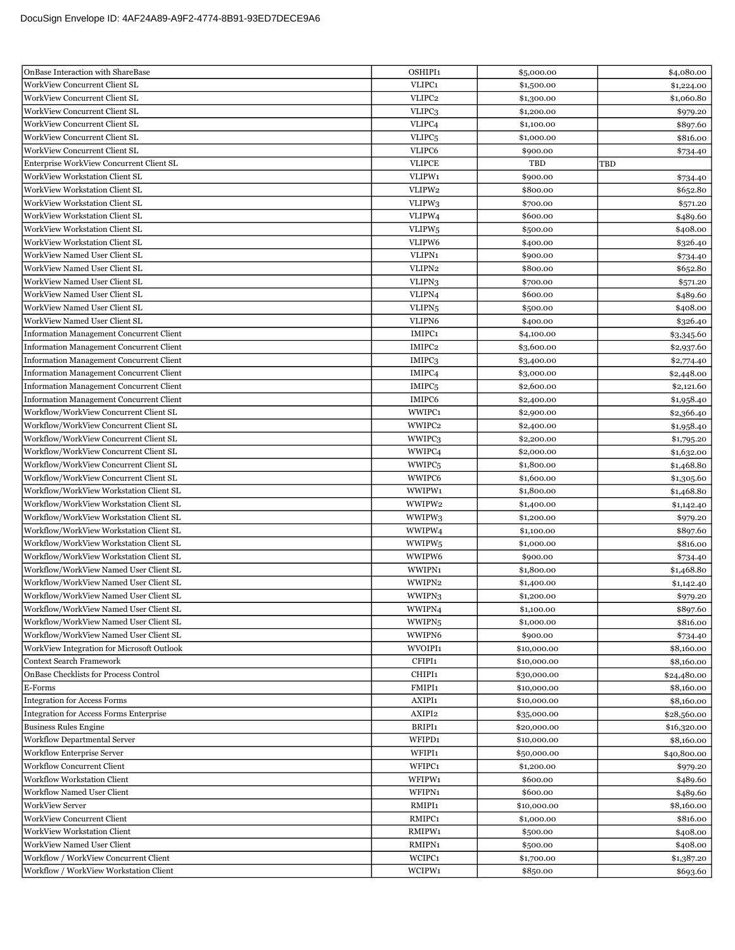| OnBase Interaction with ShareBase               | OSHIPI1            | \$5,000.00  | \$4,080.00  |
|-------------------------------------------------|--------------------|-------------|-------------|
| <b>WorkView Concurrent Client SL</b>            | VLIPC1             | \$1,500.00  | \$1,224.00  |
| <b>WorkView Concurrent Client SL</b>            | VLIPC <sub>2</sub> | \$1,300.00  | \$1,060.80  |
| WorkView Concurrent Client SL                   | VLIPC3             | \$1,200.00  | \$979.20    |
| WorkView Concurrent Client SL                   | VLIPC <sub>4</sub> | \$1,100.00  | \$897.60    |
| WorkView Concurrent Client SL                   | VLIPC <sub>5</sub> | \$1,000.00  | \$816.00    |
| WorkView Concurrent Client SL                   | VLIPC6             | \$900.00    | \$734.40    |
| Enterprise WorkView Concurrent Client SL        | <b>VLIPCE</b>      | TBD         | TBD         |
| WorkView Workstation Client SL                  | VLIPW1             | \$900.00    | \$734.40    |
| WorkView Workstation Client SL                  | VLIPW2             | \$800.00    | \$652.80    |
| WorkView Workstation Client SL                  | VLIPW <sub>3</sub> | \$700.00    | \$571.20    |
| WorkView Workstation Client SL                  | VLIPW4             | \$600.00    | \$489.60    |
| <b>WorkView Workstation Client SL</b>           | VLIPW <sub>5</sub> | \$500.00    | \$408.00    |
| WorkView Workstation Client SL                  | VLIPW6             | \$400.00    | \$326.40    |
| WorkView Named User Client SL                   | VLIPN1             | \$900.00    | \$734.40    |
| WorkView Named User Client SL                   | VLIPN2             | \$800.00    | \$652.80    |
| WorkView Named User Client SL                   | VLIPN <sub>3</sub> | \$700.00    | \$571.20    |
| WorkView Named User Client SL                   | VLIPN4             | \$600.00    | \$489.60    |
| WorkView Named User Client SL                   | VLIPN <sub>5</sub> | \$500.00    | \$408.00    |
| WorkView Named User Client SL                   | VLIPN6             | \$400.00    | \$326.40    |
| Information Management Concurrent Client        | IMIPC1             | \$4,100.00  | \$3,345.60  |
| Information Management Concurrent Client        | IMIPC2             | \$3,600.00  | \$2,937.60  |
| <b>Information Management Concurrent Client</b> | IMIPC3             | \$3,400.00  | \$2,774.40  |
| <b>Information Management Concurrent Client</b> | IMIPC <sub>4</sub> | \$3,000.00  | \$2,448.00  |
| <b>Information Management Concurrent Client</b> | IMIPC <sub>5</sub> | \$2,600.00  | \$2,121.60  |
| <b>Information Management Concurrent Client</b> | IMIPC6             | \$2,400.00  | \$1,958.40  |
| Workflow/WorkView Concurrent Client SL          | WWIPC1             | \$2,900.00  | \$2,366.40  |
| Workflow/WorkView Concurrent Client SL          | WWIPC2             | \$2,400.00  | \$1,958.40  |
| Workflow/WorkView Concurrent Client SL          | WWIPC3             | \$2,200.00  | \$1,795.20  |
| Workflow/WorkView Concurrent Client SL          | WWIPC4             | \$2,000.00  | \$1,632.00  |
| Workflow/WorkView Concurrent Client SL          | WWIPC <sub>5</sub> | \$1,800.00  | \$1,468.80  |
| Workflow/WorkView Concurrent Client SL          | WWIPC6             | \$1,600.00  | \$1,305.60  |
| Workflow/WorkView Workstation Client SL         | WWIPW1             | \$1,800.00  | \$1,468.80  |
| Workflow/WorkView Workstation Client SL         | WWIPW2             | \$1,400.00  | \$1,142.40  |
| Workflow/WorkView Workstation Client SL         | WWIPW3             | \$1,200.00  | \$979.20    |
| Workflow/WorkView Workstation Client SL         | WWIPW4             | \$1,100.00  | \$897.60    |
| Workflow/WorkView Workstation Client SL         | WWIPW <sub>5</sub> | \$1,000.00  | \$816.00    |
| Workflow/WorkView Workstation Client SL         | WWIPW6             | \$900.00    | \$734.40    |
| Workflow/WorkView Named User Client SL          | WWIPN1             | \$1,800.00  | \$1,468.80  |
| Workflow/WorkView Named User Client SL          | WWIPN2             | \$1,400.00  | \$1,142.40  |
| Workflow/WorkView Named User Client SL          | WWIPN3             | \$1,200.00  | \$979.20    |
| Workflow/WorkView Named User Client SL          | WWIPN4             | \$1,100.00  | \$897.60    |
| Workflow/WorkView Named User Client SL          | WWIPN <sub>5</sub> | \$1,000.00  | \$816.00    |
| Workflow/WorkView Named User Client SL          | WWIPN6             | \$900.00    | \$734.40    |
| WorkView Integration for Microsoft Outlook      | WVOIPI1            | \$10,000.00 | \$8,160.00  |
| Context Search Framework                        | CFIPI1             | \$10,000.00 | \$8,160.00  |
| OnBase Checklists for Process Control           | CHIPI1             | \$30,000.00 | \$24,480.00 |
| E-Forms                                         | FMIPI1             | \$10,000.00 | \$8,160.00  |
| <b>Integration for Access Forms</b>             | AXIPI1             | \$10,000.00 | \$8,160.00  |
| <b>Integration for Access Forms Enterprise</b>  | AXIPI2             | \$35,000.00 | \$28,560.00 |
| <b>Business Rules Engine</b>                    | BRIPI1             | \$20,000.00 | \$16,320.00 |
| Workflow Departmental Server                    | WFIPD1             | \$10,000.00 | \$8,160.00  |
| <b>Workflow Enterprise Server</b>               | WFIPI1             | \$50,000.00 | \$40,800.00 |
| Workflow Concurrent Client                      | WFIPC1             | \$1,200.00  | \$979.20    |
| <b>Workflow Workstation Client</b>              | WFIPW1             | \$600.00    | \$489.60    |
| Workflow Named User Client                      | WFIPN1             | \$600.00    | \$489.60    |
| <b>WorkView Server</b>                          | RMIPI1             | \$10,000.00 | \$8,160.00  |
| WorkView Concurrent Client                      | RMIPC1             | \$1,000.00  | \$816.00    |
| WorkView Workstation Client                     | RMIPW1             | \$500.00    | \$408.00    |
| <b>WorkView Named User Client</b>               | RMIPN1             | \$500.00    | \$408.00    |
| Workflow / WorkView Concurrent Client           | WCIPC1             | \$1,700.00  | \$1,387.20  |
| Workflow / WorkView Workstation Client          | WCIPW1             | \$850.00    | \$693.60    |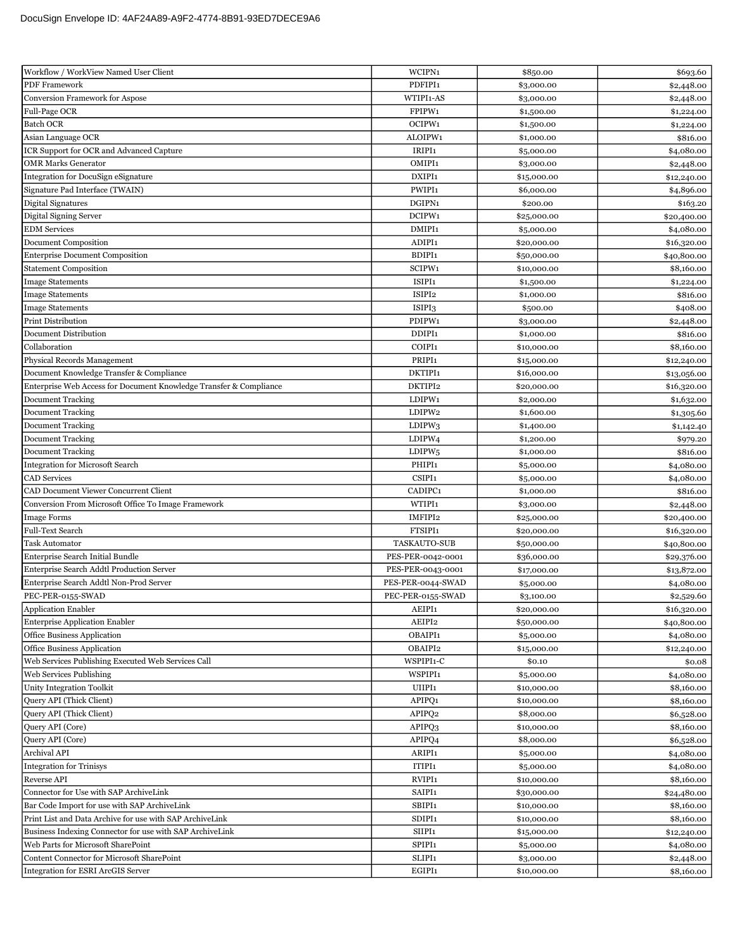| Workflow / WorkView Named User Client                              | WCIPN1             | \$850.00    | \$693.60    |
|--------------------------------------------------------------------|--------------------|-------------|-------------|
| PDF Framework                                                      | PDFIPI1            | \$3,000.00  | \$2,448.00  |
| <b>Conversion Framework for Aspose</b>                             | WTIPI1-AS          | \$3,000.00  | \$2,448.00  |
| Full-Page OCR                                                      | FPIPW1             | \$1,500.00  | \$1,224.00  |
| <b>Batch OCR</b>                                                   | OCIPW1             | \$1,500.00  | \$1,224.00  |
| Asian Language OCR                                                 | ALOIPW1            | \$1,000.00  | \$816.00    |
| ICR Support for OCR and Advanced Capture                           | IRIPI1             | \$5,000.00  | \$4,080.00  |
| <b>OMR Marks Generator</b>                                         | OMIPI1             | \$3,000.00  | \$2,448.00  |
| Integration for DocuSign eSignature                                | DXIPI1             | \$15,000.00 | \$12,240.00 |
| Signature Pad Interface (TWAIN)                                    | PWIPI1             | \$6,000.00  | \$4,896.00  |
| Digital Signatures                                                 | DGIPN1             | \$200.00    | \$163.20    |
| Digital Signing Server                                             | DCIPW1             | \$25,000.00 | \$20,400.00 |
| <b>EDM</b> Services                                                | DMIPI1             | \$5,000.00  | \$4,080.00  |
| Document Composition                                               | ADIPI1             | \$20,000.00 | \$16,320.00 |
| <b>Enterprise Document Composition</b>                             | BDIPI1             | \$50,000.00 | \$40,800.00 |
| <b>Statement Composition</b>                                       | SCIPW1             | \$10,000.00 | \$8,160.00  |
| <b>Image Statements</b>                                            | ISIPI1             | \$1,500.00  | \$1,224.00  |
| <b>Image Statements</b>                                            | ISIPI2             | \$1,000.00  | \$816.00    |
| <b>Image Statements</b>                                            | ISIPI3             | \$500.00    | \$408.00    |
| <b>Print Distribution</b>                                          | PDIPW1             | \$3,000.00  | \$2,448.00  |
| Document Distribution                                              | DDIPI1             | \$1,000.00  | \$816.00    |
| Collaboration                                                      | COIPI1             | \$10,000.00 | \$8,160.00  |
| Physical Records Management                                        | PRIPI1             | \$15,000.00 | \$12,240.00 |
| Document Knowledge Transfer & Compliance                           | DKTIPI1            | \$16,000.00 | \$13,056.00 |
| Enterprise Web Access for Document Knowledge Transfer & Compliance | DKTIPI2            | \$20,000.00 | \$16,320.00 |
| <b>Document Tracking</b>                                           | LDIPW1             | \$2,000.00  | \$1,632.00  |
| <b>Document Tracking</b>                                           | LDIPW2             | \$1,600.00  | \$1,305.60  |
| <b>Document Tracking</b>                                           | LDIPW3             | \$1,400.00  | \$1,142.40  |
| <b>Document Tracking</b>                                           | LDIPW <sub>4</sub> | \$1,200.00  | \$979.20    |
| <b>Document Tracking</b>                                           | LDIPW <sub>5</sub> | \$1,000.00  | \$816.00    |
| <b>Integration for Microsoft Search</b>                            | PHIPI1             | \$5,000.00  | \$4,080.00  |
| <b>CAD</b> Services                                                | CSIPI1             | \$5,000.00  | \$4,080.00  |
| CAD Document Viewer Concurrent Client                              | CADIPC1            | \$1,000.00  | \$816.00    |
| Conversion From Microsoft Office To Image Framework                | WTIPI1             | \$3,000.00  | \$2,448.00  |
| <b>Image Forms</b>                                                 | IMFIPI2            | \$25,000.00 | \$20,400.00 |
| Full-Text Search                                                   | FTSIPI1            | \$20,000.00 | \$16,320.00 |
| <b>Task Automator</b>                                              | TASKAUTO-SUB       | \$50,000.00 | \$40,800.00 |
| Enterprise Search Initial Bundle                                   | PES-PER-0042-0001  | \$36,000.00 | \$29,376.00 |
| Enterprise Search Addtl Production Server                          | PES-PER-0043-0001  | \$17,000.00 | \$13,872.00 |
| Enterprise Search Addtl Non-Prod Server                            | PES-PER-0044-SWAD  | \$5,000.00  | \$4,080.00  |
| PEC-PER-0155-SWAD                                                  | PEC-PER-0155-SWAD  | \$3,100.00  | \$2,529.60  |
| <b>Application Enabler</b>                                         | AEIPI1             | \$20,000.00 | \$16,320.00 |
| <b>Enterprise Application Enabler</b>                              | AEIPI2             | \$50,000.00 | \$40,800.00 |
| Office Business Application                                        | OBAIPI1            | \$5,000.00  | \$4,080.00  |
| Office Business Application                                        | OBAIPI2            | \$15,000.00 | \$12,240.00 |
| Web Services Publishing Executed Web Services Call                 | WSPIPI1-C          | \$0.10      | \$0.08      |
| Web Services Publishing                                            | WSPIPI1            | \$5,000.00  | \$4,080.00  |
| <b>Unity Integration Toolkit</b>                                   | UIIPI1             | \$10,000.00 | \$8,160.00  |
| <b>Query API</b> (Thick Client)                                    | APIPO1             | \$10,000.00 | \$8,160.00  |
| <b>Ouery API</b> (Thick Client)                                    | APIPQ2             | \$8,000.00  | \$6,528.00  |
| Query API (Core)                                                   | APIPQ3             | \$10,000.00 | \$8,160.00  |
| Query API (Core)                                                   | APIPQ4             | \$8,000.00  | \$6,528.00  |
| Archival API                                                       | ARIPI1             | \$5,000.00  | \$4,080.00  |
| <b>Integration for Trinisys</b>                                    | ITIPI1             | \$5,000.00  | \$4,080.00  |
| Reverse API                                                        | RVIPI1             | \$10,000.00 | \$8,160.00  |
| Connector for Use with SAP ArchiveLink                             | SAIPI1             | \$30,000.00 | \$24,480.00 |
| Bar Code Import for use with SAP ArchiveLink                       | SBIPI1             | \$10,000.00 | \$8,160.00  |
| Print List and Data Archive for use with SAP ArchiveLink           | SDIPI1             | \$10,000.00 | \$8,160.00  |
| Business Indexing Connector for use with SAP ArchiveLink           | SIIPI1             | \$15,000.00 | \$12,240.00 |
| Web Parts for Microsoft SharePoint                                 | SPIPI1             | \$5,000.00  | \$4,080.00  |
| Content Connector for Microsoft SharePoint                         | SLIPI1             | \$3,000.00  | \$2,448.00  |
| <b>Integration for ESRI ArcGIS Server</b>                          | EGIPI1             | \$10,000.00 | \$8,160.00  |
|                                                                    |                    |             |             |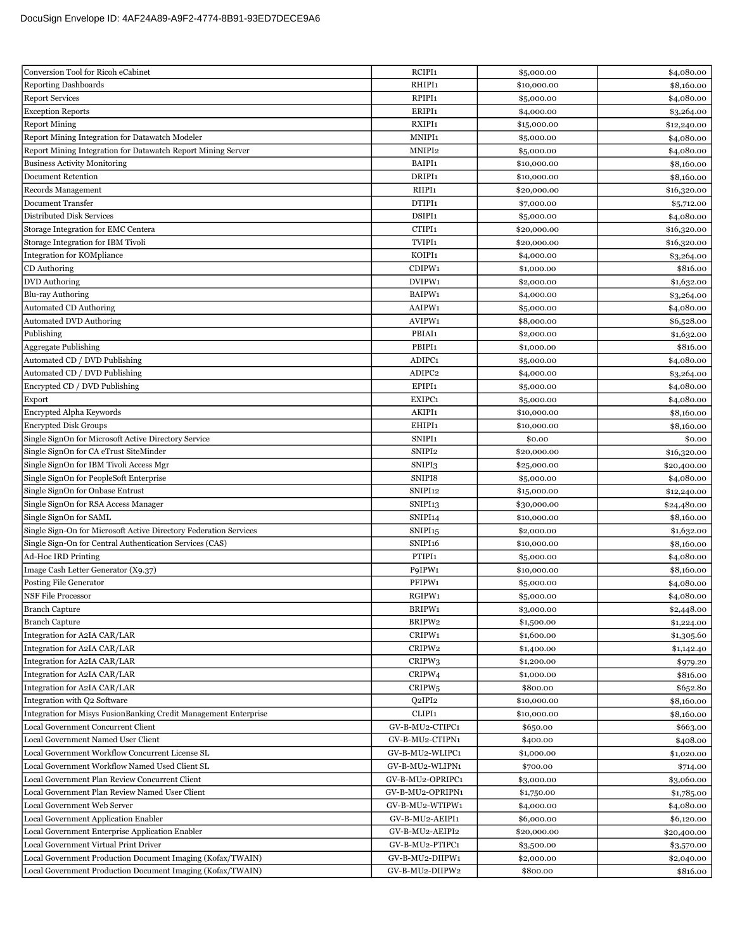| Conversion Tool for Ricoh eCabinet                                | RCIPI1                         | \$5,000.00  | \$4,080.00  |
|-------------------------------------------------------------------|--------------------------------|-------------|-------------|
| <b>Reporting Dashboards</b>                                       | RHIPI1                         | \$10,000.00 | \$8,160.00  |
| <b>Report Services</b>                                            | RPIPI1                         | \$5,000.00  | \$4,080.00  |
| <b>Exception Reports</b>                                          | ERIPI1                         | \$4,000.00  | \$3,264.00  |
| <b>Report Mining</b>                                              | RXIPI1                         | \$15,000.00 | \$12,240.00 |
| Report Mining Integration for Datawatch Modeler                   | MNIPI1                         | \$5,000.00  | \$4,080.00  |
| Report Mining Integration for Datawatch Report Mining Server      | MNIPI2                         | \$5,000.00  | \$4,080.00  |
| <b>Business Activity Monitoring</b>                               | BAIPI1                         | \$10,000.00 | \$8,160.00  |
| <b>Document Retention</b>                                         | DRIPI1                         | \$10,000.00 | \$8,160.00  |
| Records Management                                                | RIIPI1                         | \$20,000.00 | \$16,320.00 |
| <b>Document Transfer</b>                                          | DTIPI1                         | \$7,000.00  | \$5,712.00  |
| Distributed Disk Services                                         | DSIPI1                         | \$5,000.00  | \$4,080.00  |
| Storage Integration for EMC Centera                               | CTIPI1                         | \$20,000.00 | \$16,320.00 |
| Storage Integration for IBM Tivoli                                | TVIPI1                         | \$20,000.00 | \$16,320.00 |
| Integration for KOMpliance                                        | KOIPI1                         | \$4,000.00  | \$3,264.00  |
| CD Authoring                                                      | CDIPW1                         | \$1,000.00  | \$816.00    |
| <b>DVD</b> Authoring                                              | DVIPW1                         | \$2,000.00  | \$1,632.00  |
| Blu-ray Authoring                                                 | BAIPW1                         | \$4,000.00  | \$3,264.00  |
| <b>Automated CD Authoring</b>                                     | AAIPW1                         | \$5,000.00  | \$4,080.00  |
| <b>Automated DVD Authoring</b>                                    | AVIPW1                         | \$8,000.00  | \$6,528.00  |
| Publishing                                                        | PBIAI1                         | \$2,000.00  | \$1,632.00  |
| <b>Aggregate Publishing</b>                                       | PBIPI1                         | \$1,000.00  | \$816.00    |
| Automated CD / DVD Publishing                                     | ADIPC1                         | \$5,000.00  | \$4,080.00  |
| Automated CD / DVD Publishing                                     | ADIPC2                         | \$4,000.00  | \$3,264.00  |
| Encrypted CD / DVD Publishing                                     | EPIPI1                         | \$5,000.00  | \$4,080.00  |
| Export                                                            | EXIPC1                         | \$5,000.00  | \$4,080.00  |
| Encrypted Alpha Keywords                                          | AKIPI1                         | \$10,000.00 | \$8,160.00  |
| <b>Encrypted Disk Groups</b>                                      | EHIPI1                         | \$10,000.00 | \$8,160.00  |
| Single SignOn for Microsoft Active Directory Service              | SNIPI1                         | \$0.00      | \$0.00      |
| Single SignOn for CA eTrust SiteMinder                            | SNIPI2                         | \$20,000.00 |             |
| Single SignOn for IBM Tivoli Access Mgr                           | SNIPI3                         |             | \$16,320.00 |
| Single SignOn for PeopleSoft Enterprise                           | SNIPI8                         | \$25,000.00 | \$20,400.00 |
| Single SignOn for Onbase Entrust                                  | SNIPI <sub>12</sub>            | \$5,000.00  | \$4,080.00  |
|                                                                   |                                | \$15,000.00 | \$12,240.00 |
| Single SignOn for RSA Access Manager<br>Single SignOn for SAML    | SNIPI <sub>13</sub><br>SNIPI14 | \$30,000.00 | \$24,480.00 |
|                                                                   |                                | \$10,000.00 | \$8,160.00  |
| Single Sign-On for Microsoft Active Directory Federation Services | SNIPI <sub>15</sub>            | \$2,000.00  | \$1,632.00  |
| Single Sign-On for Central Authentication Services (CAS)          | SNIPI <sub>16</sub>            | \$10,000.00 | \$8,160.00  |
| <b>Ad-Hoc IRD Printing</b>                                        | PTIPI1                         | \$5,000.00  | \$4,080.00  |
| Image Cash Letter Generator (X9.37)                               | P9IPW1                         | \$10,000.00 | \$8,160.00  |
| Posting File Generator                                            | PFIPW1                         | \$5,000.00  | \$4,080.00  |
| <b>NSF File Processor</b>                                         | RGIPW1                         | \$5,000.00  | \$4,080.00  |
| <b>Branch Capture</b>                                             | BRIPW1                         | \$3,000.00  | \$2,448.00  |
| <b>Branch Capture</b>                                             | BRIPW2                         | \$1,500.00  | \$1,224.00  |
| Integration for A2IA CAR/LAR                                      | CRIPW1                         | \$1,600.00  | \$1,305.60  |
| Integration for A2IA CAR/LAR                                      | CRIPW2                         | \$1,400.00  | \$1,142.40  |
| Integration for A2IA CAR/LAR                                      | CRIPW <sub>3</sub>             | \$1,200.00  | \$979.20    |
| Integration for A2IA CAR/LAR                                      | CRIPW4                         | \$1,000.00  | \$816.00    |
| Integration for A2IA CAR/LAR                                      | CRIPW <sub>5</sub>             | \$800.00    | \$652.80    |
| Integration with Q2 Software                                      | Q2IPI2                         | \$10,000.00 | \$8,160.00  |
| Integration for Misys FusionBanking Credit Management Enterprise  | CLIPI1                         | \$10,000.00 | \$8,160.00  |
| Local Government Concurrent Client                                | GV-B-MU2-CTIPC1                | \$650.00    | \$663.00    |
| Local Government Named User Client                                | GV-B-MU2-CTIPN1                | \$400.00    | \$408.00    |
| Local Government Workflow Concurrent License SL                   | GV-B-MU2-WLIPC1                | \$1,000.00  | \$1,020.00  |
| Local Government Workflow Named Used Client SL                    | GV-B-MU2-WLIPN1                | \$700.00    | \$714.00    |
| Local Government Plan Review Concurrent Client                    | GV-B-MU2-OPRIPC1               | \$3,000.00  | \$3,060.00  |
| Local Government Plan Review Named User Client                    | GV-B-MU2-OPRIPN1               | \$1,750.00  | \$1,785.00  |
| Local Government Web Server                                       | GV-B-MU2-WTIPW1                | \$4,000.00  | \$4,080.00  |
| Local Government Application Enabler                              | GV-B-MU2-AEIPI1                | \$6,000.00  | \$6,120.00  |
| Local Government Enterprise Application Enabler                   | GV-B-MU2-AEIPI2                | \$20,000.00 | \$20,400.00 |
| Local Government Virtual Print Driver                             | GV-B-MU2-PTIPC1                | \$3,500.00  | \$3,570.00  |
| Local Government Production Document Imaging (Kofax/TWAIN)        | GV-B-MU2-DIIPW1                | \$2,000.00  | \$2,040.00  |
| Local Government Production Document Imaging (Kofax/TWAIN)        | GV-B-MU2-DIIPW2                | \$800.00    | \$816.00    |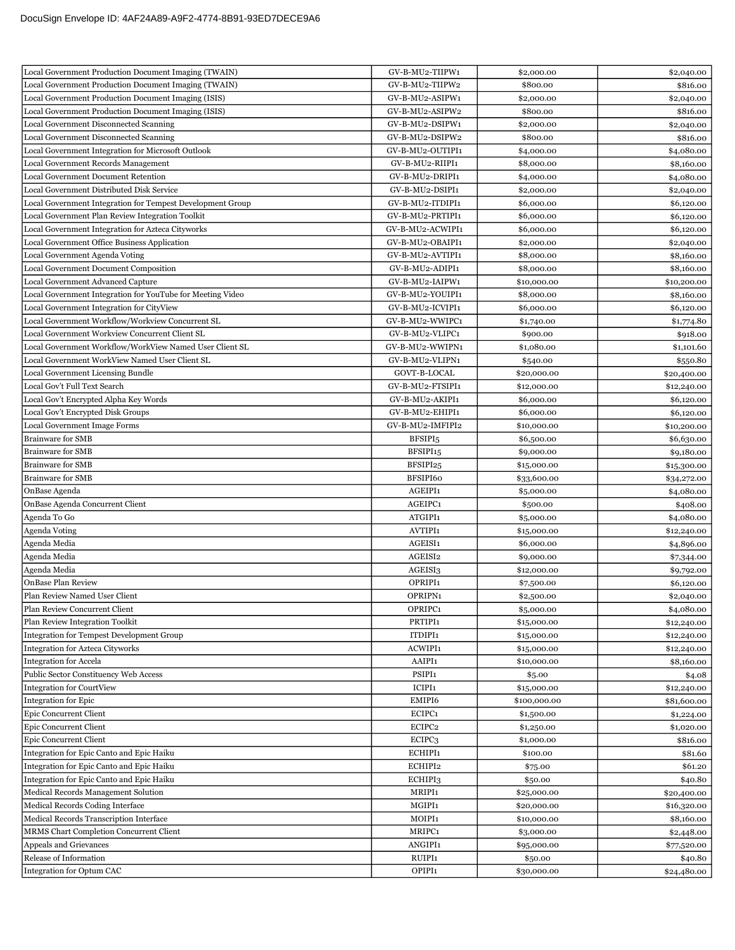| Local Government Production Document Imaging (TWAIN)       | GV-B-MU2-TIIPW1      | \$2,000.00               | \$2,040.00  |
|------------------------------------------------------------|----------------------|--------------------------|-------------|
| Local Government Production Document Imaging (TWAIN)       | GV-B-MU2-TIIPW2      | \$800.00                 | \$816.00    |
| Local Government Production Document Imaging (ISIS)        | GV-B-MU2-ASIPW1      | \$2,000.00               | \$2,040.00  |
| Local Government Production Document Imaging (ISIS)        | GV-B-MU2-ASIPW2      | \$800.00                 | \$816.00    |
| Local Government Disconnected Scanning                     | GV-B-MU2-DSIPW1      | \$2,000.00               | \$2,040.00  |
| Local Government Disconnected Scanning                     | GV-B-MU2-DSIPW2      | \$800.00                 | \$816.00    |
| Local Government Integration for Microsoft Outlook         | GV-B-MU2-OUTIPI1     | \$4,000.00               | \$4,080.00  |
| Local Government Records Management                        | GV-B-MU2-RIIPI1      | \$8,000.00               | \$8,160.00  |
| Local Government Document Retention                        | GV-B-MU2-DRIPI1      | \$4,000.00               | \$4,080.00  |
| Local Government Distributed Disk Service                  | GV-B-MU2-DSIPI1      | \$2,000.00               | \$2,040.00  |
| Local Government Integration for Tempest Development Group | GV-B-MU2-ITDIPI1     | \$6,000.00               | \$6,120.00  |
| Local Government Plan Review Integration Toolkit           | GV-B-MU2-PRTIPI1     | \$6,000.00               | \$6,120.00  |
| Local Government Integration for Azteca Cityworks          | GV-B-MU2-ACWIPI1     | \$6,000.00               | \$6,120.00  |
| Local Government Office Business Application               | GV-B-MU2-OBAIPI1     | \$2,000.00               | \$2,040.00  |
| Local Government Agenda Voting                             | GV-B-MU2-AVTIPI1     | \$8,000.00               | \$8,160.00  |
| Local Government Document Composition                      | GV-B-MU2-ADIPI1      | \$8,000.00               | \$8,160.00  |
| <b>Local Government Advanced Capture</b>                   | GV-B-MU2-IAIPW1      | \$10,000.00              | \$10,200.00 |
| Local Government Integration for YouTube for Meeting Video | GV-B-MU2-YOUIPI1     | \$8,000.00               | \$8,160.00  |
| Local Government Integration for CityView                  | GV-B-MU2-ICVIPI1     | \$6,000.00               | \$6,120.00  |
| Local Government Workflow/Workview Concurrent SL           | GV-B-MU2-WWIPC1      | \$1,740.00               | \$1,774.80  |
| Local Government Workview Concurrent Client SL             | GV-B-MU2-VLIPC1      | \$900.00                 | \$918.00    |
| Local Government Workflow/WorkView Named User Client SL    | GV-B-MU2-WWIPN1      | \$1,080.00               | \$1,101.60  |
| Local Government WorkView Named User Client SL             | GV-B-MU2-VLIPN1      | \$540.00                 | \$550.80    |
| Local Government Licensing Bundle                          | GOVT-B-LOCAL         | \$20,000.00              | \$20,400.00 |
| Local Gov't Full Text Search                               | GV-B-MU2-FTSIPI1     | \$12,000.00              | \$12,240.00 |
| Local Gov't Encrypted Alpha Key Words                      | GV-B-MU2-AKIPI1      | \$6,000.00               | \$6,120.00  |
| Local Gov't Encrypted Disk Groups                          | GV-B-MU2-EHIPI1      | \$6,000.00               | \$6,120.00  |
| <b>Local Government Image Forms</b>                        | GV-B-MU2-IMFIPI2     | \$10,000.00              | \$10,200.00 |
| <b>Brainware for SMB</b>                                   | BFSIPI <sub>5</sub>  |                          |             |
| <b>Brainware for SMB</b>                                   | BFSIPI <sub>15</sub> | \$6,500.00<br>\$9,000.00 | \$6,630.00  |
| <b>Brainware for SMB</b>                                   | BFSIPI25             | \$15,000.00              | \$9,180.00  |
| <b>Brainware for SMB</b>                                   | BFSIPI60             |                          | \$15,300.00 |
| OnBase Agenda                                              | AGEIPI1              | \$33,600.00              | \$34,272.00 |
| OnBase Agenda Concurrent Client                            | AGEIPC1              | \$5,000.00<br>\$500.00   | \$4,080.00  |
| Agenda To Go                                               | ATGIPI1              | \$5,000.00               | \$408.00    |
|                                                            |                      |                          | \$4,080.00  |
| Agenda Voting                                              | AVTIPI1<br>AGEISI1   | \$15,000.00              | \$12,240.00 |
| Agenda Media                                               |                      | \$6,000.00               | \$4,896.00  |
| Agenda Media                                               | AGEISI2              | \$9,000.00               | \$7,344.00  |
| Agenda Media                                               | AGEISI3              | \$12,000.00              | \$9,792.00  |
| <b>OnBase Plan Review</b>                                  | OPRIPI1              | \$7,500.00               | \$6,120.00  |
| Plan Review Named User Client                              | OPRIPN1              | \$2,500.00               | \$2,040.00  |
| Plan Review Concurrent Client                              | OPRIPC1              | \$5,000.00               | \$4,080.00  |
| Plan Review Integration Toolkit                            | PRTIPI1              | \$15,000.00              | \$12,240.00 |
| <b>Integration for Tempest Development Group</b>           | ITDIPI1              | \$15,000.00              | \$12,240.00 |
| <b>Integration for Azteca Cityworks</b>                    | ACWIPI1              | \$15,000.00              | \$12,240.00 |
| <b>Integration for Accela</b>                              | AAIPI1               | \$10,000.00              | \$8,160.00  |
| Public Sector Constituency Web Access                      | PSIPI1               | \$5.00                   | \$4.08      |
| <b>Integration for CourtView</b>                           | ICIPI1               | \$15,000.00              | \$12,240.00 |
| <b>Integration for Epic</b>                                | EMIPI6               | \$100,000.00             | \$81,600.00 |
| Epic Concurrent Client                                     | ECIPC1               | \$1,500.00               | \$1,224.00  |
| <b>Epic Concurrent Client</b>                              | ECIPC2               | \$1,250.00               | \$1,020.00  |
| Epic Concurrent Client                                     | ECIPC3               | \$1,000.00               | \$816.00    |
| Integration for Epic Canto and Epic Haiku                  | ECHIPI1              | \$100.00                 | \$81.60     |
| Integration for Epic Canto and Epic Haiku                  | ECHIPI2              | \$75.00                  | \$61.20     |
| Integration for Epic Canto and Epic Haiku                  | ECHIPI3              | \$50.00                  | \$40.80     |
| Medical Records Management Solution                        | MRIPI1               | \$25,000.00              | \$20,400.00 |
| Medical Records Coding Interface                           | MGIPI1               | \$20,000.00              | \$16,320.00 |
| Medical Records Transcription Interface                    | MOIPI1               | \$10,000.00              | \$8,160.00  |
| MRMS Chart Completion Concurrent Client                    | MRIPC1               | \$3,000.00               | \$2,448.00  |
| Appeals and Grievances                                     | ANGIPI1              | \$95,000.00              | \$77,520.00 |
| Release of Information                                     | RUIPI1               | \$50.00                  | \$40.80     |
| <b>Integration for Optum CAC</b>                           | OPIPI1               | \$30,000.00              | \$24,480.00 |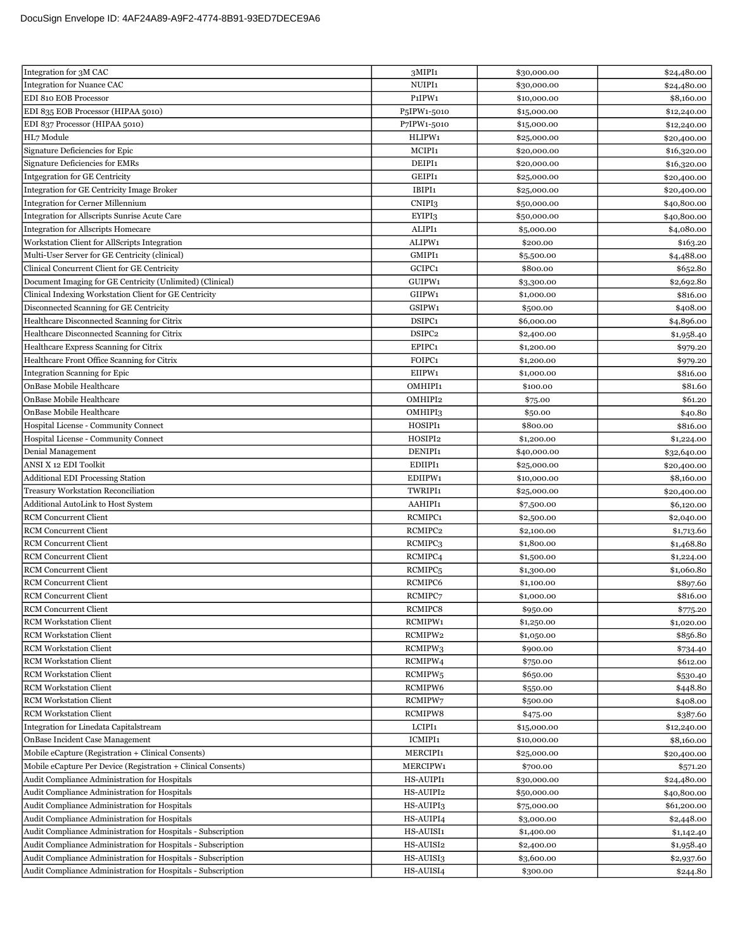| Integration for 3M CAC                                        | 3MIPI1                                | \$30,000.00 | \$24,480.00              |
|---------------------------------------------------------------|---------------------------------------|-------------|--------------------------|
| <b>Integration for Nuance CAC</b>                             | NUIPI1                                | \$30,000.00 | \$24,480.00              |
| EDI 810 EOB Processor                                         | P <sub>1</sub> IPW <sub>1</sub>       | \$10,000.00 | \$8,160.00               |
| EDI 835 EOB Processor (HIPAA 5010)                            | P <sub>5</sub> IPW <sub>1</sub> -5010 | \$15,000.00 | \$12,240.00              |
| EDI 837 Processor (HIPAA 5010)                                | P7IPW1-5010                           | \$15,000.00 | \$12,240.00              |
| HL7 Module                                                    | HLIPW1                                | \$25,000.00 | \$20,400.00              |
| Signature Deficiencies for Epic                               | MCIPI1                                | \$20,000.00 | \$16,320.00              |
| Signature Deficiencies for EMRs                               | DEIPI1                                | \$20,000.00 | \$16,320.00              |
| Intgegration for GE Centricity                                | GEIPI1                                | \$25,000.00 | \$20,400.00              |
| Integration for GE Centricity Image Broker                    | IBIPI1                                | \$25,000.00 | \$20,400.00              |
| <b>Integration for Cerner Millennium</b>                      | CNIPI3                                | \$50,000.00 | \$40,800.00              |
| Integration for Allscripts Sunrise Acute Care                 | EYIPI3                                | \$50,000.00 | \$40,800.00              |
| <b>Integration for Allscripts Homecare</b>                    | ALIPI1                                | \$5,000.00  | \$4,080.00               |
| Workstation Client for AllScripts Integration                 | ALIPW1                                | \$200.00    | \$163.20                 |
| Multi-User Server for GE Centricity (clinical)                | GMIPI1                                | \$5,500.00  | \$4,488.00               |
| Clinical Concurrent Client for GE Centricity                  | GCIPC1                                | \$800.00    | \$652.80                 |
| Document Imaging for GE Centricity (Unlimited) (Clinical)     | GUIPW1                                | \$3,300.00  | \$2,692.80               |
| Clinical Indexing Workstation Client for GE Centricity        | GIIPW1                                | \$1,000.00  | \$816.00                 |
| Disconnected Scanning for GE Centricity                       | GSIPW1                                | \$500.00    | \$408.00                 |
| Healthcare Disconnected Scanning for Citrix                   | DSIPC1                                | \$6,000.00  | \$4,896.00               |
| Healthcare Disconnected Scanning for Citrix                   | DSIPC2                                | \$2,400.00  | \$1,958.40               |
| Healthcare Express Scanning for Citrix                        | EPIPC1                                | \$1,200.00  | \$979.20                 |
| Healthcare Front Office Scanning for Citrix                   | FOIPC1                                | \$1,200.00  | \$979.20                 |
| Integration Scanning for Epic                                 | EIIPW1                                | \$1,000.00  | \$816.00                 |
| OnBase Mobile Healthcare                                      | <b>OMHIPI1</b>                        | \$100.00    | \$81.60                  |
| OnBase Mobile Healthcare                                      | OMHIPI2                               | \$75.00     | \$61.20                  |
| OnBase Mobile Healthcare                                      | OMHIPI3                               | \$50.00     | \$40.80                  |
| Hospital License - Community Connect                          | HOSIPI1                               | \$800.00    | \$816.00                 |
| Hospital License - Community Connect                          | HOSIPI2                               | \$1,200.00  | \$1,224.00               |
| Denial Management                                             | DENIPI1                               | \$40,000.00 | \$32,640.00              |
| ANSI X 12 EDI Toolkit                                         | EDIIPI1                               | \$25,000.00 | \$20,400.00              |
| <b>Additional EDI Processing Station</b>                      | EDIIPW1                               | \$10,000.00 | \$8,160.00               |
| <b>Treasury Workstation Reconciliation</b>                    | TWRIPI1                               | \$25,000.00 | \$20,400.00              |
| Additional AutoLink to Host System                            | AAHIPI1                               | \$7,500.00  | \$6,120.00               |
| <b>RCM</b> Concurrent Client                                  | RCMIPC1                               | \$2,500.00  | \$2,040.00               |
| <b>RCM</b> Concurrent Client                                  | RCMIPC <sub>2</sub>                   | \$2,100.00  | \$1,713.60               |
| <b>RCM</b> Concurrent Client                                  | RCMIPC3                               | \$1,800.00  | \$1,468.80               |
| <b>RCM</b> Concurrent Client                                  | RCMIPC4                               | \$1,500.00  | \$1,224.00               |
| <b>RCM</b> Concurrent Client                                  | RCMIPC <sub>5</sub>                   | \$1,300.00  | \$1,060.80               |
| <b>RCM</b> Concurrent Client                                  | RCMIPC6                               | \$1,100.00  | \$897.60                 |
| <b>RCM</b> Concurrent Client                                  | RCMIPC7                               | \$1,000.00  | \$816.00                 |
| <b>RCM</b> Concurrent Client                                  | RCMIPC8                               | \$950.00    | \$775.20                 |
| <b>RCM Workstation Client</b>                                 | RCMIPW1                               | \$1,250.00  | \$1,020.00               |
| <b>RCM</b> Workstation Client                                 | RCMIPW2                               | \$1,050.00  | \$856.80                 |
| <b>RCM Workstation Client</b>                                 | RCMIPW3                               | \$900.00    | \$734.40                 |
| <b>RCM Workstation Client</b>                                 | RCMIPW4                               | \$750.00    | \$612.00                 |
| <b>RCM</b> Workstation Client                                 | RCMIPW <sub>5</sub>                   | \$650.00    | \$530.40                 |
| <b>RCM</b> Workstation Client                                 | RCMIPW6                               | \$550.00    | \$448.80                 |
| <b>RCM</b> Workstation Client                                 | RCMIPW7                               | \$500.00    | \$408.00                 |
| <b>RCM</b> Workstation Client                                 | RCMIPW8                               | \$475.00    | \$387.60                 |
| Integration for Linedata Capitalstream                        | LCIPI1                                | \$15,000.00 | \$12,240.00              |
| OnBase Incident Case Management                               | ICMIPI1                               | \$10,000.00 | \$8,160.00               |
| Mobile eCapture (Registration + Clinical Consents)            | MERCIPI1                              | \$25,000.00 | \$20,400.00              |
| Mobile eCapture Per Device (Registration + Clinical Consents) | MERCIPW1                              | \$700.00    | \$571.20                 |
| Audit Compliance Administration for Hospitals                 | HS-AUIPI1                             | \$30,000.00 | \$24,480.00              |
| Audit Compliance Administration for Hospitals                 | HS-AUIPI2                             | \$50,000.00 | \$40,800.00              |
| Audit Compliance Administration for Hospitals                 | HS-AUIPI3                             | \$75,000.00 | \$61,200.00              |
| Audit Compliance Administration for Hospitals                 | HS-AUIPI4                             | \$3,000.00  |                          |
| Audit Compliance Administration for Hospitals - Subscription  | HS-AUISI1                             | \$1,400.00  | \$2,448.00<br>\$1,142.40 |
| Audit Compliance Administration for Hospitals - Subscription  | HS-AUISI2                             | \$2,400.00  | \$1,958.40               |
| Audit Compliance Administration for Hospitals - Subscription  | HS-AUISI3                             | \$3,600.00  | \$2,937.60               |
|                                                               |                                       |             |                          |
| Audit Compliance Administration for Hospitals - Subscription  | HS-AUISI4                             | \$300.00    | \$244.80                 |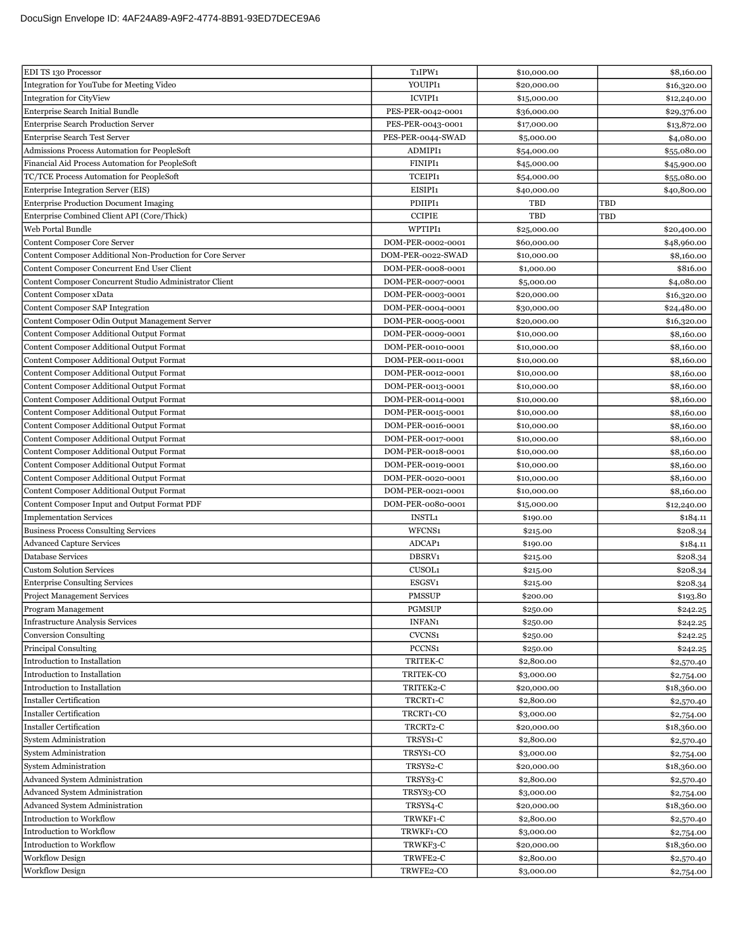| EDI TS 130 Processor                                       | T <sub>1</sub> IPW <sub>1</sub> | \$10,000.00 | \$8,160.00  |
|------------------------------------------------------------|---------------------------------|-------------|-------------|
| Integration for YouTube for Meeting Video                  | YOUIPI1                         | \$20,000.00 | \$16,320.00 |
| <b>Integration for CityView</b>                            | <b>ICVIPI1</b>                  | \$15,000.00 | \$12,240.00 |
| Enterprise Search Initial Bundle                           | PES-PER-0042-0001               | \$36,000.00 | \$29,376.00 |
| <b>Enterprise Search Production Server</b>                 | PES-PER-0043-0001               | \$17,000.00 | \$13,872.00 |
| Enterprise Search Test Server                              | PES-PER-0044-SWAD               | \$5,000.00  | \$4,080.00  |
| <b>Admissions Process Automation for PeopleSoft</b>        | ADMIPI1                         | \$54,000.00 | \$55,080.00 |
| Financial Aid Process Automation for PeopleSoft            | FINIPI1                         | \$45,000.00 | \$45,900.00 |
| TC/TCE Process Automation for PeopleSoft                   | TCEIPI1                         | \$54,000.00 | \$55,080.00 |
| Enterprise Integration Server (EIS)                        | EISIPI1                         | \$40,000.00 | \$40,800.00 |
| <b>Enterprise Production Document Imaging</b>              | PDIIPI1                         | TBD         | TBD         |
| Enterprise Combined Client API (Core/Thick)                | <b>CCIPIE</b>                   | TBD         | TBD         |
| Web Portal Bundle                                          | WPTIPI1                         | \$25,000.00 | \$20,400.00 |
| <b>Content Composer Core Server</b>                        | DOM-PER-0002-0001               | \$60,000.00 | \$48,960.00 |
| Content Composer Additional Non-Production for Core Server | DOM-PER-0022-SWAD               | \$10,000.00 | \$8,160.00  |
| Content Composer Concurrent End User Client                | DOM-PER-0008-0001               | \$1,000.00  | \$816.00    |
| Content Composer Concurrent Studio Administrator Client    | DOM-PER-0007-0001               | \$5,000.00  | \$4,080.00  |
| Content Composer xData                                     | DOM-PER-0003-0001               | \$20,000.00 | \$16,320.00 |
| Content Composer SAP Integration                           | DOM-PER-0004-0001               | \$30,000.00 | \$24,480.00 |
| Content Composer Odin Output Management Server             | DOM-PER-0005-0001               | \$20,000.00 | \$16,320.00 |
| Content Composer Additional Output Format                  | DOM-PER-0009-0001               | \$10,000.00 | \$8,160.00  |
| Content Composer Additional Output Format                  | DOM-PER-0010-0001               | \$10,000.00 | \$8,160.00  |
| Content Composer Additional Output Format                  | DOM-PER-0011-0001               | \$10,000.00 | \$8,160.00  |
| Content Composer Additional Output Format                  | DOM-PER-0012-0001               | \$10,000.00 | \$8,160.00  |
| Content Composer Additional Output Format                  | DOM-PER-0013-0001               | \$10,000.00 | \$8,160.00  |
| Content Composer Additional Output Format                  | DOM-PER-0014-0001               | \$10,000.00 | \$8,160.00  |
| Content Composer Additional Output Format                  | DOM-PER-0015-0001               | \$10,000.00 | \$8,160.00  |
| <b>Content Composer Additional Output Format</b>           | DOM-PER-0016-0001               | \$10,000.00 | \$8,160.00  |
| Content Composer Additional Output Format                  | DOM-PER-0017-0001               | \$10,000.00 | \$8,160.00  |
| Content Composer Additional Output Format                  | DOM-PER-0018-0001               | \$10,000.00 | \$8,160.00  |
| Content Composer Additional Output Format                  | DOM-PER-0019-0001               | \$10,000.00 | \$8,160.00  |
| Content Composer Additional Output Format                  | DOM-PER-0020-0001               | \$10,000.00 | \$8,160.00  |
| <b>Content Composer Additional Output Format</b>           | DOM-PER-0021-0001               | \$10,000.00 | \$8,160.00  |
| Content Composer Input and Output Format PDF               | DOM-PER-0080-0001               | \$15,000.00 | \$12,240.00 |
| <b>Implementation Services</b>                             | <b>INSTL1</b>                   | \$190.00    | \$184.11    |
| <b>Business Process Consulting Services</b>                | WFCNS1                          | \$215.00    | \$208.34    |
| <b>Advanced Capture Services</b>                           | ADCAP1                          | \$190.00    | \$184.11    |
| Database Services                                          | DBSRV1                          | \$215.00    | \$208.34    |
| <b>Custom Solution Services</b>                            | CUSOL1                          | \$215.00    | \$208.34    |
| <b>Enterprise Consulting Services</b>                      | ESGSV1                          | \$215.00    | \$208.34    |
| <b>Project Management Services</b>                         | <b>PMSSUP</b>                   | \$200.00    | \$193.80    |
| Program Management                                         | <b>PGMSUP</b>                   | \$250.00    | \$242.25    |
| <b>Infrastructure Analysis Services</b>                    | INFAN1                          | \$250.00    | \$242.25    |
| <b>Conversion Consulting</b>                               | CVCNS1                          | \$250.00    | \$242.25    |
| <b>Principal Consulting</b>                                | PCCNS1                          | \$250.00    | \$242.25    |
| Introduction to Installation                               | TRITEK-C                        | \$2,800.00  | \$2,570.40  |
| Introduction to Installation                               | TRITEK-CO                       | \$3,000.00  | \$2,754.00  |
| Introduction to Installation                               | TRITEK2-C                       | \$20,000.00 | \$18,360.00 |
| <b>Installer Certification</b>                             | TRCRT1-C                        | \$2,800.00  | \$2,570.40  |
| <b>Installer Certification</b>                             | TRCRT1-CO                       | \$3,000.00  | \$2,754.00  |
| <b>Installer Certification</b>                             | TRCRT2-C                        | \$20,000.00 | \$18,360.00 |
| <b>System Administration</b>                               | TRSYS1-C                        | \$2,800.00  | \$2,570.40  |
| <b>System Administration</b>                               | TRSYS1-CO                       | \$3,000.00  | \$2,754.00  |
| <b>System Administration</b>                               | TRSYS2-C                        | \$20,000.00 | \$18,360.00 |
| Advanced System Administration                             | TRSYS3-C                        | \$2,800.00  | \$2,570.40  |
| <b>Advanced System Administration</b>                      | TRSYS3-CO                       | \$3,000.00  | \$2,754.00  |
| Advanced System Administration                             | TRSYS4-C                        | \$20,000.00 | \$18,360.00 |
| Introduction to Workflow                                   | TRWKF1-C                        | \$2,800.00  | \$2,570.40  |
| Introduction to Workflow                                   | TRWKF1-CO                       | \$3,000.00  | \$2,754.00  |
| Introduction to Workflow                                   | TRWKF3-C                        | \$20,000.00 | \$18,360.00 |
| <b>Workflow Design</b>                                     | TRWFE2-C                        | \$2,800.00  | \$2,570.40  |
| <b>Workflow Design</b>                                     | TRWFE2-CO                       | \$3,000.00  | \$2,754.00  |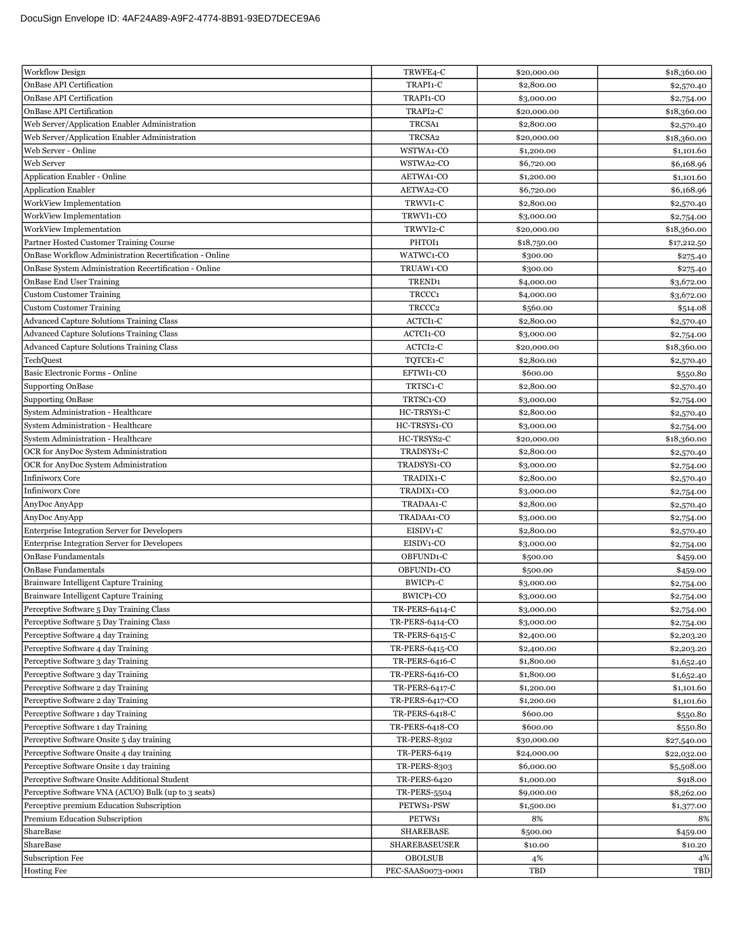| <b>Workflow Design</b>                                                       | TRWFE4-C             | \$20,000.00 | \$18,360.00 |
|------------------------------------------------------------------------------|----------------------|-------------|-------------|
| OnBase API Certification                                                     | TRAPI1-C             | \$2,800.00  | \$2,570.40  |
| OnBase API Certification                                                     | TRAPI1-CO            | \$3,000.00  | \$2,754.00  |
| OnBase API Certification                                                     | TRAPI2-C             | \$20,000.00 | \$18,360.00 |
| Web Server/Application Enabler Administration                                | TRCSA1               | \$2,800.00  | \$2,570.40  |
| Web Server/Application Enabler Administration                                | TRCSA <sub>2</sub>   | \$20,000.00 | \$18,360.00 |
| Web Server - Online                                                          | WSTWA1-CO            | \$1,200.00  | \$1,101.60  |
| Web Server                                                                   | WSTWA2-CO            | \$6,720.00  | \$6,168.96  |
| Application Enabler - Online                                                 | AETWA1-CO            | \$1,200.00  | \$1,101.60  |
| <b>Application Enabler</b>                                                   | AETWA2-CO            | \$6,720.00  | \$6,168.96  |
| WorkView Implementation                                                      | TRWVI1-C             | \$2,800.00  | \$2,570.40  |
| WorkView Implementation                                                      | TRWVI1-CO            | \$3,000.00  | \$2,754.00  |
| WorkView Implementation                                                      | TRWVI2-C             | \$20,000.00 | \$18,360.00 |
| Partner Hosted Customer Training Course                                      | PHTOI1               | \$18,750.00 | \$17,212.50 |
| OnBase Workflow Administration Recertification - Online                      | WATWC1-CO            | \$300.00    | \$275.40    |
| OnBase System Administration Recertification - Online                        | TRUAW1-CO            | \$300.00    | \$275.40    |
| OnBase End User Training                                                     | TREND <sub>1</sub>   | \$4,000.00  | \$3,672.00  |
| <b>Custom Customer Training</b>                                              | TRCCC1               | \$4,000.00  | \$3,672.00  |
| <b>Custom Customer Training</b>                                              | TRCCC <sub>2</sub>   | \$560.00    | \$514.08    |
| Advanced Capture Solutions Training Class                                    | ACTCI1-C             | \$2,800.00  | \$2,570.40  |
| Advanced Capture Solutions Training Class                                    | ACTCI1-CO            | \$3,000.00  | \$2,754.00  |
| <b>Advanced Capture Solutions Training Class</b>                             | ACTCI2-C             | \$20,000.00 | \$18,360.00 |
| TechQuest                                                                    | TQTCE1-C             | \$2,800.00  | \$2,570.40  |
| Basic Electronic Forms - Online                                              | EFTWI1-CO            | \$600.00    | \$550.80    |
| <b>Supporting OnBase</b>                                                     | TRTSC1-C             | \$2,800.00  | \$2,570.40  |
| <b>Supporting OnBase</b>                                                     | TRTSC1-CO            | \$3,000.00  | \$2,754.00  |
| System Administration - Healthcare                                           | HC-TRSYS1-C          | \$2,800.00  |             |
| System Administration - Healthcare                                           | HC-TRSYS1-CO         |             | \$2,570.40  |
| System Administration - Healthcare                                           | HC-TRSYS2-C          | \$3,000.00  | \$2,754.00  |
|                                                                              |                      | \$20,000.00 | \$18,360.00 |
| OCR for AnyDoc System Administration<br>OCR for AnyDoc System Administration | TRADSYS1-C           | \$2,800.00  | \$2,570.40  |
| <b>Infiniworx Core</b>                                                       | TRADSYS1-CO          | \$3,000.00  | \$2,754.00  |
|                                                                              | TRADIX1-C            | \$2,800.00  | \$2,570.40  |
| <b>Infiniworx Core</b>                                                       | TRADIX1-CO           | \$3,000.00  | \$2,754.00  |
| AnyDoc AnyApp                                                                | TRADAA1-C            | \$2,800.00  | \$2,570.40  |
| AnyDoc AnyApp                                                                | TRADAA1-CO           | \$3,000.00  | \$2,754.00  |
| <b>Enterprise Integration Server for Developers</b>                          | EISDV1-C             | \$2,800.00  | \$2,570.40  |
| <b>Enterprise Integration Server for Developers</b>                          | EISDV1-CO            | \$3,000.00  | \$2,754.00  |
| <b>OnBase Fundamentals</b>                                                   | OBFUND1-C            | \$500.00    | \$459.00    |
| <b>OnBase Fundamentals</b>                                                   | OBFUND1-CO           | \$500.00    | \$459.00    |
| Brainware Intelligent Capture Training                                       | BWICP1-C             | \$3,000.00  | \$2,754.00  |
| Brainware Intelligent Capture Training                                       | BWICP1-CO            | \$3,000.00  | \$2,754.00  |
| Perceptive Software 5 Day Training Class                                     | TR-PERS-6414-C       | \$3,000.00  | \$2,754.00  |
| Perceptive Software 5 Day Training Class                                     | TR-PERS-6414-CO      | \$3,000.00  | \$2,754.00  |
| Perceptive Software 4 day Training                                           | TR-PERS-6415-C       | \$2,400.00  | \$2,203.20  |
| Perceptive Software 4 day Training                                           | TR-PERS-6415-CO      | \$2,400.00  | \$2,203.20  |
| Perceptive Software 3 day Training                                           | TR-PERS-6416-C       | \$1,800.00  | \$1,652.40  |
| Perceptive Software 3 day Training                                           | TR-PERS-6416-CO      | \$1,800.00  | \$1,652.40  |
| Perceptive Software 2 day Training                                           | TR-PERS-6417-C       | \$1,200.00  | \$1,101.60  |
| Perceptive Software 2 day Training                                           | TR-PERS-6417-CO      | \$1,200.00  | \$1,101.60  |
| Perceptive Software 1 day Training                                           | TR-PERS-6418-C       | \$600.00    | \$550.80    |
| Perceptive Software 1 day Training                                           | TR-PERS-6418-CO      | \$600.00    | \$550.80    |
| Perceptive Software Onsite 5 day training                                    | <b>TR-PERS-8302</b>  | \$30,000.00 | \$27,540.00 |
| Perceptive Software Onsite 4 day training                                    | <b>TR-PERS-6419</b>  | \$24,000.00 | \$22,032.00 |
| Perceptive Software Onsite 1 day training                                    | <b>TR-PERS-8303</b>  | \$6,000.00  | \$5,508.00  |
| Perceptive Software Onsite Additional Student                                | <b>TR-PERS-6420</b>  | \$1,000.00  | \$918.00    |
| Perceptive Software VNA (ACUO) Bulk (up to 3 seats)                          | <b>TR-PERS-5504</b>  | \$9,000.00  | \$8,262.00  |
| Perceptive premium Education Subscription                                    | PETWS1-PSW           | \$1,500.00  | \$1,377.00  |
| Premium Education Subscription                                               | PETWS1               | 8%          | 8%          |
| ShareBase                                                                    | <b>SHAREBASE</b>     | \$500.00    | \$459.00    |
| ShareBase                                                                    | <b>SHAREBASEUSER</b> | \$10.00     | \$10.20     |
| Subscription Fee                                                             | <b>OBOLSUB</b>       | 4%          | 4%          |
| <b>Hosting Fee</b>                                                           | PEC-SAAS0073-0001    | TBD         | TBD         |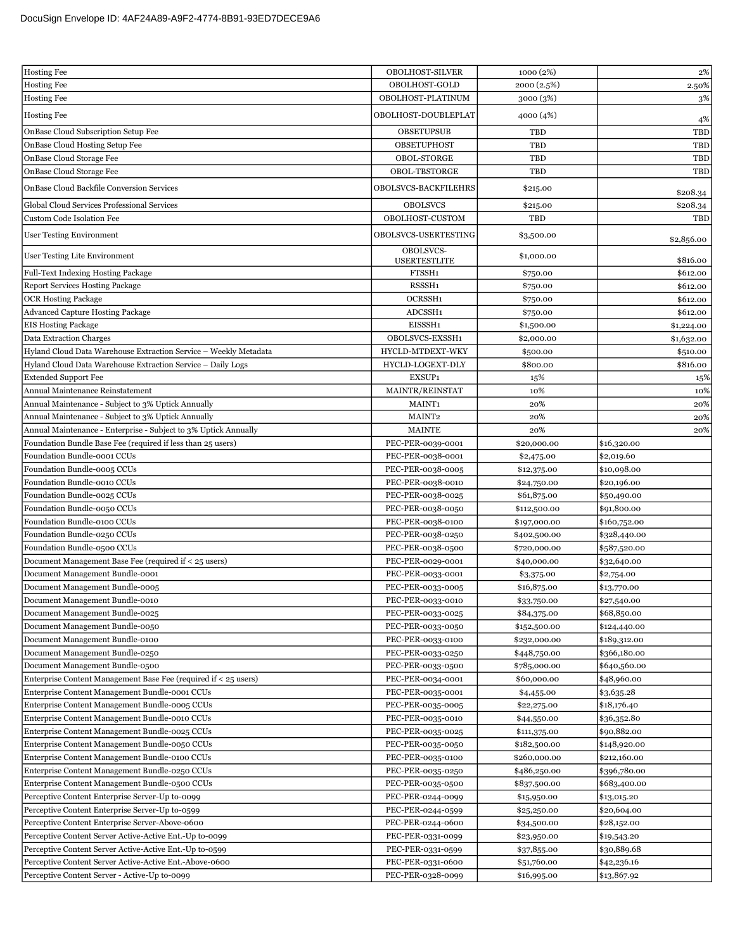| <b>Hosting Fee</b><br>OBOLHOST-GOLD<br>2000 (2.5%)                                                                 | $2\%$<br>2.50% |
|--------------------------------------------------------------------------------------------------------------------|----------------|
|                                                                                                                    |                |
| <b>Hosting Fee</b><br>OBOLHOST-PLATINUM<br>3000 (3%)                                                               | 3%             |
| <b>Hosting Fee</b><br>OBOLHOST-DOUBLEPLAT<br>4000 (4%)                                                             | 4%             |
| OnBase Cloud Subscription Setup Fee<br><b>OBSETUPSUB</b><br>TBD                                                    | TBD            |
| OnBase Cloud Hosting Setup Fee<br>OBSETUPHOST<br>TBD                                                               | <b>TBD</b>     |
| OnBase Cloud Storage Fee<br>OBOL-STORGE<br>TBD                                                                     | TBD            |
| OBOL-TBSTORGE<br>OnBase Cloud Storage Fee<br>TBD                                                                   | TBD            |
|                                                                                                                    |                |
| <b>OnBase Cloud Backfile Conversion Services</b><br>OBOLSVCS-BACKFILEHRS<br>\$215.00                               | \$208.34       |
| Global Cloud Services Professional Services<br><b>OBOLSVCS</b><br>\$215.00                                         | \$208.34       |
| OBOLHOST-CUSTOM<br>TBD<br>Custom Code Isolation Fee                                                                | TBD            |
| <b>User Testing Environment</b><br>OBOLSVCS-USERTESTING<br>\$3,500.00                                              | \$2,856.00     |
| OBOLSVCS-<br>User Testing Lite Environment<br>\$1,000.00<br><b>USERTESTLITE</b>                                    | \$816.00       |
| Full-Text Indexing Hosting Package<br>FTSSH1<br>\$750.00                                                           | \$612.00       |
| RSSSH1<br><b>Report Services Hosting Package</b><br>\$750.00                                                       | \$612.00       |
| OCRSSH1<br><b>OCR Hosting Package</b><br>\$750.00                                                                  | \$612.00       |
| <b>Advanced Capture Hosting Package</b><br>ADCSSH1<br>\$750.00                                                     | \$612.00       |
| <b>EIS Hosting Package</b><br>EISSSH1<br>\$1,500.00                                                                | \$1,224.00     |
| <b>Data Extraction Charges</b><br>OBOLSVCS-EXSSH1<br>\$2,000.00                                                    | \$1,632.00     |
| Hyland Cloud Data Warehouse Extraction Service - Weekly Metadata<br>HYCLD-MTDEXT-WKY<br>\$500.00                   | \$510.00       |
| Hyland Cloud Data Warehouse Extraction Service - Daily Logs<br>HYCLD-LOGEXT-DLY<br>\$800.00                        | \$816.00       |
| EXSUP1<br><b>Extended Support Fee</b><br>15%                                                                       | 15%            |
| Annual Maintenance Reinstatement<br>MAINTR/REINSTAT<br>10%                                                         | 10%            |
| Annual Maintenance - Subject to 3% Uptick Annually<br>MAINT1<br>20%                                                | 20%            |
| Annual Maintenance - Subject to 3% Uptick Annually<br>MAINT2<br>20%                                                | 20%            |
| Annual Maintenance - Enterprise - Subject to 3% Uptick Annually<br><b>MAINTE</b><br>20%                            | 20%            |
| Foundation Bundle Base Fee (required if less than 25 users)<br>PEC-PER-0039-0001<br>\$20,000.00<br>\$16,320.00     |                |
| Foundation Bundle-0001 CCUs<br>PEC-PER-0038-0001<br>\$2,475.00<br>\$2,019.60                                       |                |
| Foundation Bundle-0005 CCUs<br>\$10,098.00<br>PEC-PER-0038-0005<br>\$12,375.00                                     |                |
| Foundation Bundle-0010 CCUs<br>PEC-PER-0038-0010<br>\$24,750.00<br>\$20,196.00                                     |                |
| Foundation Bundle-0025 CCUs<br>PEC-PER-0038-0025<br>\$61,875.00<br>\$50,490.00                                     |                |
| Foundation Bundle-0050 CCUs<br>PEC-PER-0038-0050<br>\$112,500.00<br>\$91,800.00                                    |                |
| Foundation Bundle-0100 CCUs<br>PEC-PER-0038-0100<br>\$197,000.00<br>\$160,752.00                                   |                |
| Foundation Bundle-0250 CCUs<br>PEC-PER-0038-0250<br>\$402,500.00<br>\$328,440.00                                   |                |
| Foundation Bundle-0500 CCUs<br>PEC-PER-0038-0500<br>\$720,000.00<br>\$587,520.00                                   |                |
| Document Management Base Fee (required if < 25 users)<br>PEC-PER-0029-0001<br>\$40,000.00<br>\$32,640.00           |                |
| Document Management Bundle-0001<br>PEC-PER-0033-0001<br>\$3,375.00<br>\$2,754.00                                   |                |
| Document Management Bundle-0005<br>PEC-PER-0033-0005<br>\$16,875.00<br>\$13,770.00                                 |                |
| PEC-PER-0033-0010<br>Document Management Bundle-0010<br>\$33,750.00<br>\$27,540.00                                 |                |
| PEC-PER-0033-0025<br>\$68,850.00<br>Document Management Bundle-0025<br>\$84,375.00                                 |                |
| Document Management Bundle-0050<br>PEC-PER-0033-0050<br>\$152,500.00<br>\$124,440.00                               |                |
| Document Management Bundle-0100<br>PEC-PER-0033-0100<br>\$189,312.00<br>\$232,000.00                               |                |
| Document Management Bundle-0250<br>PEC-PER-0033-0250<br>\$366,180.00<br>\$448,750.00                               |                |
| Document Management Bundle-0500<br>PEC-PER-0033-0500<br>\$785,000.00<br>\$640,560.00                               |                |
| Enterprise Content Management Base Fee (required if < 25 users)<br>PEC-PER-0034-0001<br>\$60,000.00<br>\$48,960.00 |                |
| Enterprise Content Management Bundle-0001 CCUs<br>PEC-PER-0035-0001<br>\$3,635.28<br>\$4,455.00                    |                |
| Enterprise Content Management Bundle-0005 CCUs<br>\$18,176.40<br>PEC-PER-0035-0005<br>\$22,275.00                  |                |
| Enterprise Content Management Bundle-0010 CCUs<br>PEC-PER-0035-0010<br>\$44,550.00<br>\$36,352.80                  |                |
| Enterprise Content Management Bundle-0025 CCUs<br>\$90,882.00<br>PEC-PER-0035-0025<br>\$111,375.00                 |                |
| Enterprise Content Management Bundle-0050 CCUs<br>PEC-PER-0035-0050<br>\$148,920.00<br>\$182,500.00                |                |
| Enterprise Content Management Bundle-0100 CCUs<br>\$212,160.00<br>PEC-PER-0035-0100<br>\$260,000.00                |                |
| Enterprise Content Management Bundle-0250 CCUs<br>PEC-PER-0035-0250<br>\$396,780.00<br>\$486,250.00                |                |
| Enterprise Content Management Bundle-0500 CCUs<br>\$683,400.00<br>PEC-PER-0035-0500<br>\$837,500.00                |                |
| Perceptive Content Enterprise Server-Up to-0099<br>PEC-PER-0244-0099<br>\$15,950.00<br>\$13,015.20                 |                |
| Perceptive Content Enterprise Server-Up to-0599<br>PEC-PER-0244-0599<br>\$25,250.00<br>\$20,604.00                 |                |
| Perceptive Content Enterprise Server-Above-0600<br>PEC-PER-0244-0600<br>\$28,152.00<br>\$34,500.00                 |                |
| Perceptive Content Server Active-Active Ent.-Up to-0099<br>PEC-PER-0331-0099<br>\$23,950.00<br>\$19,543.20         |                |
| Perceptive Content Server Active-Active Ent.-Up to-0599<br>\$30,889.68<br>PEC-PER-0331-0599<br>\$37,855.00         |                |
| Perceptive Content Server Active-Active Ent.-Above-0600<br>PEC-PER-0331-0600<br>\$51,760.00<br>\$42,236.16         |                |
| Perceptive Content Server - Active-Up to-0099<br>PEC-PER-0328-0099<br>\$16,995.00<br>\$13,867.92                   |                |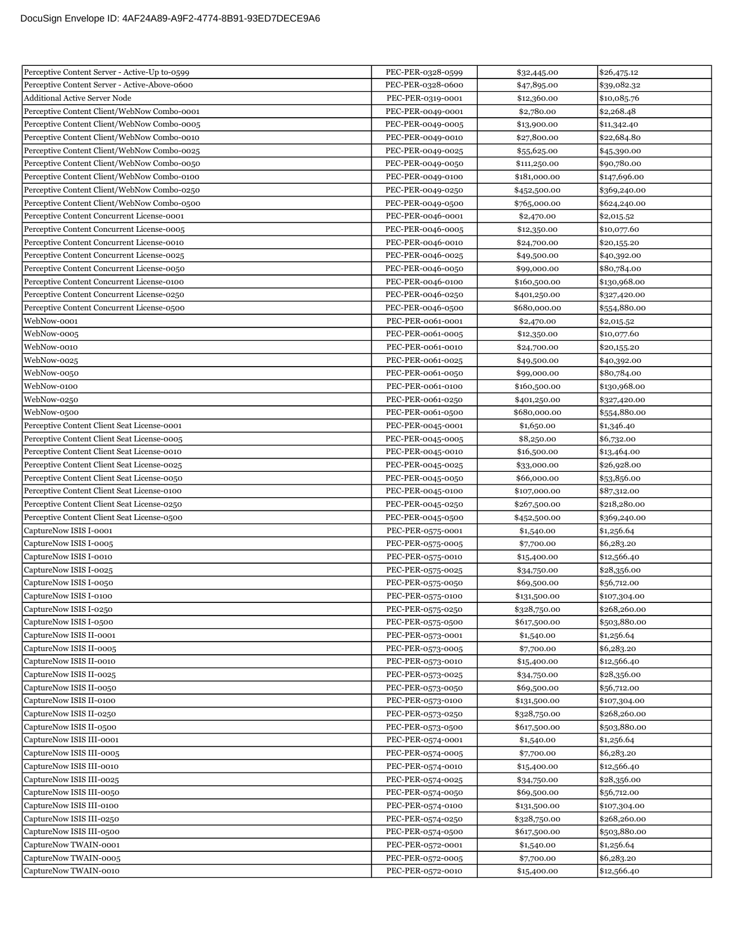| Perceptive Content Server - Active-Up to-0599 | PEC-PER-0328-0599 | \$32,445.00  | \$26,475.12  |
|-----------------------------------------------|-------------------|--------------|--------------|
| Perceptive Content Server - Active-Above-0600 | PEC-PER-0328-0600 | \$47,895.00  | \$39,082.32  |
| <b>Additional Active Server Node</b>          | PEC-PER-0319-0001 | \$12,360.00  | \$10,085.76  |
| Perceptive Content Client/WebNow Combo-0001   | PEC-PER-0049-0001 | \$2,780.00   | \$2,268.48   |
| Perceptive Content Client/WebNow Combo-0005   | PEC-PER-0049-0005 | \$13,900.00  | \$11,342.40  |
| Perceptive Content Client/WebNow Combo-0010   | PEC-PER-0049-0010 | \$27,800.00  | \$22,684.80  |
| Perceptive Content Client/WebNow Combo-0025   | PEC-PER-0049-0025 | \$55,625.00  | \$45,390.00  |
| Perceptive Content Client/WebNow Combo-0050   | PEC-PER-0049-0050 | \$111,250.00 | \$90,780.00  |
| Perceptive Content Client/WebNow Combo-0100   | PEC-PER-0049-0100 | \$181,000.00 | \$147,696.00 |
| Perceptive Content Client/WebNow Combo-0250   | PEC-PER-0049-0250 | \$452,500.00 | \$369,240.00 |
| Perceptive Content Client/WebNow Combo-0500   | PEC-PER-0049-0500 | \$765,000.00 | \$624,240.00 |
| Perceptive Content Concurrent License-0001    | PEC-PER-0046-0001 | \$2,470.00   | \$2,015.52   |
| Perceptive Content Concurrent License-0005    | PEC-PER-0046-0005 | \$12,350.00  | \$10,077.60  |
| Perceptive Content Concurrent License-0010    | PEC-PER-0046-0010 | \$24,700.00  | \$20,155.20  |
| Perceptive Content Concurrent License-0025    | PEC-PER-0046-0025 | \$49,500.00  | \$40,392.00  |
| Perceptive Content Concurrent License-0050    | PEC-PER-0046-0050 | \$99,000.00  | \$80,784.00  |
| Perceptive Content Concurrent License-0100    | PEC-PER-0046-0100 | \$160,500.00 | \$130,968.00 |
| Perceptive Content Concurrent License-0250    | PEC-PER-0046-0250 | \$401,250.00 | \$327,420.00 |
| Perceptive Content Concurrent License-0500    | PEC-PER-0046-0500 | \$680,000.00 | \$554,880.00 |
| WebNow-0001                                   | PEC-PER-0061-0001 | \$2,470.00   | \$2,015.52   |
| WebNow-0005                                   | PEC-PER-0061-0005 | \$12,350.00  | \$10,077.60  |
| WebNow-0010                                   | PEC-PER-0061-0010 | \$24,700.00  | \$20,155.20  |
| WebNow-0025                                   | PEC-PER-0061-0025 | \$49,500.00  | \$40,392.00  |
| WebNow-0050                                   | PEC-PER-0061-0050 | \$99,000.00  | \$80,784.00  |
| WebNow-0100                                   | PEC-PER-0061-0100 | \$160,500.00 | \$130,968.00 |
| WebNow-0250                                   | PEC-PER-0061-0250 | \$401,250.00 | \$327,420.00 |
| WebNow-0500                                   | PEC-PER-0061-0500 | \$680,000.00 | \$554,880.00 |
| Perceptive Content Client Seat License-0001   | PEC-PER-0045-0001 | \$1,650.00   | \$1,346.40   |
| Perceptive Content Client Seat License-0005   | PEC-PER-0045-0005 | \$8,250.00   | \$6,732.00   |
| Perceptive Content Client Seat License-0010   | PEC-PER-0045-0010 | \$16,500.00  | \$13,464.00  |
| Perceptive Content Client Seat License-0025   | PEC-PER-0045-0025 | \$33,000.00  | \$26,928.00  |
| Perceptive Content Client Seat License-0050   | PEC-PER-0045-0050 | \$66,000.00  | \$53,856.00  |
| Perceptive Content Client Seat License-0100   | PEC-PER-0045-0100 | \$107,000.00 | \$87,312.00  |
| Perceptive Content Client Seat License-0250   | PEC-PER-0045-0250 | \$267,500.00 | \$218,280.00 |
| Perceptive Content Client Seat License-0500   | PEC-PER-0045-0500 | \$452,500.00 | \$369,240.00 |
| CaptureNow ISIS I-0001                        | PEC-PER-0575-0001 | \$1,540.00   | \$1,256.64   |
| CaptureNow ISIS I-0005                        | PEC-PER-0575-0005 | \$7,700.00   | \$6,283.20   |
| CaptureNow ISIS I-0010                        | PEC-PER-0575-0010 | \$15,400.00  | \$12,566.40  |
| CaptureNow ISIS I-0025                        | PEC-PER-0575-0025 | \$34,750.00  | \$28,356.00  |
| CaptureNow ISIS I-0050                        | PEC-PER-0575-0050 | \$69,500.00  | \$56,712.00  |
| CaptureNow ISIS I-0100                        | PEC-PER-0575-0100 | \$131,500.00 | \$107,304.00 |
| CaptureNow ISIS I-0250                        | PEC-PER-0575-0250 | \$328,750.00 | \$268,260.00 |
| CaptureNow ISIS I-0500                        | PEC-PER-0575-0500 | \$617,500.00 | \$503,880.00 |
| CaptureNow ISIS II-0001                       | PEC-PER-0573-0001 | \$1,540.00   | \$1,256.64   |
| CaptureNow ISIS II-0005                       | PEC-PER-0573-0005 | \$7,700.00   | \$6,283.20   |
| CaptureNow ISIS II-0010                       | PEC-PER-0573-0010 | \$15,400.00  | \$12,566.40  |
| CaptureNow ISIS II-0025                       | PEC-PER-0573-0025 | \$34,750.00  | \$28,356.00  |
| CaptureNow ISIS II-0050                       | PEC-PER-0573-0050 | \$69,500.00  | \$56,712.00  |
| CaptureNow ISIS II-0100                       | PEC-PER-0573-0100 | \$131,500.00 | \$107,304.00 |
| CaptureNow ISIS II-0250                       | PEC-PER-0573-0250 | \$328,750.00 | \$268,260.00 |
| CaptureNow ISIS II-0500                       | PEC-PER-0573-0500 | \$617,500.00 | \$503,880.00 |
| CaptureNow ISIS III-0001                      | PEC-PER-0574-0001 | \$1,540.00   | \$1,256.64   |
| CaptureNow ISIS III-0005                      | PEC-PER-0574-0005 | \$7,700.00   | \$6,283.20   |
| CaptureNow ISIS III-0010                      | PEC-PER-0574-0010 | \$15,400.00  | \$12,566.40  |
| CaptureNow ISIS III-0025                      | PEC-PER-0574-0025 | \$34,750.00  | \$28,356.00  |
| CaptureNow ISIS III-0050                      | PEC-PER-0574-0050 | \$69,500.00  | \$56,712.00  |
| CaptureNow ISIS III-0100                      | PEC-PER-0574-0100 | \$131,500.00 | \$107,304.00 |
| CaptureNow ISIS III-0250                      | PEC-PER-0574-0250 | \$328,750.00 | \$268,260.00 |
| CaptureNow ISIS III-0500                      | PEC-PER-0574-0500 | \$617,500.00 | \$503,880.00 |
| CaptureNow TWAIN-0001                         | PEC-PER-0572-0001 | \$1,540.00   | \$1,256.64   |
| CaptureNow TWAIN-0005                         | PEC-PER-0572-0005 | \$7,700.00   | \$6,283.20   |
| CaptureNow TWAIN-0010                         | PEC-PER-0572-0010 | \$15,400.00  | \$12,566.40  |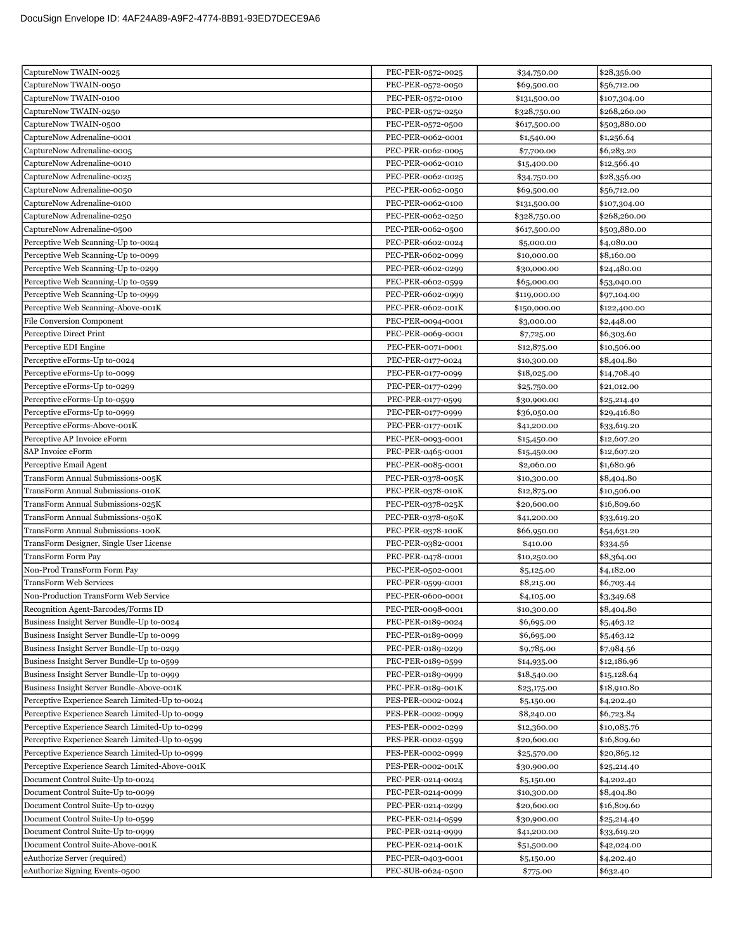| CaptureNow TWAIN-0025                           | PEC-PER-0572-0025 | \$34,750.00  | \$28,356.00  |
|-------------------------------------------------|-------------------|--------------|--------------|
| CaptureNow TWAIN-0050                           | PEC-PER-0572-0050 | \$69,500.00  | \$56,712.00  |
| CaptureNow TWAIN-0100                           | PEC-PER-0572-0100 | \$131,500.00 | \$107,304.00 |
| CaptureNow TWAIN-0250                           | PEC-PER-0572-0250 | \$328,750.00 | \$268,260.00 |
| CaptureNow TWAIN-0500                           | PEC-PER-0572-0500 | \$617,500.00 | \$503,880.00 |
| CaptureNow Adrenaline-0001                      | PEC-PER-0062-0001 | \$1,540.00   | \$1,256.64   |
| CaptureNow Adrenaline-0005                      | PEC-PER-0062-0005 | \$7,700.00   | \$6,283.20   |
| CaptureNow Adrenaline-0010                      | PEC-PER-0062-0010 | \$15,400.00  | \$12,566.40  |
| CaptureNow Adrenaline-0025                      | PEC-PER-0062-0025 | \$34,750.00  | \$28,356.00  |
| CaptureNow Adrenaline-0050                      | PEC-PER-0062-0050 | \$69,500.00  | \$56,712.00  |
| CaptureNow Adrenaline-0100                      | PEC-PER-0062-0100 | \$131,500.00 | \$107,304.00 |
| CaptureNow Adrenaline-0250                      | PEC-PER-0062-0250 | \$328,750.00 | \$268,260.00 |
| CaptureNow Adrenaline-0500                      | PEC-PER-0062-0500 | \$617,500.00 | \$503,880.00 |
| Perceptive Web Scanning-Up to-0024              | PEC-PER-0602-0024 | \$5,000.00   | \$4,080.00   |
| Perceptive Web Scanning-Up to-0099              | PEC-PER-0602-0099 | \$10,000.00  | \$8,160.00   |
| Perceptive Web Scanning-Up to-0299              | PEC-PER-0602-0299 | \$30,000.00  | \$24,480.00  |
| Perceptive Web Scanning-Up to-0599              | PEC-PER-0602-0599 | \$65,000.00  | \$53,040.00  |
| Perceptive Web Scanning-Up to-0999              | PEC-PER-0602-0999 | \$119,000.00 | \$97,104.00  |
| Perceptive Web Scanning-Above-001K              | PEC-PER-0602-001K | \$150,000.00 | \$122,400.00 |
| <b>File Conversion Component</b>                | PEC-PER-0094-0001 | \$3,000.00   | \$2,448.00   |
| Perceptive Direct Print                         | PEC-PER-0069-0001 | \$7,725.00   | \$6,303.60   |
| Perceptive EDI Engine                           | PEC-PER-0071-0001 | \$12,875.00  | \$10,506.00  |
| Perceptive eForms-Up to-0024                    | PEC-PER-0177-0024 | \$10,300.00  | \$8,404.80   |
| Perceptive eForms-Up to-0099                    | PEC-PER-0177-0099 | \$18,025.00  | \$14,708.40  |
| Perceptive eForms-Up to-0299                    | PEC-PER-0177-0299 | \$25,750.00  | \$21,012.00  |
| Perceptive eForms-Up to-0599                    | PEC-PER-0177-0599 | \$30,900.00  | \$25,214.40  |
| Perceptive eForms-Up to-0999                    | PEC-PER-0177-0999 | \$36,050.00  | \$29,416.80  |
| Perceptive eForms-Above-001K                    | PEC-PER-0177-001K | \$41,200.00  | \$33,619.20  |
| Perceptive AP Invoice eForm                     | PEC-PER-0093-0001 | \$15,450.00  | \$12,607.20  |
| SAP Invoice eForm                               | PEC-PER-0465-0001 | \$15,450.00  | \$12,607.20  |
| Perceptive Email Agent                          | PEC-PER-0085-0001 | \$2,060.00   | \$1,680.96   |
| TransForm Annual Submissions-005K               | PEC-PER-0378-005K | \$10,300.00  | \$8,404.80   |
| TransForm Annual Submissions-010K               | PEC-PER-0378-010K | \$12,875.00  | \$10,506.00  |
| TransForm Annual Submissions-025K               | PEC-PER-0378-025K | \$20,600.00  | \$16,809.60  |
|                                                 |                   |              |              |
| TransForm Annual Submissions-050K               | PEC-PER-0378-050K | \$41,200.00  | \$33,619.20  |
| TransForm Annual Submissions-100K               | PEC-PER-0378-100K | \$66,950.00  | \$54,631.20  |
| TransForm Designer, Single User License         | PEC-PER-0382-0001 | \$410.00     | \$334.56     |
| TransForm Form Pay                              | PEC-PER-0478-0001 | \$10,250.00  | \$8,364.00   |
| Non-Prod TransForm Form Pay                     | PEC-PER-0502-0001 | \$5,125.00   | \$4,182.00   |
| <b>TransForm Web Services</b>                   | PEC-PER-0599-0001 | \$8,215.00   | \$6,703.44   |
| Non-Production TransForm Web Service            | PEC-PER-0600-0001 | \$4,105.00   | \$3,349.68   |
| Recognition Agent-Barcodes/Forms ID             | PEC-PER-0098-0001 | \$10,300.00  | \$8,404.80   |
| Business Insight Server Bundle-Up to-0024       | PEC-PER-0189-0024 | \$6,695.00   | \$5,463.12   |
| Business Insight Server Bundle-Up to-0099       | PEC-PER-0189-0099 | \$6,695.00   | \$5,463.12   |
| Business Insight Server Bundle-Up to-0299       | PEC-PER-0189-0299 | \$9,785.00   | \$7,984.56   |
| Business Insight Server Bundle-Up to-0599       | PEC-PER-0189-0599 | \$14,935.00  | \$12,186.96  |
| Business Insight Server Bundle-Up to-0999       | PEC-PER-0189-0999 | \$18,540.00  | \$15,128.64  |
| Business Insight Server Bundle-Above-001K       | PEC-PER-0189-001K | \$23,175.00  | \$18,910.80  |
| Perceptive Experience Search Limited-Up to-0024 | PES-PER-0002-0024 | \$5,150.00   | \$4,202.40   |
| Perceptive Experience Search Limited-Up to-0099 | PES-PER-0002-0099 | \$8,240.00   | \$6,723.84   |
| Perceptive Experience Search Limited-Up to-0299 | PES-PER-0002-0299 | \$12,360.00  | \$10,085.76  |
| Perceptive Experience Search Limited-Up to-0599 | PES-PER-0002-0599 | \$20,600.00  | \$16,809.60  |
| Perceptive Experience Search Limited-Up to-0999 | PES-PER-0002-0999 | \$25,570.00  | \$20,865.12  |
| Perceptive Experience Search Limited-Above-001K | PES-PER-0002-001K | \$30,900.00  | \$25,214.40  |
| Document Control Suite-Up to-0024               | PEC-PER-0214-0024 | \$5,150.00   | \$4,202.40   |
| Document Control Suite-Up to-0099               | PEC-PER-0214-0099 | \$10,300.00  | \$8,404.80   |
| Document Control Suite-Up to-0299               | PEC-PER-0214-0299 | \$20,600.00  | \$16,809.60  |
| Document Control Suite-Up to-0599               | PEC-PER-0214-0599 | \$30,900.00  | \$25,214.40  |
| Document Control Suite-Up to-0999               | PEC-PER-0214-0999 | \$41,200.00  | \$33,619.20  |
| Document Control Suite-Above-001K               | PEC-PER-0214-001K | \$51,500.00  | \$42,024.00  |
| eAuthorize Server (required)                    | PEC-PER-0403-0001 | \$5,150.00   | \$4,202.40   |
| eAuthorize Signing Events-0500                  | PEC-SUB-0624-0500 | \$775.00     | \$632.40     |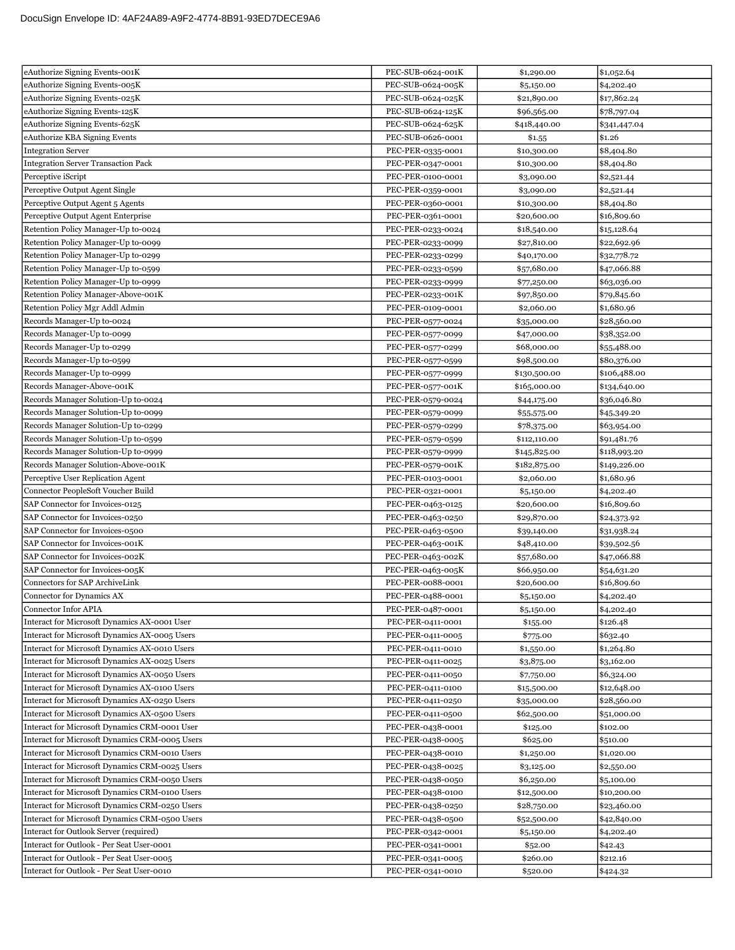| eAuthorize Signing Events-001K                                     | PEC-SUB-0624-001K                      | \$1,290.00                 | \$1,052.64                 |
|--------------------------------------------------------------------|----------------------------------------|----------------------------|----------------------------|
| eAuthorize Signing Events-005K                                     | PEC-SUB-0624-005K                      | \$5,150.00                 | \$4,202.40                 |
| eAuthorize Signing Events-025K                                     | PEC-SUB-0624-025K                      | \$21,890.00                | \$17,862.24                |
| eAuthorize Signing Events-125K                                     | PEC-SUB-0624-125K                      | \$96,565.00                | \$78,797.04                |
| eAuthorize Signing Events-625K                                     | PEC-SUB-0624-625K                      | \$418,440.00               | \$341,447.04               |
| eAuthorize KBA Signing Events                                      | PEC-SUB-0626-0001                      | \$1.55                     | \$1.26                     |
| Integration Server                                                 | PEC-PER-0335-0001                      | \$10,300.00                | \$8,404.80                 |
| <b>Integration Server Transaction Pack</b>                         | PEC-PER-0347-0001                      | \$10,300.00                | \$8,404.80                 |
| Perceptive iScript                                                 | PEC-PER-0100-0001                      | \$3,090.00                 | \$2,521.44                 |
| Perceptive Output Agent Single                                     | PEC-PER-0359-0001                      | \$3,090.00                 | \$2,521.44                 |
| Perceptive Output Agent 5 Agents                                   | PEC-PER-0360-0001                      | \$10,300.00                | \$8,404.80                 |
| Perceptive Output Agent Enterprise                                 | PEC-PER-0361-0001                      | \$20,600.00                | \$16,809.60                |
| Retention Policy Manager-Up to-0024                                | PEC-PER-0233-0024                      | \$18,540.00                | \$15,128.64                |
| Retention Policy Manager-Up to-0099                                | PEC-PER-0233-0099                      | \$27,810.00                | \$22,692.96                |
| Retention Policy Manager-Up to-0299                                | PEC-PER-0233-0299                      | \$40,170.00                | \$32,778.72                |
| Retention Policy Manager-Up to-0599                                | PEC-PER-0233-0599                      | \$57,680.00                | \$47,066.88                |
| Retention Policy Manager-Up to-0999                                | PEC-PER-0233-0999                      | \$77,250.00                | \$63,036.00                |
| Retention Policy Manager-Above-001K                                | PEC-PER-0233-001K                      | \$97,850.00                | \$79,845.60                |
| Retention Policy Mgr Addl Admin                                    | PEC-PER-0109-0001                      | \$2,060.00                 | \$1,680.96                 |
| Records Manager-Up to-0024                                         | PEC-PER-0577-0024                      | \$35,000.00                | \$28,560.00                |
| Records Manager-Up to-0099                                         | PEC-PER-0577-0099                      | \$47,000.00                | \$38,352.00                |
| Records Manager-Up to-0299                                         | PEC-PER-0577-0299                      | \$68,000.00                | \$55,488.00                |
| Records Manager-Up to-0599                                         | PEC-PER-0577-0599                      | \$98,500.00                | \$80,376.00                |
| Records Manager-Up to-0999                                         | PEC-PER-0577-0999                      | \$130,500.00               | \$106,488.00               |
| Records Manager-Above-001K                                         | PEC-PER-0577-001K                      | \$165,000.00               | \$134,640.00               |
| Records Manager Solution-Up to-0024                                | PEC-PER-0579-0024                      | \$44,175.00                | \$36,046.80                |
| Records Manager Solution-Up to-0099                                | PEC-PER-0579-0099                      | \$55,575.00                | \$45,349.20                |
| Records Manager Solution-Up to-0299                                | PEC-PER-0579-0299                      | \$78,375.00                | \$63,954.00                |
| Records Manager Solution-Up to-0599                                | PEC-PER-0579-0599                      | \$112,110.00               | \$91,481.76                |
| Records Manager Solution-Up to-0999                                | PEC-PER-0579-0999                      | \$145,825.00               | \$118,993.20               |
| Records Manager Solution-Above-001K                                | PEC-PER-0579-001K                      | \$182,875.00               | \$149,226.00               |
|                                                                    |                                        |                            |                            |
|                                                                    |                                        |                            |                            |
| Perceptive User Replication Agent                                  | PEC-PER-0103-0001                      | \$2,060.00                 | \$1,680.96                 |
| Connector PeopleSoft Voucher Build                                 | PEC-PER-0321-0001                      | \$5,150.00                 | \$4,202.40                 |
| SAP Connector for Invoices-0125<br>SAP Connector for Invoices-0250 | PEC-PER-0463-0125                      | \$20,600.00                | \$16,809.60                |
|                                                                    | PEC-PER-0463-0250                      | \$29,870.00                | \$24,373.92                |
| SAP Connector for Invoices-0500                                    | PEC-PER-0463-0500                      | \$39,140.00                | \$31,938.24                |
| SAP Connector for Invoices-001K<br>SAP Connector for Invoices-002K | PEC-PER-0463-001K                      | \$48,410.00                | \$39,502.56                |
| SAP Connector for Invoices-005K                                    | PEC-PER-0463-002K                      | \$57,680.00                | \$47,066.88                |
| <b>Connectors for SAP ArchiveLink</b>                              | PEC-PER-0463-005K<br>PEC-PER-0088-0001 | \$66,950.00<br>\$20,600.00 | \$54,631.20                |
|                                                                    | PEC-PER-0488-0001                      |                            | \$16,809.60                |
| Connector for Dynamics AX<br>Connector Infor APIA                  |                                        | \$5,150.00                 | \$4,202.40                 |
| Interact for Microsoft Dynamics AX-0001 User                       | PEC-PER-0487-0001<br>PEC-PER-0411-0001 | \$5,150.00<br>\$155.00     | \$4,202.40<br>\$126.48     |
| Interact for Microsoft Dynamics AX-0005 Users                      | PEC-PER-0411-0005                      |                            |                            |
| Interact for Microsoft Dynamics AX-0010 Users                      | PEC-PER-0411-0010                      | \$775.00<br>\$1,550.00     | \$632.40<br>\$1,264.80     |
| Interact for Microsoft Dynamics AX-0025 Users                      | PEC-PER-0411-0025                      |                            | \$3,162.00                 |
| Interact for Microsoft Dynamics AX-0050 Users                      | PEC-PER-0411-0050                      | \$3,875.00<br>\$7,750.00   | \$6,324.00                 |
| Interact for Microsoft Dynamics AX-0100 Users                      |                                        |                            |                            |
| Interact for Microsoft Dynamics AX-0250 Users                      | PEC-PER-0411-0100                      | \$15,500.00                | \$12,648.00<br>\$28,560.00 |
| Interact for Microsoft Dynamics AX-0500 Users                      | PEC-PER-0411-0250<br>PEC-PER-0411-0500 | \$35,000.00<br>\$62,500.00 | \$51,000.00                |
| Interact for Microsoft Dynamics CRM-0001 User                      | PEC-PER-0438-0001                      | \$125.00                   | \$102.00                   |
| Interact for Microsoft Dynamics CRM-0005 Users                     | PEC-PER-0438-0005                      | \$625.00                   | \$510.00                   |
| Interact for Microsoft Dynamics CRM-0010 Users                     | PEC-PER-0438-0010                      | \$1,250.00                 | \$1,020.00                 |
| Interact for Microsoft Dynamics CRM-0025 Users                     | PEC-PER-0438-0025                      | \$3,125.00                 | \$2,550.00                 |
| Interact for Microsoft Dynamics CRM-0050 Users                     | PEC-PER-0438-0050                      | \$6,250.00                 | \$5,100.00                 |
| Interact for Microsoft Dynamics CRM-0100 Users                     | PEC-PER-0438-0100                      | \$12,500.00                | \$10,200.00                |
| Interact for Microsoft Dynamics CRM-0250 Users                     | PEC-PER-0438-0250                      | \$28,750.00                | \$23,460.00                |
| Interact for Microsoft Dynamics CRM-0500 Users                     | PEC-PER-0438-0500                      | \$52,500.00                | \$42,840.00                |
| Interact for Outlook Server (required)                             | PEC-PER-0342-0001                      | \$5,150.00                 | \$4,202.40                 |
| Interact for Outlook - Per Seat User-0001                          | PEC-PER-0341-0001                      | \$52.00                    | \$42.43                    |
| Interact for Outlook - Per Seat User-0005                          | PEC-PER-0341-0005                      | \$260.00                   | \$212.16                   |
| Interact for Outlook - Per Seat User-0010                          | PEC-PER-0341-0010                      | \$520.00                   | \$424.32                   |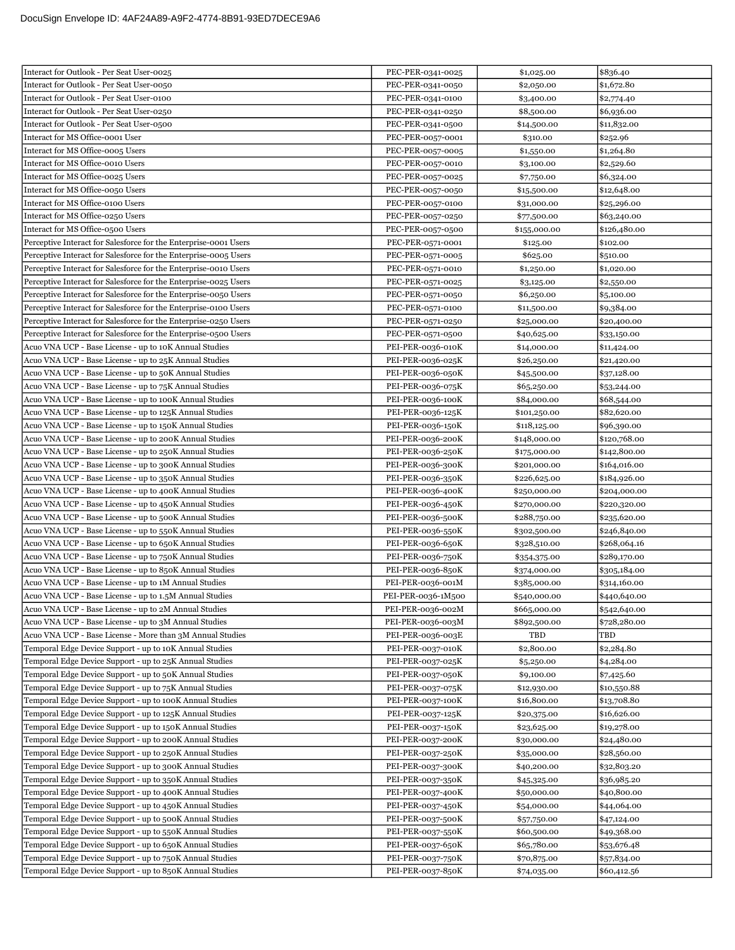| Interact for Outlook - Per Seat User-0025                        | PEC-PER-0341-0025  | \$1,025.00   | \$836.40     |
|------------------------------------------------------------------|--------------------|--------------|--------------|
| Interact for Outlook - Per Seat User-0050                        | PEC-PER-0341-0050  | \$2,050.00   | \$1,672.80   |
| Interact for Outlook - Per Seat User-0100                        | PEC-PER-0341-0100  | \$3,400.00   | \$2,774.40   |
| Interact for Outlook - Per Seat User-0250                        | PEC-PER-0341-0250  | \$8,500.00   | \$6,936.00   |
| Interact for Outlook - Per Seat User-0500                        | PEC-PER-0341-0500  | \$14,500.00  | \$11,832.00  |
| Interact for MS Office-0001 User                                 | PEC-PER-0057-0001  | \$310.00     | \$252.96     |
| Interact for MS Office-0005 Users                                | PEC-PER-0057-0005  | \$1,550.00   | \$1,264.80   |
| Interact for MS Office-0010 Users                                | PEC-PER-0057-0010  | \$3,100.00   | \$2,529.60   |
| Interact for MS Office-0025 Users                                | PEC-PER-0057-0025  | \$7,750.00   | \$6,324.00   |
| Interact for MS Office-0050 Users                                | PEC-PER-0057-0050  | \$15,500.00  | \$12,648.00  |
| Interact for MS Office-0100 Users                                | PEC-PER-0057-0100  | \$31,000.00  | \$25,296.00  |
| Interact for MS Office-0250 Users                                | PEC-PER-0057-0250  | \$77,500.00  | \$63,240.00  |
| Interact for MS Office-0500 Users                                | PEC-PER-0057-0500  | \$155,000.00 | \$126,480.00 |
| Perceptive Interact for Salesforce for the Enterprise-0001 Users | PEC-PER-0571-0001  | \$125.00     | \$102.00     |
| Perceptive Interact for Salesforce for the Enterprise-0005 Users | PEC-PER-0571-0005  | \$625.00     | \$510.00     |
| Perceptive Interact for Salesforce for the Enterprise-0010 Users | PEC-PER-0571-0010  | \$1,250.00   | \$1,020.00   |
| Perceptive Interact for Salesforce for the Enterprise-0025 Users | PEC-PER-0571-0025  | \$3,125.00   | \$2,550.00   |
| Perceptive Interact for Salesforce for the Enterprise-0050 Users | PEC-PER-0571-0050  | \$6,250.00   | \$5,100.00   |
| Perceptive Interact for Salesforce for the Enterprise-0100 Users | PEC-PER-0571-0100  | \$11,500.00  | \$9,384.00   |
| Perceptive Interact for Salesforce for the Enterprise-0250 Users | PEC-PER-0571-0250  | \$25,000.00  | \$20,400.00  |
| Perceptive Interact for Salesforce for the Enterprise-0500 Users | PEC-PER-0571-0500  | \$40,625.00  | \$33,150.00  |
| Acuo VNA UCP - Base License - up to 10K Annual Studies           | PEI-PER-0036-010K  | \$14,000.00  | \$11,424.00  |
| Acuo VNA UCP - Base License - up to 25K Annual Studies           | PEI-PER-0036-025K  | \$26,250.00  | \$21,420.00  |
| Acuo VNA UCP - Base License - up to 50K Annual Studies           | PEI-PER-0036-050K  | \$45,500.00  | \$37,128.00  |
| Acuo VNA UCP - Base License - up to 75K Annual Studies           | PEI-PER-0036-075K  | \$65,250.00  | \$53,244.00  |
| Acuo VNA UCP - Base License - up to 100K Annual Studies          | PEI-PER-0036-100K  | \$84,000.00  | \$68,544.00  |
| Acuo VNA UCP - Base License - up to 125K Annual Studies          | PEI-PER-0036-125K  | \$101,250.00 | \$82,620.00  |
| Acuo VNA UCP - Base License - up to 150K Annual Studies          | PEI-PER-0036-150K  | \$118,125.00 | \$96,390.00  |
| Acuo VNA UCP - Base License - up to 200K Annual Studies          | PEI-PER-0036-200K  | \$148,000.00 | \$120,768.00 |
| Acuo VNA UCP - Base License - up to 250K Annual Studies          | PEI-PER-0036-250K  | \$175,000.00 | \$142,800.00 |
| Acuo VNA UCP - Base License - up to 300K Annual Studies          | PEI-PER-0036-300K  | \$201,000.00 | \$164,016.00 |
| Acuo VNA UCP - Base License - up to 350K Annual Studies          | PEI-PER-0036-350K  | \$226,625.00 | \$184,926.00 |
| Acuo VNA UCP - Base License - up to 400K Annual Studies          | PEI-PER-0036-400K  | \$250,000.00 | \$204,000.00 |
| Acuo VNA UCP - Base License - up to 450K Annual Studies          | PEI-PER-0036-450K  | \$270,000.00 | \$220,320.00 |
| Acuo VNA UCP - Base License - up to 500K Annual Studies          | PEI-PER-0036-500K  | \$288,750.00 | \$235,620.00 |
| Acuo VNA UCP - Base License - up to 550K Annual Studies          | PEI-PER-0036-550K  | \$302,500.00 | \$246,840.00 |
| Acuo VNA UCP - Base License - up to 650K Annual Studies          | PEI-PER-0036-650K  | \$328,510.00 | \$268,064.16 |
| Acuo VNA UCP - Base License - up to 750K Annual Studies          | PEI-PER-0036-750K  | \$354,375.00 | \$289,170.00 |
| Acuo VNA UCP - Base License - up to 850K Annual Studies          | PEI-PER-0036-850K  | \$374,000.00 | \$305,184.00 |
| Acuo VNA UCP - Base License - up to 1M Annual Studies            | PEI-PER-0036-001M  | \$385,000.00 | \$314,160.00 |
| Acuo VNA UCP - Base License - up to 1.5M Annual Studies          | PEI-PER-0036-1M500 | \$540,000.00 | \$440,640.00 |
| Acuo VNA UCP - Base License - up to 2M Annual Studies            | PEI-PER-0036-002M  | \$665,000.00 | \$542,640.00 |
| Acuo VNA UCP - Base License - up to 3M Annual Studies            | PEI-PER-0036-003M  | \$892,500.00 | \$728,280.00 |
| Acuo VNA UCP - Base License - More than 3M Annual Studies        | PEI-PER-0036-003E  | TBD          | TBD          |
| Temporal Edge Device Support - up to 10K Annual Studies          | PEI-PER-0037-010K  | \$2,800.00   | \$2,284.80   |
| Temporal Edge Device Support - up to 25K Annual Studies          | PEI-PER-0037-025K  | \$5,250.00   | \$4,284.00   |
| Temporal Edge Device Support - up to 50K Annual Studies          | PEI-PER-0037-050K  | \$9,100.00   | \$7,425.60   |
| Temporal Edge Device Support - up to 75K Annual Studies          | PEI-PER-0037-075K  | \$12,930.00  | \$10,550.88  |
| Temporal Edge Device Support - up to 100K Annual Studies         | PEI-PER-0037-100K  | \$16,800.00  | \$13,708.80  |
| Temporal Edge Device Support - up to 125K Annual Studies         | PEI-PER-0037-125K  | \$20,375.00  | \$16,626.00  |
| Temporal Edge Device Support - up to 150K Annual Studies         | PEI-PER-0037-150K  | \$23,625.00  | \$19,278.00  |
| Temporal Edge Device Support - up to 200K Annual Studies         | PEI-PER-0037-200K  | \$30,000.00  | \$24,480.00  |
| Temporal Edge Device Support - up to 250K Annual Studies         | PEI-PER-0037-250K  | \$35,000.00  | \$28,560.00  |
| Temporal Edge Device Support - up to 300K Annual Studies         | PEI-PER-0037-300K  | \$40,200.00  | \$32,803.20  |
| Temporal Edge Device Support - up to 350K Annual Studies         | PEI-PER-0037-350K  | \$45,325.00  | \$36,985.20  |
| Temporal Edge Device Support - up to 400K Annual Studies         | PEI-PER-0037-400K  | \$50,000.00  | \$40,800.00  |
| Temporal Edge Device Support - up to 450K Annual Studies         | PEI-PER-0037-450K  | \$54,000.00  | \$44,064.00  |
| Temporal Edge Device Support - up to 500K Annual Studies         | PEI-PER-0037-500K  | \$57,750.00  | \$47,124.00  |
| Temporal Edge Device Support - up to 550K Annual Studies         | PEI-PER-0037-550K  | \$60,500.00  | \$49,368.00  |
| Temporal Edge Device Support - up to 650K Annual Studies         | PEI-PER-0037-650K  | \$65,780.00  | \$53,676.48  |
| Temporal Edge Device Support - up to 750K Annual Studies         | PEI-PER-0037-750K  | \$70,875.00  | \$57,834.00  |
| Temporal Edge Device Support - up to 850K Annual Studies         | PEI-PER-0037-850K  | \$74,035.00  | \$60,412.56  |
|                                                                  |                    |              |              |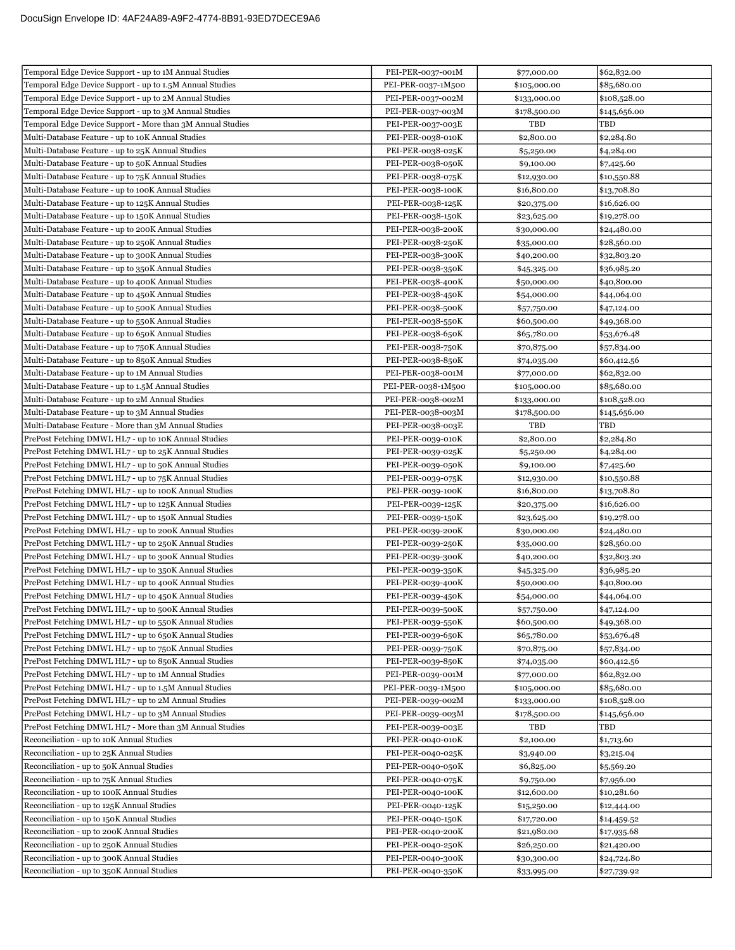| Temporal Edge Device Support - up to 1M Annual Studies     | PEI-PER-0037-001M                       | \$77,000.00                | \$62,832.00                |
|------------------------------------------------------------|-----------------------------------------|----------------------------|----------------------------|
| Temporal Edge Device Support - up to 1.5M Annual Studies   | PEI-PER-0037-1M500                      | \$105,000.00               | \$85,680.00                |
| Temporal Edge Device Support - up to 2M Annual Studies     | PEI-PER-0037-002M                       | \$133,000.00               | \$108,528.00               |
| Temporal Edge Device Support - up to 3M Annual Studies     | PEI-PER-0037-003M                       | \$178,500.00               | \$145,656.00               |
| Temporal Edge Device Support - More than 3M Annual Studies | PEI-PER-0037-003E                       | TBD                        | TBD                        |
| Multi-Database Feature - up to 10K Annual Studies          | PEI-PER-0038-010K                       | \$2,800.00                 | \$2,284.80                 |
| Multi-Database Feature - up to 25K Annual Studies          | PEI-PER-0038-025K                       | \$5,250.00                 | \$4,284.00                 |
| Multi-Database Feature - up to 50K Annual Studies          | PEI-PER-0038-050K                       | \$9,100.00                 | \$7,425.60                 |
| Multi-Database Feature - up to 75K Annual Studies          | PEI-PER-0038-075K                       | \$12,930.00                | \$10,550.88                |
| Multi-Database Feature - up to 100K Annual Studies         | PEI-PER-0038-100K                       | \$16,800.00                | \$13,708.80                |
| Multi-Database Feature - up to 125K Annual Studies         | PEI-PER-0038-125K                       | \$20,375.00                | \$16,626.00                |
| Multi-Database Feature - up to 150K Annual Studies         | PEI-PER-0038-150K                       | \$23,625.00                | \$19,278.00                |
| Multi-Database Feature - up to 200K Annual Studies         | PEI-PER-0038-200K                       | \$30,000.00                | \$24,480.00                |
| Multi-Database Feature - up to 250K Annual Studies         | PEI-PER-0038-250K                       | \$35,000.00                | \$28,560.00                |
| Multi-Database Feature - up to 300K Annual Studies         | PEI-PER-0038-300K                       | \$40,200.00                | \$32,803.20                |
| Multi-Database Feature - up to 350K Annual Studies         | PEI-PER-0038-350K                       | \$45,325.00                | \$36,985.20                |
| Multi-Database Feature - up to 400K Annual Studies         | PEI-PER-0038-400K                       | \$50,000.00                | \$40,800.00                |
| Multi-Database Feature - up to 450K Annual Studies         | PEI-PER-0038-450K                       | \$54,000.00                | \$44,064.00                |
| Multi-Database Feature - up to 500K Annual Studies         | PEI-PER-0038-500K                       | \$57,750.00                | \$47,124.00                |
| Multi-Database Feature - up to 550K Annual Studies         | PEI-PER-0038-550K                       | \$60,500.00                | \$49,368.00                |
| Multi-Database Feature - up to 650K Annual Studies         |                                         |                            | \$53,676.48                |
| Multi-Database Feature - up to 750K Annual Studies         | PEI-PER-0038-650K<br>PEI-PER-0038-750K  | \$65,780.00<br>\$70,875.00 | \$57,834.00                |
| Multi-Database Feature - up to 850K Annual Studies         | PEI-PER-0038-850K                       |                            | \$60,412.56                |
| Multi-Database Feature - up to 1M Annual Studies           |                                         | \$74,035.00<br>\$77,000.00 |                            |
| Multi-Database Feature - up to 1.5M Annual Studies         | PEI-PER-0038-001M<br>PEI-PER-0038-1M500 | \$105,000.00               | \$62,832.00<br>\$85,680.00 |
| Multi-Database Feature - up to 2M Annual Studies           | PEI-PER-0038-002M                       | \$133,000.00               | \$108,528.00               |
|                                                            |                                         |                            |                            |
| Multi-Database Feature - up to 3M Annual Studies           | PEI-PER-0038-003M                       | \$178,500.00<br>TBD        | \$145,656.00<br>TBD        |
| Multi-Database Feature - More than 3M Annual Studies       | PEI-PER-0038-003E                       |                            |                            |
| PrePost Fetching DMWL HL7 - up to 10K Annual Studies       | PEI-PER-0039-010K                       | \$2,800.00                 | \$2,284.80                 |
| PrePost Fetching DMWL HL7 - up to 25K Annual Studies       | PEI-PER-0039-025K                       | \$5,250.00                 | \$4,284.00                 |
| PrePost Fetching DMWL HL7 - up to 50K Annual Studies       | PEI-PER-0039-050K                       | \$9,100.00                 | \$7,425.60                 |
| PrePost Fetching DMWL HL7 - up to 75K Annual Studies       | PEI-PER-0039-075K                       | \$12,930.00                | \$10,550.88                |
| PrePost Fetching DMWL HL7 - up to 100K Annual Studies      | PEI-PER-0039-100K                       | \$16,800.00                | \$13,708.80<br>\$16,626.00 |
| PrePost Fetching DMWL HL7 - up to 125K Annual Studies      | PEI-PER-0039-125K                       | \$20,375.00                |                            |
| PrePost Fetching DMWL HL7 - up to 150K Annual Studies      | PEI-PER-0039-150K                       | \$23,625.00                | \$19,278.00                |
| PrePost Fetching DMWL HL7 - up to 200K Annual Studies      | PEI-PER-0039-200K                       | \$30,000.00                | \$24,480.00                |
| PrePost Fetching DMWL HL7 - up to 250K Annual Studies      | PEI-PER-0039-250K                       | \$35,000.00                | \$28,560.00                |
| PrePost Fetching DMWL HL7 - up to 300K Annual Studies      | PEI-PER-0039-300K                       | \$40,200.00                | \$32,803.20                |
| PrePost Fetching DMWL HL7 - up to 350K Annual Studies      | PEI-PER-0039-350K                       | \$45,325.00                | \$36,985.20                |
| PrePost Fetching DMWL HL7 - up to 400K Annual Studies      | PEI-PER-0039-400K                       | \$50,000.00                | \$40,800.00                |
| PrePost Fetching DMWL HL7 - up to 450K Annual Studies      | PEI-PER-0039-450K                       | \$54,000.00                | \$44,064.00                |
| PrePost Fetching DMWL HL7 - up to 500K Annual Studies      | PEI-PER-0039-500K                       | \$57,750.00                | \$47,124.00                |
| PrePost Fetching DMWL HL7 - up to 550K Annual Studies      | PEI-PER-0039-550K                       | \$60,500.00                | \$49,368.00                |
| PrePost Fetching DMWL HL7 - up to 650K Annual Studies      | PEI-PER-0039-650K                       | \$65,780.00                | \$53,676.48                |
| PrePost Fetching DMWL HL7 - up to 750K Annual Studies      | PEI-PER-0039-750K                       | \$70,875.00                | \$57,834.00                |
| PrePost Fetching DMWL HL7 - up to 850K Annual Studies      | PEI-PER-0039-850K                       | \$74,035.00                | \$60,412.56                |
| PrePost Fetching DMWL HL7 - up to 1M Annual Studies        | PEI-PER-0039-001M                       | \$77,000.00                | \$62,832.00                |
| PrePost Fetching DMWL HL7 - up to 1.5M Annual Studies      | PEI-PER-0039-1M500                      | \$105,000.00               | \$85,680.00                |
| PrePost Fetching DMWL HL7 - up to 2M Annual Studies        | PEI-PER-0039-002M                       | \$133,000.00               | \$108,528.00               |
| PrePost Fetching DMWL HL7 - up to 3M Annual Studies        | PEI-PER-0039-003M                       | \$178,500.00               | \$145,656.00               |
| PrePost Fetching DMWL HL7 - More than 3M Annual Studies    |                                         |                            |                            |
| Reconciliation - up to 10K Annual Studies                  | PEI-PER-0039-003E                       | TBD                        | TBD                        |
|                                                            | PEI-PER-0040-010K                       | \$2,100.00                 | \$1,713.60                 |
| Reconciliation - up to 25K Annual Studies                  | PEI-PER-0040-025K                       | \$3,940.00                 | \$3,215.04                 |
| Reconciliation - up to 50K Annual Studies                  | PEI-PER-0040-050K                       | \$6,825.00                 | \$5,569.20                 |
| Reconciliation - up to 75K Annual Studies                  | PEI-PER-0040-075K                       | \$9,750.00                 | \$7,956.00                 |
| Reconciliation - up to 100K Annual Studies                 | PEI-PER-0040-100K                       | \$12,600.00                | \$10,281.60                |
| Reconciliation - up to 125K Annual Studies                 | PEI-PER-0040-125K                       | \$15,250.00                | \$12,444.00                |
| Reconciliation - up to 150K Annual Studies                 | PEI-PER-0040-150K                       | \$17,720.00                | \$14,459.52                |
| Reconciliation - up to 200K Annual Studies                 | PEI-PER-0040-200K                       | \$21,980.00                | \$17,935.68                |
| Reconciliation - up to 250K Annual Studies                 | PEI-PER-0040-250K                       | \$26,250.00                | \$21,420.00                |
| Reconciliation - up to 300K Annual Studies                 | PEI-PER-0040-300K                       | \$30,300.00                | \$24,724.80                |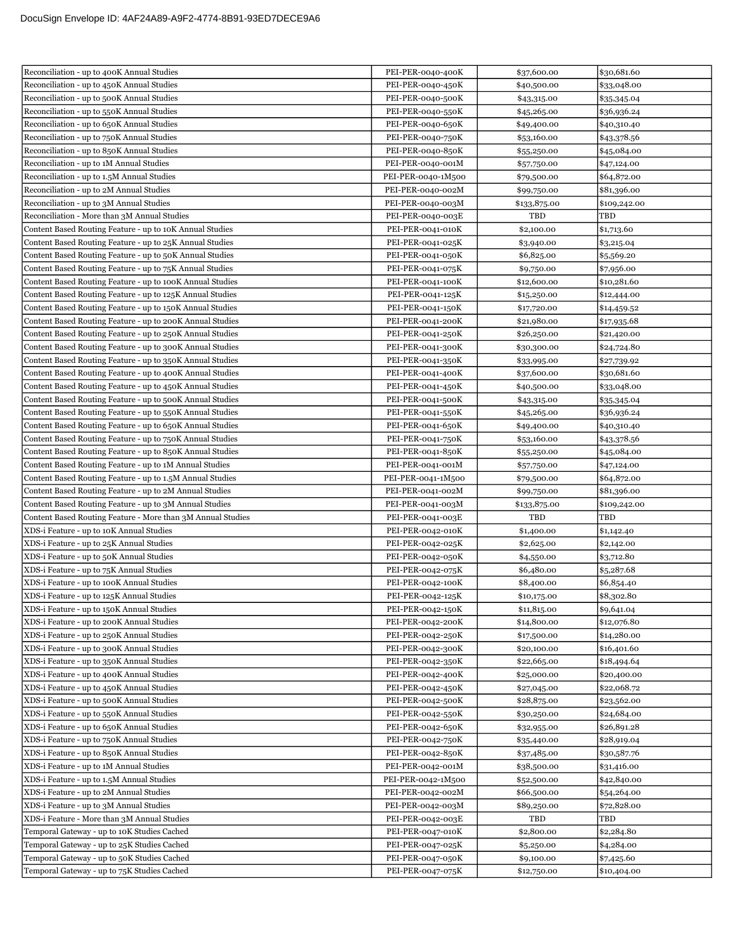| Reconciliation - up to 400K Annual Studies                  | PEI-PER-0040-400K  | \$37,600.00  | \$30,681.60  |
|-------------------------------------------------------------|--------------------|--------------|--------------|
| Reconciliation - up to 450K Annual Studies                  | PEI-PER-0040-450K  | \$40,500.00  | \$33,048.00  |
| Reconciliation - up to 500K Annual Studies                  | PEI-PER-0040-500K  | \$43,315.00  | \$35,345.04  |
| Reconciliation - up to 550K Annual Studies                  | PEI-PER-0040-550K  | \$45,265.00  | \$36,936.24  |
| Reconciliation - up to 650K Annual Studies                  | PEI-PER-0040-650K  | \$49,400.00  | \$40,310.40  |
| Reconciliation - up to 750K Annual Studies                  | PEI-PER-0040-750K  | \$53,160.00  | \$43,378.56  |
| Reconciliation - up to 850K Annual Studies                  | PEI-PER-0040-850K  | \$55,250.00  | \$45,084.00  |
| Reconciliation - up to 1M Annual Studies                    | PEI-PER-0040-001M  | \$57,750.00  | \$47,124.00  |
| Reconciliation - up to 1.5M Annual Studies                  | PEI-PER-0040-1M500 | \$79,500.00  | \$64,872.00  |
| Reconciliation - up to 2M Annual Studies                    | PEI-PER-0040-002M  | \$99,750.00  | \$81,396.00  |
| Reconciliation - up to 3M Annual Studies                    | PEI-PER-0040-003M  | \$133,875.00 | \$109,242.00 |
| Reconciliation - More than 3M Annual Studies                | PEI-PER-0040-003E  | TBD          | TBD          |
| Content Based Routing Feature - up to 10K Annual Studies    | PEI-PER-0041-010K  | \$2,100.00   | \$1,713.60   |
| Content Based Routing Feature - up to 25K Annual Studies    | PEI-PER-0041-025K  | \$3,940.00   | \$3,215.04   |
| Content Based Routing Feature - up to 50K Annual Studies    | PEI-PER-0041-050K  | \$6,825.00   | \$5,569.20   |
| Content Based Routing Feature - up to 75K Annual Studies    | PEI-PER-0041-075K  | \$9,750.00   | \$7,956.00   |
| Content Based Routing Feature - up to 100K Annual Studies   | PEI-PER-0041-100K  | \$12,600.00  | \$10,281.60  |
| Content Based Routing Feature - up to 125K Annual Studies   | PEI-PER-0041-125K  | \$15,250.00  | \$12,444.00  |
| Content Based Routing Feature - up to 150K Annual Studies   | PEI-PER-0041-150K  | \$17,720.00  | \$14,459.52  |
| Content Based Routing Feature - up to 200K Annual Studies   | PEI-PER-0041-200K  | \$21,980.00  | \$17,935.68  |
| Content Based Routing Feature - up to 250K Annual Studies   | PEI-PER-0041-250K  | \$26,250.00  | \$21,420.00  |
| Content Based Routing Feature - up to 300K Annual Studies   | PEI-PER-0041-300K  | \$30,300.00  | \$24,724.80  |
| Content Based Routing Feature - up to 350K Annual Studies   | PEI-PER-0041-350K  | \$33,995.00  | \$27,739.92  |
| Content Based Routing Feature - up to 400K Annual Studies   | PEI-PER-0041-400K  | \$37,600.00  | \$30,681.60  |
| Content Based Routing Feature - up to 450K Annual Studies   | PEI-PER-0041-450K  | \$40,500.00  | \$33,048.00  |
| Content Based Routing Feature - up to 500K Annual Studies   | PEI-PER-0041-500K  | \$43,315.00  | \$35,345.04  |
| Content Based Routing Feature - up to 550K Annual Studies   | PEI-PER-0041-550K  | \$45,265.00  | \$36,936.24  |
| Content Based Routing Feature - up to 650K Annual Studies   | PEI-PER-0041-650K  | \$49,400.00  | \$40,310.40  |
| Content Based Routing Feature - up to 750K Annual Studies   | PEI-PER-0041-750K  | \$53,160.00  | \$43,378.56  |
| Content Based Routing Feature - up to 850K Annual Studies   | PEI-PER-0041-850K  | \$55,250.00  | \$45,084.00  |
| Content Based Routing Feature - up to 1M Annual Studies     | PEI-PER-0041-001M  | \$57,750.00  | \$47,124.00  |
|                                                             |                    |              |              |
| Content Based Routing Feature - up to 1.5M Annual Studies   | PEI-PER-0041-1M500 | \$79,500.00  | \$64,872.00  |
| Content Based Routing Feature - up to 2M Annual Studies     | PEI-PER-0041-002M  | \$99,750.00  | \$81,396.00  |
| Content Based Routing Feature - up to 3M Annual Studies     | PEI-PER-0041-003M  | \$133,875.00 | \$109,242.00 |
| Content Based Routing Feature - More than 3M Annual Studies | PEI-PER-0041-003E  | TBD          | TBD          |
| XDS-i Feature - up to 10K Annual Studies                    | PEI-PER-0042-010K  | \$1,400.00   | \$1,142.40   |
| XDS-i Feature - up to 25K Annual Studies                    | PEI-PER-0042-025K  | \$2,625.00   | \$2,142.00   |
| XDS-i Feature - up to 50K Annual Studies                    | PEI-PER-0042-050K  | \$4,550.00   | \$3,712.80   |
| XDS-i Feature - up to 75K Annual Studies                    | PEI-PER-0042-075K  | \$6,480.00   | \$5,287.68   |
| XDS-i Feature - up to 100K Annual Studies                   | PEI-PER-0042-100K  | \$8,400.00   | \$6,854.40   |
| XDS-i Feature - up to 125K Annual Studies                   | PEI-PER-0042-125K  | \$10,175.00  | \$8,302.80   |
| XDS-i Feature - up to 150K Annual Studies                   | PEI-PER-0042-150K  | \$11,815.00  | \$9,641.04   |
| XDS-i Feature - up to 200K Annual Studies                   | PEI-PER-0042-200K  | \$14,800.00  | \$12,076.80  |
| XDS-i Feature - up to 250K Annual Studies                   | PEI-PER-0042-250K  | \$17,500.00  | \$14,280.00  |
| XDS-i Feature - up to 300K Annual Studies                   | PEI-PER-0042-300K  | \$20,100.00  | \$16,401.60  |
| XDS-i Feature - up to 350K Annual Studies                   | PEI-PER-0042-350K  | \$22,665.00  | \$18,494.64  |
| XDS-i Feature - up to 400K Annual Studies                   | PEI-PER-0042-400K  | \$25,000.00  | \$20,400.00  |
| XDS-i Feature - up to 450K Annual Studies                   | PEI-PER-0042-450K  | \$27,045.00  | \$22,068.72  |
| XDS-i Feature - up to 500K Annual Studies                   | PEI-PER-0042-500K  | \$28,875.00  | \$23,562.00  |
| XDS-i Feature - up to 550K Annual Studies                   | PEI-PER-0042-550K  | \$30,250.00  | \$24,684.00  |
| XDS-i Feature - up to 650K Annual Studies                   | PEI-PER-0042-650K  | \$32,955.00  | \$26,891.28  |
| XDS-i Feature - up to 750K Annual Studies                   | PEI-PER-0042-750K  | \$35,440.00  | \$28,919.04  |
| XDS-i Feature - up to 850K Annual Studies                   | PEI-PER-0042-850K  | \$37,485.00  | \$30,587.76  |
| XDS-i Feature - up to 1M Annual Studies                     | PEI-PER-0042-001M  | \$38,500.00  | \$31,416.00  |
| XDS-i Feature - up to 1.5M Annual Studies                   | PEI-PER-0042-1M500 | \$52,500.00  | \$42,840.00  |
| XDS-i Feature - up to 2M Annual Studies                     | PEI-PER-0042-002M  | \$66,500.00  | \$54,264.00  |
| XDS-i Feature - up to 3M Annual Studies                     | PEI-PER-0042-003M  | \$89,250.00  | \$72,828.00  |
| XDS-i Feature - More than 3M Annual Studies                 | PEI-PER-0042-003E  | TBD          | TBD          |
| Temporal Gateway - up to 10K Studies Cached                 | PEI-PER-0047-010K  | \$2,800.00   | \$2,284.80   |
| Temporal Gateway - up to 25K Studies Cached                 | PEI-PER-0047-025K  | \$5,250.00   | \$4,284.00   |
| Temporal Gateway - up to 50K Studies Cached                 | PEI-PER-0047-050K  | \$9,100.00   | \$7,425.60   |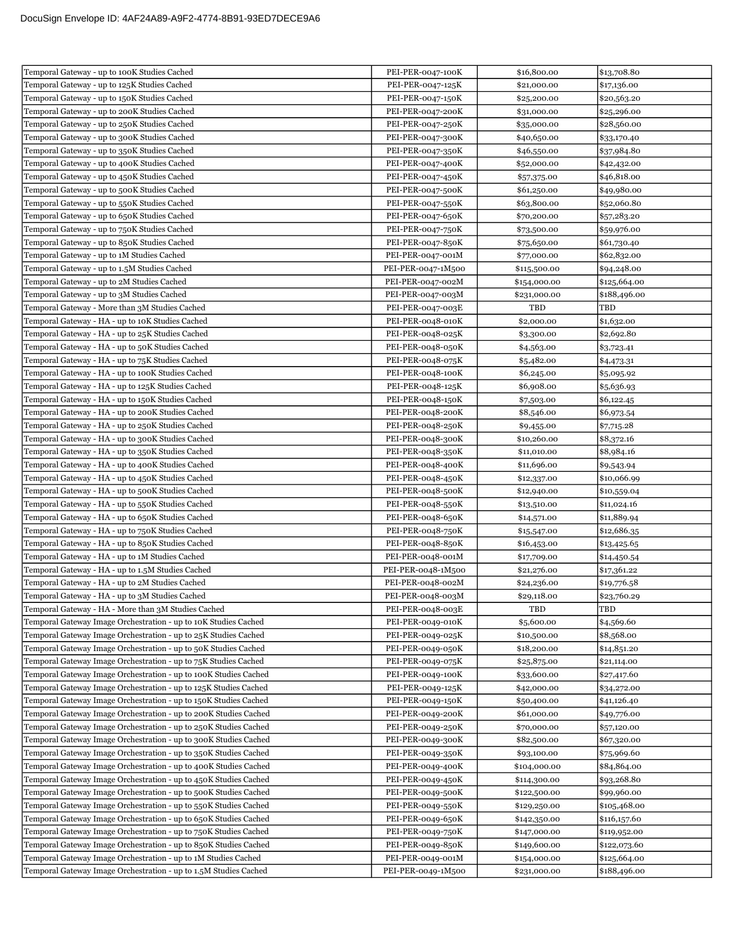| Temporal Gateway - up to 100K Studies Cached                     | PEI-PER-0047-100K  | \$16,800.00  | \$13,708.80  |
|------------------------------------------------------------------|--------------------|--------------|--------------|
| Temporal Gateway - up to 125K Studies Cached                     | PEI-PER-0047-125K  | \$21,000.00  | \$17,136.00  |
| Temporal Gateway - up to 150K Studies Cached                     | PEI-PER-0047-150K  | \$25,200.00  | \$20,563.20  |
| Temporal Gateway - up to 200K Studies Cached                     | PEI-PER-0047-200K  | \$31,000.00  | \$25,296.00  |
| Temporal Gateway - up to 250K Studies Cached                     | PEI-PER-0047-250K  | \$35,000.00  | \$28,560.00  |
| Temporal Gateway - up to 300K Studies Cached                     | PEI-PER-0047-300K  | \$40,650.00  | \$33,170.40  |
| Temporal Gateway - up to 350K Studies Cached                     | PEI-PER-0047-350K  | \$46,550.00  | \$37,984.80  |
| Temporal Gateway - up to 400K Studies Cached                     | PEI-PER-0047-400K  | \$52,000.00  | \$42,432.00  |
| Temporal Gateway - up to 450K Studies Cached                     | PEI-PER-0047-450K  | \$57,375.00  | \$46,818.00  |
| Temporal Gateway - up to 500K Studies Cached                     | PEI-PER-0047-500K  | \$61,250.00  | \$49,980.00  |
| Temporal Gateway - up to 550K Studies Cached                     | PEI-PER-0047-550K  | \$63,800.00  | \$52,060.80  |
| Temporal Gateway - up to 650K Studies Cached                     | PEI-PER-0047-650K  | \$70,200.00  | \$57,283.20  |
| Temporal Gateway - up to 750K Studies Cached                     | PEI-PER-0047-750K  | \$73,500.00  | \$59,976.00  |
| Temporal Gateway - up to 850K Studies Cached                     | PEI-PER-0047-850K  | \$75,650.00  | \$61,730.40  |
| Temporal Gateway - up to 1M Studies Cached                       | PEI-PER-0047-001M  | \$77,000.00  | \$62,832.00  |
| Temporal Gateway - up to 1.5M Studies Cached                     | PEI-PER-0047-1M500 | \$115,500.00 | \$94,248.00  |
| Temporal Gateway - up to 2M Studies Cached                       | PEI-PER-0047-002M  | \$154,000.00 | \$125,664.00 |
| Temporal Gateway - up to 3M Studies Cached                       | PEI-PER-0047-003M  | \$231,000.00 | \$188,496.00 |
| Temporal Gateway - More than 3M Studies Cached                   | PEI-PER-0047-003E  | TBD          | TBD          |
| Temporal Gateway - HA - up to 10K Studies Cached                 | PEI-PER-0048-010K  | \$2,000.00   | \$1,632.00   |
| Temporal Gateway - HA - up to 25K Studies Cached                 | PEI-PER-0048-025K  | \$3,300.00   | \$2,692.80   |
| Temporal Gateway - HA - up to 50K Studies Cached                 | PEI-PER-0048-050K  | \$4,563.00   | \$3,723.41   |
| Temporal Gateway - HA - up to 75K Studies Cached                 | PEI-PER-0048-075K  | \$5,482.00   | \$4,473.31   |
| Temporal Gateway - HA - up to 100K Studies Cached                | PEI-PER-0048-100K  | \$6,245.00   | \$5,095.92   |
| Temporal Gateway - HA - up to 125K Studies Cached                | PEI-PER-0048-125K  | \$6,908.00   | \$5,636.93   |
| Temporal Gateway - HA - up to 150K Studies Cached                | PEI-PER-0048-150K  | \$7,503.00   | \$6,122.45   |
| Temporal Gateway - HA - up to 200K Studies Cached                | PEI-PER-0048-200K  | \$8,546.00   | \$6,973.54   |
| Temporal Gateway - HA - up to 250K Studies Cached                | PEI-PER-0048-250K  | \$9,455.00   | \$7,715.28   |
| Temporal Gateway - HA - up to 300K Studies Cached                | PEI-PER-0048-300K  | \$10,260.00  | \$8,372.16   |
| Temporal Gateway - HA - up to 350K Studies Cached                | PEI-PER-0048-350K  | \$11,010.00  | \$8,984.16   |
| Temporal Gateway - HA - up to 400K Studies Cached                | PEI-PER-0048-400K  | \$11,696.00  | \$9,543.94   |
| Temporal Gateway - HA - up to 450K Studies Cached                | PEI-PER-0048-450K  | \$12,337.00  | \$10,066.99  |
| Temporal Gateway - HA - up to 500K Studies Cached                | PEI-PER-0048-500K  | \$12,940.00  | \$10,559.04  |
| Temporal Gateway - HA - up to 550K Studies Cached                | PEI-PER-0048-550K  | \$13,510.00  | \$11,024.16  |
| Temporal Gateway - HA - up to 650K Studies Cached                | PEI-PER-0048-650K  | \$14,571.00  | \$11,889.94  |
| Temporal Gateway - HA - up to 750K Studies Cached                | PEI-PER-0048-750K  | \$15,547.00  | \$12,686.35  |
| Temporal Gateway - HA - up to 850K Studies Cached                | PEI-PER-0048-850K  | \$16,453.00  | \$13,425.65  |
| Temporal Gateway - HA - up to 1M Studies Cached                  | PEI-PER-0048-001M  | \$17,709.00  | \$14,450.54  |
| Temporal Gateway - HA - up to 1.5M Studies Cached                | PEI-PER-0048-1M500 | \$21,276.00  | \$17,361.22  |
| Temporal Gateway - HA - up to 2M Studies Cached                  | PEI-PER-0048-002M  | \$24,236.00  | \$19,776.58  |
| Temporal Gateway - HA - up to 3M Studies Cached                  | PEI-PER-0048-003M  | \$29,118.00  | \$23,760.29  |
| Temporal Gateway - HA - More than 3M Studies Cached              | PEI-PER-0048-003E  | TBD          | TBD          |
| Temporal Gateway Image Orchestration - up to 10K Studies Cached  | PEI-PER-0049-010K  | \$5,600.00   | \$4,569.60   |
| Temporal Gateway Image Orchestration - up to 25K Studies Cached  | PEI-PER-0049-025K  | \$10,500.00  | \$8,568.00   |
| Temporal Gateway Image Orchestration - up to 50K Studies Cached  | PEI-PER-0049-050K  | \$18,200.00  | \$14,851.20  |
| Temporal Gateway Image Orchestration - up to 75K Studies Cached  | PEI-PER-0049-075K  | \$25,875.00  | \$21,114.00  |
| Temporal Gateway Image Orchestration - up to 100K Studies Cached | PEI-PER-0049-100K  | \$33,600.00  | \$27,417.60  |
| Temporal Gateway Image Orchestration - up to 125K Studies Cached | PEI-PER-0049-125K  | \$42,000.00  | \$34,272.00  |
| Temporal Gateway Image Orchestration - up to 150K Studies Cached | PEI-PER-0049-150K  | \$50,400.00  | \$41,126.40  |
| Temporal Gateway Image Orchestration - up to 200K Studies Cached | PEI-PER-0049-200K  | \$61,000.00  | \$49,776.00  |
| Temporal Gateway Image Orchestration - up to 250K Studies Cached | PEI-PER-0049-250K  | \$70,000.00  | \$57,120.00  |
| Temporal Gateway Image Orchestration - up to 300K Studies Cached | PEI-PER-0049-300K  | \$82,500.00  | \$67,320.00  |
| Temporal Gateway Image Orchestration - up to 350K Studies Cached | PEI-PER-0049-350K  | \$93,100.00  | \$75,969.60  |
| Temporal Gateway Image Orchestration - up to 400K Studies Cached | PEI-PER-0049-400K  | \$104,000.00 | \$84,864.00  |
| Temporal Gateway Image Orchestration - up to 450K Studies Cached | PEI-PER-0049-450K  | \$114,300.00 | \$93,268.80  |
| Temporal Gateway Image Orchestration - up to 500K Studies Cached | PEI-PER-0049-500K  | \$122,500.00 | \$99,960.00  |
| Temporal Gateway Image Orchestration - up to 550K Studies Cached | PEI-PER-0049-550K  | \$129,250.00 | \$105,468.00 |
| Temporal Gateway Image Orchestration - up to 650K Studies Cached | PEI-PER-0049-650K  | \$142,350.00 | \$116,157.60 |
| Temporal Gateway Image Orchestration - up to 750K Studies Cached | PEI-PER-0049-750K  | \$147,000.00 | \$119,952.00 |
| Temporal Gateway Image Orchestration - up to 850K Studies Cached | PEI-PER-0049-850K  | \$149,600.00 | \$122,073.60 |
| Temporal Gateway Image Orchestration - up to 1M Studies Cached   | PEI-PER-0049-001M  | \$154,000.00 | \$125,664.00 |
| Temporal Gateway Image Orchestration - up to 1.5M Studies Cached | PEI-PER-0049-1M500 | \$231,000.00 | \$188,496.00 |
|                                                                  |                    |              |              |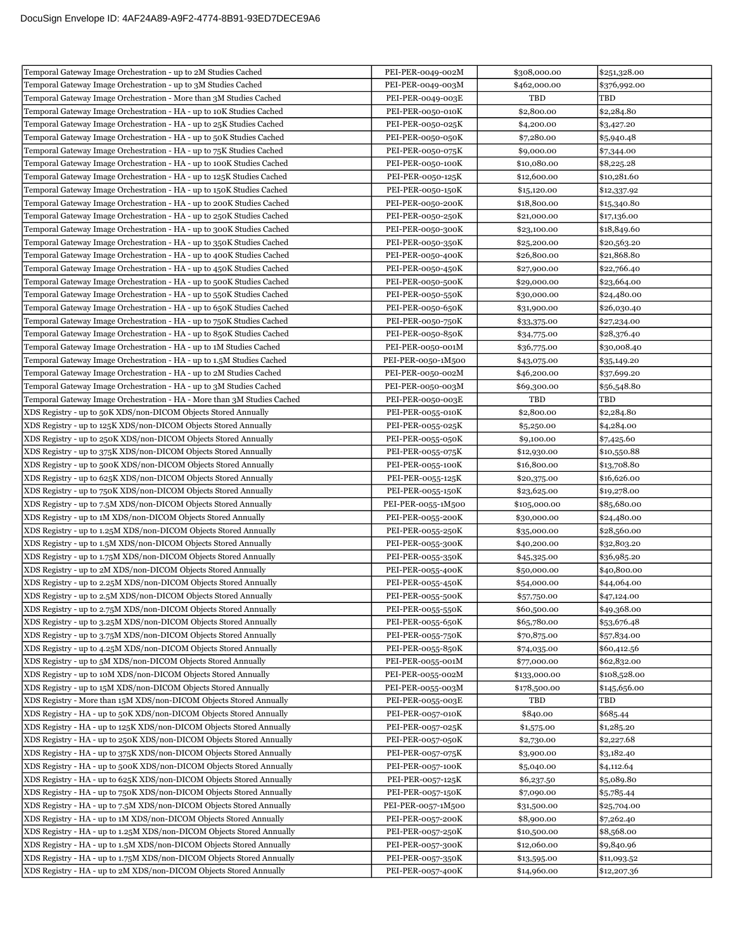| Temporal Gateway Image Orchestration - up to 2M Studies Cached          | PEI-PER-0049-002M  | \$308,000.00 | \$251,328.00 |
|-------------------------------------------------------------------------|--------------------|--------------|--------------|
| Temporal Gateway Image Orchestration - up to 3M Studies Cached          | PEI-PER-0049-003M  | \$462,000.00 | \$376,992.00 |
| Temporal Gateway Image Orchestration - More than 3M Studies Cached      | PEI-PER-0049-003E  | TBD          | TBD          |
| Temporal Gateway Image Orchestration - HA - up to 10K Studies Cached    | PEI-PER-0050-010K  | \$2,800.00   | \$2,284.80   |
| Temporal Gateway Image Orchestration - HA - up to 25K Studies Cached    | PEI-PER-0050-025K  | \$4,200.00   | \$3,427.20   |
| Temporal Gateway Image Orchestration - HA - up to 50K Studies Cached    | PEI-PER-0050-050K  | \$7,280.00   | \$5,940.48   |
| Temporal Gateway Image Orchestration - HA - up to 75K Studies Cached    | PEI-PER-0050-075K  | \$9,000.00   | \$7,344.00   |
| Temporal Gateway Image Orchestration - HA - up to 100K Studies Cached   | PEI-PER-0050-100K  | \$10,080.00  | \$8,225.28   |
| Temporal Gateway Image Orchestration - HA - up to 125K Studies Cached   | PEI-PER-0050-125K  | \$12,600.00  | \$10,281.60  |
| Temporal Gateway Image Orchestration - HA - up to 150K Studies Cached   | PEI-PER-0050-150K  | \$15,120.00  | \$12,337.92  |
| Temporal Gateway Image Orchestration - HA - up to 200K Studies Cached   | PEI-PER-0050-200K  | \$18,800.00  | \$15,340.80  |
| Temporal Gateway Image Orchestration - HA - up to 250K Studies Cached   | PEI-PER-0050-250K  | \$21,000.00  | \$17,136.00  |
| Temporal Gateway Image Orchestration - HA - up to 300K Studies Cached   | PEI-PER-0050-300K  | \$23,100.00  | \$18,849.60  |
| Temporal Gateway Image Orchestration - HA - up to 350K Studies Cached   | PEI-PER-0050-350K  | \$25,200.00  | \$20,563.20  |
| Temporal Gateway Image Orchestration - HA - up to 400K Studies Cached   | PEI-PER-0050-400K  | \$26,800.00  | \$21,868.80  |
| Temporal Gateway Image Orchestration - HA - up to 450K Studies Cached   | PEI-PER-0050-450K  | \$27,900.00  | \$22,766.40  |
| Temporal Gateway Image Orchestration - HA - up to 500K Studies Cached   | PEI-PER-0050-500K  | \$29,000.00  | \$23,664.00  |
| Temporal Gateway Image Orchestration - HA - up to 550K Studies Cached   | PEI-PER-0050-550K  | \$30,000.00  | \$24,480.00  |
| Temporal Gateway Image Orchestration - HA - up to 650K Studies Cached   | PEI-PER-0050-650K  | \$31,900.00  | \$26,030.40  |
| Temporal Gateway Image Orchestration - HA - up to 750K Studies Cached   | PEI-PER-0050-750K  | \$33,375.00  | \$27,234.00  |
| Temporal Gateway Image Orchestration - HA - up to 850K Studies Cached   | PEI-PER-0050-850K  | \$34,775.00  | \$28,376.40  |
| Temporal Gateway Image Orchestration - HA - up to 1M Studies Cached     | PEI-PER-0050-001M  | \$36,775.00  | \$30,008.40  |
| Temporal Gateway Image Orchestration - HA - up to 1.5M Studies Cached   | PEI-PER-0050-1M500 | \$43,075.00  | \$35,149.20  |
| Temporal Gateway Image Orchestration - HA - up to 2M Studies Cached     | PEI-PER-0050-002M  | \$46,200.00  | \$37,699.20  |
| Temporal Gateway Image Orchestration - HA - up to 3M Studies Cached     | PEI-PER-0050-003M  | \$69,300.00  | \$56,548.80  |
| Temporal Gateway Image Orchestration - HA - More than 3M Studies Cached | PEI-PER-0050-003E  | TBD          | TBD          |
| XDS Registry - up to 50K XDS/non-DICOM Objects Stored Annually          | PEI-PER-0055-010K  | \$2,800.00   | \$2,284.80   |
| XDS Registry - up to 125K XDS/non-DICOM Objects Stored Annually         | PEI-PER-0055-025K  | \$5,250.00   | \$4,284.00   |
| XDS Registry - up to 250K XDS/non-DICOM Objects Stored Annually         | PEI-PER-0055-050K  | \$9,100.00   | \$7,425.60   |
| XDS Registry - up to 375K XDS/non-DICOM Objects Stored Annually         | PEI-PER-0055-075K  | \$12,930.00  | \$10,550.88  |
| XDS Registry - up to 500K XDS/non-DICOM Objects Stored Annually         | PEI-PER-0055-100K  | \$16,800.00  | \$13,708.80  |
| XDS Registry - up to 625K XDS/non-DICOM Objects Stored Annually         | PEI-PER-0055-125K  | \$20,375.00  | \$16,626.00  |
| XDS Registry - up to 750K XDS/non-DICOM Objects Stored Annually         | PEI-PER-0055-150K  | \$23,625.00  | \$19,278.00  |
| XDS Registry - up to 7.5M XDS/non-DICOM Objects Stored Annually         | PEI-PER-0055-1M500 | \$105,000.00 | \$85,680.00  |
| XDS Registry - up to 1M XDS/non-DICOM Objects Stored Annually           | PEI-PER-0055-200K  | \$30,000.00  | \$24,480.00  |
| XDS Registry - up to 1.25M XDS/non-DICOM Objects Stored Annually        | PEI-PER-0055-250K  | \$35,000.00  | \$28,560.00  |
| XDS Registry - up to 1.5M XDS/non-DICOM Objects Stored Annually         | PEI-PER-0055-300K  | \$40,200.00  | \$32,803.20  |
| XDS Registry - up to 1.75M XDS/non-DICOM Objects Stored Annually        | PEI-PER-0055-350K  | \$45,325.00  | \$36,985.20  |
| XDS Registry - up to 2M XDS/non-DICOM Objects Stored Annually           | PEI-PER-0055-400K  | \$50,000.00  | \$40,800.00  |
| XDS Registry - up to 2.25M XDS/non-DICOM Objects Stored Annually        | PEI-PER-0055-450K  | \$54,000.00  | \$44,064.00  |
| XDS Registry - up to 2.5M XDS/non-DICOM Objects Stored Annually         | PEI-PER-0055-500K  | \$57,750.00  | \$47,124.00  |
| XDS Registry - up to 2.75M XDS/non-DICOM Objects Stored Annually        | PEI-PER-0055-550K  | \$60,500.00  | \$49,368.00  |
| XDS Registry - up to 3.25M XDS/non-DICOM Objects Stored Annually        | PEI-PER-0055-650K  | \$65,780.00  | \$53,676.48  |
| XDS Registry - up to 3.75M XDS/non-DICOM Objects Stored Annually        | PEI-PER-0055-750K  | \$70,875.00  | \$57,834.00  |
| XDS Registry - up to 4.25M XDS/non-DICOM Objects Stored Annually        | PEI-PER-0055-850K  | \$74,035.00  | \$60,412.56  |
| XDS Registry - up to 5M XDS/non-DICOM Objects Stored Annually           | PEI-PER-0055-001M  | \$77,000.00  | \$62,832.00  |
| XDS Registry - up to 10M XDS/non-DICOM Objects Stored Annually          | PEI-PER-0055-002M  | \$133,000.00 | \$108,528.00 |
| XDS Registry - up to 15M XDS/non-DICOM Objects Stored Annually          | PEI-PER-0055-003M  | \$178,500.00 | \$145,656.00 |
| XDS Registry - More than 15M XDS/non-DICOM Objects Stored Annually      | PEI-PER-0055-003E  | TBD          | TBD          |
| XDS Registry - HA - up to 50K XDS/non-DICOM Objects Stored Annually     | PEI-PER-0057-010K  | \$840.00     | \$685.44     |
| XDS Registry - HA - up to 125K XDS/non-DICOM Objects Stored Annually    | PEI-PER-0057-025K  | \$1,575.00   | \$1,285.20   |
| XDS Registry - HA - up to 250K XDS/non-DICOM Objects Stored Annually    | PEI-PER-0057-050K  | \$2,730.00   | \$2,227.68   |
| XDS Registry - HA - up to 375K XDS/non-DICOM Objects Stored Annually    | PEI-PER-0057-075K  | \$3,900.00   | \$3,182.40   |
| XDS Registry - HA - up to 500K XDS/non-DICOM Objects Stored Annually    | PEI-PER-0057-100K  | \$5,040.00   | \$4,112.64   |
| XDS Registry - HA - up to 625K XDS/non-DICOM Objects Stored Annually    | PEI-PER-0057-125K  | \$6,237.50   | \$5,089.80   |
| XDS Registry - HA - up to 750K XDS/non-DICOM Objects Stored Annually    | PEI-PER-0057-150K  | \$7,090.00   | \$5,785.44   |
| XDS Registry - HA - up to 7.5M XDS/non-DICOM Objects Stored Annually    | PEI-PER-0057-1M500 | \$31,500.00  | \$25,704.00  |
| XDS Registry - HA - up to 1M XDS/non-DICOM Objects Stored Annually      | PEI-PER-0057-200K  | \$8,900.00   | \$7,262.40   |
| XDS Registry - HA - up to 1.25M XDS/non-DICOM Objects Stored Annually   | PEI-PER-0057-250K  | \$10,500.00  | \$8,568.00   |
| XDS Registry - HA - up to 1.5M XDS/non-DICOM Objects Stored Annually    | PEI-PER-0057-300K  | \$12,060.00  | \$9,840.96   |
| XDS Registry - HA - up to 1.75M XDS/non-DICOM Objects Stored Annually   | PEI-PER-0057-350K  | \$13,595.00  | \$11,093.52  |
| XDS Registry - HA - up to 2M XDS/non-DICOM Objects Stored Annually      | PEI-PER-0057-400K  | \$14,960.00  | \$12,207.36  |
|                                                                         |                    |              |              |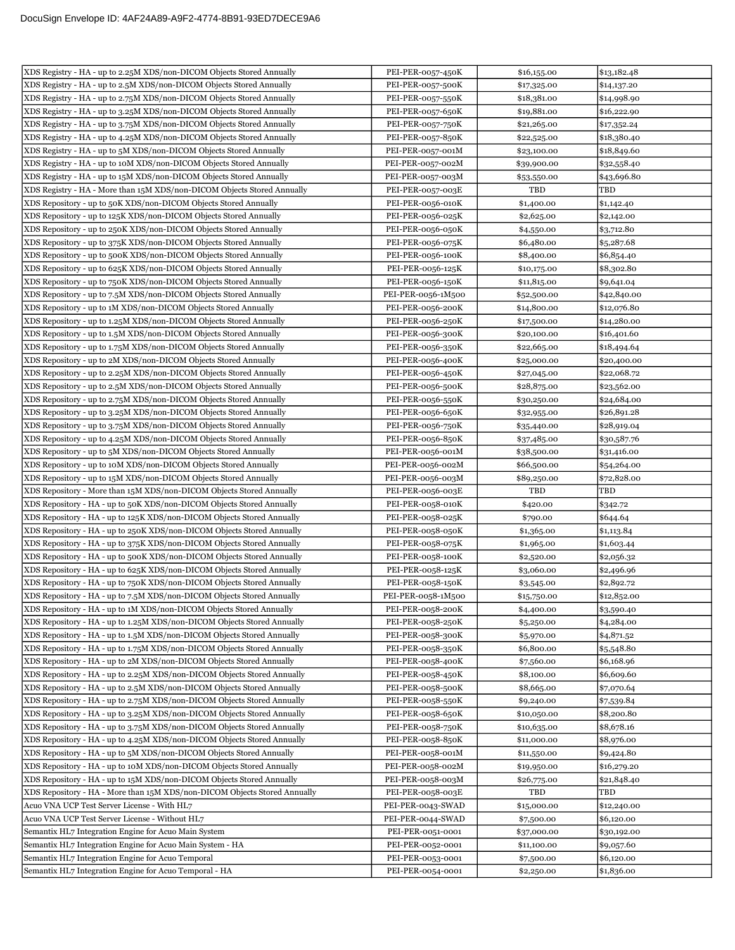| XDS Registry - HA - up to 2.25M XDS/non-DICOM Objects Stored Annually     | PEI-PER-0057-450K  | \$16,155.00 | \$13,182.48 |
|---------------------------------------------------------------------------|--------------------|-------------|-------------|
| XDS Registry - HA - up to 2.5M XDS/non-DICOM Objects Stored Annually      | PEI-PER-0057-500K  | \$17,325.00 | \$14,137.20 |
| XDS Registry - HA - up to 2.75M XDS/non-DICOM Objects Stored Annually     | PEI-PER-0057-550K  | \$18,381.00 | \$14,998.90 |
| XDS Registry - HA - up to 3.25M XDS/non-DICOM Objects Stored Annually     | PEI-PER-0057-650K  | \$19,881.00 | \$16,222.90 |
| XDS Registry - HA - up to 3.75M XDS/non-DICOM Objects Stored Annually     | PEI-PER-0057-750K  | \$21,265.00 | \$17,352.24 |
| XDS Registry - HA - up to 4.25M XDS/non-DICOM Objects Stored Annually     | PEI-PER-0057-850K  | \$22,525.00 | \$18,380.40 |
| XDS Registry - HA - up to 5M XDS/non-DICOM Objects Stored Annually        | PEI-PER-0057-001M  | \$23,100.00 | \$18,849.60 |
| XDS Registry - HA - up to 10M XDS/non-DICOM Objects Stored Annually       | PEI-PER-0057-002M  | \$39,900.00 | \$32,558.40 |
| XDS Registry - HA - up to 15M XDS/non-DICOM Objects Stored Annually       | PEI-PER-0057-003M  | \$53,550.00 | \$43,696.80 |
| XDS Registry - HA - More than 15M XDS/non-DICOM Objects Stored Annually   | PEI-PER-0057-003E  | TBD         | TBD         |
| XDS Repository - up to 50K XDS/non-DICOM Objects Stored Annually          | PEI-PER-0056-010K  | \$1,400.00  | \$1,142.40  |
| XDS Repository - up to 125K XDS/non-DICOM Objects Stored Annually         | PEI-PER-0056-025K  | \$2,625.00  | \$2,142.00  |
| XDS Repository - up to 250K XDS/non-DICOM Objects Stored Annually         | PEI-PER-0056-050K  | \$4,550.00  | \$3,712.80  |
| XDS Repository - up to 375K XDS/non-DICOM Objects Stored Annually         | PEI-PER-0056-075K  | \$6,480.00  | \$5,287.68  |
| XDS Repository - up to 500K XDS/non-DICOM Objects Stored Annually         | PEI-PER-0056-100K  | \$8,400.00  | \$6,854.40  |
| XDS Repository - up to 625K XDS/non-DICOM Objects Stored Annually         | PEI-PER-0056-125K  | \$10,175.00 | \$8,302.80  |
| XDS Repository - up to 750K XDS/non-DICOM Objects Stored Annually         | PEI-PER-0056-150K  | \$11,815.00 | \$9,641.04  |
| XDS Repository - up to 7.5M XDS/non-DICOM Objects Stored Annually         | PEI-PER-0056-1M500 | \$52,500.00 | \$42,840.00 |
| XDS Repository - up to 1M XDS/non-DICOM Objects Stored Annually           | PEI-PER-0056-200K  | \$14,800.00 | \$12,076.80 |
| XDS Repository - up to 1.25M XDS/non-DICOM Objects Stored Annually        | PEI-PER-0056-250K  | \$17,500.00 | \$14,280.00 |
| XDS Repository - up to 1.5M XDS/non-DICOM Objects Stored Annually         | PEI-PER-0056-300K  | \$20,100.00 | \$16,401.60 |
| XDS Repository - up to 1.75M XDS/non-DICOM Objects Stored Annually        | PEI-PER-0056-350K  | \$22,665.00 | \$18,494.64 |
| XDS Repository - up to 2M XDS/non-DICOM Objects Stored Annually           | PEI-PER-0056-400K  | \$25,000.00 | \$20,400.00 |
| XDS Repository - up to 2.25M XDS/non-DICOM Objects Stored Annually        | PEI-PER-0056-450K  | \$27,045.00 | \$22,068.72 |
| XDS Repository - up to 2.5M XDS/non-DICOM Objects Stored Annually         | PEI-PER-0056-500K  | \$28,875.00 | \$23,562.00 |
| XDS Repository - up to 2.75M XDS/non-DICOM Objects Stored Annually        | PEI-PER-0056-550K  | \$30,250.00 | \$24,684.00 |
| XDS Repository - up to 3.25M XDS/non-DICOM Objects Stored Annually        | PEI-PER-0056-650K  | \$32,955.00 | \$26,891.28 |
| XDS Repository - up to 3.75M XDS/non-DICOM Objects Stored Annually        | PEI-PER-0056-750K  | \$35,440.00 | \$28,919.04 |
| XDS Repository - up to 4.25M XDS/non-DICOM Objects Stored Annually        | PEI-PER-0056-850K  | \$37,485.00 | \$30,587.76 |
| XDS Repository - up to 5M XDS/non-DICOM Objects Stored Annually           | PEI-PER-0056-001M  | \$38,500.00 | \$31,416.00 |
| XDS Repository - up to 10M XDS/non-DICOM Objects Stored Annually          | PEI-PER-0056-002M  | \$66,500.00 | \$54,264.00 |
| XDS Repository - up to 15M XDS/non-DICOM Objects Stored Annually          | PEI-PER-0056-003M  | \$89,250.00 | \$72,828.00 |
| XDS Repository - More than 15M XDS/non-DICOM Objects Stored Annually      | PEI-PER-0056-003E  | TBD         | TBD         |
| XDS Repository - HA - up to 50K XDS/non-DICOM Objects Stored Annually     | PEI-PER-0058-010K  | \$420.00    | \$342.72    |
| XDS Repository - HA - up to 125K XDS/non-DICOM Objects Stored Annually    | PEI-PER-0058-025K  | \$790.00    | \$644.64    |
| XDS Repository - HA - up to 250K XDS/non-DICOM Objects Stored Annually    | PEI-PER-0058-050K  | \$1,365.00  | \$1,113.84  |
| XDS Repository - HA - up to 375K XDS/non-DICOM Objects Stored Annually    | PEI-PER-0058-075K  | \$1,965.00  | \$1,603.44  |
| XDS Repository - HA - up to 500K XDS/non-DICOM Objects Stored Annually    | PEI-PER-0058-100K  | \$2,520.00  | \$2,056.32  |
| XDS Repository - HA - up to 625K XDS/non-DICOM Objects Stored Annually    | PEI-PER-0058-125K  | \$3,060.00  | \$2,496.96  |
| XDS Repository - HA - up to 750K XDS/non-DICOM Objects Stored Annually    | PEI-PER-0058-150K  | \$3,545.00  | \$2,892.72  |
| XDS Repository - HA - up to 7.5M XDS/non-DICOM Objects Stored Annually    | PEI-PER-0058-1M500 | \$15,750.00 | \$12,852.00 |
| XDS Repository - HA - up to 1M XDS/non-DICOM Objects Stored Annually      | PEI-PER-0058-200K  | \$4,400.00  | \$3,590.40  |
| XDS Repository - HA - up to 1.25M XDS/non-DICOM Objects Stored Annually   | PEI-PER-0058-250K  | \$5,250.00  | \$4,284.00  |
| XDS Repository - HA - up to 1.5M XDS/non-DICOM Objects Stored Annually    | PEI-PER-0058-300K  | \$5,970.00  | \$4,871.52  |
| XDS Repository - HA - up to 1.75M XDS/non-DICOM Objects Stored Annually   | PEI-PER-0058-350K  | \$6,800.00  | \$5,548.80  |
| XDS Repository - HA - up to 2M XDS/non-DICOM Objects Stored Annually      | PEI-PER-0058-400K  | \$7,560.00  | \$6,168.96  |
| XDS Repository - HA - up to 2.25M XDS/non-DICOM Objects Stored Annually   | PEI-PER-0058-450K  | \$8,100.00  | \$6,609.60  |
| XDS Repository - HA - up to 2.5M XDS/non-DICOM Objects Stored Annually    | PEI-PER-0058-500K  | \$8,665.00  | \$7,070.64  |
| XDS Repository - HA - up to 2.75M XDS/non-DICOM Objects Stored Annually   | PEI-PER-0058-550K  | \$9,240.00  | \$7,539.84  |
| XDS Repository - HA - up to 3.25M XDS/non-DICOM Objects Stored Annually   | PEI-PER-0058-650K  | \$10,050.00 | \$8,200.80  |
| XDS Repository - HA - up to 3.75M XDS/non-DICOM Objects Stored Annually   | PEI-PER-0058-750K  | \$10,635.00 | \$8,678.16  |
| XDS Repository - HA - up to 4.25M XDS/non-DICOM Objects Stored Annually   | PEI-PER-0058-850K  | \$11,000.00 | \$8,976.00  |
| XDS Repository - HA - up to 5M XDS/non-DICOM Objects Stored Annually      | PEI-PER-0058-001M  | \$11,550.00 | \$9,424.80  |
| XDS Repository - HA - up to 10M XDS/non-DICOM Objects Stored Annually     | PEI-PER-0058-002M  | \$19,950.00 | \$16,279.20 |
| XDS Repository - HA - up to 15M XDS/non-DICOM Objects Stored Annually     | PEI-PER-0058-003M  | \$26,775.00 | \$21,848.40 |
| XDS Repository - HA - More than 15M XDS/non-DICOM Objects Stored Annually | PEI-PER-0058-003E  | TBD         | TBD         |
| Acuo VNA UCP Test Server License - With HL7                               | PEI-PER-0043-SWAD  | \$15,000.00 | \$12,240.00 |
| Acuo VNA UCP Test Server License - Without HL7                            | PEI-PER-0044-SWAD  | \$7,500.00  | \$6,120.00  |
| Semantix HL7 Integration Engine for Acuo Main System                      | PEI-PER-0051-0001  | \$37,000.00 | \$30,192.00 |
| Semantix HL7 Integration Engine for Acuo Main System - HA                 | PEI-PER-0052-0001  | \$11,100.00 | \$9,057.60  |
| Semantix HL7 Integration Engine for Acuo Temporal                         | PEI-PER-0053-0001  | \$7,500.00  | \$6,120.00  |
| Semantix HL7 Integration Engine for Acuo Temporal - HA                    | PEI-PER-0054-0001  | \$2,250.00  | \$1,836.00  |
|                                                                           |                    |             |             |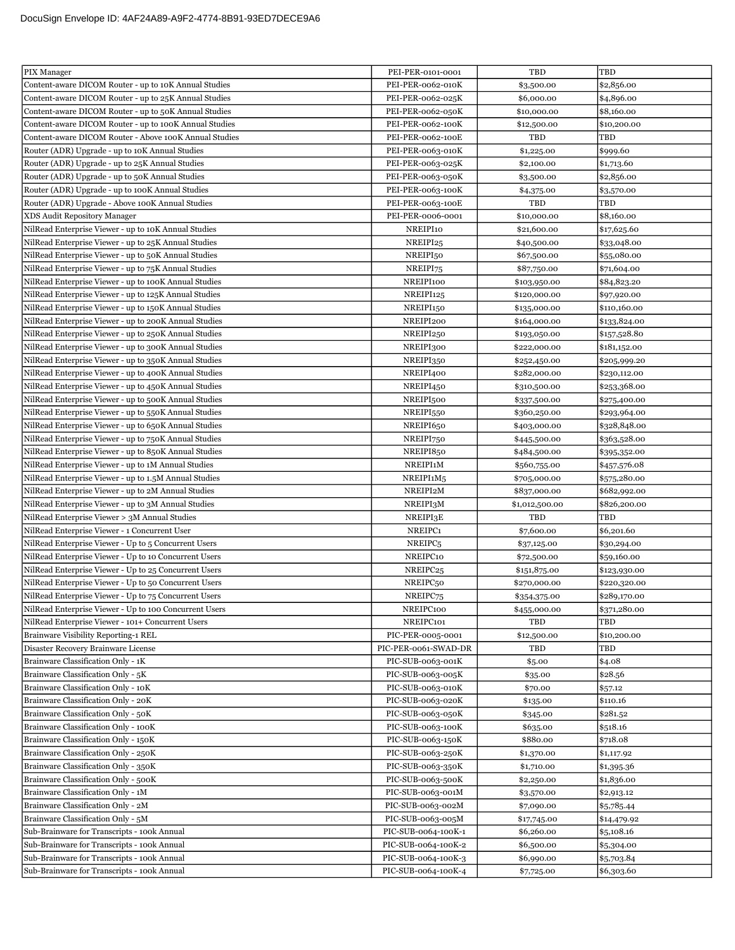| PIX Manager                                            | PEI-PER-0101-0001    | TBD            | <b>TBD</b>   |
|--------------------------------------------------------|----------------------|----------------|--------------|
| Content-aware DICOM Router - up to 10K Annual Studies  | PEI-PER-0062-010K    | \$3,500.00     | \$2,856.00   |
| Content-aware DICOM Router - up to 25K Annual Studies  | PEI-PER-0062-025K    | \$6,000.00     | \$4,896.00   |
| Content-aware DICOM Router - up to 50K Annual Studies  | PEI-PER-0062-050K    | \$10,000.00    | \$8,160.00   |
| Content-aware DICOM Router - up to 100K Annual Studies | PEI-PER-0062-100K    | \$12,500.00    | \$10,200.00  |
| Content-aware DICOM Router - Above 100K Annual Studies | PEI-PER-0062-100E    | TBD            | TBD          |
| Router (ADR) Upgrade - up to 10K Annual Studies        | PEI-PER-0063-010K    | \$1,225.00     | \$999.60     |
| Router (ADR) Upgrade - up to 25K Annual Studies        | PEI-PER-0063-025K    | \$2,100.00     | \$1,713.60   |
| Router (ADR) Upgrade - up to 50K Annual Studies        | PEI-PER-0063-050K    | \$3,500.00     | \$2,856.00   |
| Router (ADR) Upgrade - up to 100K Annual Studies       | PEI-PER-0063-100K    | \$4,375.00     | \$3,570.00   |
| Router (ADR) Upgrade - Above 100K Annual Studies       | PEI-PER-0063-100E    | TBD            | TBD          |
| XDS Audit Repository Manager                           | PEI-PER-0006-0001    | \$10,000.00    | \$8,160.00   |
| NilRead Enterprise Viewer - up to 10K Annual Studies   | NREIPI10             | \$21,600.00    | \$17,625.60  |
| NilRead Enterprise Viewer - up to 25K Annual Studies   | NREIPI25             | \$40,500.00    | \$33,048.00  |
| NilRead Enterprise Viewer - up to 50K Annual Studies   | NREIPI50             | \$67,500.00    | \$55,080.00  |
| NilRead Enterprise Viewer - up to 75K Annual Studies   | NREIPI75             | \$87,750.00    | \$71,604.00  |
| NilRead Enterprise Viewer - up to 100K Annual Studies  | NREIPI100            | \$103,950.00   | \$84,823.20  |
| NilRead Enterprise Viewer - up to 125K Annual Studies  | NREIPI125            | \$120,000.00   | \$97,920.00  |
| NilRead Enterprise Viewer - up to 150K Annual Studies  | NREIPI150            | \$135,000.00   | \$110,160.00 |
| NilRead Enterprise Viewer - up to 200K Annual Studies  | NREIPI200            | \$164,000.00   | \$133,824.00 |
| NilRead Enterprise Viewer - up to 250K Annual Studies  | NREIPI250            | \$193,050.00   | \$157,528.80 |
| NilRead Enterprise Viewer - up to 300K Annual Studies  | NREIPI300            | \$222,000.00   | \$181,152.00 |
| NilRead Enterprise Viewer - up to 350K Annual Studies  | NREIPI350            | \$252,450.00   | \$205,999.20 |
| NilRead Enterprise Viewer - up to 400K Annual Studies  | NREIPI400            | \$282,000.00   | \$230,112.00 |
| NilRead Enterprise Viewer - up to 450K Annual Studies  | NREIPI450            | \$310,500.00   | \$253,368.00 |
| NilRead Enterprise Viewer - up to 500K Annual Studies  | NREIPI500            | \$337,500.00   | \$275,400.00 |
| NilRead Enterprise Viewer - up to 550K Annual Studies  | NREIPI550            | \$360,250.00   | \$293,964.00 |
| NilRead Enterprise Viewer - up to 650K Annual Studies  | NREIPI650            | \$403,000.00   | \$328,848.00 |
| NilRead Enterprise Viewer - up to 750K Annual Studies  | NREIPI750            | \$445,500.00   | \$363,528.00 |
| NilRead Enterprise Viewer - up to 850K Annual Studies  | NREIPI850            | \$484,500.00   | \$395,352.00 |
| NilRead Enterprise Viewer - up to 1M Annual Studies    | NREIPI1M             | \$560,755.00   | \$457,576.08 |
| NilRead Enterprise Viewer - up to 1.5M Annual Studies  | NREIPI1M5            | \$705,000.00   | \$575,280.00 |
| NilRead Enterprise Viewer - up to 2M Annual Studies    | NREIPI2M             | \$837,000.00   | \$682,992.00 |
| NilRead Enterprise Viewer - up to 3M Annual Studies    | NREIPI3M             | \$1,012,500.00 | \$826,200.00 |
| NilRead Enterprise Viewer > 3M Annual Studies          | NREIPI3E             | TBD            | TBD          |
| NilRead Enterprise Viewer - 1 Concurrent User          | NREIPC1              | \$7,600.00     | \$6,201.60   |
| NilRead Enterprise Viewer - Up to 5 Concurrent Users   | NREIPC <sub>5</sub>  | \$37,125.00    | \$30,294.00  |
| NilRead Enterprise Viewer - Up to 10 Concurrent Users  | NREIPC10             | \$72,500.00    | \$59,160.00  |
| NilRead Enterprise Viewer - Up to 25 Concurrent Users  | NREIPC <sub>25</sub> | \$151,875.00   | \$123,930.00 |
| NilRead Enterprise Viewer - Up to 50 Concurrent Users  | NREIPC <sub>50</sub> | \$270,000.00   | \$220,320.00 |
| NilRead Enterprise Viewer - Up to 75 Concurrent Users  | NREIPC75             | \$354,375.00   | \$289,170.00 |
| NilRead Enterprise Viewer - Up to 100 Concurrent Users | NREIPC100            | \$455,000.00   | \$371,280.00 |
| NilRead Enterprise Viewer - 101+ Concurrent Users      | NREIPC101            | TBD            | TBD          |
| Brainware Visibility Reporting-1 REL                   | PIC-PER-0005-0001    | \$12,500.00    | \$10,200.00  |
| Disaster Recovery Brainware License                    | PIC-PER-0061-SWAD-DR | TBD            | TBD          |
| Brainware Classification Only - 1K                     | PIC-SUB-0063-001K    | \$5.00         | \$4.08       |
| Brainware Classification Only - 5K                     | PIC-SUB-0063-005K    | \$35.00        | \$28.56      |
| Brainware Classification Only - 10K                    | PIC-SUB-0063-010K    | \$70.00        | \$57.12      |
| Brainware Classification Only - 20K                    | PIC-SUB-0063-020K    | \$135.00       | \$110.16     |
| Brainware Classification Only - 50K                    | PIC-SUB-0063-050K    | \$345.00       | \$281.52     |
| Brainware Classification Only - 100K                   | PIC-SUB-0063-100K    | \$635.00       | \$518.16     |
| Brainware Classification Only - 150K                   | PIC-SUB-0063-150K    | \$880.00       | \$718.08     |
| Brainware Classification Only - 250K                   | PIC-SUB-0063-250K    | \$1,370.00     | \$1,117.92   |
| Brainware Classification Only - 350K                   | PIC-SUB-0063-350K    | \$1,710.00     | \$1,395.36   |
| Brainware Classification Only - 500K                   | PIC-SUB-0063-500K    | \$2,250.00     | \$1,836.00   |
| Brainware Classification Only - 1M                     | PIC-SUB-0063-001M    | \$3,570.00     | \$2,913.12   |
| Brainware Classification Only - 2M                     | PIC-SUB-0063-002M    | \$7,090.00     | \$5,785.44   |
| Brainware Classification Only - 5M                     | PIC-SUB-0063-005M    | \$17,745.00    | \$14,479.92  |
| Sub-Brainware for Transcripts - 100k Annual            | PIC-SUB-0064-100K-1  | \$6,260.00     | \$5,108.16   |
| Sub-Brainware for Transcripts - 100k Annual            | PIC-SUB-0064-100K-2  | \$6,500.00     | \$5,304.00   |
| Sub-Brainware for Transcripts - 100k Annual            | PIC-SUB-0064-100K-3  | \$6,990.00     | \$5,703.84   |
| Sub-Brainware for Transcripts - 100k Annual            | PIC-SUB-0064-100K-4  | \$7,725.00     | \$6,303.60   |
|                                                        |                      |                |              |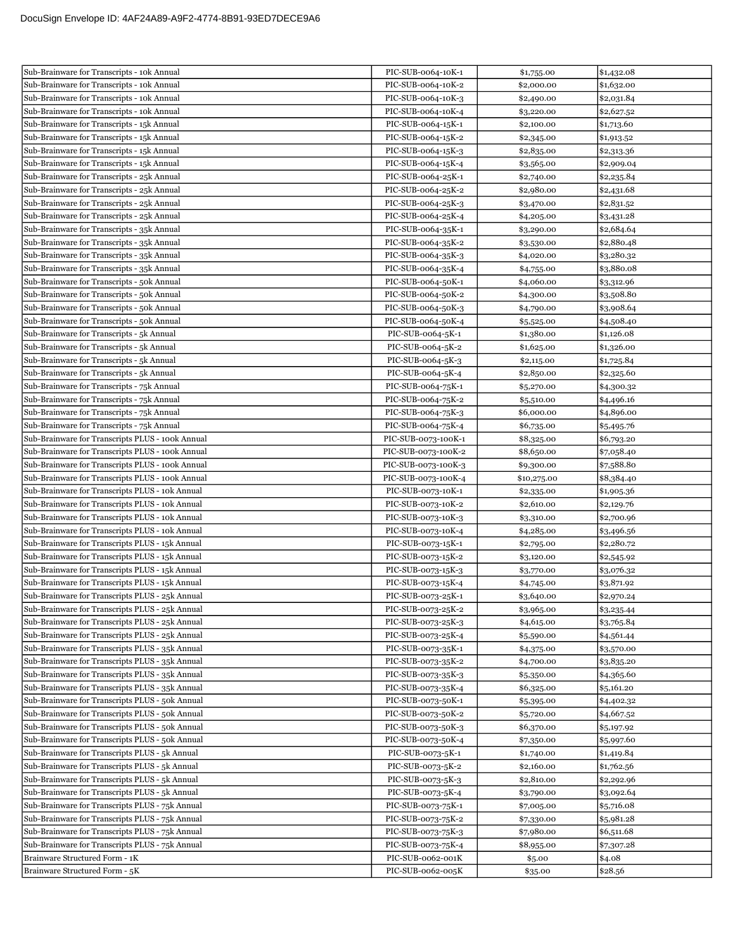| Sub-Brainware for Transcripts - 10k Annual       | PIC-SUB-0064-10K-1  | \$1,755.00  | \$1,432.08 |
|--------------------------------------------------|---------------------|-------------|------------|
| Sub-Brainware for Transcripts - 10k Annual       | PIC-SUB-0064-10K-2  | \$2,000.00  | \$1,632.00 |
| Sub-Brainware for Transcripts - 10k Annual       | PIC-SUB-0064-10K-3  | \$2,490.00  | \$2,031.84 |
| Sub-Brainware for Transcripts - 10k Annual       | PIC-SUB-0064-10K-4  | \$3,220.00  | \$2,627.52 |
| Sub-Brainware for Transcripts - 15k Annual       | PIC-SUB-0064-15K-1  | \$2,100.00  | \$1,713.60 |
| Sub-Brainware for Transcripts - 15k Annual       | PIC-SUB-0064-15K-2  | \$2,345.00  | \$1,913.52 |
| Sub-Brainware for Transcripts - 15k Annual       | PIC-SUB-0064-15K-3  | \$2,835.00  | \$2,313.36 |
| Sub-Brainware for Transcripts - 15k Annual       | PIC-SUB-0064-15K-4  | \$3,565.00  | \$2,909.04 |
| Sub-Brainware for Transcripts - 25k Annual       | PIC-SUB-0064-25K-1  | \$2,740.00  | \$2,235.84 |
| Sub-Brainware for Transcripts - 25k Annual       | PIC-SUB-0064-25K-2  | \$2,980.00  | \$2,431.68 |
| Sub-Brainware for Transcripts - 25k Annual       | PIC-SUB-0064-25K-3  | \$3,470.00  | \$2,831.52 |
| Sub-Brainware for Transcripts - 25k Annual       | PIC-SUB-0064-25K-4  | \$4,205.00  | \$3,431.28 |
| Sub-Brainware for Transcripts - 35k Annual       | PIC-SUB-0064-35K-1  | \$3,290.00  | \$2,684.64 |
| Sub-Brainware for Transcripts - 35k Annual       | PIC-SUB-0064-35K-2  | \$3,530.00  | \$2,880.48 |
| Sub-Brainware for Transcripts - 35k Annual       | PIC-SUB-0064-35K-3  | \$4,020.00  | \$3,280.32 |
| Sub-Brainware for Transcripts - 35k Annual       | PIC-SUB-0064-35K-4  | \$4,755.00  | \$3,880.08 |
| Sub-Brainware for Transcripts - 50k Annual       | PIC-SUB-0064-50K-1  | \$4,060.00  | \$3,312.96 |
| Sub-Brainware for Transcripts - 50k Annual       | PIC-SUB-0064-50K-2  | \$4,300.00  | \$3,508.80 |
| Sub-Brainware for Transcripts - 50k Annual       | PIC-SUB-0064-50K-3  | \$4,790.00  | \$3,908.64 |
| Sub-Brainware for Transcripts - 50k Annual       | PIC-SUB-0064-50K-4  | \$5,525.00  | \$4,508.40 |
| Sub-Brainware for Transcripts - 5k Annual        | PIC-SUB-0064-5K-1   | \$1,380.00  | \$1,126.08 |
| Sub-Brainware for Transcripts - 5k Annual        | PIC-SUB-0064-5K-2   | \$1,625.00  | \$1,326.00 |
| Sub-Brainware for Transcripts - 5k Annual        | PIC-SUB-0064-5K-3   | \$2,115.00  | \$1,725.84 |
| Sub-Brainware for Transcripts - 5k Annual        | PIC-SUB-0064-5K-4   | \$2,850.00  | \$2,325.60 |
| Sub-Brainware for Transcripts - 75k Annual       | PIC-SUB-0064-75K-1  | \$5,270.00  | \$4,300.32 |
| Sub-Brainware for Transcripts - 75k Annual       | PIC-SUB-0064-75K-2  | \$5,510.00  | \$4,496.16 |
| Sub-Brainware for Transcripts - 75k Annual       | PIC-SUB-0064-75K-3  | \$6,000.00  | \$4,896.00 |
| Sub-Brainware for Transcripts - 75k Annual       | PIC-SUB-0064-75K-4  | \$6,735.00  | \$5,495.76 |
| Sub-Brainware for Transcripts PLUS - 100k Annual | PIC-SUB-0073-100K-1 | \$8,325.00  | \$6,793.20 |
| Sub-Brainware for Transcripts PLUS - 100k Annual | PIC-SUB-0073-100K-2 | \$8,650.00  | \$7,058.40 |
| Sub-Brainware for Transcripts PLUS - 100k Annual | PIC-SUB-0073-100K-3 | \$9,300.00  | \$7,588.80 |
| Sub-Brainware for Transcripts PLUS - 100k Annual | PIC-SUB-0073-100K-4 | \$10,275.00 | \$8,384.40 |
| Sub-Brainware for Transcripts PLUS - 10k Annual  | PIC-SUB-0073-10K-1  | \$2,335.00  | \$1,905.36 |
| Sub-Brainware for Transcripts PLUS - 10k Annual  | PIC-SUB-0073-10K-2  | \$2,610.00  | \$2,129.76 |
| Sub-Brainware for Transcripts PLUS - 10k Annual  | PIC-SUB-0073-10K-3  | \$3,310.00  | \$2,700.96 |
| Sub-Brainware for Transcripts PLUS - 10k Annual  | PIC-SUB-0073-10K-4  | \$4,285.00  | \$3,496.56 |
| Sub-Brainware for Transcripts PLUS - 15k Annual  | PIC-SUB-0073-15K-1  | \$2,795.00  | \$2,280.72 |
| Sub-Brainware for Transcripts PLUS - 15k Annual  | PIC-SUB-0073-15K-2  | \$3,120.00  | \$2,545.92 |
| Sub-Brainware for Transcripts PLUS - 15k Annual  | PIC-SUB-0073-15K-3  | \$3,770.00  | \$3,076.32 |
| Sub-Brainware for Transcripts PLUS - 15k Annual  | PIC-SUB-0073-15K-4  | \$4,745.00  | \$3,871.92 |
| Sub-Brainware for Transcripts PLUS - 25k Annual  | PIC-SUB-0073-25K-1  | \$3,640.00  | \$2,970.24 |
| Sub-Brainware for Transcripts PLUS - 25k Annual  | PIC-SUB-0073-25K-2  | \$3,965.00  | \$3,235.44 |
| Sub-Brainware for Transcripts PLUS - 25k Annual  | PIC-SUB-0073-25K-3  | \$4,615.00  | \$3,765.84 |
| Sub-Brainware for Transcripts PLUS - 25k Annual  | PIC-SUB-0073-25K-4  | \$5,590.00  | \$4,561.44 |
| Sub-Brainware for Transcripts PLUS - 35k Annual  | PIC-SUB-0073-35K-1  | \$4,375.00  | \$3,570.00 |
| Sub-Brainware for Transcripts PLUS - 35k Annual  | PIC-SUB-0073-35K-2  | \$4,700.00  | \$3,835.20 |
| Sub-Brainware for Transcripts PLUS - 35k Annual  | PIC-SUB-0073-35K-3  | \$5,350.00  | \$4,365.60 |
| Sub-Brainware for Transcripts PLUS - 35k Annual  | PIC-SUB-0073-35K-4  | \$6,325.00  | \$5,161.20 |
| Sub-Brainware for Transcripts PLUS - 50k Annual  | PIC-SUB-0073-50K-1  | \$5,395.00  | \$4,402.32 |
| Sub-Brainware for Transcripts PLUS - 50k Annual  | PIC-SUB-0073-50K-2  | \$5,720.00  | \$4,667.52 |
| Sub-Brainware for Transcripts PLUS - 50k Annual  | PIC-SUB-0073-50K-3  | \$6,370.00  | \$5,197.92 |
| Sub-Brainware for Transcripts PLUS - 50k Annual  | PIC-SUB-0073-50K-4  | \$7,350.00  | \$5,997.60 |
| Sub-Brainware for Transcripts PLUS - 5k Annual   | PIC-SUB-0073-5K-1   | \$1,740.00  | \$1,419.84 |
| Sub-Brainware for Transcripts PLUS - 5k Annual   | PIC-SUB-0073-5K-2   | \$2,160.00  | \$1,762.56 |
| Sub-Brainware for Transcripts PLUS - 5k Annual   | PIC-SUB-0073-5K-3   | \$2,810.00  | \$2,292.96 |
| Sub-Brainware for Transcripts PLUS - 5k Annual   | PIC-SUB-0073-5K-4   | \$3,790.00  | \$3,092.64 |
| Sub-Brainware for Transcripts PLUS - 75k Annual  | PIC-SUB-0073-75K-1  | \$7,005.00  | \$5,716.08 |
| Sub-Brainware for Transcripts PLUS - 75k Annual  | PIC-SUB-0073-75K-2  | \$7,330.00  | \$5,981.28 |
| Sub-Brainware for Transcripts PLUS - 75k Annual  | PIC-SUB-0073-75K-3  | \$7,980.00  | \$6,511.68 |
| Sub-Brainware for Transcripts PLUS - 75k Annual  | PIC-SUB-0073-75K-4  | \$8,955.00  | \$7,307.28 |
| Brainware Structured Form - 1K                   | PIC-SUB-0062-001K   | \$5.00      | \$4.08     |
| Brainware Structured Form - 5K                   | PIC-SUB-0062-005K   | \$35.00     | \$28.56    |
|                                                  |                     |             |            |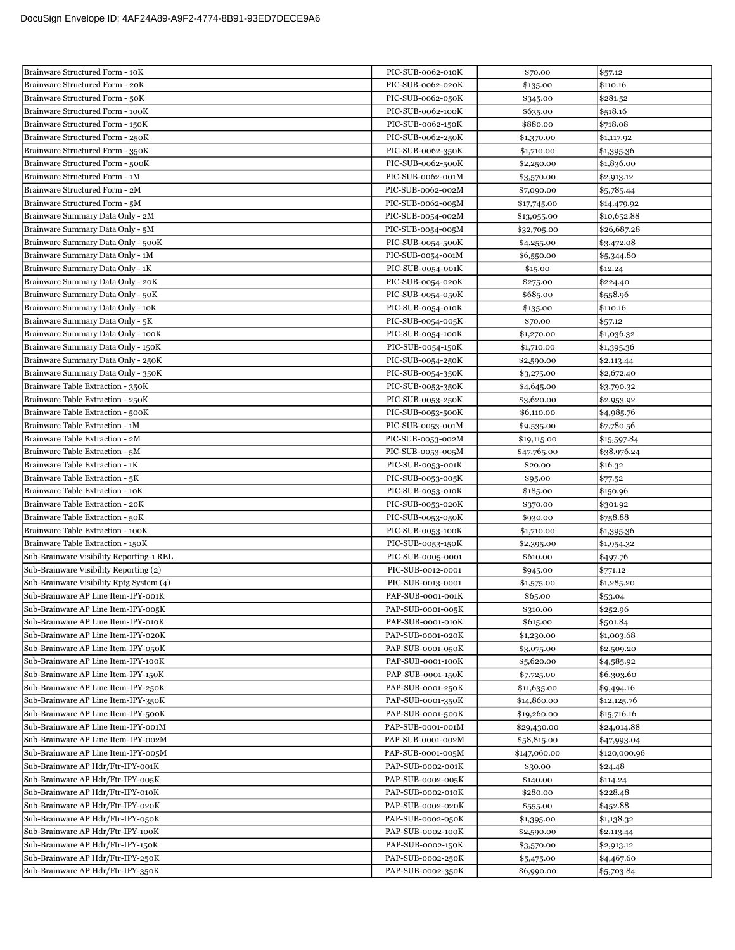| Brainware Structured Form - 10K                                        | PIC-SUB-0062-010K                      | \$70.00                  | \$57.12                  |
|------------------------------------------------------------------------|----------------------------------------|--------------------------|--------------------------|
| Brainware Structured Form - 20K                                        | PIC-SUB-0062-020K                      | \$135.00                 | \$110.16                 |
| Brainware Structured Form - 50K                                        | PIC-SUB-0062-050K                      | \$345.00                 | \$281.52                 |
| Brainware Structured Form - 100K                                       | PIC-SUB-0062-100K                      | \$635.00                 | \$518.16                 |
| Brainware Structured Form - 150K                                       | PIC-SUB-0062-150K                      | \$880.00                 | \$718.08                 |
| Brainware Structured Form - 250K                                       | PIC-SUB-0062-250K                      | \$1,370.00               | \$1,117.92               |
| Brainware Structured Form - 350K                                       | PIC-SUB-0062-350K                      | \$1,710.00               | \$1,395.36               |
| Brainware Structured Form - 500K                                       | PIC-SUB-0062-500K                      | \$2,250.00               | \$1,836.00               |
| Brainware Structured Form - 1M                                         | PIC-SUB-0062-001M                      | \$3,570.00               | \$2,913.12               |
| Brainware Structured Form - 2M                                         | PIC-SUB-0062-002M                      | \$7,090.00               | \$5,785.44               |
| Brainware Structured Form - 5M                                         | PIC-SUB-0062-005M                      | \$17,745.00              | \$14,479.92              |
| Brainware Summary Data Only - 2M                                       | PIC-SUB-0054-002M                      | \$13,055.00              | \$10,652.88              |
| Brainware Summary Data Only - 5M                                       | PIC-SUB-0054-005M                      | \$32,705.00              | \$26,687.28              |
| Brainware Summary Data Only - 500K                                     | PIC-SUB-0054-500K                      | \$4,255.00               | \$3,472.08               |
| Brainware Summary Data Only - 1M                                       | PIC-SUB-0054-001M                      | \$6,550.00               | \$5,344.80               |
| Brainware Summary Data Only - 1K                                       | PIC-SUB-0054-001K                      | \$15.00                  | \$12.24                  |
| Brainware Summary Data Only - 20K                                      | PIC-SUB-0054-020K                      | \$275.00                 | \$224.40                 |
| Brainware Summary Data Only - 50K                                      | PIC-SUB-0054-050K                      | \$685.00                 | \$558.96                 |
| Brainware Summary Data Only - 10K                                      | PIC-SUB-0054-010K                      | \$135.00                 | \$110.16                 |
| Brainware Summary Data Only - 5K                                       | PIC-SUB-0054-005K                      | \$70.00                  | \$57.12                  |
| Brainware Summary Data Only - 100K                                     | PIC-SUB-0054-100K                      | \$1,270.00               | \$1,036.32               |
| Brainware Summary Data Only - 150K                                     | PIC-SUB-0054-150K                      | \$1,710.00               | \$1,395.36               |
| Brainware Summary Data Only - 250K                                     | PIC-SUB-0054-250K                      | \$2,590.00               | \$2,113.44               |
| Brainware Summary Data Only - 350K                                     | PIC-SUB-0054-350K                      | \$3,275.00               | \$2,672.40               |
| Brainware Table Extraction - 350K                                      | PIC-SUB-0053-350K                      | \$4,645.00               | \$3,790.32               |
| Brainware Table Extraction - 250K                                      | PIC-SUB-0053-250K                      | \$3,620.00               | \$2,953.92               |
| Brainware Table Extraction - 500K                                      | PIC-SUB-0053-500K                      | \$6,110.00               | \$4,985.76               |
| Brainware Table Extraction - 1M                                        | PIC-SUB-0053-001M                      | \$9,535.00               | \$7,780.56               |
| Brainware Table Extraction - 2M                                        | PIC-SUB-0053-002M                      | \$19,115.00              | \$15,597.84              |
| Brainware Table Extraction - 5M                                        | PIC-SUB-0053-005M                      | \$47,765.00              | \$38,976.24              |
| Brainware Table Extraction - 1K                                        | PIC-SUB-0053-001K                      | \$20.00                  | \$16.32                  |
| Brainware Table Extraction - 5K                                        | PIC-SUB-0053-005K                      | \$95.00                  | \$77.52                  |
|                                                                        |                                        |                          |                          |
| Brainware Table Extraction - 10K                                       | PIC-SUB-0053-010K                      | \$185.00                 | \$150.96                 |
| Brainware Table Extraction - 20K                                       | PIC-SUB-0053-020K                      | \$370.00                 | \$301.92                 |
| Brainware Table Extraction - 50K                                       | PIC-SUB-0053-050K                      | \$930.00                 | \$758.88                 |
| Brainware Table Extraction - 100K                                      | PIC-SUB-0053-100K                      | \$1,710.00               | \$1,395.36               |
| Brainware Table Extraction - 150K                                      | PIC-SUB-0053-150K                      | \$2,395.00               | \$1,954.32               |
| Sub-Brainware Visibility Reporting-1 REL                               | PIC-SUB-0005-0001                      | \$610.00                 | \$497.76                 |
| Sub-Brainware Visibility Reporting (2)                                 | PIC-SUB-0012-0001                      | \$945.00                 | \$771.12                 |
| Sub-Brainware Visibility Rptg System (4)                               | PIC-SUB-0013-0001                      | \$1,575.00               | \$1,285.20               |
| Sub-Brainware AP Line Item-IPY-001K                                    | PAP-SUB-0001-001K                      | \$65.00                  | \$53.04                  |
| Sub-Brainware AP Line Item-IPY-005K                                    | PAP-SUB-0001-005K                      | \$310.00                 | \$252.96                 |
| Sub-Brainware AP Line Item-IPY-010K                                    | PAP-SUB-0001-010K                      | \$615.00                 | \$501.84                 |
| Sub-Brainware AP Line Item-IPY-020K                                    | PAP-SUB-0001-020K                      | \$1,230.00               | \$1,003.68               |
| Sub-Brainware AP Line Item-IPY-050K                                    | PAP-SUB-0001-050K                      | \$3,075.00               | \$2,509.20               |
| Sub-Brainware AP Line Item-IPY-100K                                    | PAP-SUB-0001-100K                      | \$5,620.00               | \$4,585.92               |
| Sub-Brainware AP Line Item-IPY-150K                                    | PAP-SUB-0001-150K                      | \$7,725.00               | \$6,303.60               |
| Sub-Brainware AP Line Item-IPY-250K                                    | PAP-SUB-0001-250K                      | \$11,635.00              | \$9,494.16               |
| Sub-Brainware AP Line Item-IPY-350K                                    | PAP-SUB-0001-350K                      | \$14,860.00              | \$12,125.76              |
| Sub-Brainware AP Line Item-IPY-500K                                    | PAP-SUB-0001-500K                      | \$19,260.00              | \$15,716.16              |
| Sub-Brainware AP Line Item-IPY-001M                                    | PAP-SUB-0001-001M                      | \$29,430.00              | \$24,014.88              |
| Sub-Brainware AP Line Item-IPY-002M                                    | PAP-SUB-0001-002M                      | \$58,815.00              | \$47,993.04              |
| Sub-Brainware AP Line Item-IPY-005M                                    | PAP-SUB-0001-005M                      | \$147,060.00             | \$120,000.96             |
| Sub-Brainware AP Hdr/Ftr-IPY-001K                                      | PAP-SUB-0002-001K                      | \$30.00                  | \$24.48                  |
| Sub-Brainware AP Hdr/Ftr-IPY-005K                                      | PAP-SUB-0002-005K                      | \$140.00                 | \$114.24                 |
| Sub-Brainware AP Hdr/Ftr-IPY-010K                                      | PAP-SUB-0002-010K                      | \$280.00                 | \$228.48                 |
| Sub-Brainware AP Hdr/Ftr-IPY-020K                                      | PAP-SUB-0002-020K                      | \$555.00                 | \$452.88                 |
| Sub-Brainware AP Hdr/Ftr-IPY-050K                                      | PAP-SUB-0002-050K                      | \$1,395.00               | \$1,138.32               |
| Sub-Brainware AP Hdr/Ftr-IPY-100K                                      | PAP-SUB-0002-100K                      | \$2,590.00               | \$2,113.44               |
| Sub-Brainware AP Hdr/Ftr-IPY-150K                                      | PAP-SUB-0002-150K                      | \$3,570.00               | \$2,913.12               |
| Sub-Brainware AP Hdr/Ftr-IPY-250K<br>Sub-Brainware AP Hdr/Ftr-IPY-350K | PAP-SUB-0002-250K<br>PAP-SUB-0002-350K | \$5,475.00<br>\$6,990.00 | \$4,467.60<br>\$5,703.84 |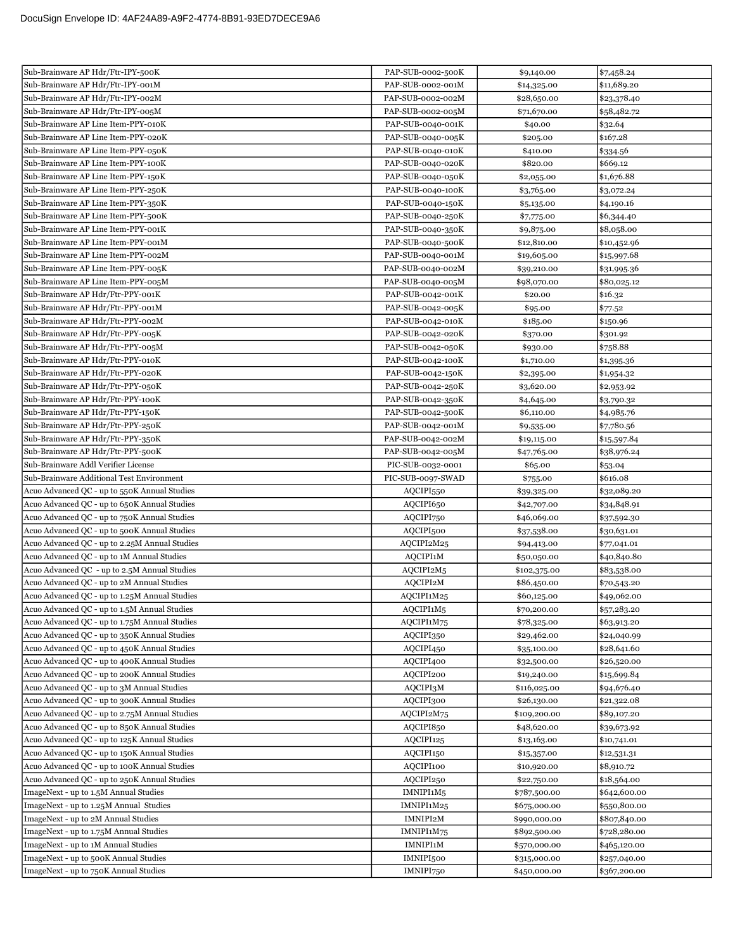| Sub-Brainware AP Hdr/Ftr-IPY-500K                                              | PAP-SUB-0002-500K                  | \$9,140.00                   | \$7,458.24                   |
|--------------------------------------------------------------------------------|------------------------------------|------------------------------|------------------------------|
| Sub-Brainware AP Hdr/Ftr-IPY-001M                                              | PAP-SUB-0002-001M                  | \$14,325.00                  | \$11,689.20                  |
| Sub-Brainware AP Hdr/Ftr-IPY-002M                                              | PAP-SUB-0002-002M                  | \$28,650.00                  | \$23,378.40                  |
| Sub-Brainware AP Hdr/Ftr-IPY-005M                                              | PAP-SUB-0002-005M                  | \$71,670.00                  | \$58,482.72                  |
| Sub-Brainware AP Line Item-PPY-010K                                            | PAP-SUB-0040-001K                  | \$40.00                      | \$32.64                      |
| Sub-Brainware AP Line Item-PPY-020K                                            | PAP-SUB-0040-005K                  | \$205.00                     | \$167.28                     |
| Sub-Brainware AP Line Item-PPY-050K                                            | PAP-SUB-0040-010K                  | \$410.00                     | \$334.56                     |
| Sub-Brainware AP Line Item-PPY-100K                                            | PAP-SUB-0040-020K                  | \$820.00                     | \$669.12                     |
| Sub-Brainware AP Line Item-PPY-150K                                            | PAP-SUB-0040-050K                  | \$2,055.00                   | \$1,676.88                   |
| Sub-Brainware AP Line Item-PPY-250K                                            | PAP-SUB-0040-100K                  | \$3,765.00                   | \$3,072.24                   |
| Sub-Brainware AP Line Item-PPY-350K                                            | PAP-SUB-0040-150K                  | \$5,135.00                   | \$4,190.16                   |
| Sub-Brainware AP Line Item-PPY-500K                                            | PAP-SUB-0040-250K                  | \$7,775.00                   | \$6,344.40                   |
| Sub-Brainware AP Line Item-PPY-001K                                            | PAP-SUB-0040-350K                  | \$9,875.00                   | \$8,058.00                   |
| Sub-Brainware AP Line Item-PPY-001M                                            | PAP-SUB-0040-500K                  | \$12,810.00                  | \$10,452.96                  |
| Sub-Brainware AP Line Item-PPY-002M                                            | PAP-SUB-0040-001M                  | \$19,605.00                  | \$15,997.68                  |
| Sub-Brainware AP Line Item-PPY-005K                                            | PAP-SUB-0040-002M                  | \$39,210.00                  | \$31,995.36                  |
| Sub-Brainware AP Line Item-PPY-005M                                            | PAP-SUB-0040-005M                  | \$98,070.00                  | \$80,025.12                  |
| Sub-Brainware AP Hdr/Ftr-PPY-001K                                              | PAP-SUB-0042-001K                  | \$20.00                      | \$16.32                      |
| Sub-Brainware AP Hdr/Ftr-PPY-001M                                              | PAP-SUB-0042-005K                  | \$95.00                      | \$77.52                      |
| Sub-Brainware AP Hdr/Ftr-PPY-002M                                              | PAP-SUB-0042-010K                  | \$185.00                     | \$150.96                     |
| Sub-Brainware AP Hdr/Ftr-PPY-005K                                              | PAP-SUB-0042-020K                  | \$370.00                     | \$301.92                     |
| Sub-Brainware AP Hdr/Ftr-PPY-005M                                              | PAP-SUB-0042-050K                  | \$930.00                     | \$758.88                     |
| Sub-Brainware AP Hdr/Ftr-PPY-010K                                              | PAP-SUB-0042-100K                  | \$1,710.00                   | \$1,395.36                   |
| Sub-Brainware AP Hdr/Ftr-PPY-020K                                              | PAP-SUB-0042-150K                  | \$2,395.00                   | \$1,954.32                   |
| Sub-Brainware AP Hdr/Ftr-PPY-050K                                              | PAP-SUB-0042-250K                  | \$3,620.00                   | \$2,953.92                   |
| Sub-Brainware AP Hdr/Ftr-PPY-100K                                              | PAP-SUB-0042-350K                  | \$4,645.00                   | \$3,790.32                   |
| Sub-Brainware AP Hdr/Ftr-PPY-150K                                              | PAP-SUB-0042-500K                  | \$6,110.00                   | \$4,985.76                   |
| Sub-Brainware AP Hdr/Ftr-PPY-250K                                              | PAP-SUB-0042-001M                  | \$9,535.00                   | \$7,780.56                   |
| Sub-Brainware AP Hdr/Ftr-PPY-350K                                              | PAP-SUB-0042-002M                  | \$19,115.00                  | \$15,597.84                  |
| Sub-Brainware AP Hdr/Ftr-PPY-500K                                              | PAP-SUB-0042-005M                  | \$47,765.00                  | \$38,976.24                  |
| Sub-Brainware Addl Verifier License                                            | PIC-SUB-0032-0001                  | \$65.00                      | \$53.04                      |
| Sub-Brainware Additional Test Environment                                      | PIC-SUB-0097-SWAD                  | \$755.00                     | \$616.08                     |
| Acuo Advanced QC - up to 550K Annual Studies                                   | AQCIPI550                          | \$39,325.00                  | \$32,089.20                  |
| Acuo Advanced QC - up to 650K Annual Studies                                   | AQCIPI650                          | \$42,707.00                  | \$34,848.91                  |
| Acuo Advanced QC - up to 750K Annual Studies                                   | AQCIPI750                          | \$46,069.00                  | \$37,592.30                  |
| Acuo Advanced QC - up to 500K Annual Studies                                   | AQCIPI500                          | \$37,538.00                  | \$30,631.01                  |
| Acuo Advanced QC - up to 2.25M Annual Studies                                  | AQCIPI2M25                         | \$94,413.00                  | \$77,041.01                  |
| Acuo Advanced QC - up to 1M Annual Studies                                     | AQCIPI1M                           | \$50,050.00                  | \$40,840.80                  |
| Acuo Advanced QC - up to 2.5M Annual Studies                                   | AQCIPI2M5                          | \$102,375.00                 | \$83,538.00                  |
| Acuo Advanced QC - up to 2M Annual Studies                                     | AQCIPI2M                           | \$86,450.00                  | \$70,543.20                  |
| Acuo Advanced QC - up to 1.25M Annual Studies                                  | AQCIPI1M25                         | \$60,125.00                  | \$49,062.00                  |
| Acuo Advanced QC - up to 1.5M Annual Studies                                   | AQCIPI1M5                          | \$70,200.00                  | \$57,283.20                  |
| Acuo Advanced QC - up to 1.75M Annual Studies                                  | AQCIPI1M75                         | \$78,325.00                  | \$63,913.20                  |
| Acuo Advanced OC - up to 350K Annual Studies                                   | AQCIPI350                          | \$29,462.00                  | \$24,040.99                  |
| Acuo Advanced QC - up to 450K Annual Studies                                   | AQCIPI450                          | \$35,100.00                  | \$28,641.60                  |
| Acuo Advanced QC - up to 400K Annual Studies                                   | AQCIPI400                          | \$32,500.00                  | \$26,520.00                  |
| Acuo Advanced QC - up to 200K Annual Studies                                   | AQCIPI200                          | \$19,240.00                  | \$15,699.84                  |
| Acuo Advanced QC - up to 3M Annual Studies                                     | AQCIPI3M                           | \$116,025.00                 | \$94,676.40                  |
| Acuo Advanced QC - up to 300K Annual Studies                                   | AQCIPI300                          | \$26,130.00                  | \$21,322.08                  |
| Acuo Advanced QC - up to 2.75M Annual Studies                                  | AQCIPI2M75                         | \$109,200.00                 | \$89,107.20                  |
| Acuo Advanced QC - up to 850K Annual Studies                                   | AQCIPI850                          | \$48,620.00                  | \$39,673.92                  |
| Acuo Advanced QC - up to 125K Annual Studies                                   | AQCIPI125                          | \$13,163.00                  | \$10,741.01                  |
| Acuo Advanced QC - up to 150K Annual Studies                                   | AQCIPI150                          | \$15,357.00                  | \$12,531.31                  |
| Acuo Advanced QC - up to 100K Annual Studies                                   | AQCIPI100                          | \$10,920.00                  | \$8,910.72                   |
| Acuo Advanced QC - up to 250K Annual Studies                                   | AQCIPI250                          | \$22,750.00                  | \$18,564.00                  |
| ImageNext - up to 1.5M Annual Studies                                          |                                    |                              |                              |
|                                                                                |                                    |                              |                              |
|                                                                                | IMNIPI1M5                          | \$787,500.00                 | \$642,600.00                 |
| ImageNext - up to 1.25M Annual Studies                                         | IMNIPI1M25                         | \$675,000.00                 | \$550,800.00                 |
| ImageNext - up to 2M Annual Studies                                            | IMNIPI2M                           | \$990,000.00                 | \$807,840.00                 |
| ImageNext - up to 1.75M Annual Studies                                         | IMNIPI1M75                         | \$892,500.00                 | \$728,280.00                 |
| ImageNext - up to 1M Annual Studies                                            | <b>IMNIPI1M</b>                    | \$570,000.00                 | \$465,120.00                 |
| ImageNext - up to 500K Annual Studies<br>ImageNext - up to 750K Annual Studies | IMNIPI <sub>500</sub><br>IMNIPI750 | \$315,000.00<br>\$450,000.00 | \$257,040.00<br>\$367,200.00 |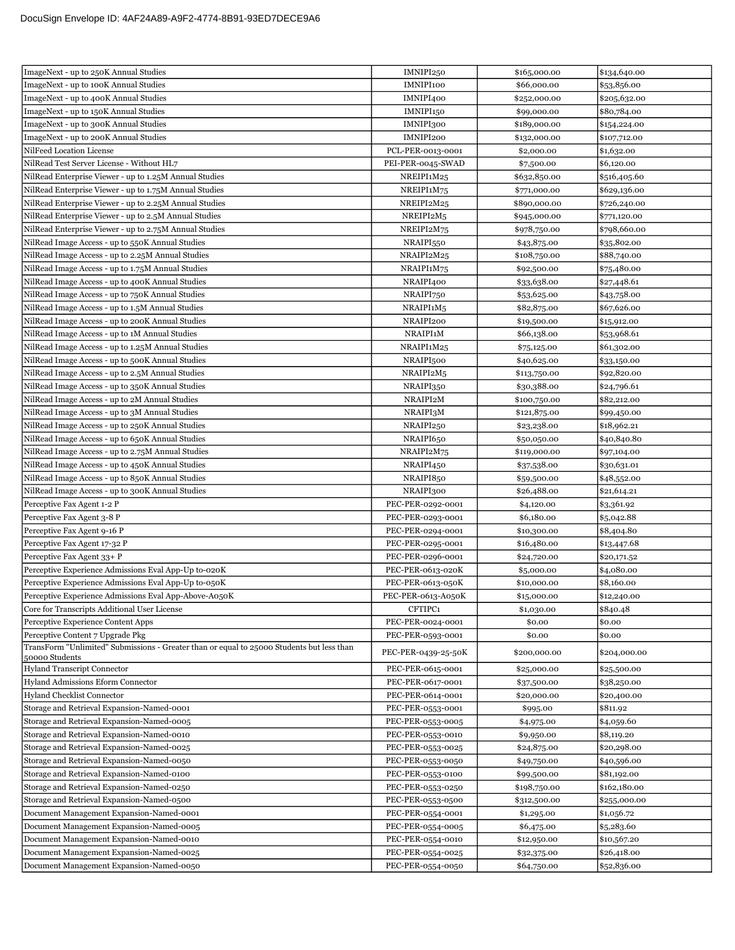| ImageNext - up to 250K Annual Studies                                                                       | IMNIPI250           | \$165,000.00 | \$134,640.00 |
|-------------------------------------------------------------------------------------------------------------|---------------------|--------------|--------------|
| ImageNext - up to 100K Annual Studies                                                                       | IMNIPI100           | \$66,000.00  | \$53,856.00  |
| ImageNext - up to 400K Annual Studies                                                                       | IMNIPI400           | \$252,000.00 | \$205,632.00 |
| ImageNext - up to 150K Annual Studies                                                                       | IMNIPI150           | \$99,000.00  | \$80,784.00  |
| ImageNext - up to 300K Annual Studies                                                                       | IMNIPI300           | \$189,000.00 | \$154,224.00 |
| ImageNext - up to 200K Annual Studies                                                                       | IMNIPI200           | \$132,000.00 | \$107,712.00 |
| NilFeed Location License                                                                                    | PCL-PER-0013-0001   | \$2,000.00   | \$1,632.00   |
| NilRead Test Server License - Without HL7                                                                   | PEI-PER-0045-SWAD   | \$7,500.00   | \$6,120.00   |
| NilRead Enterprise Viewer - up to 1.25M Annual Studies                                                      | NREIPI1M25          | \$632,850.00 | \$516,405.60 |
| NilRead Enterprise Viewer - up to 1.75M Annual Studies                                                      | NREIPI1M75          | \$771,000.00 | \$629,136.00 |
| NilRead Enterprise Viewer - up to 2.25M Annual Studies                                                      | NREIPI2M25          | \$890,000.00 | \$726,240.00 |
| NilRead Enterprise Viewer - up to 2.5M Annual Studies                                                       | NREIPI2M5           | \$945,000.00 | \$771,120.00 |
| NilRead Enterprise Viewer - up to 2.75M Annual Studies                                                      | NREIPI2M75          | \$978,750.00 | \$798,660.00 |
| NilRead Image Access - up to 550K Annual Studies                                                            | NRAIPI550           | \$43,875.00  | \$35,802.00  |
| NilRead Image Access - up to 2.25M Annual Studies                                                           | NRAIPI2M25          | \$108,750.00 | \$88,740.00  |
| NilRead Image Access - up to 1.75M Annual Studies                                                           | NRAIPI1M75          | \$92,500.00  | \$75,480.00  |
| NilRead Image Access - up to 400K Annual Studies                                                            | NRAIPI400           | \$33,638.00  | \$27,448.61  |
| NilRead Image Access - up to 750K Annual Studies                                                            | NRAIPI750           | \$53,625.00  | \$43,758.00  |
| NilRead Image Access - up to 1.5M Annual Studies                                                            | NRAIPI1M5           | \$82,875.00  | \$67,626.00  |
| NilRead Image Access - up to 200K Annual Studies                                                            | NRAIPI200           | \$19,500.00  | \$15,912.00  |
| NilRead Image Access - up to 1M Annual Studies                                                              | NRAIPI1M            | \$66,138.00  | \$53,968.61  |
| NilRead Image Access - up to 1.25M Annual Studies                                                           | NRAIPI1M25          | \$75,125.00  | \$61,302.00  |
| NilRead Image Access - up to 500K Annual Studies                                                            | NRAIPI500           | \$40,625.00  | \$33,150.00  |
| NilRead Image Access - up to 2.5M Annual Studies                                                            | NRAIPI2M5           | \$113,750.00 | \$92,820.00  |
| NilRead Image Access - up to 350K Annual Studies                                                            | NRAIPI350           | \$30,388.00  | \$24,796.61  |
| NilRead Image Access - up to 2M Annual Studies                                                              | NRAIPI2M            | \$100,750.00 | \$82,212.00  |
| NilRead Image Access - up to 3M Annual Studies                                                              | NRAIPI3M            | \$121,875.00 | \$99,450.00  |
| NilRead Image Access - up to 250K Annual Studies                                                            | NRAIPI250           | \$23,238.00  | \$18,962.21  |
| NilRead Image Access - up to 650K Annual Studies                                                            | NRAIPI650           | \$50,050.00  | \$40,840.80  |
| NilRead Image Access - up to 2.75M Annual Studies                                                           | NRAIPI2M75          | \$119,000.00 | \$97,104.00  |
| NilRead Image Access - up to 450K Annual Studies                                                            | NRAIPI450           | \$37,538.00  | \$30,631.01  |
| NilRead Image Access - up to 850K Annual Studies                                                            | NRAIPI850           | \$59,500.00  | \$48,552.00  |
| NilRead Image Access - up to 300K Annual Studies                                                            | NRAIPI300           | \$26,488.00  | \$21,614.21  |
| Perceptive Fax Agent 1-2 P                                                                                  | PEC-PER-0292-0001   | \$4,120.00   | \$3,361.92   |
| Perceptive Fax Agent 3-8 P                                                                                  | PEC-PER-0293-0001   | \$6,180.00   | \$5,042.88   |
| Perceptive Fax Agent 9-16 P                                                                                 | PEC-PER-0294-0001   | \$10,300.00  | \$8,404.80   |
| Perceptive Fax Agent 17-32 P                                                                                | PEC-PER-0295-0001   | \$16,480.00  | \$13,447.68  |
| Perceptive Fax Agent 33+ P                                                                                  | PEC-PER-0296-0001   | \$24,720.00  | \$20,171.52  |
| Perceptive Experience Admissions Eval App-Up to-020K                                                        | PEC-PER-0613-020K   | \$5,000.00   | \$4,080.00   |
| Perceptive Experience Admissions Eval App-Up to-050K                                                        | PEC-PER-0613-050K   | \$10,000.00  | \$8,160.00   |
| Perceptive Experience Admissions Eval App-Above-A050K                                                       | PEC-PER-0613-A050K  | \$15,000.00  | \$12,240.00  |
| Core for Transcripts Additional User License                                                                | CFTIPC1             | \$1,030.00   | \$840.48     |
| Perceptive Experience Content Apps                                                                          | PEC-PER-0024-0001   | \$0.00       | \$0.00       |
| Perceptive Content 7 Upgrade Pkg                                                                            | PEC-PER-0593-0001   | \$0.00       | \$0.00       |
| TransForm "Unlimited" Submissions - Greater than or equal to 25000 Students but less than<br>50000 Students | PEC-PER-0439-25-50K | \$200,000.00 | \$204,000.00 |
| <b>Hyland Transcript Connector</b>                                                                          | PEC-PER-0615-0001   | \$25,000.00  | \$25,500.00  |
| Hyland Admissions Eform Connector                                                                           | PEC-PER-0617-0001   | \$37,500.00  | \$38,250.00  |
| Hyland Checklist Connector                                                                                  | PEC-PER-0614-0001   | \$20,000.00  | \$20,400.00  |
| Storage and Retrieval Expansion-Named-0001                                                                  | PEC-PER-0553-0001   | \$995.00     | \$811.92     |
| Storage and Retrieval Expansion-Named-0005                                                                  | PEC-PER-0553-0005   | \$4,975.00   | \$4,059.60   |
| Storage and Retrieval Expansion-Named-0010                                                                  | PEC-PER-0553-0010   | \$9,950.00   | \$8,119.20   |
| Storage and Retrieval Expansion-Named-0025                                                                  | PEC-PER-0553-0025   | \$24,875.00  | \$20,298.00  |
| Storage and Retrieval Expansion-Named-0050                                                                  | PEC-PER-0553-0050   | \$49,750.00  | \$40,596.00  |
| Storage and Retrieval Expansion-Named-0100                                                                  | PEC-PER-0553-0100   | \$99,500.00  | \$81,192.00  |
| Storage and Retrieval Expansion-Named-0250                                                                  | PEC-PER-0553-0250   | \$198,750.00 | \$162,180.00 |
| Storage and Retrieval Expansion-Named-0500                                                                  | PEC-PER-0553-0500   | \$312,500.00 | \$255,000.00 |
| Document Management Expansion-Named-0001                                                                    | PEC-PER-0554-0001   | \$1,295.00   | \$1,056.72   |
| Document Management Expansion-Named-0005                                                                    | PEC-PER-0554-0005   | \$6,475.00   | \$5,283.60   |
| Document Management Expansion-Named-0010                                                                    | PEC-PER-0554-0010   | \$12,950.00  | \$10,567.20  |
| Document Management Expansion-Named-0025                                                                    | PEC-PER-0554-0025   | \$32,375.00  | \$26,418.00  |
| Document Management Expansion-Named-0050                                                                    | PEC-PER-0554-0050   | \$64,750.00  | \$52,836.00  |
|                                                                                                             |                     |              |              |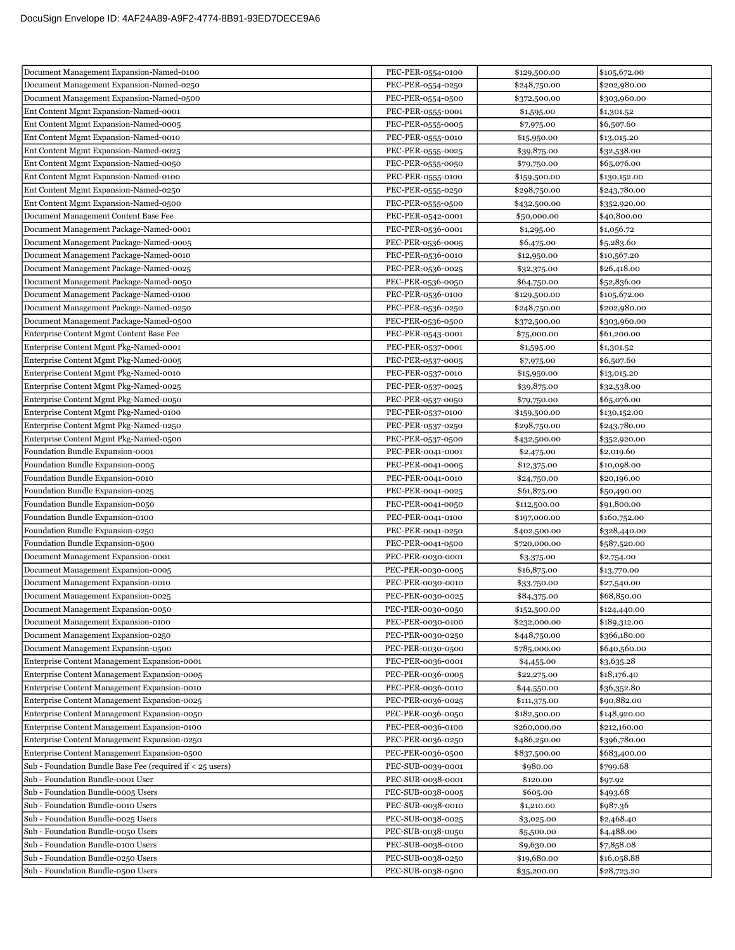| Document Management Expansion-Named-0250<br>PEC-PER-0554-0250<br>\$248,750.00<br>\$202,980.00<br>Document Management Expansion-Named-0500<br>PEC-PER-0554-0500<br>\$303,960.00<br>\$372,500.00<br>Ent Content Mgmt Expansion-Named-0001<br>PEC-PER-0555-0001<br>\$1,301.52<br>\$1,595.00<br>Ent Content Mgmt Expansion-Named-0005<br>\$6,507.60<br>PEC-PER-0555-0005<br>\$7,975.00<br>Ent Content Mgmt Expansion-Named-0010<br>PEC-PER-0555-0010<br>\$15,950.00<br>\$13,015.20<br>Ent Content Mgmt Expansion-Named-0025<br>PEC-PER-0555-0025<br>\$39,875.00<br>\$32,538.00<br>Ent Content Mgmt Expansion-Named-0050<br>PEC-PER-0555-0050<br>\$79,750.00<br>\$65,076.00<br>Ent Content Mgmt Expansion-Named-0100<br>PEC-PER-0555-0100<br>\$159,500.00<br>\$130,152.00<br>Ent Content Mgmt Expansion-Named-0250<br>PEC-PER-0555-0250<br>\$298,750.00<br>\$243,780.00<br>Ent Content Mgmt Expansion-Named-0500<br>PEC-PER-0555-0500<br>\$432,500.00<br>\$352,920.00<br>Document Management Content Base Fee<br>PEC-PER-0542-0001<br>\$40,800.00<br>\$50,000.00<br>Document Management Package-Named-0001<br>PEC-PER-0536-0001<br>\$1,295.00<br>\$1,056.72<br>Document Management Package-Named-0005<br>PEC-PER-0536-0005<br>\$6,475.00<br>\$5,283.60<br>Document Management Package-Named-0010<br>PEC-PER-0536-0010<br>\$10,567.20<br>\$12,950.00<br>Document Management Package-Named-0025<br>PEC-PER-0536-0025<br>\$26,418.00<br>\$32,375.00<br>Document Management Package-Named-0050<br>PEC-PER-0536-0050<br>\$52,836.00<br>\$64,750.00<br>Document Management Package-Named-0100<br>PEC-PER-0536-0100<br>\$129,500.00<br>\$105,672.00<br>Document Management Package-Named-0250<br>PEC-PER-0536-0250<br>\$248,750.00<br>\$202,980.00<br>Document Management Package-Named-0500<br>PEC-PER-0536-0500<br>\$372,500.00<br>\$303,960.00<br>Enterprise Content Mgmt Content Base Fee<br>\$61,200.00<br>PEC-PER-0543-0001<br>\$75,000.00<br>Enterprise Content Mgmt Pkg-Named-0001<br>PEC-PER-0537-0001<br>\$1,301.52<br>\$1,595.00<br>Enterprise Content Mgmt Pkg-Named-0005<br>PEC-PER-0537-0005<br>\$7,975.00<br>\$6,507.60<br>Enterprise Content Mgmt Pkg-Named-0010<br>PEC-PER-0537-0010<br>\$15,950.00<br>\$13,015.20<br>Enterprise Content Mgmt Pkg-Named-0025<br>PEC-PER-0537-0025<br>\$39,875.00<br>\$32,538.00<br>Enterprise Content Mgmt Pkg-Named-0050<br>PEC-PER-0537-0050<br>\$65,076.00<br>\$79,750.00<br>Enterprise Content Mgmt Pkg-Named-0100<br>PEC-PER-0537-0100<br>\$159,500.00<br>\$130,152.00<br>Enterprise Content Mgmt Pkg-Named-0250<br>\$298,750.00<br>\$243,780.00<br>PEC-PER-0537-0250<br>Enterprise Content Mgmt Pkg-Named-0500<br>PEC-PER-0537-0500<br>\$432,500.00<br>\$352,920.00<br>Foundation Bundle Expansion-0001<br>PEC-PER-0041-0001<br>\$2,019.60<br>\$2,475.00<br>Foundation Bundle Expansion-0005<br>PEC-PER-0041-0005<br>\$10,098.00<br>\$12,375.00<br>Foundation Bundle Expansion-0010<br>\$20,196.00<br>PEC-PER-0041-0010<br>\$24,750.00<br>Foundation Bundle Expansion-0025<br>PEC-PER-0041-0025<br>\$61,875.00<br>\$50,490.00<br>Foundation Bundle Expansion-0050<br>PEC-PER-0041-0050<br>\$91,800.00<br>\$112,500.00<br>Foundation Bundle Expansion-0100<br>PEC-PER-0041-0100<br>\$197,000.00<br>\$160,752.00<br>Foundation Bundle Expansion-0250<br>PEC-PER-0041-0250<br>\$402,500.00<br>\$328,440.00<br>Foundation Bundle Expansion-0500<br>PEC-PER-0041-0500<br>\$587,520.00<br>\$720,000.00<br>Document Management Expansion-0001<br>PEC-PER-0030-0001<br>\$3,375.00<br>\$2,754.00<br>Document Management Expansion-0005<br>PEC-PER-0030-0005<br>\$16,875.00<br>\$13,770.00<br>Document Management Expansion-0010<br>PEC-PER-0030-0010<br>\$33,750.00<br>\$27,540.00<br>PEC-PER-0030-0025<br>\$68,850.00<br>Document Management Expansion-0025<br>\$84,375.00<br>Document Management Expansion-0050<br>PEC-PER-0030-0050<br>\$152,500.00<br>\$124,440.00<br>\$189,312.00<br>Document Management Expansion-0100<br>PEC-PER-0030-0100<br>\$232,000.00<br>Document Management Expansion-0250<br>\$366,180.00<br>PEC-PER-0030-0250<br>\$448,750.00<br>Document Management Expansion-0500<br>PEC-PER-0030-0500<br>\$785,000.00<br>\$640,560.00<br>Enterprise Content Management Expansion-0001<br>PEC-PER-0036-0001<br>\$3,635.28<br>\$4,455.00<br>Enterprise Content Management Expansion-0005<br>PEC-PER-0036-0005<br>\$22,275.00<br>\$18,176.40<br>Enterprise Content Management Expansion-0010<br>PEC-PER-0036-0010<br>\$36,352.80<br>\$44,550.00<br>Enterprise Content Management Expansion-0025<br>PEC-PER-0036-0025<br>\$90,882.00<br>\$111,375.00<br>Enterprise Content Management Expansion-0050<br>PEC-PER-0036-0050<br>\$182,500.00<br>\$148,920.00<br>Enterprise Content Management Expansion-0100<br>PEC-PER-0036-0100<br>\$260,000.00<br>\$212,160.00<br>Enterprise Content Management Expansion-0250<br>PEC-PER-0036-0250<br>\$486,250.00<br>\$396,780.00<br>Enterprise Content Management Expansion-0500<br>PEC-PER-0036-0500<br>\$837,500.00<br>\$683,400.00<br>Sub - Foundation Bundle Base Fee (required if < 25 users)<br>\$799.68<br>PEC-SUB-0039-0001<br>\$980.00<br>Sub - Foundation Bundle-0001 User<br>\$97.92<br>PEC-SUB-0038-0001<br>\$120.00<br>Sub - Foundation Bundle-0005 Users<br>PEC-SUB-0038-0005<br>\$605.00<br>\$493.68<br>Sub - Foundation Bundle-0010 Users<br>PEC-SUB-0038-0010<br>\$1,210.00<br>\$987.36<br>Sub - Foundation Bundle-0025 Users<br>PEC-SUB-0038-0025<br>\$2,468.40<br>\$3,025.00<br>Sub - Foundation Bundle-0050 Users<br>PEC-SUB-0038-0050<br>\$4,488.00<br>\$5,500.00<br>Sub - Foundation Bundle-0100 Users<br>PEC-SUB-0038-0100<br>\$7,858.08<br>\$9,630.00<br>Sub - Foundation Bundle-0250 Users<br>PEC-SUB-0038-0250<br>\$16,058.88<br>\$19,680.00<br>Sub - Foundation Bundle-0500 Users<br>PEC-SUB-0038-0500<br>\$35,200.00<br>\$28,723.20 | Document Management Expansion-Named-0100 | PEC-PER-0554-0100 | \$129,500.00 | \$105,672.00 |
|----------------------------------------------------------------------------------------------------------------------------------------------------------------------------------------------------------------------------------------------------------------------------------------------------------------------------------------------------------------------------------------------------------------------------------------------------------------------------------------------------------------------------------------------------------------------------------------------------------------------------------------------------------------------------------------------------------------------------------------------------------------------------------------------------------------------------------------------------------------------------------------------------------------------------------------------------------------------------------------------------------------------------------------------------------------------------------------------------------------------------------------------------------------------------------------------------------------------------------------------------------------------------------------------------------------------------------------------------------------------------------------------------------------------------------------------------------------------------------------------------------------------------------------------------------------------------------------------------------------------------------------------------------------------------------------------------------------------------------------------------------------------------------------------------------------------------------------------------------------------------------------------------------------------------------------------------------------------------------------------------------------------------------------------------------------------------------------------------------------------------------------------------------------------------------------------------------------------------------------------------------------------------------------------------------------------------------------------------------------------------------------------------------------------------------------------------------------------------------------------------------------------------------------------------------------------------------------------------------------------------------------------------------------------------------------------------------------------------------------------------------------------------------------------------------------------------------------------------------------------------------------------------------------------------------------------------------------------------------------------------------------------------------------------------------------------------------------------------------------------------------------------------------------------------------------------------------------------------------------------------------------------------------------------------------------------------------------------------------------------------------------------------------------------------------------------------------------------------------------------------------------------------------------------------------------------------------------------------------------------------------------------------------------------------------------------------------------------------------------------------------------------------------------------------------------------------------------------------------------------------------------------------------------------------------------------------------------------------------------------------------------------------------------------------------------------------------------------------------------------------------------------------------------------------------------------------------------------------------------------------------------------------------------------------------------------------------------------------------------------------------------------------------------------------------------------------------------------------------------------------------------------------------------------------------------------------------------------------------------------------------------------------------------------------------------------------------------------------------------------------------------------------------------------------------------------------------------------------------------------------------------------------------------------------------------------------------------------------------------------------------------------------------------------------------------------------------------------------------------------------------------------------------------------------------------------------------------------------------------------------------------------------------------------------------------------------------------------------------------------------------------------------------------------------------------------------------------------------------------------------------------------------------------------------------------------------------------------------------------------------------------------------------------------------------------------------------------------------------------------------------------------------------------------------------------------------------------------------|------------------------------------------|-------------------|--------------|--------------|
|                                                                                                                                                                                                                                                                                                                                                                                                                                                                                                                                                                                                                                                                                                                                                                                                                                                                                                                                                                                                                                                                                                                                                                                                                                                                                                                                                                                                                                                                                                                                                                                                                                                                                                                                                                                                                                                                                                                                                                                                                                                                                                                                                                                                                                                                                                                                                                                                                                                                                                                                                                                                                                                                                                                                                                                                                                                                                                                                                                                                                                                                                                                                                                                                                                                                                                                                                                                                                                                                                                                                                                                                                                                                                                                                                                                                                                                                                                                                                                                                                                                                                                                                                                                                                                                                                                                                                                                                                                                                                                                                                                                                                                                                                                                                                                                                                                                                                                                                                                                                                                                                                                                                                                                                                                                                                                                                                                                                                                                                                                                                                                                                                                                                                                                                                                                                                                                    |                                          |                   |              |              |
|                                                                                                                                                                                                                                                                                                                                                                                                                                                                                                                                                                                                                                                                                                                                                                                                                                                                                                                                                                                                                                                                                                                                                                                                                                                                                                                                                                                                                                                                                                                                                                                                                                                                                                                                                                                                                                                                                                                                                                                                                                                                                                                                                                                                                                                                                                                                                                                                                                                                                                                                                                                                                                                                                                                                                                                                                                                                                                                                                                                                                                                                                                                                                                                                                                                                                                                                                                                                                                                                                                                                                                                                                                                                                                                                                                                                                                                                                                                                                                                                                                                                                                                                                                                                                                                                                                                                                                                                                                                                                                                                                                                                                                                                                                                                                                                                                                                                                                                                                                                                                                                                                                                                                                                                                                                                                                                                                                                                                                                                                                                                                                                                                                                                                                                                                                                                                                                    |                                          |                   |              |              |
|                                                                                                                                                                                                                                                                                                                                                                                                                                                                                                                                                                                                                                                                                                                                                                                                                                                                                                                                                                                                                                                                                                                                                                                                                                                                                                                                                                                                                                                                                                                                                                                                                                                                                                                                                                                                                                                                                                                                                                                                                                                                                                                                                                                                                                                                                                                                                                                                                                                                                                                                                                                                                                                                                                                                                                                                                                                                                                                                                                                                                                                                                                                                                                                                                                                                                                                                                                                                                                                                                                                                                                                                                                                                                                                                                                                                                                                                                                                                                                                                                                                                                                                                                                                                                                                                                                                                                                                                                                                                                                                                                                                                                                                                                                                                                                                                                                                                                                                                                                                                                                                                                                                                                                                                                                                                                                                                                                                                                                                                                                                                                                                                                                                                                                                                                                                                                                                    |                                          |                   |              |              |
|                                                                                                                                                                                                                                                                                                                                                                                                                                                                                                                                                                                                                                                                                                                                                                                                                                                                                                                                                                                                                                                                                                                                                                                                                                                                                                                                                                                                                                                                                                                                                                                                                                                                                                                                                                                                                                                                                                                                                                                                                                                                                                                                                                                                                                                                                                                                                                                                                                                                                                                                                                                                                                                                                                                                                                                                                                                                                                                                                                                                                                                                                                                                                                                                                                                                                                                                                                                                                                                                                                                                                                                                                                                                                                                                                                                                                                                                                                                                                                                                                                                                                                                                                                                                                                                                                                                                                                                                                                                                                                                                                                                                                                                                                                                                                                                                                                                                                                                                                                                                                                                                                                                                                                                                                                                                                                                                                                                                                                                                                                                                                                                                                                                                                                                                                                                                                                                    |                                          |                   |              |              |
|                                                                                                                                                                                                                                                                                                                                                                                                                                                                                                                                                                                                                                                                                                                                                                                                                                                                                                                                                                                                                                                                                                                                                                                                                                                                                                                                                                                                                                                                                                                                                                                                                                                                                                                                                                                                                                                                                                                                                                                                                                                                                                                                                                                                                                                                                                                                                                                                                                                                                                                                                                                                                                                                                                                                                                                                                                                                                                                                                                                                                                                                                                                                                                                                                                                                                                                                                                                                                                                                                                                                                                                                                                                                                                                                                                                                                                                                                                                                                                                                                                                                                                                                                                                                                                                                                                                                                                                                                                                                                                                                                                                                                                                                                                                                                                                                                                                                                                                                                                                                                                                                                                                                                                                                                                                                                                                                                                                                                                                                                                                                                                                                                                                                                                                                                                                                                                                    |                                          |                   |              |              |
|                                                                                                                                                                                                                                                                                                                                                                                                                                                                                                                                                                                                                                                                                                                                                                                                                                                                                                                                                                                                                                                                                                                                                                                                                                                                                                                                                                                                                                                                                                                                                                                                                                                                                                                                                                                                                                                                                                                                                                                                                                                                                                                                                                                                                                                                                                                                                                                                                                                                                                                                                                                                                                                                                                                                                                                                                                                                                                                                                                                                                                                                                                                                                                                                                                                                                                                                                                                                                                                                                                                                                                                                                                                                                                                                                                                                                                                                                                                                                                                                                                                                                                                                                                                                                                                                                                                                                                                                                                                                                                                                                                                                                                                                                                                                                                                                                                                                                                                                                                                                                                                                                                                                                                                                                                                                                                                                                                                                                                                                                                                                                                                                                                                                                                                                                                                                                                                    |                                          |                   |              |              |
|                                                                                                                                                                                                                                                                                                                                                                                                                                                                                                                                                                                                                                                                                                                                                                                                                                                                                                                                                                                                                                                                                                                                                                                                                                                                                                                                                                                                                                                                                                                                                                                                                                                                                                                                                                                                                                                                                                                                                                                                                                                                                                                                                                                                                                                                                                                                                                                                                                                                                                                                                                                                                                                                                                                                                                                                                                                                                                                                                                                                                                                                                                                                                                                                                                                                                                                                                                                                                                                                                                                                                                                                                                                                                                                                                                                                                                                                                                                                                                                                                                                                                                                                                                                                                                                                                                                                                                                                                                                                                                                                                                                                                                                                                                                                                                                                                                                                                                                                                                                                                                                                                                                                                                                                                                                                                                                                                                                                                                                                                                                                                                                                                                                                                                                                                                                                                                                    |                                          |                   |              |              |
|                                                                                                                                                                                                                                                                                                                                                                                                                                                                                                                                                                                                                                                                                                                                                                                                                                                                                                                                                                                                                                                                                                                                                                                                                                                                                                                                                                                                                                                                                                                                                                                                                                                                                                                                                                                                                                                                                                                                                                                                                                                                                                                                                                                                                                                                                                                                                                                                                                                                                                                                                                                                                                                                                                                                                                                                                                                                                                                                                                                                                                                                                                                                                                                                                                                                                                                                                                                                                                                                                                                                                                                                                                                                                                                                                                                                                                                                                                                                                                                                                                                                                                                                                                                                                                                                                                                                                                                                                                                                                                                                                                                                                                                                                                                                                                                                                                                                                                                                                                                                                                                                                                                                                                                                                                                                                                                                                                                                                                                                                                                                                                                                                                                                                                                                                                                                                                                    |                                          |                   |              |              |
|                                                                                                                                                                                                                                                                                                                                                                                                                                                                                                                                                                                                                                                                                                                                                                                                                                                                                                                                                                                                                                                                                                                                                                                                                                                                                                                                                                                                                                                                                                                                                                                                                                                                                                                                                                                                                                                                                                                                                                                                                                                                                                                                                                                                                                                                                                                                                                                                                                                                                                                                                                                                                                                                                                                                                                                                                                                                                                                                                                                                                                                                                                                                                                                                                                                                                                                                                                                                                                                                                                                                                                                                                                                                                                                                                                                                                                                                                                                                                                                                                                                                                                                                                                                                                                                                                                                                                                                                                                                                                                                                                                                                                                                                                                                                                                                                                                                                                                                                                                                                                                                                                                                                                                                                                                                                                                                                                                                                                                                                                                                                                                                                                                                                                                                                                                                                                                                    |                                          |                   |              |              |
|                                                                                                                                                                                                                                                                                                                                                                                                                                                                                                                                                                                                                                                                                                                                                                                                                                                                                                                                                                                                                                                                                                                                                                                                                                                                                                                                                                                                                                                                                                                                                                                                                                                                                                                                                                                                                                                                                                                                                                                                                                                                                                                                                                                                                                                                                                                                                                                                                                                                                                                                                                                                                                                                                                                                                                                                                                                                                                                                                                                                                                                                                                                                                                                                                                                                                                                                                                                                                                                                                                                                                                                                                                                                                                                                                                                                                                                                                                                                                                                                                                                                                                                                                                                                                                                                                                                                                                                                                                                                                                                                                                                                                                                                                                                                                                                                                                                                                                                                                                                                                                                                                                                                                                                                                                                                                                                                                                                                                                                                                                                                                                                                                                                                                                                                                                                                                                                    |                                          |                   |              |              |
|                                                                                                                                                                                                                                                                                                                                                                                                                                                                                                                                                                                                                                                                                                                                                                                                                                                                                                                                                                                                                                                                                                                                                                                                                                                                                                                                                                                                                                                                                                                                                                                                                                                                                                                                                                                                                                                                                                                                                                                                                                                                                                                                                                                                                                                                                                                                                                                                                                                                                                                                                                                                                                                                                                                                                                                                                                                                                                                                                                                                                                                                                                                                                                                                                                                                                                                                                                                                                                                                                                                                                                                                                                                                                                                                                                                                                                                                                                                                                                                                                                                                                                                                                                                                                                                                                                                                                                                                                                                                                                                                                                                                                                                                                                                                                                                                                                                                                                                                                                                                                                                                                                                                                                                                                                                                                                                                                                                                                                                                                                                                                                                                                                                                                                                                                                                                                                                    |                                          |                   |              |              |
|                                                                                                                                                                                                                                                                                                                                                                                                                                                                                                                                                                                                                                                                                                                                                                                                                                                                                                                                                                                                                                                                                                                                                                                                                                                                                                                                                                                                                                                                                                                                                                                                                                                                                                                                                                                                                                                                                                                                                                                                                                                                                                                                                                                                                                                                                                                                                                                                                                                                                                                                                                                                                                                                                                                                                                                                                                                                                                                                                                                                                                                                                                                                                                                                                                                                                                                                                                                                                                                                                                                                                                                                                                                                                                                                                                                                                                                                                                                                                                                                                                                                                                                                                                                                                                                                                                                                                                                                                                                                                                                                                                                                                                                                                                                                                                                                                                                                                                                                                                                                                                                                                                                                                                                                                                                                                                                                                                                                                                                                                                                                                                                                                                                                                                                                                                                                                                                    |                                          |                   |              |              |
|                                                                                                                                                                                                                                                                                                                                                                                                                                                                                                                                                                                                                                                                                                                                                                                                                                                                                                                                                                                                                                                                                                                                                                                                                                                                                                                                                                                                                                                                                                                                                                                                                                                                                                                                                                                                                                                                                                                                                                                                                                                                                                                                                                                                                                                                                                                                                                                                                                                                                                                                                                                                                                                                                                                                                                                                                                                                                                                                                                                                                                                                                                                                                                                                                                                                                                                                                                                                                                                                                                                                                                                                                                                                                                                                                                                                                                                                                                                                                                                                                                                                                                                                                                                                                                                                                                                                                                                                                                                                                                                                                                                                                                                                                                                                                                                                                                                                                                                                                                                                                                                                                                                                                                                                                                                                                                                                                                                                                                                                                                                                                                                                                                                                                                                                                                                                                                                    |                                          |                   |              |              |
|                                                                                                                                                                                                                                                                                                                                                                                                                                                                                                                                                                                                                                                                                                                                                                                                                                                                                                                                                                                                                                                                                                                                                                                                                                                                                                                                                                                                                                                                                                                                                                                                                                                                                                                                                                                                                                                                                                                                                                                                                                                                                                                                                                                                                                                                                                                                                                                                                                                                                                                                                                                                                                                                                                                                                                                                                                                                                                                                                                                                                                                                                                                                                                                                                                                                                                                                                                                                                                                                                                                                                                                                                                                                                                                                                                                                                                                                                                                                                                                                                                                                                                                                                                                                                                                                                                                                                                                                                                                                                                                                                                                                                                                                                                                                                                                                                                                                                                                                                                                                                                                                                                                                                                                                                                                                                                                                                                                                                                                                                                                                                                                                                                                                                                                                                                                                                                                    |                                          |                   |              |              |
|                                                                                                                                                                                                                                                                                                                                                                                                                                                                                                                                                                                                                                                                                                                                                                                                                                                                                                                                                                                                                                                                                                                                                                                                                                                                                                                                                                                                                                                                                                                                                                                                                                                                                                                                                                                                                                                                                                                                                                                                                                                                                                                                                                                                                                                                                                                                                                                                                                                                                                                                                                                                                                                                                                                                                                                                                                                                                                                                                                                                                                                                                                                                                                                                                                                                                                                                                                                                                                                                                                                                                                                                                                                                                                                                                                                                                                                                                                                                                                                                                                                                                                                                                                                                                                                                                                                                                                                                                                                                                                                                                                                                                                                                                                                                                                                                                                                                                                                                                                                                                                                                                                                                                                                                                                                                                                                                                                                                                                                                                                                                                                                                                                                                                                                                                                                                                                                    |                                          |                   |              |              |
|                                                                                                                                                                                                                                                                                                                                                                                                                                                                                                                                                                                                                                                                                                                                                                                                                                                                                                                                                                                                                                                                                                                                                                                                                                                                                                                                                                                                                                                                                                                                                                                                                                                                                                                                                                                                                                                                                                                                                                                                                                                                                                                                                                                                                                                                                                                                                                                                                                                                                                                                                                                                                                                                                                                                                                                                                                                                                                                                                                                                                                                                                                                                                                                                                                                                                                                                                                                                                                                                                                                                                                                                                                                                                                                                                                                                                                                                                                                                                                                                                                                                                                                                                                                                                                                                                                                                                                                                                                                                                                                                                                                                                                                                                                                                                                                                                                                                                                                                                                                                                                                                                                                                                                                                                                                                                                                                                                                                                                                                                                                                                                                                                                                                                                                                                                                                                                                    |                                          |                   |              |              |
|                                                                                                                                                                                                                                                                                                                                                                                                                                                                                                                                                                                                                                                                                                                                                                                                                                                                                                                                                                                                                                                                                                                                                                                                                                                                                                                                                                                                                                                                                                                                                                                                                                                                                                                                                                                                                                                                                                                                                                                                                                                                                                                                                                                                                                                                                                                                                                                                                                                                                                                                                                                                                                                                                                                                                                                                                                                                                                                                                                                                                                                                                                                                                                                                                                                                                                                                                                                                                                                                                                                                                                                                                                                                                                                                                                                                                                                                                                                                                                                                                                                                                                                                                                                                                                                                                                                                                                                                                                                                                                                                                                                                                                                                                                                                                                                                                                                                                                                                                                                                                                                                                                                                                                                                                                                                                                                                                                                                                                                                                                                                                                                                                                                                                                                                                                                                                                                    |                                          |                   |              |              |
|                                                                                                                                                                                                                                                                                                                                                                                                                                                                                                                                                                                                                                                                                                                                                                                                                                                                                                                                                                                                                                                                                                                                                                                                                                                                                                                                                                                                                                                                                                                                                                                                                                                                                                                                                                                                                                                                                                                                                                                                                                                                                                                                                                                                                                                                                                                                                                                                                                                                                                                                                                                                                                                                                                                                                                                                                                                                                                                                                                                                                                                                                                                                                                                                                                                                                                                                                                                                                                                                                                                                                                                                                                                                                                                                                                                                                                                                                                                                                                                                                                                                                                                                                                                                                                                                                                                                                                                                                                                                                                                                                                                                                                                                                                                                                                                                                                                                                                                                                                                                                                                                                                                                                                                                                                                                                                                                                                                                                                                                                                                                                                                                                                                                                                                                                                                                                                                    |                                          |                   |              |              |
|                                                                                                                                                                                                                                                                                                                                                                                                                                                                                                                                                                                                                                                                                                                                                                                                                                                                                                                                                                                                                                                                                                                                                                                                                                                                                                                                                                                                                                                                                                                                                                                                                                                                                                                                                                                                                                                                                                                                                                                                                                                                                                                                                                                                                                                                                                                                                                                                                                                                                                                                                                                                                                                                                                                                                                                                                                                                                                                                                                                                                                                                                                                                                                                                                                                                                                                                                                                                                                                                                                                                                                                                                                                                                                                                                                                                                                                                                                                                                                                                                                                                                                                                                                                                                                                                                                                                                                                                                                                                                                                                                                                                                                                                                                                                                                                                                                                                                                                                                                                                                                                                                                                                                                                                                                                                                                                                                                                                                                                                                                                                                                                                                                                                                                                                                                                                                                                    |                                          |                   |              |              |
|                                                                                                                                                                                                                                                                                                                                                                                                                                                                                                                                                                                                                                                                                                                                                                                                                                                                                                                                                                                                                                                                                                                                                                                                                                                                                                                                                                                                                                                                                                                                                                                                                                                                                                                                                                                                                                                                                                                                                                                                                                                                                                                                                                                                                                                                                                                                                                                                                                                                                                                                                                                                                                                                                                                                                                                                                                                                                                                                                                                                                                                                                                                                                                                                                                                                                                                                                                                                                                                                                                                                                                                                                                                                                                                                                                                                                                                                                                                                                                                                                                                                                                                                                                                                                                                                                                                                                                                                                                                                                                                                                                                                                                                                                                                                                                                                                                                                                                                                                                                                                                                                                                                                                                                                                                                                                                                                                                                                                                                                                                                                                                                                                                                                                                                                                                                                                                                    |                                          |                   |              |              |
|                                                                                                                                                                                                                                                                                                                                                                                                                                                                                                                                                                                                                                                                                                                                                                                                                                                                                                                                                                                                                                                                                                                                                                                                                                                                                                                                                                                                                                                                                                                                                                                                                                                                                                                                                                                                                                                                                                                                                                                                                                                                                                                                                                                                                                                                                                                                                                                                                                                                                                                                                                                                                                                                                                                                                                                                                                                                                                                                                                                                                                                                                                                                                                                                                                                                                                                                                                                                                                                                                                                                                                                                                                                                                                                                                                                                                                                                                                                                                                                                                                                                                                                                                                                                                                                                                                                                                                                                                                                                                                                                                                                                                                                                                                                                                                                                                                                                                                                                                                                                                                                                                                                                                                                                                                                                                                                                                                                                                                                                                                                                                                                                                                                                                                                                                                                                                                                    |                                          |                   |              |              |
|                                                                                                                                                                                                                                                                                                                                                                                                                                                                                                                                                                                                                                                                                                                                                                                                                                                                                                                                                                                                                                                                                                                                                                                                                                                                                                                                                                                                                                                                                                                                                                                                                                                                                                                                                                                                                                                                                                                                                                                                                                                                                                                                                                                                                                                                                                                                                                                                                                                                                                                                                                                                                                                                                                                                                                                                                                                                                                                                                                                                                                                                                                                                                                                                                                                                                                                                                                                                                                                                                                                                                                                                                                                                                                                                                                                                                                                                                                                                                                                                                                                                                                                                                                                                                                                                                                                                                                                                                                                                                                                                                                                                                                                                                                                                                                                                                                                                                                                                                                                                                                                                                                                                                                                                                                                                                                                                                                                                                                                                                                                                                                                                                                                                                                                                                                                                                                                    |                                          |                   |              |              |
|                                                                                                                                                                                                                                                                                                                                                                                                                                                                                                                                                                                                                                                                                                                                                                                                                                                                                                                                                                                                                                                                                                                                                                                                                                                                                                                                                                                                                                                                                                                                                                                                                                                                                                                                                                                                                                                                                                                                                                                                                                                                                                                                                                                                                                                                                                                                                                                                                                                                                                                                                                                                                                                                                                                                                                                                                                                                                                                                                                                                                                                                                                                                                                                                                                                                                                                                                                                                                                                                                                                                                                                                                                                                                                                                                                                                                                                                                                                                                                                                                                                                                                                                                                                                                                                                                                                                                                                                                                                                                                                                                                                                                                                                                                                                                                                                                                                                                                                                                                                                                                                                                                                                                                                                                                                                                                                                                                                                                                                                                                                                                                                                                                                                                                                                                                                                                                                    |                                          |                   |              |              |
|                                                                                                                                                                                                                                                                                                                                                                                                                                                                                                                                                                                                                                                                                                                                                                                                                                                                                                                                                                                                                                                                                                                                                                                                                                                                                                                                                                                                                                                                                                                                                                                                                                                                                                                                                                                                                                                                                                                                                                                                                                                                                                                                                                                                                                                                                                                                                                                                                                                                                                                                                                                                                                                                                                                                                                                                                                                                                                                                                                                                                                                                                                                                                                                                                                                                                                                                                                                                                                                                                                                                                                                                                                                                                                                                                                                                                                                                                                                                                                                                                                                                                                                                                                                                                                                                                                                                                                                                                                                                                                                                                                                                                                                                                                                                                                                                                                                                                                                                                                                                                                                                                                                                                                                                                                                                                                                                                                                                                                                                                                                                                                                                                                                                                                                                                                                                                                                    |                                          |                   |              |              |
|                                                                                                                                                                                                                                                                                                                                                                                                                                                                                                                                                                                                                                                                                                                                                                                                                                                                                                                                                                                                                                                                                                                                                                                                                                                                                                                                                                                                                                                                                                                                                                                                                                                                                                                                                                                                                                                                                                                                                                                                                                                                                                                                                                                                                                                                                                                                                                                                                                                                                                                                                                                                                                                                                                                                                                                                                                                                                                                                                                                                                                                                                                                                                                                                                                                                                                                                                                                                                                                                                                                                                                                                                                                                                                                                                                                                                                                                                                                                                                                                                                                                                                                                                                                                                                                                                                                                                                                                                                                                                                                                                                                                                                                                                                                                                                                                                                                                                                                                                                                                                                                                                                                                                                                                                                                                                                                                                                                                                                                                                                                                                                                                                                                                                                                                                                                                                                                    |                                          |                   |              |              |
|                                                                                                                                                                                                                                                                                                                                                                                                                                                                                                                                                                                                                                                                                                                                                                                                                                                                                                                                                                                                                                                                                                                                                                                                                                                                                                                                                                                                                                                                                                                                                                                                                                                                                                                                                                                                                                                                                                                                                                                                                                                                                                                                                                                                                                                                                                                                                                                                                                                                                                                                                                                                                                                                                                                                                                                                                                                                                                                                                                                                                                                                                                                                                                                                                                                                                                                                                                                                                                                                                                                                                                                                                                                                                                                                                                                                                                                                                                                                                                                                                                                                                                                                                                                                                                                                                                                                                                                                                                                                                                                                                                                                                                                                                                                                                                                                                                                                                                                                                                                                                                                                                                                                                                                                                                                                                                                                                                                                                                                                                                                                                                                                                                                                                                                                                                                                                                                    |                                          |                   |              |              |
|                                                                                                                                                                                                                                                                                                                                                                                                                                                                                                                                                                                                                                                                                                                                                                                                                                                                                                                                                                                                                                                                                                                                                                                                                                                                                                                                                                                                                                                                                                                                                                                                                                                                                                                                                                                                                                                                                                                                                                                                                                                                                                                                                                                                                                                                                                                                                                                                                                                                                                                                                                                                                                                                                                                                                                                                                                                                                                                                                                                                                                                                                                                                                                                                                                                                                                                                                                                                                                                                                                                                                                                                                                                                                                                                                                                                                                                                                                                                                                                                                                                                                                                                                                                                                                                                                                                                                                                                                                                                                                                                                                                                                                                                                                                                                                                                                                                                                                                                                                                                                                                                                                                                                                                                                                                                                                                                                                                                                                                                                                                                                                                                                                                                                                                                                                                                                                                    |                                          |                   |              |              |
|                                                                                                                                                                                                                                                                                                                                                                                                                                                                                                                                                                                                                                                                                                                                                                                                                                                                                                                                                                                                                                                                                                                                                                                                                                                                                                                                                                                                                                                                                                                                                                                                                                                                                                                                                                                                                                                                                                                                                                                                                                                                                                                                                                                                                                                                                                                                                                                                                                                                                                                                                                                                                                                                                                                                                                                                                                                                                                                                                                                                                                                                                                                                                                                                                                                                                                                                                                                                                                                                                                                                                                                                                                                                                                                                                                                                                                                                                                                                                                                                                                                                                                                                                                                                                                                                                                                                                                                                                                                                                                                                                                                                                                                                                                                                                                                                                                                                                                                                                                                                                                                                                                                                                                                                                                                                                                                                                                                                                                                                                                                                                                                                                                                                                                                                                                                                                                                    |                                          |                   |              |              |
|                                                                                                                                                                                                                                                                                                                                                                                                                                                                                                                                                                                                                                                                                                                                                                                                                                                                                                                                                                                                                                                                                                                                                                                                                                                                                                                                                                                                                                                                                                                                                                                                                                                                                                                                                                                                                                                                                                                                                                                                                                                                                                                                                                                                                                                                                                                                                                                                                                                                                                                                                                                                                                                                                                                                                                                                                                                                                                                                                                                                                                                                                                                                                                                                                                                                                                                                                                                                                                                                                                                                                                                                                                                                                                                                                                                                                                                                                                                                                                                                                                                                                                                                                                                                                                                                                                                                                                                                                                                                                                                                                                                                                                                                                                                                                                                                                                                                                                                                                                                                                                                                                                                                                                                                                                                                                                                                                                                                                                                                                                                                                                                                                                                                                                                                                                                                                                                    |                                          |                   |              |              |
|                                                                                                                                                                                                                                                                                                                                                                                                                                                                                                                                                                                                                                                                                                                                                                                                                                                                                                                                                                                                                                                                                                                                                                                                                                                                                                                                                                                                                                                                                                                                                                                                                                                                                                                                                                                                                                                                                                                                                                                                                                                                                                                                                                                                                                                                                                                                                                                                                                                                                                                                                                                                                                                                                                                                                                                                                                                                                                                                                                                                                                                                                                                                                                                                                                                                                                                                                                                                                                                                                                                                                                                                                                                                                                                                                                                                                                                                                                                                                                                                                                                                                                                                                                                                                                                                                                                                                                                                                                                                                                                                                                                                                                                                                                                                                                                                                                                                                                                                                                                                                                                                                                                                                                                                                                                                                                                                                                                                                                                                                                                                                                                                                                                                                                                                                                                                                                                    |                                          |                   |              |              |
|                                                                                                                                                                                                                                                                                                                                                                                                                                                                                                                                                                                                                                                                                                                                                                                                                                                                                                                                                                                                                                                                                                                                                                                                                                                                                                                                                                                                                                                                                                                                                                                                                                                                                                                                                                                                                                                                                                                                                                                                                                                                                                                                                                                                                                                                                                                                                                                                                                                                                                                                                                                                                                                                                                                                                                                                                                                                                                                                                                                                                                                                                                                                                                                                                                                                                                                                                                                                                                                                                                                                                                                                                                                                                                                                                                                                                                                                                                                                                                                                                                                                                                                                                                                                                                                                                                                                                                                                                                                                                                                                                                                                                                                                                                                                                                                                                                                                                                                                                                                                                                                                                                                                                                                                                                                                                                                                                                                                                                                                                                                                                                                                                                                                                                                                                                                                                                                    |                                          |                   |              |              |
|                                                                                                                                                                                                                                                                                                                                                                                                                                                                                                                                                                                                                                                                                                                                                                                                                                                                                                                                                                                                                                                                                                                                                                                                                                                                                                                                                                                                                                                                                                                                                                                                                                                                                                                                                                                                                                                                                                                                                                                                                                                                                                                                                                                                                                                                                                                                                                                                                                                                                                                                                                                                                                                                                                                                                                                                                                                                                                                                                                                                                                                                                                                                                                                                                                                                                                                                                                                                                                                                                                                                                                                                                                                                                                                                                                                                                                                                                                                                                                                                                                                                                                                                                                                                                                                                                                                                                                                                                                                                                                                                                                                                                                                                                                                                                                                                                                                                                                                                                                                                                                                                                                                                                                                                                                                                                                                                                                                                                                                                                                                                                                                                                                                                                                                                                                                                                                                    |                                          |                   |              |              |
|                                                                                                                                                                                                                                                                                                                                                                                                                                                                                                                                                                                                                                                                                                                                                                                                                                                                                                                                                                                                                                                                                                                                                                                                                                                                                                                                                                                                                                                                                                                                                                                                                                                                                                                                                                                                                                                                                                                                                                                                                                                                                                                                                                                                                                                                                                                                                                                                                                                                                                                                                                                                                                                                                                                                                                                                                                                                                                                                                                                                                                                                                                                                                                                                                                                                                                                                                                                                                                                                                                                                                                                                                                                                                                                                                                                                                                                                                                                                                                                                                                                                                                                                                                                                                                                                                                                                                                                                                                                                                                                                                                                                                                                                                                                                                                                                                                                                                                                                                                                                                                                                                                                                                                                                                                                                                                                                                                                                                                                                                                                                                                                                                                                                                                                                                                                                                                                    |                                          |                   |              |              |
|                                                                                                                                                                                                                                                                                                                                                                                                                                                                                                                                                                                                                                                                                                                                                                                                                                                                                                                                                                                                                                                                                                                                                                                                                                                                                                                                                                                                                                                                                                                                                                                                                                                                                                                                                                                                                                                                                                                                                                                                                                                                                                                                                                                                                                                                                                                                                                                                                                                                                                                                                                                                                                                                                                                                                                                                                                                                                                                                                                                                                                                                                                                                                                                                                                                                                                                                                                                                                                                                                                                                                                                                                                                                                                                                                                                                                                                                                                                                                                                                                                                                                                                                                                                                                                                                                                                                                                                                                                                                                                                                                                                                                                                                                                                                                                                                                                                                                                                                                                                                                                                                                                                                                                                                                                                                                                                                                                                                                                                                                                                                                                                                                                                                                                                                                                                                                                                    |                                          |                   |              |              |
|                                                                                                                                                                                                                                                                                                                                                                                                                                                                                                                                                                                                                                                                                                                                                                                                                                                                                                                                                                                                                                                                                                                                                                                                                                                                                                                                                                                                                                                                                                                                                                                                                                                                                                                                                                                                                                                                                                                                                                                                                                                                                                                                                                                                                                                                                                                                                                                                                                                                                                                                                                                                                                                                                                                                                                                                                                                                                                                                                                                                                                                                                                                                                                                                                                                                                                                                                                                                                                                                                                                                                                                                                                                                                                                                                                                                                                                                                                                                                                                                                                                                                                                                                                                                                                                                                                                                                                                                                                                                                                                                                                                                                                                                                                                                                                                                                                                                                                                                                                                                                                                                                                                                                                                                                                                                                                                                                                                                                                                                                                                                                                                                                                                                                                                                                                                                                                                    |                                          |                   |              |              |
|                                                                                                                                                                                                                                                                                                                                                                                                                                                                                                                                                                                                                                                                                                                                                                                                                                                                                                                                                                                                                                                                                                                                                                                                                                                                                                                                                                                                                                                                                                                                                                                                                                                                                                                                                                                                                                                                                                                                                                                                                                                                                                                                                                                                                                                                                                                                                                                                                                                                                                                                                                                                                                                                                                                                                                                                                                                                                                                                                                                                                                                                                                                                                                                                                                                                                                                                                                                                                                                                                                                                                                                                                                                                                                                                                                                                                                                                                                                                                                                                                                                                                                                                                                                                                                                                                                                                                                                                                                                                                                                                                                                                                                                                                                                                                                                                                                                                                                                                                                                                                                                                                                                                                                                                                                                                                                                                                                                                                                                                                                                                                                                                                                                                                                                                                                                                                                                    |                                          |                   |              |              |
|                                                                                                                                                                                                                                                                                                                                                                                                                                                                                                                                                                                                                                                                                                                                                                                                                                                                                                                                                                                                                                                                                                                                                                                                                                                                                                                                                                                                                                                                                                                                                                                                                                                                                                                                                                                                                                                                                                                                                                                                                                                                                                                                                                                                                                                                                                                                                                                                                                                                                                                                                                                                                                                                                                                                                                                                                                                                                                                                                                                                                                                                                                                                                                                                                                                                                                                                                                                                                                                                                                                                                                                                                                                                                                                                                                                                                                                                                                                                                                                                                                                                                                                                                                                                                                                                                                                                                                                                                                                                                                                                                                                                                                                                                                                                                                                                                                                                                                                                                                                                                                                                                                                                                                                                                                                                                                                                                                                                                                                                                                                                                                                                                                                                                                                                                                                                                                                    |                                          |                   |              |              |
|                                                                                                                                                                                                                                                                                                                                                                                                                                                                                                                                                                                                                                                                                                                                                                                                                                                                                                                                                                                                                                                                                                                                                                                                                                                                                                                                                                                                                                                                                                                                                                                                                                                                                                                                                                                                                                                                                                                                                                                                                                                                                                                                                                                                                                                                                                                                                                                                                                                                                                                                                                                                                                                                                                                                                                                                                                                                                                                                                                                                                                                                                                                                                                                                                                                                                                                                                                                                                                                                                                                                                                                                                                                                                                                                                                                                                                                                                                                                                                                                                                                                                                                                                                                                                                                                                                                                                                                                                                                                                                                                                                                                                                                                                                                                                                                                                                                                                                                                                                                                                                                                                                                                                                                                                                                                                                                                                                                                                                                                                                                                                                                                                                                                                                                                                                                                                                                    |                                          |                   |              |              |
|                                                                                                                                                                                                                                                                                                                                                                                                                                                                                                                                                                                                                                                                                                                                                                                                                                                                                                                                                                                                                                                                                                                                                                                                                                                                                                                                                                                                                                                                                                                                                                                                                                                                                                                                                                                                                                                                                                                                                                                                                                                                                                                                                                                                                                                                                                                                                                                                                                                                                                                                                                                                                                                                                                                                                                                                                                                                                                                                                                                                                                                                                                                                                                                                                                                                                                                                                                                                                                                                                                                                                                                                                                                                                                                                                                                                                                                                                                                                                                                                                                                                                                                                                                                                                                                                                                                                                                                                                                                                                                                                                                                                                                                                                                                                                                                                                                                                                                                                                                                                                                                                                                                                                                                                                                                                                                                                                                                                                                                                                                                                                                                                                                                                                                                                                                                                                                                    |                                          |                   |              |              |
|                                                                                                                                                                                                                                                                                                                                                                                                                                                                                                                                                                                                                                                                                                                                                                                                                                                                                                                                                                                                                                                                                                                                                                                                                                                                                                                                                                                                                                                                                                                                                                                                                                                                                                                                                                                                                                                                                                                                                                                                                                                                                                                                                                                                                                                                                                                                                                                                                                                                                                                                                                                                                                                                                                                                                                                                                                                                                                                                                                                                                                                                                                                                                                                                                                                                                                                                                                                                                                                                                                                                                                                                                                                                                                                                                                                                                                                                                                                                                                                                                                                                                                                                                                                                                                                                                                                                                                                                                                                                                                                                                                                                                                                                                                                                                                                                                                                                                                                                                                                                                                                                                                                                                                                                                                                                                                                                                                                                                                                                                                                                                                                                                                                                                                                                                                                                                                                    |                                          |                   |              |              |
|                                                                                                                                                                                                                                                                                                                                                                                                                                                                                                                                                                                                                                                                                                                                                                                                                                                                                                                                                                                                                                                                                                                                                                                                                                                                                                                                                                                                                                                                                                                                                                                                                                                                                                                                                                                                                                                                                                                                                                                                                                                                                                                                                                                                                                                                                                                                                                                                                                                                                                                                                                                                                                                                                                                                                                                                                                                                                                                                                                                                                                                                                                                                                                                                                                                                                                                                                                                                                                                                                                                                                                                                                                                                                                                                                                                                                                                                                                                                                                                                                                                                                                                                                                                                                                                                                                                                                                                                                                                                                                                                                                                                                                                                                                                                                                                                                                                                                                                                                                                                                                                                                                                                                                                                                                                                                                                                                                                                                                                                                                                                                                                                                                                                                                                                                                                                                                                    |                                          |                   |              |              |
|                                                                                                                                                                                                                                                                                                                                                                                                                                                                                                                                                                                                                                                                                                                                                                                                                                                                                                                                                                                                                                                                                                                                                                                                                                                                                                                                                                                                                                                                                                                                                                                                                                                                                                                                                                                                                                                                                                                                                                                                                                                                                                                                                                                                                                                                                                                                                                                                                                                                                                                                                                                                                                                                                                                                                                                                                                                                                                                                                                                                                                                                                                                                                                                                                                                                                                                                                                                                                                                                                                                                                                                                                                                                                                                                                                                                                                                                                                                                                                                                                                                                                                                                                                                                                                                                                                                                                                                                                                                                                                                                                                                                                                                                                                                                                                                                                                                                                                                                                                                                                                                                                                                                                                                                                                                                                                                                                                                                                                                                                                                                                                                                                                                                                                                                                                                                                                                    |                                          |                   |              |              |
|                                                                                                                                                                                                                                                                                                                                                                                                                                                                                                                                                                                                                                                                                                                                                                                                                                                                                                                                                                                                                                                                                                                                                                                                                                                                                                                                                                                                                                                                                                                                                                                                                                                                                                                                                                                                                                                                                                                                                                                                                                                                                                                                                                                                                                                                                                                                                                                                                                                                                                                                                                                                                                                                                                                                                                                                                                                                                                                                                                                                                                                                                                                                                                                                                                                                                                                                                                                                                                                                                                                                                                                                                                                                                                                                                                                                                                                                                                                                                                                                                                                                                                                                                                                                                                                                                                                                                                                                                                                                                                                                                                                                                                                                                                                                                                                                                                                                                                                                                                                                                                                                                                                                                                                                                                                                                                                                                                                                                                                                                                                                                                                                                                                                                                                                                                                                                                                    |                                          |                   |              |              |
|                                                                                                                                                                                                                                                                                                                                                                                                                                                                                                                                                                                                                                                                                                                                                                                                                                                                                                                                                                                                                                                                                                                                                                                                                                                                                                                                                                                                                                                                                                                                                                                                                                                                                                                                                                                                                                                                                                                                                                                                                                                                                                                                                                                                                                                                                                                                                                                                                                                                                                                                                                                                                                                                                                                                                                                                                                                                                                                                                                                                                                                                                                                                                                                                                                                                                                                                                                                                                                                                                                                                                                                                                                                                                                                                                                                                                                                                                                                                                                                                                                                                                                                                                                                                                                                                                                                                                                                                                                                                                                                                                                                                                                                                                                                                                                                                                                                                                                                                                                                                                                                                                                                                                                                                                                                                                                                                                                                                                                                                                                                                                                                                                                                                                                                                                                                                                                                    |                                          |                   |              |              |
|                                                                                                                                                                                                                                                                                                                                                                                                                                                                                                                                                                                                                                                                                                                                                                                                                                                                                                                                                                                                                                                                                                                                                                                                                                                                                                                                                                                                                                                                                                                                                                                                                                                                                                                                                                                                                                                                                                                                                                                                                                                                                                                                                                                                                                                                                                                                                                                                                                                                                                                                                                                                                                                                                                                                                                                                                                                                                                                                                                                                                                                                                                                                                                                                                                                                                                                                                                                                                                                                                                                                                                                                                                                                                                                                                                                                                                                                                                                                                                                                                                                                                                                                                                                                                                                                                                                                                                                                                                                                                                                                                                                                                                                                                                                                                                                                                                                                                                                                                                                                                                                                                                                                                                                                                                                                                                                                                                                                                                                                                                                                                                                                                                                                                                                                                                                                                                                    |                                          |                   |              |              |
|                                                                                                                                                                                                                                                                                                                                                                                                                                                                                                                                                                                                                                                                                                                                                                                                                                                                                                                                                                                                                                                                                                                                                                                                                                                                                                                                                                                                                                                                                                                                                                                                                                                                                                                                                                                                                                                                                                                                                                                                                                                                                                                                                                                                                                                                                                                                                                                                                                                                                                                                                                                                                                                                                                                                                                                                                                                                                                                                                                                                                                                                                                                                                                                                                                                                                                                                                                                                                                                                                                                                                                                                                                                                                                                                                                                                                                                                                                                                                                                                                                                                                                                                                                                                                                                                                                                                                                                                                                                                                                                                                                                                                                                                                                                                                                                                                                                                                                                                                                                                                                                                                                                                                                                                                                                                                                                                                                                                                                                                                                                                                                                                                                                                                                                                                                                                                                                    |                                          |                   |              |              |
|                                                                                                                                                                                                                                                                                                                                                                                                                                                                                                                                                                                                                                                                                                                                                                                                                                                                                                                                                                                                                                                                                                                                                                                                                                                                                                                                                                                                                                                                                                                                                                                                                                                                                                                                                                                                                                                                                                                                                                                                                                                                                                                                                                                                                                                                                                                                                                                                                                                                                                                                                                                                                                                                                                                                                                                                                                                                                                                                                                                                                                                                                                                                                                                                                                                                                                                                                                                                                                                                                                                                                                                                                                                                                                                                                                                                                                                                                                                                                                                                                                                                                                                                                                                                                                                                                                                                                                                                                                                                                                                                                                                                                                                                                                                                                                                                                                                                                                                                                                                                                                                                                                                                                                                                                                                                                                                                                                                                                                                                                                                                                                                                                                                                                                                                                                                                                                                    |                                          |                   |              |              |
|                                                                                                                                                                                                                                                                                                                                                                                                                                                                                                                                                                                                                                                                                                                                                                                                                                                                                                                                                                                                                                                                                                                                                                                                                                                                                                                                                                                                                                                                                                                                                                                                                                                                                                                                                                                                                                                                                                                                                                                                                                                                                                                                                                                                                                                                                                                                                                                                                                                                                                                                                                                                                                                                                                                                                                                                                                                                                                                                                                                                                                                                                                                                                                                                                                                                                                                                                                                                                                                                                                                                                                                                                                                                                                                                                                                                                                                                                                                                                                                                                                                                                                                                                                                                                                                                                                                                                                                                                                                                                                                                                                                                                                                                                                                                                                                                                                                                                                                                                                                                                                                                                                                                                                                                                                                                                                                                                                                                                                                                                                                                                                                                                                                                                                                                                                                                                                                    |                                          |                   |              |              |
|                                                                                                                                                                                                                                                                                                                                                                                                                                                                                                                                                                                                                                                                                                                                                                                                                                                                                                                                                                                                                                                                                                                                                                                                                                                                                                                                                                                                                                                                                                                                                                                                                                                                                                                                                                                                                                                                                                                                                                                                                                                                                                                                                                                                                                                                                                                                                                                                                                                                                                                                                                                                                                                                                                                                                                                                                                                                                                                                                                                                                                                                                                                                                                                                                                                                                                                                                                                                                                                                                                                                                                                                                                                                                                                                                                                                                                                                                                                                                                                                                                                                                                                                                                                                                                                                                                                                                                                                                                                                                                                                                                                                                                                                                                                                                                                                                                                                                                                                                                                                                                                                                                                                                                                                                                                                                                                                                                                                                                                                                                                                                                                                                                                                                                                                                                                                                                                    |                                          |                   |              |              |
|                                                                                                                                                                                                                                                                                                                                                                                                                                                                                                                                                                                                                                                                                                                                                                                                                                                                                                                                                                                                                                                                                                                                                                                                                                                                                                                                                                                                                                                                                                                                                                                                                                                                                                                                                                                                                                                                                                                                                                                                                                                                                                                                                                                                                                                                                                                                                                                                                                                                                                                                                                                                                                                                                                                                                                                                                                                                                                                                                                                                                                                                                                                                                                                                                                                                                                                                                                                                                                                                                                                                                                                                                                                                                                                                                                                                                                                                                                                                                                                                                                                                                                                                                                                                                                                                                                                                                                                                                                                                                                                                                                                                                                                                                                                                                                                                                                                                                                                                                                                                                                                                                                                                                                                                                                                                                                                                                                                                                                                                                                                                                                                                                                                                                                                                                                                                                                                    |                                          |                   |              |              |
|                                                                                                                                                                                                                                                                                                                                                                                                                                                                                                                                                                                                                                                                                                                                                                                                                                                                                                                                                                                                                                                                                                                                                                                                                                                                                                                                                                                                                                                                                                                                                                                                                                                                                                                                                                                                                                                                                                                                                                                                                                                                                                                                                                                                                                                                                                                                                                                                                                                                                                                                                                                                                                                                                                                                                                                                                                                                                                                                                                                                                                                                                                                                                                                                                                                                                                                                                                                                                                                                                                                                                                                                                                                                                                                                                                                                                                                                                                                                                                                                                                                                                                                                                                                                                                                                                                                                                                                                                                                                                                                                                                                                                                                                                                                                                                                                                                                                                                                                                                                                                                                                                                                                                                                                                                                                                                                                                                                                                                                                                                                                                                                                                                                                                                                                                                                                                                                    |                                          |                   |              |              |
|                                                                                                                                                                                                                                                                                                                                                                                                                                                                                                                                                                                                                                                                                                                                                                                                                                                                                                                                                                                                                                                                                                                                                                                                                                                                                                                                                                                                                                                                                                                                                                                                                                                                                                                                                                                                                                                                                                                                                                                                                                                                                                                                                                                                                                                                                                                                                                                                                                                                                                                                                                                                                                                                                                                                                                                                                                                                                                                                                                                                                                                                                                                                                                                                                                                                                                                                                                                                                                                                                                                                                                                                                                                                                                                                                                                                                                                                                                                                                                                                                                                                                                                                                                                                                                                                                                                                                                                                                                                                                                                                                                                                                                                                                                                                                                                                                                                                                                                                                                                                                                                                                                                                                                                                                                                                                                                                                                                                                                                                                                                                                                                                                                                                                                                                                                                                                                                    |                                          |                   |              |              |
|                                                                                                                                                                                                                                                                                                                                                                                                                                                                                                                                                                                                                                                                                                                                                                                                                                                                                                                                                                                                                                                                                                                                                                                                                                                                                                                                                                                                                                                                                                                                                                                                                                                                                                                                                                                                                                                                                                                                                                                                                                                                                                                                                                                                                                                                                                                                                                                                                                                                                                                                                                                                                                                                                                                                                                                                                                                                                                                                                                                                                                                                                                                                                                                                                                                                                                                                                                                                                                                                                                                                                                                                                                                                                                                                                                                                                                                                                                                                                                                                                                                                                                                                                                                                                                                                                                                                                                                                                                                                                                                                                                                                                                                                                                                                                                                                                                                                                                                                                                                                                                                                                                                                                                                                                                                                                                                                                                                                                                                                                                                                                                                                                                                                                                                                                                                                                                                    |                                          |                   |              |              |
|                                                                                                                                                                                                                                                                                                                                                                                                                                                                                                                                                                                                                                                                                                                                                                                                                                                                                                                                                                                                                                                                                                                                                                                                                                                                                                                                                                                                                                                                                                                                                                                                                                                                                                                                                                                                                                                                                                                                                                                                                                                                                                                                                                                                                                                                                                                                                                                                                                                                                                                                                                                                                                                                                                                                                                                                                                                                                                                                                                                                                                                                                                                                                                                                                                                                                                                                                                                                                                                                                                                                                                                                                                                                                                                                                                                                                                                                                                                                                                                                                                                                                                                                                                                                                                                                                                                                                                                                                                                                                                                                                                                                                                                                                                                                                                                                                                                                                                                                                                                                                                                                                                                                                                                                                                                                                                                                                                                                                                                                                                                                                                                                                                                                                                                                                                                                                                                    |                                          |                   |              |              |
|                                                                                                                                                                                                                                                                                                                                                                                                                                                                                                                                                                                                                                                                                                                                                                                                                                                                                                                                                                                                                                                                                                                                                                                                                                                                                                                                                                                                                                                                                                                                                                                                                                                                                                                                                                                                                                                                                                                                                                                                                                                                                                                                                                                                                                                                                                                                                                                                                                                                                                                                                                                                                                                                                                                                                                                                                                                                                                                                                                                                                                                                                                                                                                                                                                                                                                                                                                                                                                                                                                                                                                                                                                                                                                                                                                                                                                                                                                                                                                                                                                                                                                                                                                                                                                                                                                                                                                                                                                                                                                                                                                                                                                                                                                                                                                                                                                                                                                                                                                                                                                                                                                                                                                                                                                                                                                                                                                                                                                                                                                                                                                                                                                                                                                                                                                                                                                                    |                                          |                   |              |              |
|                                                                                                                                                                                                                                                                                                                                                                                                                                                                                                                                                                                                                                                                                                                                                                                                                                                                                                                                                                                                                                                                                                                                                                                                                                                                                                                                                                                                                                                                                                                                                                                                                                                                                                                                                                                                                                                                                                                                                                                                                                                                                                                                                                                                                                                                                                                                                                                                                                                                                                                                                                                                                                                                                                                                                                                                                                                                                                                                                                                                                                                                                                                                                                                                                                                                                                                                                                                                                                                                                                                                                                                                                                                                                                                                                                                                                                                                                                                                                                                                                                                                                                                                                                                                                                                                                                                                                                                                                                                                                                                                                                                                                                                                                                                                                                                                                                                                                                                                                                                                                                                                                                                                                                                                                                                                                                                                                                                                                                                                                                                                                                                                                                                                                                                                                                                                                                                    |                                          |                   |              |              |
|                                                                                                                                                                                                                                                                                                                                                                                                                                                                                                                                                                                                                                                                                                                                                                                                                                                                                                                                                                                                                                                                                                                                                                                                                                                                                                                                                                                                                                                                                                                                                                                                                                                                                                                                                                                                                                                                                                                                                                                                                                                                                                                                                                                                                                                                                                                                                                                                                                                                                                                                                                                                                                                                                                                                                                                                                                                                                                                                                                                                                                                                                                                                                                                                                                                                                                                                                                                                                                                                                                                                                                                                                                                                                                                                                                                                                                                                                                                                                                                                                                                                                                                                                                                                                                                                                                                                                                                                                                                                                                                                                                                                                                                                                                                                                                                                                                                                                                                                                                                                                                                                                                                                                                                                                                                                                                                                                                                                                                                                                                                                                                                                                                                                                                                                                                                                                                                    |                                          |                   |              |              |
|                                                                                                                                                                                                                                                                                                                                                                                                                                                                                                                                                                                                                                                                                                                                                                                                                                                                                                                                                                                                                                                                                                                                                                                                                                                                                                                                                                                                                                                                                                                                                                                                                                                                                                                                                                                                                                                                                                                                                                                                                                                                                                                                                                                                                                                                                                                                                                                                                                                                                                                                                                                                                                                                                                                                                                                                                                                                                                                                                                                                                                                                                                                                                                                                                                                                                                                                                                                                                                                                                                                                                                                                                                                                                                                                                                                                                                                                                                                                                                                                                                                                                                                                                                                                                                                                                                                                                                                                                                                                                                                                                                                                                                                                                                                                                                                                                                                                                                                                                                                                                                                                                                                                                                                                                                                                                                                                                                                                                                                                                                                                                                                                                                                                                                                                                                                                                                                    |                                          |                   |              |              |
|                                                                                                                                                                                                                                                                                                                                                                                                                                                                                                                                                                                                                                                                                                                                                                                                                                                                                                                                                                                                                                                                                                                                                                                                                                                                                                                                                                                                                                                                                                                                                                                                                                                                                                                                                                                                                                                                                                                                                                                                                                                                                                                                                                                                                                                                                                                                                                                                                                                                                                                                                                                                                                                                                                                                                                                                                                                                                                                                                                                                                                                                                                                                                                                                                                                                                                                                                                                                                                                                                                                                                                                                                                                                                                                                                                                                                                                                                                                                                                                                                                                                                                                                                                                                                                                                                                                                                                                                                                                                                                                                                                                                                                                                                                                                                                                                                                                                                                                                                                                                                                                                                                                                                                                                                                                                                                                                                                                                                                                                                                                                                                                                                                                                                                                                                                                                                                                    |                                          |                   |              |              |
|                                                                                                                                                                                                                                                                                                                                                                                                                                                                                                                                                                                                                                                                                                                                                                                                                                                                                                                                                                                                                                                                                                                                                                                                                                                                                                                                                                                                                                                                                                                                                                                                                                                                                                                                                                                                                                                                                                                                                                                                                                                                                                                                                                                                                                                                                                                                                                                                                                                                                                                                                                                                                                                                                                                                                                                                                                                                                                                                                                                                                                                                                                                                                                                                                                                                                                                                                                                                                                                                                                                                                                                                                                                                                                                                                                                                                                                                                                                                                                                                                                                                                                                                                                                                                                                                                                                                                                                                                                                                                                                                                                                                                                                                                                                                                                                                                                                                                                                                                                                                                                                                                                                                                                                                                                                                                                                                                                                                                                                                                                                                                                                                                                                                                                                                                                                                                                                    |                                          |                   |              |              |
|                                                                                                                                                                                                                                                                                                                                                                                                                                                                                                                                                                                                                                                                                                                                                                                                                                                                                                                                                                                                                                                                                                                                                                                                                                                                                                                                                                                                                                                                                                                                                                                                                                                                                                                                                                                                                                                                                                                                                                                                                                                                                                                                                                                                                                                                                                                                                                                                                                                                                                                                                                                                                                                                                                                                                                                                                                                                                                                                                                                                                                                                                                                                                                                                                                                                                                                                                                                                                                                                                                                                                                                                                                                                                                                                                                                                                                                                                                                                                                                                                                                                                                                                                                                                                                                                                                                                                                                                                                                                                                                                                                                                                                                                                                                                                                                                                                                                                                                                                                                                                                                                                                                                                                                                                                                                                                                                                                                                                                                                                                                                                                                                                                                                                                                                                                                                                                                    |                                          |                   |              |              |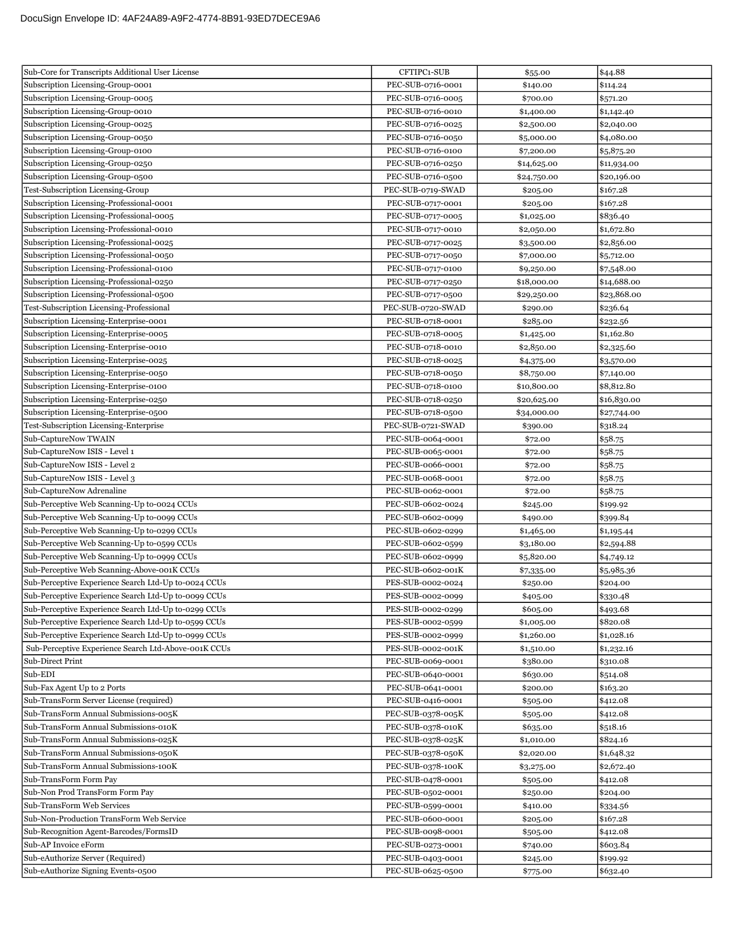| Sub-Core for Transcripts Additional User License     | CFTIPC1-SUB       | \$55.00     | \$44.88     |
|------------------------------------------------------|-------------------|-------------|-------------|
| Subscription Licensing-Group-0001                    | PEC-SUB-0716-0001 | \$140.00    | \$114.24    |
| Subscription Licensing-Group-0005                    | PEC-SUB-0716-0005 | \$700.00    | \$571.20    |
| Subscription Licensing-Group-0010                    | PEC-SUB-0716-0010 | \$1,400.00  | \$1,142.40  |
| Subscription Licensing-Group-0025                    | PEC-SUB-0716-0025 | \$2,500.00  | \$2,040.00  |
| Subscription Licensing-Group-0050                    | PEC-SUB-0716-0050 | \$5,000.00  | \$4,080.00  |
| Subscription Licensing-Group-0100                    | PEC-SUB-0716-0100 | \$7,200.00  | \$5,875.20  |
| Subscription Licensing-Group-0250                    | PEC-SUB-0716-0250 | \$14,625.00 | \$11,934.00 |
| Subscription Licensing-Group-0500                    | PEC-SUB-0716-0500 | \$24,750.00 | \$20,196.00 |
| Test-Subscription Licensing-Group                    | PEC-SUB-0719-SWAD | \$205.00    | \$167.28    |
| Subscription Licensing-Professional-0001             | PEC-SUB-0717-0001 | \$205.00    | \$167.28    |
| Subscription Licensing-Professional-0005             | PEC-SUB-0717-0005 | \$1,025.00  | \$836.40    |
| Subscription Licensing-Professional-0010             | PEC-SUB-0717-0010 | \$2,050.00  | \$1,672.80  |
| Subscription Licensing-Professional-0025             | PEC-SUB-0717-0025 | \$3,500.00  | \$2,856.00  |
| Subscription Licensing-Professional-0050             | PEC-SUB-0717-0050 | \$7,000.00  | \$5,712.00  |
| Subscription Licensing-Professional-0100             | PEC-SUB-0717-0100 | \$9,250.00  | \$7,548.00  |
| Subscription Licensing-Professional-0250             | PEC-SUB-0717-0250 | \$18,000.00 | \$14,688.00 |
| Subscription Licensing-Professional-0500             | PEC-SUB-0717-0500 | \$29,250.00 | \$23,868.00 |
| Test-Subscription Licensing-Professional             | PEC-SUB-0720-SWAD | \$290.00    | \$236.64    |
| Subscription Licensing-Enterprise-0001               | PEC-SUB-0718-0001 | \$285.00    | \$232.56    |
| Subscription Licensing-Enterprise-0005               | PEC-SUB-0718-0005 | \$1,425.00  | \$1,162.80  |
| Subscription Licensing-Enterprise-0010               | PEC-SUB-0718-0010 | \$2,850.00  | \$2,325.60  |
| Subscription Licensing-Enterprise-0025               | PEC-SUB-0718-0025 | \$4,375.00  | \$3,570.00  |
| Subscription Licensing-Enterprise-0050               | PEC-SUB-0718-0050 | \$8,750.00  | \$7,140.00  |
| Subscription Licensing-Enterprise-0100               | PEC-SUB-0718-0100 | \$10,800.00 | \$8,812.80  |
| Subscription Licensing-Enterprise-0250               | PEC-SUB-0718-0250 | \$20,625.00 | \$16,830.00 |
| Subscription Licensing-Enterprise-0500               | PEC-SUB-0718-0500 | \$34,000.00 | \$27,744.00 |
| Test-Subscription Licensing-Enterprise               | PEC-SUB-0721-SWAD | \$390.00    | \$318.24    |
| Sub-CaptureNow TWAIN                                 | PEC-SUB-0064-0001 | \$72.00     | \$58.75     |
| Sub-CaptureNow ISIS - Level 1                        | PEC-SUB-0065-0001 | \$72.00     | \$58.75     |
| Sub-CaptureNow ISIS - Level 2                        | PEC-SUB-0066-0001 | \$72.00     | \$58.75     |
| Sub-CaptureNow ISIS - Level 3                        | PEC-SUB-0068-0001 | \$72.00     | \$58.75     |
| Sub-CaptureNow Adrenaline                            | PEC-SUB-0062-0001 | \$72.00     | \$58.75     |
| Sub-Perceptive Web Scanning-Up to-0024 CCUs          | PEC-SUB-0602-0024 | \$245.00    | \$199.92    |
| Sub-Perceptive Web Scanning-Up to-0099 CCUs          | PEC-SUB-0602-0099 | \$490.00    | \$399.84    |
| Sub-Perceptive Web Scanning-Up to-0299 CCUs          | PEC-SUB-0602-0299 | \$1,465.00  | \$1,195.44  |
| Sub-Perceptive Web Scanning-Up to-0599 CCUs          | PEC-SUB-0602-0599 | \$3,180.00  | \$2,594.88  |
| Sub-Perceptive Web Scanning-Up to-0999 CCUs          | PEC-SUB-0602-0999 | \$5,820.00  | \$4,749.12  |
| Sub-Perceptive Web Scanning-Above-001K CCUs          | PEC-SUB-0602-001K | \$7,335.00  | \$5,985.36  |
| Sub-Perceptive Experience Search Ltd-Up to-0024 CCUs | PES-SUB-0002-0024 | \$250.00    | \$204.00    |
| Sub-Perceptive Experience Search Ltd-Up to-0099 CCUs | PES-SUB-0002-0099 | \$405.00    | \$330.48    |
| Sub-Perceptive Experience Search Ltd-Up to-0299 CCUs | PES-SUB-0002-0299 | \$605.00    | \$493.68    |
| Sub-Perceptive Experience Search Ltd-Up to-0599 CCUs | PES-SUB-0002-0599 | \$1,005.00  | \$820.08    |
| Sub-Perceptive Experience Search Ltd-Up to-0999 CCUs | PES-SUB-0002-0999 | \$1,260.00  | \$1,028.16  |
| Sub-Perceptive Experience Search Ltd-Above-001K CCUs | PES-SUB-0002-001K | \$1,510.00  | \$1,232.16  |
| Sub-Direct Print                                     | PEC-SUB-0069-0001 | \$380.00    | \$310.08    |
| Sub-EDI                                              | PEC-SUB-0640-0001 | \$630.00    | \$514.08    |
| Sub-Fax Agent Up to 2 Ports                          | PEC-SUB-0641-0001 | \$200.00    | \$163.20    |
| Sub-TransForm Server License (required)              | PEC-SUB-0416-0001 | \$505.00    | \$412.08    |
| Sub-TransForm Annual Submissions-005K                | PEC-SUB-0378-005K | \$505.00    | \$412.08    |
| Sub-TransForm Annual Submissions-010K                | PEC-SUB-0378-010K | \$635.00    | \$518.16    |
| Sub-TransForm Annual Submissions-025K                | PEC-SUB-0378-025K | \$1,010.00  | \$824.16    |
| Sub-TransForm Annual Submissions-050K                | PEC-SUB-0378-050K | \$2,020.00  | \$1,648.32  |
| Sub-TransForm Annual Submissions-100K                | PEC-SUB-0378-100K | \$3,275.00  | \$2,672.40  |
| Sub-TransForm Form Pay                               | PEC-SUB-0478-0001 | \$505.00    | \$412.08    |
| Sub-Non Prod TransForm Form Pay                      | PEC-SUB-0502-0001 | \$250.00    | \$204.00    |
| Sub-TransForm Web Services                           | PEC-SUB-0599-0001 | \$410.00    | \$334.56    |
| Sub-Non-Production TransForm Web Service             | PEC-SUB-0600-0001 | \$205.00    | \$167.28    |
| Sub-Recognition Agent-Barcodes/FormsID               | PEC-SUB-0098-0001 | \$505.00    | \$412.08    |
| Sub-AP Invoice eForm                                 | PEC-SUB-0273-0001 | \$740.00    | \$603.84    |
| Sub-eAuthorize Server (Required)                     | PEC-SUB-0403-0001 | \$245.00    | \$199.92    |
| Sub-eAuthorize Signing Events-0500                   | PEC-SUB-0625-0500 | \$775.00    | \$632.40    |
|                                                      |                   |             |             |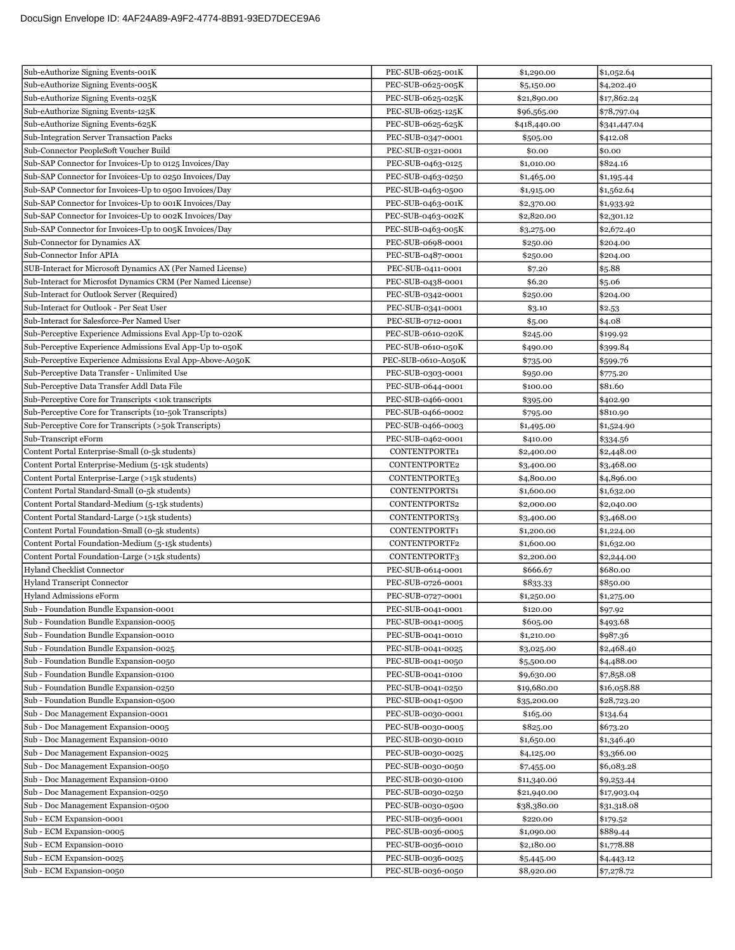| Sub-eAuthorize Signing Events-001K                          | PEC-SUB-0625-001K  | \$1,290.00   | \$1,052.64   |
|-------------------------------------------------------------|--------------------|--------------|--------------|
| Sub-eAuthorize Signing Events-005K                          | PEC-SUB-0625-005K  | \$5,150.00   | \$4,202.40   |
| Sub-eAuthorize Signing Events-025K                          | PEC-SUB-0625-025K  | \$21,890.00  | \$17,862.24  |
| Sub-eAuthorize Signing Events-125K                          | PEC-SUB-0625-125K  | \$96,565.00  | \$78,797.04  |
| Sub-eAuthorize Signing Events-625K                          | PEC-SUB-0625-625K  | \$418,440.00 | \$341,447.04 |
| Sub-Integration Server Transaction Packs                    | PEC-SUB-0347-0001  | \$505.00     | \$412.08     |
| Sub-Connector PeopleSoft Voucher Build                      | PEC-SUB-0321-0001  | \$0.00       | \$0.00       |
| Sub-SAP Connector for Invoices-Up to 0125 Invoices/Day      | PEC-SUB-0463-0125  | \$1,010.00   | \$824.16     |
| Sub-SAP Connector for Invoices-Up to 0250 Invoices/Day      | PEC-SUB-0463-0250  | \$1,465.00   | \$1,195.44   |
| Sub-SAP Connector for Invoices-Up to 0500 Invoices/Day      | PEC-SUB-0463-0500  | \$1,915.00   | \$1,562.64   |
| Sub-SAP Connector for Invoices-Up to 001K Invoices/Day      | PEC-SUB-0463-001K  | \$2,370.00   | \$1,933.92   |
| Sub-SAP Connector for Invoices-Up to 002K Invoices/Day      | PEC-SUB-0463-002K  | \$2,820.00   | \$2,301.12   |
| Sub-SAP Connector for Invoices-Up to 005K Invoices/Day      | PEC-SUB-0463-005K  | \$3,275.00   | \$2,672.40   |
| Sub-Connector for Dynamics AX                               | PEC-SUB-0698-0001  | \$250.00     | \$204.00     |
| Sub-Connector Infor APIA                                    | PEC-SUB-0487-0001  | \$250.00     | \$204.00     |
| SUB-Interact for Microsoft Dynamics AX (Per Named License)  | PEC-SUB-0411-0001  | \$7.20       | \$5.88       |
| Sub-Interact for Microsfot Dynamics CRM (Per Named License) | PEC-SUB-0438-0001  | \$6.20       | \$5.06       |
| Sub-Interact for Outlook Server (Required)                  | PEC-SUB-0342-0001  | \$250.00     | \$204.00     |
| Sub-Interact for Outlook - Per Seat User                    | PEC-SUB-0341-0001  | \$3.10       | \$2.53       |
| Sub-Interact for Salesforce-Per Named User                  | PEC-SUB-0712-0001  | \$5.00       | \$4.08       |
| Sub-Perceptive Experience Admissions Eval App-Up to-020K    | PEC-SUB-0610-020K  | \$245.00     | \$199.92     |
| Sub-Perceptive Experience Admissions Eval App-Up to-050K    | PEC-SUB-0610-050K  | \$490.00     | \$399.84     |
| Sub-Perceptive Experience Admissions Eval App-Above-A050K   | PEC-SUB-0610-A050K | \$735.00     | \$599.76     |
| Sub-Perceptive Data Transfer - Unlimited Use                | PEC-SUB-0303-0001  | \$950.00     | \$775.20     |
| Sub-Perceptive Data Transfer Addl Data File                 | PEC-SUB-0644-0001  | \$100.00     | \$81.60      |
| Sub-Perceptive Core for Transcripts <10k transcripts        | PEC-SUB-0466-0001  | \$395.00     | \$402.90     |
| Sub-Perceptive Core for Transcripts (10-50k Transcripts)    | PEC-SUB-0466-0002  | \$795.00     | \$810.90     |
| Sub-Perceptive Core for Transcripts (>50k Transcripts)      | PEC-SUB-0466-0003  | \$1,495.00   | \$1,524.90   |
| Sub-Transcript eForm                                        | PEC-SUB-0462-0001  | \$410.00     | \$334.56     |
| Content Portal Enterprise-Small (0-5k students)             | CONTENTPORTE1      | \$2,400.00   | \$2,448.00   |
| Content Portal Enterprise-Medium (5-15k students)           | CONTENTPORTE2      | \$3,400.00   | \$3,468.00   |
| Content Portal Enterprise-Large (>15k students)             | CONTENTPORTE3      | \$4,800.00   | \$4,896.00   |
| Content Portal Standard-Small (0-5k students)               | CONTENTPORTS1      | \$1,600.00   | \$1,632.00   |
| Content Portal Standard-Medium (5-15k students)             | CONTENTPORTS2      | \$2,000.00   | \$2,040.00   |
| Content Portal Standard-Large (>15k students)               | CONTENTPORTS3      | \$3,400.00   | \$3,468.00   |
| Content Portal Foundation-Small (0-5k students)             | CONTENTPORTF1      | \$1,200.00   | \$1,224.00   |
| Content Portal Foundation-Medium (5-15k students)           | CONTENTPORTF2      | \$1,600.00   | \$1,632.00   |
| Content Portal Foundation-Large (>15k students)             | CONTENTPORTF3      | \$2,200.00   | \$2,244.00   |
| <b>Hyland Checklist Connector</b>                           | PEC-SUB-0614-0001  | \$666.67     | \$680.00     |
| <b>Hyland Transcript Connector</b>                          | PEC-SUB-0726-0001  | \$833.33     | \$850.00     |
| Hyland Admissions eForm                                     | PEC-SUB-0727-0001  | \$1,250.00   | \$1,275.00   |
| Sub - Foundation Bundle Expansion-0001                      | PEC-SUB-0041-0001  | \$120.00     | \$97.92      |
| Sub - Foundation Bundle Expansion-0005                      | PEC-SUB-0041-0005  | \$605.00     | \$493.68     |
| Sub - Foundation Bundle Expansion-0010                      | PEC-SUB-0041-0010  | \$1,210.00   | \$987.36     |
| Sub - Foundation Bundle Expansion-0025                      | PEC-SUB-0041-0025  | \$3,025.00   | \$2,468.40   |
| Sub - Foundation Bundle Expansion-0050                      | PEC-SUB-0041-0050  | \$5,500.00   | \$4,488.00   |
| Sub - Foundation Bundle Expansion-0100                      | PEC-SUB-0041-0100  | \$9,630.00   | \$7,858.08   |
| Sub - Foundation Bundle Expansion-0250                      | PEC-SUB-0041-0250  | \$19,680.00  | \$16,058.88  |
| Sub - Foundation Bundle Expansion-0500                      | PEC-SUB-0041-0500  | \$35,200.00  | \$28,723.20  |
| Sub - Doc Management Expansion-0001                         | PEC-SUB-0030-0001  | \$165.00     | \$134.64     |
| Sub - Doc Management Expansion-0005                         | PEC-SUB-0030-0005  | \$825.00     | \$673.20     |
| Sub - Doc Management Expansion-0010                         | PEC-SUB-0030-0010  | \$1,650.00   | \$1,346.40   |
| Sub - Doc Management Expansion-0025                         | PEC-SUB-0030-0025  | \$4,125.00   | \$3,366.00   |
| Sub - Doc Management Expansion-0050                         | PEC-SUB-0030-0050  | \$7,455.00   | \$6,083.28   |
| Sub - Doc Management Expansion-0100                         | PEC-SUB-0030-0100  | \$11,340.00  | \$9,253.44   |
| Sub - Doc Management Expansion-0250                         | PEC-SUB-0030-0250  | \$21,940.00  | \$17,903.04  |
| Sub - Doc Management Expansion-0500                         | PEC-SUB-0030-0500  | \$38,380.00  | \$31,318.08  |
| Sub - ECM Expansion-0001                                    | PEC-SUB-0036-0001  | \$220.00     | \$179.52     |
| Sub - ECM Expansion-0005                                    | PEC-SUB-0036-0005  | \$1,090.00   | \$889.44     |
| Sub - ECM Expansion-0010                                    | PEC-SUB-0036-0010  | \$2,180.00   | \$1,778.88   |
| Sub - ECM Expansion-0025                                    | PEC-SUB-0036-0025  | \$5,445.00   | \$4,443.12   |
| Sub - ECM Expansion-0050                                    | PEC-SUB-0036-0050  | \$8,920.00   | \$7,278.72   |
|                                                             |                    |              |              |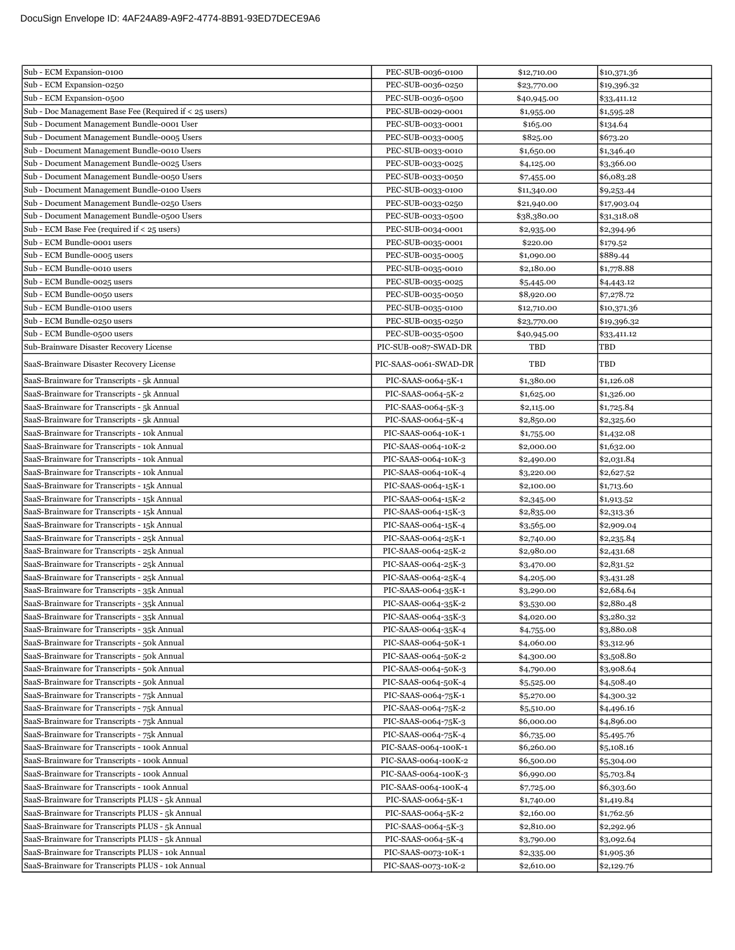| Sub - ECM Expansion-0100                               | PEC-SUB-0036-0100     | \$12,710.00 | \$10,371.36 |
|--------------------------------------------------------|-----------------------|-------------|-------------|
| Sub - ECM Expansion-0250                               | PEC-SUB-0036-0250     | \$23,770.00 | \$19,396.32 |
| Sub - ECM Expansion-0500                               | PEC-SUB-0036-0500     | \$40,945.00 | \$33,411.12 |
| Sub - Doc Management Base Fee (Required if < 25 users) | PEC-SUB-0029-0001     | \$1,955.00  | \$1,595.28  |
| Sub - Document Management Bundle-0001 User             | PEC-SUB-0033-0001     | \$165.00    | \$134.64    |
| Sub - Document Management Bundle-0005 Users            | PEC-SUB-0033-0005     | \$825.00    | \$673.20    |
| Sub - Document Management Bundle-0010 Users            | PEC-SUB-0033-0010     | \$1,650.00  | \$1,346.40  |
| Sub - Document Management Bundle-0025 Users            | PEC-SUB-0033-0025     | \$4,125.00  | \$3,366.00  |
| Sub - Document Management Bundle-0050 Users            | PEC-SUB-0033-0050     | \$7,455.00  | \$6,083.28  |
| Sub - Document Management Bundle-0100 Users            | PEC-SUB-0033-0100     | \$11,340.00 | \$9,253.44  |
| Sub - Document Management Bundle-0250 Users            | PEC-SUB-0033-0250     | \$21,940.00 | \$17,903.04 |
| Sub - Document Management Bundle-0500 Users            | PEC-SUB-0033-0500     | \$38,380.00 | \$31,318.08 |
| Sub - ECM Base Fee (required if $<$ 25 users)          | PEC-SUB-0034-0001     | \$2,935.00  | \$2,394.96  |
| Sub - ECM Bundle-0001 users                            | PEC-SUB-0035-0001     | \$220.00    | \$179.52    |
| Sub - ECM Bundle-0005 users                            | PEC-SUB-0035-0005     | \$1,090.00  | \$889.44    |
| Sub - ECM Bundle-0010 users                            | PEC-SUB-0035-0010     | \$2,180.00  | \$1,778.88  |
| Sub - ECM Bundle-0025 users                            | PEC-SUB-0035-0025     | \$5,445.00  | \$4,443.12  |
| Sub - ECM Bundle-0050 users                            | PEC-SUB-0035-0050     | \$8,920.00  | \$7,278.72  |
| Sub - ECM Bundle-0100 users                            | PEC-SUB-0035-0100     | \$12,710.00 | \$10,371.36 |
| Sub - ECM Bundle-0250 users                            | PEC-SUB-0035-0250     | \$23,770.00 | \$19,396.32 |
| Sub - ECM Bundle-0500 users                            | PEC-SUB-0035-0500     | \$40,945.00 | \$33,411.12 |
| Sub-Brainware Disaster Recovery License                | PIC-SUB-0087-SWAD-DR  | TBD         | TBD         |
| SaaS-Brainware Disaster Recovery License               | PIC-SAAS-0061-SWAD-DR | TBD         | TBD         |
| SaaS-Brainware for Transcripts - 5k Annual             | PIC-SAAS-0064-5K-1    | \$1,380.00  | \$1,126.08  |
| SaaS-Brainware for Transcripts - 5k Annual             | PIC-SAAS-0064-5K-2    | \$1,625.00  | \$1,326.00  |
| SaaS-Brainware for Transcripts - 5k Annual             | PIC-SAAS-0064-5K-3    | \$2,115.00  | \$1,725.84  |
| SaaS-Brainware for Transcripts - 5k Annual             | PIC-SAAS-0064-5K-4    | \$2,850.00  | \$2,325.60  |
| SaaS-Brainware for Transcripts - 10k Annual            | PIC-SAAS-0064-10K-1   | \$1,755.00  | \$1,432.08  |
| SaaS-Brainware for Transcripts - 10k Annual            | PIC-SAAS-0064-10K-2   | \$2,000.00  | \$1,632.00  |
| SaaS-Brainware for Transcripts - 10k Annual            | PIC-SAAS-0064-10K-3   | \$2,490.00  | \$2,031.84  |
| SaaS-Brainware for Transcripts - 10k Annual            | PIC-SAAS-0064-10K-4   | \$3,220.00  | \$2,627.52  |
| SaaS-Brainware for Transcripts - 15k Annual            | PIC-SAAS-0064-15K-1   | \$2,100.00  | \$1,713.60  |
| SaaS-Brainware for Transcripts - 15k Annual            | PIC-SAAS-0064-15K-2   | \$2,345.00  | \$1,913.52  |
| SaaS-Brainware for Transcripts - 15k Annual            | PIC-SAAS-0064-15K-3   | \$2,835.00  | \$2,313.36  |
| SaaS-Brainware for Transcripts - 15k Annual            | PIC-SAAS-0064-15K-4   | \$3,565.00  | \$2,909.04  |
| SaaS-Brainware for Transcripts - 25k Annual            | PIC-SAAS-0064-25K-1   | \$2,740.00  | \$2,235.84  |
| SaaS-Brainware for Transcripts - 25k Annual            | PIC-SAAS-0064-25K-2   | \$2,980.00  | \$2,431.68  |
| SaaS-Brainware for Transcripts - 25k Annual            | PIC-SAAS-0064-25K-3   | \$3,470.00  | \$2,831.52  |
| SaaS-Brainware for Transcripts - 25k Annual            | PIC-SAAS-0064-25K-4   | \$4,205.00  | \$3,431.28  |
| SaaS-Brainware for Transcripts - 35k Annual            | PIC-SAAS-0064-35K-1   | \$3,290.00  | \$2,684.64  |
| SaaS-Brainware for Transcripts - 35k Annual            | PIC-SAAS-0064-35K-2   | \$3,530.00  | \$2,880.48  |
| SaaS-Brainware for Transcripts - 35k Annual            | PIC-SAAS-0064-35K-3   | \$4,020.00  | \$3,280.32  |
| SaaS-Brainware for Transcripts - 35k Annual            | PIC-SAAS-0064-35K-4   | \$4,755.00  | \$3,880.08  |
| SaaS-Brainware for Transcripts - 50k Annual            | PIC-SAAS-0064-50K-1   | \$4,060.00  | \$3,312.96  |
| SaaS-Brainware for Transcripts - 50k Annual            | PIC-SAAS-0064-50K-2   | \$4,300.00  | \$3,508.80  |
| SaaS-Brainware for Transcripts - 50k Annual            | PIC-SAAS-0064-50K-3   | \$4,790.00  | \$3,908.64  |
| SaaS-Brainware for Transcripts - 50k Annual            | PIC-SAAS-0064-50K-4   | \$5,525.00  | \$4,508.40  |
| SaaS-Brainware for Transcripts - 75k Annual            | PIC-SAAS-0064-75K-1   | \$5,270.00  | \$4,300.32  |
| SaaS-Brainware for Transcripts - 75k Annual            | PIC-SAAS-0064-75K-2   | \$5,510.00  | \$4,496.16  |
| SaaS-Brainware for Transcripts - 75k Annual            | PIC-SAAS-0064-75K-3   | \$6,000.00  | \$4,896.00  |
| SaaS-Brainware for Transcripts - 75k Annual            | PIC-SAAS-0064-75K-4   | \$6,735.00  | \$5,495.76  |
| SaaS-Brainware for Transcripts - 100k Annual           | PIC-SAAS-0064-100K-1  | \$6,260.00  | \$5,108.16  |
| SaaS-Brainware for Transcripts - 100k Annual           | PIC-SAAS-0064-100K-2  | \$6,500.00  | \$5,304.00  |
| SaaS-Brainware for Transcripts - 100k Annual           | PIC-SAAS-0064-100K-3  | \$6,990.00  | \$5,703.84  |
| SaaS-Brainware for Transcripts - 100k Annual           | PIC-SAAS-0064-100K-4  | \$7,725.00  | \$6,303.60  |
| SaaS-Brainware for Transcripts PLUS - 5k Annual        | PIC-SAAS-0064-5K-1    | \$1,740.00  | \$1,419.84  |
| SaaS-Brainware for Transcripts PLUS - 5k Annual        | PIC-SAAS-0064-5K-2    | \$2,160.00  | \$1,762.56  |
| SaaS-Brainware for Transcripts PLUS - 5k Annual        | PIC-SAAS-0064-5K-3    | \$2,810.00  | \$2,292.96  |
| SaaS-Brainware for Transcripts PLUS - 5k Annual        | PIC-SAAS-0064-5K-4    | \$3,790.00  | \$3,092.64  |
| SaaS-Brainware for Transcripts PLUS - 10k Annual       | PIC-SAAS-0073-10K-1   | \$2,335.00  | \$1,905.36  |
| SaaS-Brainware for Transcripts PLUS - 10k Annual       | PIC-SAAS-0073-10K-2   | \$2,610.00  | \$2,129.76  |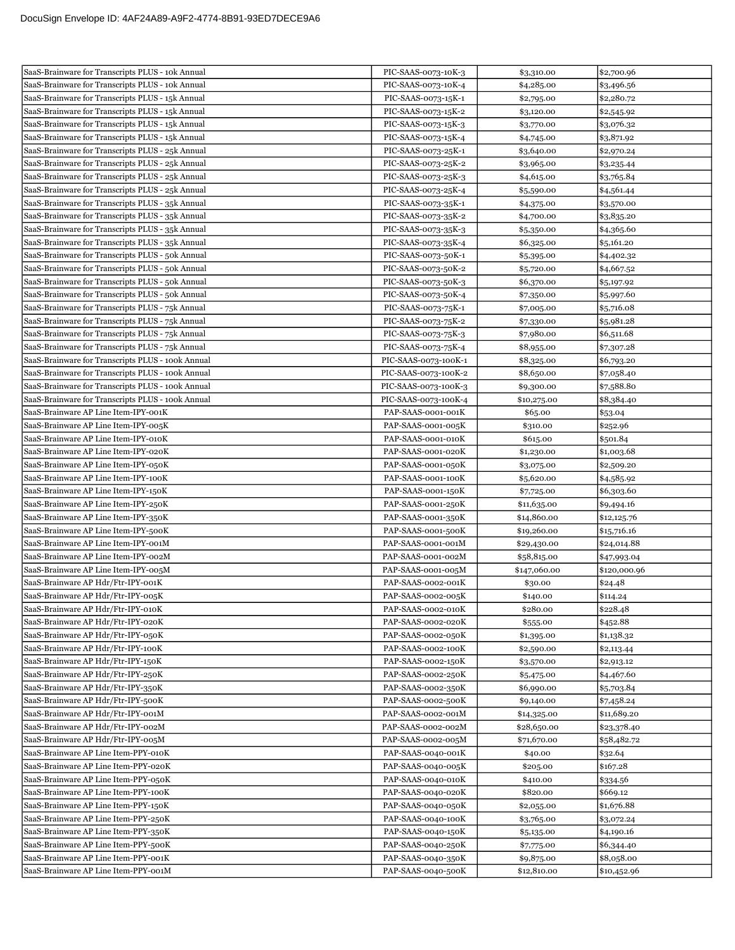| SaaS-Brainware for Transcripts PLUS - 10k Annual  | PIC-SAAS-0073-10K-3  | \$3,310.00   | \$2,700.96   |
|---------------------------------------------------|----------------------|--------------|--------------|
| SaaS-Brainware for Transcripts PLUS - 10k Annual  | PIC-SAAS-0073-10K-4  | \$4,285.00   | \$3,496.56   |
| SaaS-Brainware for Transcripts PLUS - 15k Annual  | PIC-SAAS-0073-15K-1  | \$2,795.00   | \$2,280.72   |
| SaaS-Brainware for Transcripts PLUS - 15k Annual  | PIC-SAAS-0073-15K-2  | \$3,120.00   | \$2,545.92   |
| SaaS-Brainware for Transcripts PLUS - 15k Annual  | PIC-SAAS-0073-15K-3  | \$3,770.00   | \$3,076.32   |
| SaaS-Brainware for Transcripts PLUS - 15k Annual  | PIC-SAAS-0073-15K-4  | \$4,745.00   | \$3,871.92   |
| SaaS-Brainware for Transcripts PLUS - 25k Annual  | PIC-SAAS-0073-25K-1  | \$3,640.00   | \$2,970.24   |
| SaaS-Brainware for Transcripts PLUS - 25k Annual  | PIC-SAAS-0073-25K-2  | \$3,965.00   | \$3,235.44   |
| SaaS-Brainware for Transcripts PLUS - 25k Annual  | PIC-SAAS-0073-25K-3  | \$4,615.00   | \$3,765.84   |
| SaaS-Brainware for Transcripts PLUS - 25k Annual  | PIC-SAAS-0073-25K-4  | \$5,590.00   | \$4,561.44   |
| SaaS-Brainware for Transcripts PLUS - 35k Annual  | PIC-SAAS-0073-35K-1  | \$4,375.00   | \$3,570.00   |
| SaaS-Brainware for Transcripts PLUS - 35k Annual  | PIC-SAAS-0073-35K-2  | \$4,700.00   | \$3,835.20   |
| SaaS-Brainware for Transcripts PLUS - 35k Annual  | PIC-SAAS-0073-35K-3  | \$5,350.00   | \$4,365.60   |
| SaaS-Brainware for Transcripts PLUS - 35k Annual  | PIC-SAAS-0073-35K-4  | \$6,325.00   | \$5,161.20   |
| SaaS-Brainware for Transcripts PLUS - 50k Annual  | PIC-SAAS-0073-50K-1  | \$5,395.00   | \$4,402.32   |
| SaaS-Brainware for Transcripts PLUS - 50k Annual  | PIC-SAAS-0073-50K-2  | \$5,720.00   | \$4,667.52   |
| SaaS-Brainware for Transcripts PLUS - 50k Annual  | PIC-SAAS-0073-50K-3  | \$6,370.00   | \$5,197.92   |
| SaaS-Brainware for Transcripts PLUS - 50k Annual  | PIC-SAAS-0073-50K-4  | \$7,350.00   | \$5,997.60   |
| SaaS-Brainware for Transcripts PLUS - 75k Annual  | PIC-SAAS-0073-75K-1  | \$7,005.00   | \$5,716.08   |
| SaaS-Brainware for Transcripts PLUS - 75k Annual  | PIC-SAAS-0073-75K-2  | \$7,330.00   | \$5,981.28   |
| SaaS-Brainware for Transcripts PLUS - 75k Annual  | PIC-SAAS-0073-75K-3  | \$7,980.00   | \$6,511.68   |
| SaaS-Brainware for Transcripts PLUS - 75k Annual  | PIC-SAAS-0073-75K-4  | \$8,955.00   | \$7,307.28   |
| SaaS-Brainware for Transcripts PLUS - 100k Annual | PIC-SAAS-0073-100K-1 | \$8,325.00   | \$6,793.20   |
| SaaS-Brainware for Transcripts PLUS - 100k Annual | PIC-SAAS-0073-100K-2 | \$8,650.00   | \$7,058.40   |
| SaaS-Brainware for Transcripts PLUS - 100k Annual | PIC-SAAS-0073-100K-3 | \$9,300.00   | \$7,588.80   |
| SaaS-Brainware for Transcripts PLUS - 100k Annual | PIC-SAAS-0073-100K-4 | \$10,275.00  | \$8,384.40   |
| SaaS-Brainware AP Line Item-IPY-001K              | PAP-SAAS-0001-001K   | \$65.00      | \$53.04      |
| SaaS-Brainware AP Line Item-IPY-005K              | PAP-SAAS-0001-005K   | \$310.00     | \$252.96     |
| SaaS-Brainware AP Line Item-IPY-010K              | PAP-SAAS-0001-010K   | \$615.00     | \$501.84     |
| SaaS-Brainware AP Line Item-IPY-020K              | PAP-SAAS-0001-020K   | \$1,230.00   | \$1,003.68   |
| SaaS-Brainware AP Line Item-IPY-050K              | PAP-SAAS-0001-050K   | \$3,075.00   | \$2,509.20   |
| SaaS-Brainware AP Line Item-IPY-100K              | PAP-SAAS-0001-100K   | \$5,620.00   | \$4,585.92   |
| SaaS-Brainware AP Line Item-IPY-150K              | PAP-SAAS-0001-150K   | \$7,725.00   | \$6,303.60   |
| SaaS-Brainware AP Line Item-IPY-250K              | PAP-SAAS-0001-250K   | \$11,635.00  | \$9,494.16   |
| SaaS-Brainware AP Line Item-IPY-350K              | PAP-SAAS-0001-350K   | \$14,860.00  | \$12,125.76  |
| SaaS-Brainware AP Line Item-IPY-500K              | PAP-SAAS-0001-500K   | \$19,260.00  | \$15,716.16  |
| SaaS-Brainware AP Line Item-IPY-001M              | PAP-SAAS-0001-001M   | \$29,430.00  | \$24,014.88  |
| SaaS-Brainware AP Line Item-IPY-002M              | PAP-SAAS-0001-002M   | \$58,815.00  | \$47,993.04  |
| SaaS-Brainware AP Line Item-IPY-005M              | PAP-SAAS-0001-005M   | \$147,060.00 | \$120,000.96 |
| SaaS-Brainware AP Hdr/Ftr-IPY-001K                | PAP-SAAS-0002-001K   | \$30.00      | \$24.48      |
| SaaS-Brainware AP Hdr/Ftr-IPY-005K                | PAP-SAAS-0002-005K   | \$140.00     | \$114.24     |
| SaaS-Brainware AP Hdr/Ftr-IPY-010K                | PAP-SAAS-0002-010K   | \$280.00     | \$228.48     |
| SaaS-Brainware AP Hdr/Ftr-IPY-020K                | PAP-SAAS-0002-020K   | \$555.00     | \$452.88     |
| SaaS-Brainware AP Hdr/Ftr-IPY-050K                | PAP-SAAS-0002-050K   | \$1,395.00   | \$1,138.32   |
| SaaS-Brainware AP Hdr/Ftr-IPY-100K                | PAP-SAAS-0002-100K   | \$2,590.00   | \$2,113.44   |
| SaaS-Brainware AP Hdr/Ftr-IPY-150K                | PAP-SAAS-0002-150K   | \$3,570.00   | \$2,913.12   |
| SaaS-Brainware AP Hdr/Ftr-IPY-250K                | PAP-SAAS-0002-250K   | \$5,475.00   | \$4,467.60   |
| SaaS-Brainware AP Hdr/Ftr-IPY-350K                | PAP-SAAS-0002-350K   | \$6,990.00   | \$5,703.84   |
| SaaS-Brainware AP Hdr/Ftr-IPY-500K                | PAP-SAAS-0002-500K   | \$9,140.00   | \$7,458.24   |
| SaaS-Brainware AP Hdr/Ftr-IPY-001M                | PAP-SAAS-0002-001M   | \$14,325.00  | \$11,689.20  |
| SaaS-Brainware AP Hdr/Ftr-IPY-002M                | PAP-SAAS-0002-002M   | \$28,650.00  | \$23,378.40  |
| SaaS-Brainware AP Hdr/Ftr-IPY-005M                | PAP-SAAS-0002-005M   | \$71,670.00  | \$58,482.72  |
| SaaS-Brainware AP Line Item-PPY-010K              | PAP-SAAS-0040-001K   | \$40.00      | \$32.64      |
| SaaS-Brainware AP Line Item-PPY-020K              | PAP-SAAS-0040-005K   | \$205.00     | \$167.28     |
| SaaS-Brainware AP Line Item-PPY-050K              | PAP-SAAS-0040-010K   | \$410.00     | \$334.56     |
| SaaS-Brainware AP Line Item-PPY-100K              | PAP-SAAS-0040-020K   | \$820.00     | \$669.12     |
| SaaS-Brainware AP Line Item-PPY-150K              | PAP-SAAS-0040-050K   | \$2,055.00   | \$1,676.88   |
| SaaS-Brainware AP Line Item-PPY-250K              | PAP-SAAS-0040-100K   | \$3,765.00   | \$3,072.24   |
| SaaS-Brainware AP Line Item-PPY-350K              | PAP-SAAS-0040-150K   | \$5,135.00   | \$4,190.16   |
| SaaS-Brainware AP Line Item-PPY-500K              | PAP-SAAS-0040-250K   | \$7,775.00   | \$6,344.40   |
| SaaS-Brainware AP Line Item-PPY-001K              | PAP-SAAS-0040-350K   | \$9,875.00   | \$8,058.00   |
| SaaS-Brainware AP Line Item-PPY-001M              | PAP-SAAS-0040-500K   | \$12,810.00  | \$10,452.96  |
|                                                   |                      |              |              |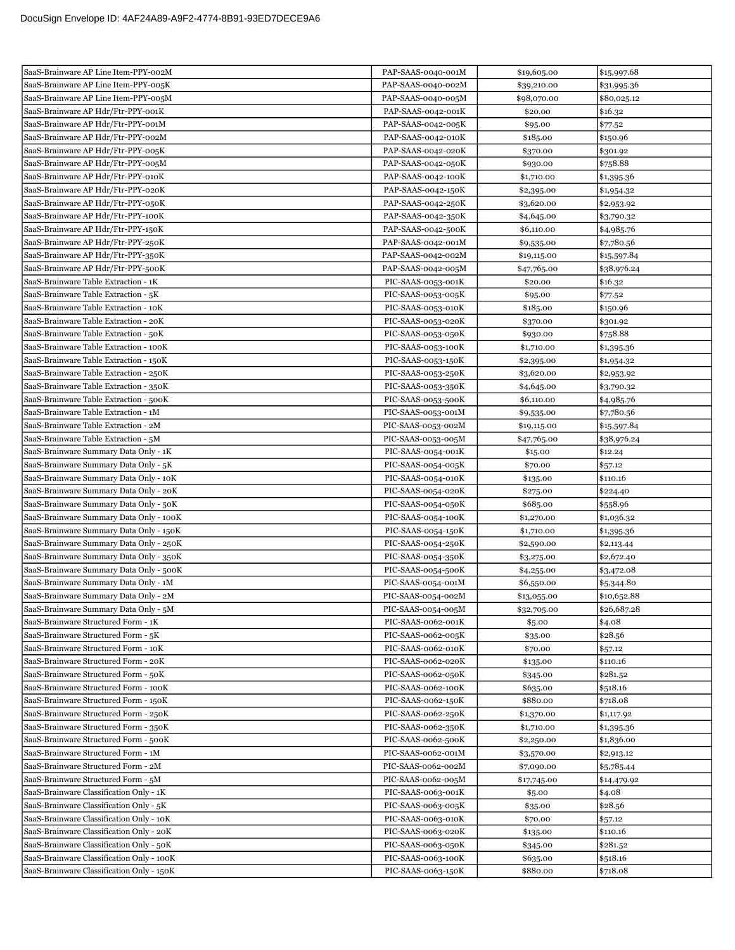| SaaS-Brainware AP Line Item-PPY-005K<br>PAP-SAAS-0040-002M<br>\$39,210.00<br>\$31,995.36<br>SaaS-Brainware AP Line Item-PPY-005M<br>PAP-SAAS-0040-005M<br>\$98,070.00<br>\$80,025.12<br>SaaS-Brainware AP Hdr/Ftr-PPY-001K<br>PAP-SAAS-0042-001K<br>\$20.00<br>\$16.32<br>SaaS-Brainware AP Hdr/Ftr-PPY-001M<br>PAP-SAAS-0042-005K<br>\$95.00<br>\$77.52<br>SaaS-Brainware AP Hdr/Ftr-PPY-002M<br>PAP-SAAS-0042-010K<br>\$185.00<br>\$150.96<br>SaaS-Brainware AP Hdr/Ftr-PPY-005K<br>PAP-SAAS-0042-020K<br>\$370.00<br>\$301.92<br>SaaS-Brainware AP Hdr/Ftr-PPY-005M<br>PAP-SAAS-0042-050K<br>\$758.88<br>\$930.00<br>SaaS-Brainware AP Hdr/Ftr-PPY-010K<br>PAP-SAAS-0042-100K<br>\$1,710.00<br>\$1,395.36<br>SaaS-Brainware AP Hdr/Ftr-PPY-020K<br>PAP-SAAS-0042-150K<br>\$2,395.00<br>\$1,954.32<br>SaaS-Brainware AP Hdr/Ftr-PPY-050K<br>PAP-SAAS-0042-250K<br>\$3,620.00<br>\$2,953.92<br>SaaS-Brainware AP Hdr/Ftr-PPY-100K<br>PAP-SAAS-0042-350K<br>\$4,645.00<br>\$3,790.32<br>SaaS-Brainware AP Hdr/Ftr-PPY-150K<br>PAP-SAAS-0042-500K<br>\$6,110.00<br>\$4,985.76<br>SaaS-Brainware AP Hdr/Ftr-PPY-250K<br>PAP-SAAS-0042-001M<br>\$9,535.00<br>\$7,780.56<br>SaaS-Brainware AP Hdr/Ftr-PPY-350K<br>PAP-SAAS-0042-002M<br>\$19,115.00<br>\$15,597.84<br>SaaS-Brainware AP Hdr/Ftr-PPY-500K<br>PAP-SAAS-0042-005M<br>\$38,976.24<br>\$47,765.00<br>SaaS-Brainware Table Extraction - 1K<br>PIC-SAAS-0053-001K<br>\$20.00<br>\$16.32<br>SaaS-Brainware Table Extraction - 5K<br>PIC-SAAS-0053-005K<br>\$95.00<br>\$77.52<br>SaaS-Brainware Table Extraction - 10K<br>PIC-SAAS-0053-010K<br>\$185.00<br>\$150.96<br>SaaS-Brainware Table Extraction - 20K<br>PIC-SAAS-0053-020K<br>\$370.00<br>\$301.92<br>SaaS-Brainware Table Extraction - 50K<br>\$758.88<br>PIC-SAAS-0053-050K<br>\$930.00<br>SaaS-Brainware Table Extraction - 100K<br>PIC-SAAS-0053-100K<br>\$1,710.00<br>\$1,395.36<br>SaaS-Brainware Table Extraction - 150K<br>PIC-SAAS-0053-150K<br>\$2,395.00<br>\$1,954.32<br>SaaS-Brainware Table Extraction - 250K<br>PIC-SAAS-0053-250K<br>\$3,620.00<br>\$2,953.92<br>SaaS-Brainware Table Extraction - 350K<br>PIC-SAAS-0053-350K<br>\$4,645.00<br>\$3,790.32<br>SaaS-Brainware Table Extraction - 500K<br>\$6,110.00<br>PIC-SAAS-0053-500K<br>\$4,985.76<br>SaaS-Brainware Table Extraction - 1M<br>PIC-SAAS-0053-001M<br>\$7,780.56<br>\$9,535.00<br>SaaS-Brainware Table Extraction - 2M<br>PIC-SAAS-0053-002M<br>\$19,115.00<br>\$15,597.84<br>SaaS-Brainware Table Extraction - 5M<br>PIC-SAAS-0053-005M<br>\$47,765.00<br>\$38,976.24<br>SaaS-Brainware Summary Data Only - 1K<br>PIC-SAAS-0054-001K<br>\$15.00<br>\$12.24<br>SaaS-Brainware Summary Data Only - 5K<br>PIC-SAAS-0054-005K<br>\$70.00<br>\$57.12<br>SaaS-Brainware Summary Data Only - 10K<br>\$110.16<br>PIC-SAAS-0054-010K<br>\$135.00<br>SaaS-Brainware Summary Data Only - 20K<br>PIC-SAAS-0054-020K<br>\$224.40<br>\$275.00<br>SaaS-Brainware Summary Data Only - 50K<br>PIC-SAAS-0054-050K<br>\$685.00<br>\$558.96<br>SaaS-Brainware Summary Data Only - 100K<br>PIC-SAAS-0054-100K<br>\$1,270.00<br>\$1,036.32<br>SaaS-Brainware Summary Data Only - 150K<br>PIC-SAAS-0054-150K<br>\$1,710.00<br>\$1,395.36<br>SaaS-Brainware Summary Data Only - 250K<br>PIC-SAAS-0054-250K<br>\$2,590.00<br>\$2,113.44<br>SaaS-Brainware Summary Data Only - 350K<br>PIC-SAAS-0054-350K<br>\$2,672.40<br>\$3,275.00<br>SaaS-Brainware Summary Data Only - 500K<br>PIC-SAAS-0054-500K<br>\$4,255.00<br>\$3,472.08<br>SaaS-Brainware Summary Data Only - 1M<br>PIC-SAAS-0054-001M<br>\$6,550.00<br>\$5,344.80<br>PIC-SAAS-0054-002M<br>\$10,652.88<br>\$13,055.00<br>SaaS-Brainware Summary Data Only - 5M<br>PIC-SAAS-0054-005M<br>\$26,687.28<br>\$32,705.00<br>SaaS-Brainware Structured Form - 1K<br>PIC-SAAS-0062-001K<br>\$5.00<br>\$4.08<br>SaaS-Brainware Structured Form - 5K<br>PIC-SAAS-0062-005K<br>\$28.56<br>\$35.00<br>SaaS-Brainware Structured Form - 10K<br>PIC-SAAS-0062-010K<br>\$70.00<br>\$57.12<br>SaaS-Brainware Structured Form - 20K<br>PIC-SAAS-0062-020K<br>\$110.16<br>\$135.00<br>SaaS-Brainware Structured Form - 50K<br>PIC-SAAS-0062-050K<br>\$281.52<br>\$345.00<br>SaaS-Brainware Structured Form - 100K<br>\$518.16<br>PIC-SAAS-0062-100K<br>\$635.00<br>\$718.08<br>SaaS-Brainware Structured Form - 150K<br>PIC-SAAS-0062-150K<br>\$880.00<br>SaaS-Brainware Structured Form - 250K<br>PIC-SAAS-0062-250K<br>\$1,370.00<br>\$1,117.92<br>SaaS-Brainware Structured Form - 350K<br>PIC-SAAS-0062-350K<br>\$1,710.00<br>\$1,395.36<br>SaaS-Brainware Structured Form - 500K<br>PIC-SAAS-0062-500K<br>\$2,250.00<br>\$1,836.00<br>SaaS-Brainware Structured Form - 1M<br>PIC-SAAS-0062-001M<br>\$3,570.00<br>\$2,913.12<br>SaaS-Brainware Structured Form - 2M<br>PIC-SAAS-0062-002M<br>\$7,090.00<br>\$5,785.44<br>SaaS-Brainware Structured Form - 5M<br>PIC-SAAS-0062-005M<br>\$17,745.00<br>\$14,479.92<br>SaaS-Brainware Classification Only - 1K<br>PIC-SAAS-0063-001K<br>\$4.08<br>\$5.00<br>SaaS-Brainware Classification Only - 5K<br>PIC-SAAS-0063-005K<br>\$28.56<br>\$35.00<br>SaaS-Brainware Classification Only - 10K<br>PIC-SAAS-0063-010K<br>\$70.00<br>\$57.12<br>SaaS-Brainware Classification Only - 20K<br>PIC-SAAS-0063-020K<br>\$110.16<br>\$135.00<br>SaaS-Brainware Classification Only - 50K<br>PIC-SAAS-0063-050K<br>\$281.52<br>\$345.00<br>SaaS-Brainware Classification Only - 100K<br>PIC-SAAS-0063-100K<br>\$518.16<br>\$635.00<br>SaaS-Brainware Classification Only - 150K<br>\$718.08<br>PIC-SAAS-0063-150K<br>\$880.00 | SaaS-Brainware AP Line Item-PPY-002M  | PAP-SAAS-0040-001M | \$19,605.00 | \$15,997.68 |
|----------------------------------------------------------------------------------------------------------------------------------------------------------------------------------------------------------------------------------------------------------------------------------------------------------------------------------------------------------------------------------------------------------------------------------------------------------------------------------------------------------------------------------------------------------------------------------------------------------------------------------------------------------------------------------------------------------------------------------------------------------------------------------------------------------------------------------------------------------------------------------------------------------------------------------------------------------------------------------------------------------------------------------------------------------------------------------------------------------------------------------------------------------------------------------------------------------------------------------------------------------------------------------------------------------------------------------------------------------------------------------------------------------------------------------------------------------------------------------------------------------------------------------------------------------------------------------------------------------------------------------------------------------------------------------------------------------------------------------------------------------------------------------------------------------------------------------------------------------------------------------------------------------------------------------------------------------------------------------------------------------------------------------------------------------------------------------------------------------------------------------------------------------------------------------------------------------------------------------------------------------------------------------------------------------------------------------------------------------------------------------------------------------------------------------------------------------------------------------------------------------------------------------------------------------------------------------------------------------------------------------------------------------------------------------------------------------------------------------------------------------------------------------------------------------------------------------------------------------------------------------------------------------------------------------------------------------------------------------------------------------------------------------------------------------------------------------------------------------------------------------------------------------------------------------------------------------------------------------------------------------------------------------------------------------------------------------------------------------------------------------------------------------------------------------------------------------------------------------------------------------------------------------------------------------------------------------------------------------------------------------------------------------------------------------------------------------------------------------------------------------------------------------------------------------------------------------------------------------------------------------------------------------------------------------------------------------------------------------------------------------------------------------------------------------------------------------------------------------------------------------------------------------------------------------------------------------------------------------------------------------------------------------------------------------------------------------------------------------------------------------------------------------------------------------------------------------------------------------------------------------------------------------------------------------------------------------------------------------------------------------------------------------------------------------------------------------------------------------------------------------------------------------------------------------------------------------------------------------------------------------------------------------------------------------------------------------------------------------------------------------------------------------------------------------------------------------------------------------------------------------------------------------------------------------------------------------------------------------------------------------------------------------------------------------------------------------------------------------------------------------------------------------------------------------------------------------------------------------------------------------------------------------------------------------------------------------|---------------------------------------|--------------------|-------------|-------------|
|                                                                                                                                                                                                                                                                                                                                                                                                                                                                                                                                                                                                                                                                                                                                                                                                                                                                                                                                                                                                                                                                                                                                                                                                                                                                                                                                                                                                                                                                                                                                                                                                                                                                                                                                                                                                                                                                                                                                                                                                                                                                                                                                                                                                                                                                                                                                                                                                                                                                                                                                                                                                                                                                                                                                                                                                                                                                                                                                                                                                                                                                                                                                                                                                                                                                                                                                                                                                                                                                                                                                                                                                                                                                                                                                                                                                                                                                                                                                                                                                                                                                                                                                                                                                                                                                                                                                                                                                                                                                                                                                                                                                                                                                                                                                                                                                                                                                                                                                                                                                                                                                                                                                                                                                                                                                                                                                                                                                                                                                                                                                                                                  |                                       |                    |             |             |
|                                                                                                                                                                                                                                                                                                                                                                                                                                                                                                                                                                                                                                                                                                                                                                                                                                                                                                                                                                                                                                                                                                                                                                                                                                                                                                                                                                                                                                                                                                                                                                                                                                                                                                                                                                                                                                                                                                                                                                                                                                                                                                                                                                                                                                                                                                                                                                                                                                                                                                                                                                                                                                                                                                                                                                                                                                                                                                                                                                                                                                                                                                                                                                                                                                                                                                                                                                                                                                                                                                                                                                                                                                                                                                                                                                                                                                                                                                                                                                                                                                                                                                                                                                                                                                                                                                                                                                                                                                                                                                                                                                                                                                                                                                                                                                                                                                                                                                                                                                                                                                                                                                                                                                                                                                                                                                                                                                                                                                                                                                                                                                                  |                                       |                    |             |             |
|                                                                                                                                                                                                                                                                                                                                                                                                                                                                                                                                                                                                                                                                                                                                                                                                                                                                                                                                                                                                                                                                                                                                                                                                                                                                                                                                                                                                                                                                                                                                                                                                                                                                                                                                                                                                                                                                                                                                                                                                                                                                                                                                                                                                                                                                                                                                                                                                                                                                                                                                                                                                                                                                                                                                                                                                                                                                                                                                                                                                                                                                                                                                                                                                                                                                                                                                                                                                                                                                                                                                                                                                                                                                                                                                                                                                                                                                                                                                                                                                                                                                                                                                                                                                                                                                                                                                                                                                                                                                                                                                                                                                                                                                                                                                                                                                                                                                                                                                                                                                                                                                                                                                                                                                                                                                                                                                                                                                                                                                                                                                                                                  |                                       |                    |             |             |
|                                                                                                                                                                                                                                                                                                                                                                                                                                                                                                                                                                                                                                                                                                                                                                                                                                                                                                                                                                                                                                                                                                                                                                                                                                                                                                                                                                                                                                                                                                                                                                                                                                                                                                                                                                                                                                                                                                                                                                                                                                                                                                                                                                                                                                                                                                                                                                                                                                                                                                                                                                                                                                                                                                                                                                                                                                                                                                                                                                                                                                                                                                                                                                                                                                                                                                                                                                                                                                                                                                                                                                                                                                                                                                                                                                                                                                                                                                                                                                                                                                                                                                                                                                                                                                                                                                                                                                                                                                                                                                                                                                                                                                                                                                                                                                                                                                                                                                                                                                                                                                                                                                                                                                                                                                                                                                                                                                                                                                                                                                                                                                                  |                                       |                    |             |             |
|                                                                                                                                                                                                                                                                                                                                                                                                                                                                                                                                                                                                                                                                                                                                                                                                                                                                                                                                                                                                                                                                                                                                                                                                                                                                                                                                                                                                                                                                                                                                                                                                                                                                                                                                                                                                                                                                                                                                                                                                                                                                                                                                                                                                                                                                                                                                                                                                                                                                                                                                                                                                                                                                                                                                                                                                                                                                                                                                                                                                                                                                                                                                                                                                                                                                                                                                                                                                                                                                                                                                                                                                                                                                                                                                                                                                                                                                                                                                                                                                                                                                                                                                                                                                                                                                                                                                                                                                                                                                                                                                                                                                                                                                                                                                                                                                                                                                                                                                                                                                                                                                                                                                                                                                                                                                                                                                                                                                                                                                                                                                                                                  |                                       |                    |             |             |
|                                                                                                                                                                                                                                                                                                                                                                                                                                                                                                                                                                                                                                                                                                                                                                                                                                                                                                                                                                                                                                                                                                                                                                                                                                                                                                                                                                                                                                                                                                                                                                                                                                                                                                                                                                                                                                                                                                                                                                                                                                                                                                                                                                                                                                                                                                                                                                                                                                                                                                                                                                                                                                                                                                                                                                                                                                                                                                                                                                                                                                                                                                                                                                                                                                                                                                                                                                                                                                                                                                                                                                                                                                                                                                                                                                                                                                                                                                                                                                                                                                                                                                                                                                                                                                                                                                                                                                                                                                                                                                                                                                                                                                                                                                                                                                                                                                                                                                                                                                                                                                                                                                                                                                                                                                                                                                                                                                                                                                                                                                                                                                                  |                                       |                    |             |             |
|                                                                                                                                                                                                                                                                                                                                                                                                                                                                                                                                                                                                                                                                                                                                                                                                                                                                                                                                                                                                                                                                                                                                                                                                                                                                                                                                                                                                                                                                                                                                                                                                                                                                                                                                                                                                                                                                                                                                                                                                                                                                                                                                                                                                                                                                                                                                                                                                                                                                                                                                                                                                                                                                                                                                                                                                                                                                                                                                                                                                                                                                                                                                                                                                                                                                                                                                                                                                                                                                                                                                                                                                                                                                                                                                                                                                                                                                                                                                                                                                                                                                                                                                                                                                                                                                                                                                                                                                                                                                                                                                                                                                                                                                                                                                                                                                                                                                                                                                                                                                                                                                                                                                                                                                                                                                                                                                                                                                                                                                                                                                                                                  |                                       |                    |             |             |
|                                                                                                                                                                                                                                                                                                                                                                                                                                                                                                                                                                                                                                                                                                                                                                                                                                                                                                                                                                                                                                                                                                                                                                                                                                                                                                                                                                                                                                                                                                                                                                                                                                                                                                                                                                                                                                                                                                                                                                                                                                                                                                                                                                                                                                                                                                                                                                                                                                                                                                                                                                                                                                                                                                                                                                                                                                                                                                                                                                                                                                                                                                                                                                                                                                                                                                                                                                                                                                                                                                                                                                                                                                                                                                                                                                                                                                                                                                                                                                                                                                                                                                                                                                                                                                                                                                                                                                                                                                                                                                                                                                                                                                                                                                                                                                                                                                                                                                                                                                                                                                                                                                                                                                                                                                                                                                                                                                                                                                                                                                                                                                                  |                                       |                    |             |             |
|                                                                                                                                                                                                                                                                                                                                                                                                                                                                                                                                                                                                                                                                                                                                                                                                                                                                                                                                                                                                                                                                                                                                                                                                                                                                                                                                                                                                                                                                                                                                                                                                                                                                                                                                                                                                                                                                                                                                                                                                                                                                                                                                                                                                                                                                                                                                                                                                                                                                                                                                                                                                                                                                                                                                                                                                                                                                                                                                                                                                                                                                                                                                                                                                                                                                                                                                                                                                                                                                                                                                                                                                                                                                                                                                                                                                                                                                                                                                                                                                                                                                                                                                                                                                                                                                                                                                                                                                                                                                                                                                                                                                                                                                                                                                                                                                                                                                                                                                                                                                                                                                                                                                                                                                                                                                                                                                                                                                                                                                                                                                                                                  |                                       |                    |             |             |
|                                                                                                                                                                                                                                                                                                                                                                                                                                                                                                                                                                                                                                                                                                                                                                                                                                                                                                                                                                                                                                                                                                                                                                                                                                                                                                                                                                                                                                                                                                                                                                                                                                                                                                                                                                                                                                                                                                                                                                                                                                                                                                                                                                                                                                                                                                                                                                                                                                                                                                                                                                                                                                                                                                                                                                                                                                                                                                                                                                                                                                                                                                                                                                                                                                                                                                                                                                                                                                                                                                                                                                                                                                                                                                                                                                                                                                                                                                                                                                                                                                                                                                                                                                                                                                                                                                                                                                                                                                                                                                                                                                                                                                                                                                                                                                                                                                                                                                                                                                                                                                                                                                                                                                                                                                                                                                                                                                                                                                                                                                                                                                                  |                                       |                    |             |             |
|                                                                                                                                                                                                                                                                                                                                                                                                                                                                                                                                                                                                                                                                                                                                                                                                                                                                                                                                                                                                                                                                                                                                                                                                                                                                                                                                                                                                                                                                                                                                                                                                                                                                                                                                                                                                                                                                                                                                                                                                                                                                                                                                                                                                                                                                                                                                                                                                                                                                                                                                                                                                                                                                                                                                                                                                                                                                                                                                                                                                                                                                                                                                                                                                                                                                                                                                                                                                                                                                                                                                                                                                                                                                                                                                                                                                                                                                                                                                                                                                                                                                                                                                                                                                                                                                                                                                                                                                                                                                                                                                                                                                                                                                                                                                                                                                                                                                                                                                                                                                                                                                                                                                                                                                                                                                                                                                                                                                                                                                                                                                                                                  |                                       |                    |             |             |
|                                                                                                                                                                                                                                                                                                                                                                                                                                                                                                                                                                                                                                                                                                                                                                                                                                                                                                                                                                                                                                                                                                                                                                                                                                                                                                                                                                                                                                                                                                                                                                                                                                                                                                                                                                                                                                                                                                                                                                                                                                                                                                                                                                                                                                                                                                                                                                                                                                                                                                                                                                                                                                                                                                                                                                                                                                                                                                                                                                                                                                                                                                                                                                                                                                                                                                                                                                                                                                                                                                                                                                                                                                                                                                                                                                                                                                                                                                                                                                                                                                                                                                                                                                                                                                                                                                                                                                                                                                                                                                                                                                                                                                                                                                                                                                                                                                                                                                                                                                                                                                                                                                                                                                                                                                                                                                                                                                                                                                                                                                                                                                                  |                                       |                    |             |             |
|                                                                                                                                                                                                                                                                                                                                                                                                                                                                                                                                                                                                                                                                                                                                                                                                                                                                                                                                                                                                                                                                                                                                                                                                                                                                                                                                                                                                                                                                                                                                                                                                                                                                                                                                                                                                                                                                                                                                                                                                                                                                                                                                                                                                                                                                                                                                                                                                                                                                                                                                                                                                                                                                                                                                                                                                                                                                                                                                                                                                                                                                                                                                                                                                                                                                                                                                                                                                                                                                                                                                                                                                                                                                                                                                                                                                                                                                                                                                                                                                                                                                                                                                                                                                                                                                                                                                                                                                                                                                                                                                                                                                                                                                                                                                                                                                                                                                                                                                                                                                                                                                                                                                                                                                                                                                                                                                                                                                                                                                                                                                                                                  |                                       |                    |             |             |
|                                                                                                                                                                                                                                                                                                                                                                                                                                                                                                                                                                                                                                                                                                                                                                                                                                                                                                                                                                                                                                                                                                                                                                                                                                                                                                                                                                                                                                                                                                                                                                                                                                                                                                                                                                                                                                                                                                                                                                                                                                                                                                                                                                                                                                                                                                                                                                                                                                                                                                                                                                                                                                                                                                                                                                                                                                                                                                                                                                                                                                                                                                                                                                                                                                                                                                                                                                                                                                                                                                                                                                                                                                                                                                                                                                                                                                                                                                                                                                                                                                                                                                                                                                                                                                                                                                                                                                                                                                                                                                                                                                                                                                                                                                                                                                                                                                                                                                                                                                                                                                                                                                                                                                                                                                                                                                                                                                                                                                                                                                                                                                                  |                                       |                    |             |             |
|                                                                                                                                                                                                                                                                                                                                                                                                                                                                                                                                                                                                                                                                                                                                                                                                                                                                                                                                                                                                                                                                                                                                                                                                                                                                                                                                                                                                                                                                                                                                                                                                                                                                                                                                                                                                                                                                                                                                                                                                                                                                                                                                                                                                                                                                                                                                                                                                                                                                                                                                                                                                                                                                                                                                                                                                                                                                                                                                                                                                                                                                                                                                                                                                                                                                                                                                                                                                                                                                                                                                                                                                                                                                                                                                                                                                                                                                                                                                                                                                                                                                                                                                                                                                                                                                                                                                                                                                                                                                                                                                                                                                                                                                                                                                                                                                                                                                                                                                                                                                                                                                                                                                                                                                                                                                                                                                                                                                                                                                                                                                                                                  |                                       |                    |             |             |
|                                                                                                                                                                                                                                                                                                                                                                                                                                                                                                                                                                                                                                                                                                                                                                                                                                                                                                                                                                                                                                                                                                                                                                                                                                                                                                                                                                                                                                                                                                                                                                                                                                                                                                                                                                                                                                                                                                                                                                                                                                                                                                                                                                                                                                                                                                                                                                                                                                                                                                                                                                                                                                                                                                                                                                                                                                                                                                                                                                                                                                                                                                                                                                                                                                                                                                                                                                                                                                                                                                                                                                                                                                                                                                                                                                                                                                                                                                                                                                                                                                                                                                                                                                                                                                                                                                                                                                                                                                                                                                                                                                                                                                                                                                                                                                                                                                                                                                                                                                                                                                                                                                                                                                                                                                                                                                                                                                                                                                                                                                                                                                                  |                                       |                    |             |             |
|                                                                                                                                                                                                                                                                                                                                                                                                                                                                                                                                                                                                                                                                                                                                                                                                                                                                                                                                                                                                                                                                                                                                                                                                                                                                                                                                                                                                                                                                                                                                                                                                                                                                                                                                                                                                                                                                                                                                                                                                                                                                                                                                                                                                                                                                                                                                                                                                                                                                                                                                                                                                                                                                                                                                                                                                                                                                                                                                                                                                                                                                                                                                                                                                                                                                                                                                                                                                                                                                                                                                                                                                                                                                                                                                                                                                                                                                                                                                                                                                                                                                                                                                                                                                                                                                                                                                                                                                                                                                                                                                                                                                                                                                                                                                                                                                                                                                                                                                                                                                                                                                                                                                                                                                                                                                                                                                                                                                                                                                                                                                                                                  |                                       |                    |             |             |
|                                                                                                                                                                                                                                                                                                                                                                                                                                                                                                                                                                                                                                                                                                                                                                                                                                                                                                                                                                                                                                                                                                                                                                                                                                                                                                                                                                                                                                                                                                                                                                                                                                                                                                                                                                                                                                                                                                                                                                                                                                                                                                                                                                                                                                                                                                                                                                                                                                                                                                                                                                                                                                                                                                                                                                                                                                                                                                                                                                                                                                                                                                                                                                                                                                                                                                                                                                                                                                                                                                                                                                                                                                                                                                                                                                                                                                                                                                                                                                                                                                                                                                                                                                                                                                                                                                                                                                                                                                                                                                                                                                                                                                                                                                                                                                                                                                                                                                                                                                                                                                                                                                                                                                                                                                                                                                                                                                                                                                                                                                                                                                                  |                                       |                    |             |             |
|                                                                                                                                                                                                                                                                                                                                                                                                                                                                                                                                                                                                                                                                                                                                                                                                                                                                                                                                                                                                                                                                                                                                                                                                                                                                                                                                                                                                                                                                                                                                                                                                                                                                                                                                                                                                                                                                                                                                                                                                                                                                                                                                                                                                                                                                                                                                                                                                                                                                                                                                                                                                                                                                                                                                                                                                                                                                                                                                                                                                                                                                                                                                                                                                                                                                                                                                                                                                                                                                                                                                                                                                                                                                                                                                                                                                                                                                                                                                                                                                                                                                                                                                                                                                                                                                                                                                                                                                                                                                                                                                                                                                                                                                                                                                                                                                                                                                                                                                                                                                                                                                                                                                                                                                                                                                                                                                                                                                                                                                                                                                                                                  |                                       |                    |             |             |
|                                                                                                                                                                                                                                                                                                                                                                                                                                                                                                                                                                                                                                                                                                                                                                                                                                                                                                                                                                                                                                                                                                                                                                                                                                                                                                                                                                                                                                                                                                                                                                                                                                                                                                                                                                                                                                                                                                                                                                                                                                                                                                                                                                                                                                                                                                                                                                                                                                                                                                                                                                                                                                                                                                                                                                                                                                                                                                                                                                                                                                                                                                                                                                                                                                                                                                                                                                                                                                                                                                                                                                                                                                                                                                                                                                                                                                                                                                                                                                                                                                                                                                                                                                                                                                                                                                                                                                                                                                                                                                                                                                                                                                                                                                                                                                                                                                                                                                                                                                                                                                                                                                                                                                                                                                                                                                                                                                                                                                                                                                                                                                                  |                                       |                    |             |             |
|                                                                                                                                                                                                                                                                                                                                                                                                                                                                                                                                                                                                                                                                                                                                                                                                                                                                                                                                                                                                                                                                                                                                                                                                                                                                                                                                                                                                                                                                                                                                                                                                                                                                                                                                                                                                                                                                                                                                                                                                                                                                                                                                                                                                                                                                                                                                                                                                                                                                                                                                                                                                                                                                                                                                                                                                                                                                                                                                                                                                                                                                                                                                                                                                                                                                                                                                                                                                                                                                                                                                                                                                                                                                                                                                                                                                                                                                                                                                                                                                                                                                                                                                                                                                                                                                                                                                                                                                                                                                                                                                                                                                                                                                                                                                                                                                                                                                                                                                                                                                                                                                                                                                                                                                                                                                                                                                                                                                                                                                                                                                                                                  |                                       |                    |             |             |
|                                                                                                                                                                                                                                                                                                                                                                                                                                                                                                                                                                                                                                                                                                                                                                                                                                                                                                                                                                                                                                                                                                                                                                                                                                                                                                                                                                                                                                                                                                                                                                                                                                                                                                                                                                                                                                                                                                                                                                                                                                                                                                                                                                                                                                                                                                                                                                                                                                                                                                                                                                                                                                                                                                                                                                                                                                                                                                                                                                                                                                                                                                                                                                                                                                                                                                                                                                                                                                                                                                                                                                                                                                                                                                                                                                                                                                                                                                                                                                                                                                                                                                                                                                                                                                                                                                                                                                                                                                                                                                                                                                                                                                                                                                                                                                                                                                                                                                                                                                                                                                                                                                                                                                                                                                                                                                                                                                                                                                                                                                                                                                                  |                                       |                    |             |             |
|                                                                                                                                                                                                                                                                                                                                                                                                                                                                                                                                                                                                                                                                                                                                                                                                                                                                                                                                                                                                                                                                                                                                                                                                                                                                                                                                                                                                                                                                                                                                                                                                                                                                                                                                                                                                                                                                                                                                                                                                                                                                                                                                                                                                                                                                                                                                                                                                                                                                                                                                                                                                                                                                                                                                                                                                                                                                                                                                                                                                                                                                                                                                                                                                                                                                                                                                                                                                                                                                                                                                                                                                                                                                                                                                                                                                                                                                                                                                                                                                                                                                                                                                                                                                                                                                                                                                                                                                                                                                                                                                                                                                                                                                                                                                                                                                                                                                                                                                                                                                                                                                                                                                                                                                                                                                                                                                                                                                                                                                                                                                                                                  |                                       |                    |             |             |
|                                                                                                                                                                                                                                                                                                                                                                                                                                                                                                                                                                                                                                                                                                                                                                                                                                                                                                                                                                                                                                                                                                                                                                                                                                                                                                                                                                                                                                                                                                                                                                                                                                                                                                                                                                                                                                                                                                                                                                                                                                                                                                                                                                                                                                                                                                                                                                                                                                                                                                                                                                                                                                                                                                                                                                                                                                                                                                                                                                                                                                                                                                                                                                                                                                                                                                                                                                                                                                                                                                                                                                                                                                                                                                                                                                                                                                                                                                                                                                                                                                                                                                                                                                                                                                                                                                                                                                                                                                                                                                                                                                                                                                                                                                                                                                                                                                                                                                                                                                                                                                                                                                                                                                                                                                                                                                                                                                                                                                                                                                                                                                                  |                                       |                    |             |             |
|                                                                                                                                                                                                                                                                                                                                                                                                                                                                                                                                                                                                                                                                                                                                                                                                                                                                                                                                                                                                                                                                                                                                                                                                                                                                                                                                                                                                                                                                                                                                                                                                                                                                                                                                                                                                                                                                                                                                                                                                                                                                                                                                                                                                                                                                                                                                                                                                                                                                                                                                                                                                                                                                                                                                                                                                                                                                                                                                                                                                                                                                                                                                                                                                                                                                                                                                                                                                                                                                                                                                                                                                                                                                                                                                                                                                                                                                                                                                                                                                                                                                                                                                                                                                                                                                                                                                                                                                                                                                                                                                                                                                                                                                                                                                                                                                                                                                                                                                                                                                                                                                                                                                                                                                                                                                                                                                                                                                                                                                                                                                                                                  |                                       |                    |             |             |
|                                                                                                                                                                                                                                                                                                                                                                                                                                                                                                                                                                                                                                                                                                                                                                                                                                                                                                                                                                                                                                                                                                                                                                                                                                                                                                                                                                                                                                                                                                                                                                                                                                                                                                                                                                                                                                                                                                                                                                                                                                                                                                                                                                                                                                                                                                                                                                                                                                                                                                                                                                                                                                                                                                                                                                                                                                                                                                                                                                                                                                                                                                                                                                                                                                                                                                                                                                                                                                                                                                                                                                                                                                                                                                                                                                                                                                                                                                                                                                                                                                                                                                                                                                                                                                                                                                                                                                                                                                                                                                                                                                                                                                                                                                                                                                                                                                                                                                                                                                                                                                                                                                                                                                                                                                                                                                                                                                                                                                                                                                                                                                                  |                                       |                    |             |             |
|                                                                                                                                                                                                                                                                                                                                                                                                                                                                                                                                                                                                                                                                                                                                                                                                                                                                                                                                                                                                                                                                                                                                                                                                                                                                                                                                                                                                                                                                                                                                                                                                                                                                                                                                                                                                                                                                                                                                                                                                                                                                                                                                                                                                                                                                                                                                                                                                                                                                                                                                                                                                                                                                                                                                                                                                                                                                                                                                                                                                                                                                                                                                                                                                                                                                                                                                                                                                                                                                                                                                                                                                                                                                                                                                                                                                                                                                                                                                                                                                                                                                                                                                                                                                                                                                                                                                                                                                                                                                                                                                                                                                                                                                                                                                                                                                                                                                                                                                                                                                                                                                                                                                                                                                                                                                                                                                                                                                                                                                                                                                                                                  |                                       |                    |             |             |
|                                                                                                                                                                                                                                                                                                                                                                                                                                                                                                                                                                                                                                                                                                                                                                                                                                                                                                                                                                                                                                                                                                                                                                                                                                                                                                                                                                                                                                                                                                                                                                                                                                                                                                                                                                                                                                                                                                                                                                                                                                                                                                                                                                                                                                                                                                                                                                                                                                                                                                                                                                                                                                                                                                                                                                                                                                                                                                                                                                                                                                                                                                                                                                                                                                                                                                                                                                                                                                                                                                                                                                                                                                                                                                                                                                                                                                                                                                                                                                                                                                                                                                                                                                                                                                                                                                                                                                                                                                                                                                                                                                                                                                                                                                                                                                                                                                                                                                                                                                                                                                                                                                                                                                                                                                                                                                                                                                                                                                                                                                                                                                                  |                                       |                    |             |             |
|                                                                                                                                                                                                                                                                                                                                                                                                                                                                                                                                                                                                                                                                                                                                                                                                                                                                                                                                                                                                                                                                                                                                                                                                                                                                                                                                                                                                                                                                                                                                                                                                                                                                                                                                                                                                                                                                                                                                                                                                                                                                                                                                                                                                                                                                                                                                                                                                                                                                                                                                                                                                                                                                                                                                                                                                                                                                                                                                                                                                                                                                                                                                                                                                                                                                                                                                                                                                                                                                                                                                                                                                                                                                                                                                                                                                                                                                                                                                                                                                                                                                                                                                                                                                                                                                                                                                                                                                                                                                                                                                                                                                                                                                                                                                                                                                                                                                                                                                                                                                                                                                                                                                                                                                                                                                                                                                                                                                                                                                                                                                                                                  |                                       |                    |             |             |
|                                                                                                                                                                                                                                                                                                                                                                                                                                                                                                                                                                                                                                                                                                                                                                                                                                                                                                                                                                                                                                                                                                                                                                                                                                                                                                                                                                                                                                                                                                                                                                                                                                                                                                                                                                                                                                                                                                                                                                                                                                                                                                                                                                                                                                                                                                                                                                                                                                                                                                                                                                                                                                                                                                                                                                                                                                                                                                                                                                                                                                                                                                                                                                                                                                                                                                                                                                                                                                                                                                                                                                                                                                                                                                                                                                                                                                                                                                                                                                                                                                                                                                                                                                                                                                                                                                                                                                                                                                                                                                                                                                                                                                                                                                                                                                                                                                                                                                                                                                                                                                                                                                                                                                                                                                                                                                                                                                                                                                                                                                                                                                                  |                                       |                    |             |             |
|                                                                                                                                                                                                                                                                                                                                                                                                                                                                                                                                                                                                                                                                                                                                                                                                                                                                                                                                                                                                                                                                                                                                                                                                                                                                                                                                                                                                                                                                                                                                                                                                                                                                                                                                                                                                                                                                                                                                                                                                                                                                                                                                                                                                                                                                                                                                                                                                                                                                                                                                                                                                                                                                                                                                                                                                                                                                                                                                                                                                                                                                                                                                                                                                                                                                                                                                                                                                                                                                                                                                                                                                                                                                                                                                                                                                                                                                                                                                                                                                                                                                                                                                                                                                                                                                                                                                                                                                                                                                                                                                                                                                                                                                                                                                                                                                                                                                                                                                                                                                                                                                                                                                                                                                                                                                                                                                                                                                                                                                                                                                                                                  |                                       |                    |             |             |
|                                                                                                                                                                                                                                                                                                                                                                                                                                                                                                                                                                                                                                                                                                                                                                                                                                                                                                                                                                                                                                                                                                                                                                                                                                                                                                                                                                                                                                                                                                                                                                                                                                                                                                                                                                                                                                                                                                                                                                                                                                                                                                                                                                                                                                                                                                                                                                                                                                                                                                                                                                                                                                                                                                                                                                                                                                                                                                                                                                                                                                                                                                                                                                                                                                                                                                                                                                                                                                                                                                                                                                                                                                                                                                                                                                                                                                                                                                                                                                                                                                                                                                                                                                                                                                                                                                                                                                                                                                                                                                                                                                                                                                                                                                                                                                                                                                                                                                                                                                                                                                                                                                                                                                                                                                                                                                                                                                                                                                                                                                                                                                                  |                                       |                    |             |             |
|                                                                                                                                                                                                                                                                                                                                                                                                                                                                                                                                                                                                                                                                                                                                                                                                                                                                                                                                                                                                                                                                                                                                                                                                                                                                                                                                                                                                                                                                                                                                                                                                                                                                                                                                                                                                                                                                                                                                                                                                                                                                                                                                                                                                                                                                                                                                                                                                                                                                                                                                                                                                                                                                                                                                                                                                                                                                                                                                                                                                                                                                                                                                                                                                                                                                                                                                                                                                                                                                                                                                                                                                                                                                                                                                                                                                                                                                                                                                                                                                                                                                                                                                                                                                                                                                                                                                                                                                                                                                                                                                                                                                                                                                                                                                                                                                                                                                                                                                                                                                                                                                                                                                                                                                                                                                                                                                                                                                                                                                                                                                                                                  |                                       |                    |             |             |
|                                                                                                                                                                                                                                                                                                                                                                                                                                                                                                                                                                                                                                                                                                                                                                                                                                                                                                                                                                                                                                                                                                                                                                                                                                                                                                                                                                                                                                                                                                                                                                                                                                                                                                                                                                                                                                                                                                                                                                                                                                                                                                                                                                                                                                                                                                                                                                                                                                                                                                                                                                                                                                                                                                                                                                                                                                                                                                                                                                                                                                                                                                                                                                                                                                                                                                                                                                                                                                                                                                                                                                                                                                                                                                                                                                                                                                                                                                                                                                                                                                                                                                                                                                                                                                                                                                                                                                                                                                                                                                                                                                                                                                                                                                                                                                                                                                                                                                                                                                                                                                                                                                                                                                                                                                                                                                                                                                                                                                                                                                                                                                                  |                                       |                    |             |             |
|                                                                                                                                                                                                                                                                                                                                                                                                                                                                                                                                                                                                                                                                                                                                                                                                                                                                                                                                                                                                                                                                                                                                                                                                                                                                                                                                                                                                                                                                                                                                                                                                                                                                                                                                                                                                                                                                                                                                                                                                                                                                                                                                                                                                                                                                                                                                                                                                                                                                                                                                                                                                                                                                                                                                                                                                                                                                                                                                                                                                                                                                                                                                                                                                                                                                                                                                                                                                                                                                                                                                                                                                                                                                                                                                                                                                                                                                                                                                                                                                                                                                                                                                                                                                                                                                                                                                                                                                                                                                                                                                                                                                                                                                                                                                                                                                                                                                                                                                                                                                                                                                                                                                                                                                                                                                                                                                                                                                                                                                                                                                                                                  |                                       |                    |             |             |
|                                                                                                                                                                                                                                                                                                                                                                                                                                                                                                                                                                                                                                                                                                                                                                                                                                                                                                                                                                                                                                                                                                                                                                                                                                                                                                                                                                                                                                                                                                                                                                                                                                                                                                                                                                                                                                                                                                                                                                                                                                                                                                                                                                                                                                                                                                                                                                                                                                                                                                                                                                                                                                                                                                                                                                                                                                                                                                                                                                                                                                                                                                                                                                                                                                                                                                                                                                                                                                                                                                                                                                                                                                                                                                                                                                                                                                                                                                                                                                                                                                                                                                                                                                                                                                                                                                                                                                                                                                                                                                                                                                                                                                                                                                                                                                                                                                                                                                                                                                                                                                                                                                                                                                                                                                                                                                                                                                                                                                                                                                                                                                                  |                                       |                    |             |             |
|                                                                                                                                                                                                                                                                                                                                                                                                                                                                                                                                                                                                                                                                                                                                                                                                                                                                                                                                                                                                                                                                                                                                                                                                                                                                                                                                                                                                                                                                                                                                                                                                                                                                                                                                                                                                                                                                                                                                                                                                                                                                                                                                                                                                                                                                                                                                                                                                                                                                                                                                                                                                                                                                                                                                                                                                                                                                                                                                                                                                                                                                                                                                                                                                                                                                                                                                                                                                                                                                                                                                                                                                                                                                                                                                                                                                                                                                                                                                                                                                                                                                                                                                                                                                                                                                                                                                                                                                                                                                                                                                                                                                                                                                                                                                                                                                                                                                                                                                                                                                                                                                                                                                                                                                                                                                                                                                                                                                                                                                                                                                                                                  |                                       |                    |             |             |
|                                                                                                                                                                                                                                                                                                                                                                                                                                                                                                                                                                                                                                                                                                                                                                                                                                                                                                                                                                                                                                                                                                                                                                                                                                                                                                                                                                                                                                                                                                                                                                                                                                                                                                                                                                                                                                                                                                                                                                                                                                                                                                                                                                                                                                                                                                                                                                                                                                                                                                                                                                                                                                                                                                                                                                                                                                                                                                                                                                                                                                                                                                                                                                                                                                                                                                                                                                                                                                                                                                                                                                                                                                                                                                                                                                                                                                                                                                                                                                                                                                                                                                                                                                                                                                                                                                                                                                                                                                                                                                                                                                                                                                                                                                                                                                                                                                                                                                                                                                                                                                                                                                                                                                                                                                                                                                                                                                                                                                                                                                                                                                                  |                                       |                    |             |             |
|                                                                                                                                                                                                                                                                                                                                                                                                                                                                                                                                                                                                                                                                                                                                                                                                                                                                                                                                                                                                                                                                                                                                                                                                                                                                                                                                                                                                                                                                                                                                                                                                                                                                                                                                                                                                                                                                                                                                                                                                                                                                                                                                                                                                                                                                                                                                                                                                                                                                                                                                                                                                                                                                                                                                                                                                                                                                                                                                                                                                                                                                                                                                                                                                                                                                                                                                                                                                                                                                                                                                                                                                                                                                                                                                                                                                                                                                                                                                                                                                                                                                                                                                                                                                                                                                                                                                                                                                                                                                                                                                                                                                                                                                                                                                                                                                                                                                                                                                                                                                                                                                                                                                                                                                                                                                                                                                                                                                                                                                                                                                                                                  |                                       |                    |             |             |
|                                                                                                                                                                                                                                                                                                                                                                                                                                                                                                                                                                                                                                                                                                                                                                                                                                                                                                                                                                                                                                                                                                                                                                                                                                                                                                                                                                                                                                                                                                                                                                                                                                                                                                                                                                                                                                                                                                                                                                                                                                                                                                                                                                                                                                                                                                                                                                                                                                                                                                                                                                                                                                                                                                                                                                                                                                                                                                                                                                                                                                                                                                                                                                                                                                                                                                                                                                                                                                                                                                                                                                                                                                                                                                                                                                                                                                                                                                                                                                                                                                                                                                                                                                                                                                                                                                                                                                                                                                                                                                                                                                                                                                                                                                                                                                                                                                                                                                                                                                                                                                                                                                                                                                                                                                                                                                                                                                                                                                                                                                                                                                                  |                                       |                    |             |             |
|                                                                                                                                                                                                                                                                                                                                                                                                                                                                                                                                                                                                                                                                                                                                                                                                                                                                                                                                                                                                                                                                                                                                                                                                                                                                                                                                                                                                                                                                                                                                                                                                                                                                                                                                                                                                                                                                                                                                                                                                                                                                                                                                                                                                                                                                                                                                                                                                                                                                                                                                                                                                                                                                                                                                                                                                                                                                                                                                                                                                                                                                                                                                                                                                                                                                                                                                                                                                                                                                                                                                                                                                                                                                                                                                                                                                                                                                                                                                                                                                                                                                                                                                                                                                                                                                                                                                                                                                                                                                                                                                                                                                                                                                                                                                                                                                                                                                                                                                                                                                                                                                                                                                                                                                                                                                                                                                                                                                                                                                                                                                                                                  | SaaS-Brainware Summary Data Only - 2M |                    |             |             |
|                                                                                                                                                                                                                                                                                                                                                                                                                                                                                                                                                                                                                                                                                                                                                                                                                                                                                                                                                                                                                                                                                                                                                                                                                                                                                                                                                                                                                                                                                                                                                                                                                                                                                                                                                                                                                                                                                                                                                                                                                                                                                                                                                                                                                                                                                                                                                                                                                                                                                                                                                                                                                                                                                                                                                                                                                                                                                                                                                                                                                                                                                                                                                                                                                                                                                                                                                                                                                                                                                                                                                                                                                                                                                                                                                                                                                                                                                                                                                                                                                                                                                                                                                                                                                                                                                                                                                                                                                                                                                                                                                                                                                                                                                                                                                                                                                                                                                                                                                                                                                                                                                                                                                                                                                                                                                                                                                                                                                                                                                                                                                                                  |                                       |                    |             |             |
|                                                                                                                                                                                                                                                                                                                                                                                                                                                                                                                                                                                                                                                                                                                                                                                                                                                                                                                                                                                                                                                                                                                                                                                                                                                                                                                                                                                                                                                                                                                                                                                                                                                                                                                                                                                                                                                                                                                                                                                                                                                                                                                                                                                                                                                                                                                                                                                                                                                                                                                                                                                                                                                                                                                                                                                                                                                                                                                                                                                                                                                                                                                                                                                                                                                                                                                                                                                                                                                                                                                                                                                                                                                                                                                                                                                                                                                                                                                                                                                                                                                                                                                                                                                                                                                                                                                                                                                                                                                                                                                                                                                                                                                                                                                                                                                                                                                                                                                                                                                                                                                                                                                                                                                                                                                                                                                                                                                                                                                                                                                                                                                  |                                       |                    |             |             |
|                                                                                                                                                                                                                                                                                                                                                                                                                                                                                                                                                                                                                                                                                                                                                                                                                                                                                                                                                                                                                                                                                                                                                                                                                                                                                                                                                                                                                                                                                                                                                                                                                                                                                                                                                                                                                                                                                                                                                                                                                                                                                                                                                                                                                                                                                                                                                                                                                                                                                                                                                                                                                                                                                                                                                                                                                                                                                                                                                                                                                                                                                                                                                                                                                                                                                                                                                                                                                                                                                                                                                                                                                                                                                                                                                                                                                                                                                                                                                                                                                                                                                                                                                                                                                                                                                                                                                                                                                                                                                                                                                                                                                                                                                                                                                                                                                                                                                                                                                                                                                                                                                                                                                                                                                                                                                                                                                                                                                                                                                                                                                                                  |                                       |                    |             |             |
|                                                                                                                                                                                                                                                                                                                                                                                                                                                                                                                                                                                                                                                                                                                                                                                                                                                                                                                                                                                                                                                                                                                                                                                                                                                                                                                                                                                                                                                                                                                                                                                                                                                                                                                                                                                                                                                                                                                                                                                                                                                                                                                                                                                                                                                                                                                                                                                                                                                                                                                                                                                                                                                                                                                                                                                                                                                                                                                                                                                                                                                                                                                                                                                                                                                                                                                                                                                                                                                                                                                                                                                                                                                                                                                                                                                                                                                                                                                                                                                                                                                                                                                                                                                                                                                                                                                                                                                                                                                                                                                                                                                                                                                                                                                                                                                                                                                                                                                                                                                                                                                                                                                                                                                                                                                                                                                                                                                                                                                                                                                                                                                  |                                       |                    |             |             |
|                                                                                                                                                                                                                                                                                                                                                                                                                                                                                                                                                                                                                                                                                                                                                                                                                                                                                                                                                                                                                                                                                                                                                                                                                                                                                                                                                                                                                                                                                                                                                                                                                                                                                                                                                                                                                                                                                                                                                                                                                                                                                                                                                                                                                                                                                                                                                                                                                                                                                                                                                                                                                                                                                                                                                                                                                                                                                                                                                                                                                                                                                                                                                                                                                                                                                                                                                                                                                                                                                                                                                                                                                                                                                                                                                                                                                                                                                                                                                                                                                                                                                                                                                                                                                                                                                                                                                                                                                                                                                                                                                                                                                                                                                                                                                                                                                                                                                                                                                                                                                                                                                                                                                                                                                                                                                                                                                                                                                                                                                                                                                                                  |                                       |                    |             |             |
|                                                                                                                                                                                                                                                                                                                                                                                                                                                                                                                                                                                                                                                                                                                                                                                                                                                                                                                                                                                                                                                                                                                                                                                                                                                                                                                                                                                                                                                                                                                                                                                                                                                                                                                                                                                                                                                                                                                                                                                                                                                                                                                                                                                                                                                                                                                                                                                                                                                                                                                                                                                                                                                                                                                                                                                                                                                                                                                                                                                                                                                                                                                                                                                                                                                                                                                                                                                                                                                                                                                                                                                                                                                                                                                                                                                                                                                                                                                                                                                                                                                                                                                                                                                                                                                                                                                                                                                                                                                                                                                                                                                                                                                                                                                                                                                                                                                                                                                                                                                                                                                                                                                                                                                                                                                                                                                                                                                                                                                                                                                                                                                  |                                       |                    |             |             |
|                                                                                                                                                                                                                                                                                                                                                                                                                                                                                                                                                                                                                                                                                                                                                                                                                                                                                                                                                                                                                                                                                                                                                                                                                                                                                                                                                                                                                                                                                                                                                                                                                                                                                                                                                                                                                                                                                                                                                                                                                                                                                                                                                                                                                                                                                                                                                                                                                                                                                                                                                                                                                                                                                                                                                                                                                                                                                                                                                                                                                                                                                                                                                                                                                                                                                                                                                                                                                                                                                                                                                                                                                                                                                                                                                                                                                                                                                                                                                                                                                                                                                                                                                                                                                                                                                                                                                                                                                                                                                                                                                                                                                                                                                                                                                                                                                                                                                                                                                                                                                                                                                                                                                                                                                                                                                                                                                                                                                                                                                                                                                                                  |                                       |                    |             |             |
|                                                                                                                                                                                                                                                                                                                                                                                                                                                                                                                                                                                                                                                                                                                                                                                                                                                                                                                                                                                                                                                                                                                                                                                                                                                                                                                                                                                                                                                                                                                                                                                                                                                                                                                                                                                                                                                                                                                                                                                                                                                                                                                                                                                                                                                                                                                                                                                                                                                                                                                                                                                                                                                                                                                                                                                                                                                                                                                                                                                                                                                                                                                                                                                                                                                                                                                                                                                                                                                                                                                                                                                                                                                                                                                                                                                                                                                                                                                                                                                                                                                                                                                                                                                                                                                                                                                                                                                                                                                                                                                                                                                                                                                                                                                                                                                                                                                                                                                                                                                                                                                                                                                                                                                                                                                                                                                                                                                                                                                                                                                                                                                  |                                       |                    |             |             |
|                                                                                                                                                                                                                                                                                                                                                                                                                                                                                                                                                                                                                                                                                                                                                                                                                                                                                                                                                                                                                                                                                                                                                                                                                                                                                                                                                                                                                                                                                                                                                                                                                                                                                                                                                                                                                                                                                                                                                                                                                                                                                                                                                                                                                                                                                                                                                                                                                                                                                                                                                                                                                                                                                                                                                                                                                                                                                                                                                                                                                                                                                                                                                                                                                                                                                                                                                                                                                                                                                                                                                                                                                                                                                                                                                                                                                                                                                                                                                                                                                                                                                                                                                                                                                                                                                                                                                                                                                                                                                                                                                                                                                                                                                                                                                                                                                                                                                                                                                                                                                                                                                                                                                                                                                                                                                                                                                                                                                                                                                                                                                                                  |                                       |                    |             |             |
|                                                                                                                                                                                                                                                                                                                                                                                                                                                                                                                                                                                                                                                                                                                                                                                                                                                                                                                                                                                                                                                                                                                                                                                                                                                                                                                                                                                                                                                                                                                                                                                                                                                                                                                                                                                                                                                                                                                                                                                                                                                                                                                                                                                                                                                                                                                                                                                                                                                                                                                                                                                                                                                                                                                                                                                                                                                                                                                                                                                                                                                                                                                                                                                                                                                                                                                                                                                                                                                                                                                                                                                                                                                                                                                                                                                                                                                                                                                                                                                                                                                                                                                                                                                                                                                                                                                                                                                                                                                                                                                                                                                                                                                                                                                                                                                                                                                                                                                                                                                                                                                                                                                                                                                                                                                                                                                                                                                                                                                                                                                                                                                  |                                       |                    |             |             |
|                                                                                                                                                                                                                                                                                                                                                                                                                                                                                                                                                                                                                                                                                                                                                                                                                                                                                                                                                                                                                                                                                                                                                                                                                                                                                                                                                                                                                                                                                                                                                                                                                                                                                                                                                                                                                                                                                                                                                                                                                                                                                                                                                                                                                                                                                                                                                                                                                                                                                                                                                                                                                                                                                                                                                                                                                                                                                                                                                                                                                                                                                                                                                                                                                                                                                                                                                                                                                                                                                                                                                                                                                                                                                                                                                                                                                                                                                                                                                                                                                                                                                                                                                                                                                                                                                                                                                                                                                                                                                                                                                                                                                                                                                                                                                                                                                                                                                                                                                                                                                                                                                                                                                                                                                                                                                                                                                                                                                                                                                                                                                                                  |                                       |                    |             |             |
|                                                                                                                                                                                                                                                                                                                                                                                                                                                                                                                                                                                                                                                                                                                                                                                                                                                                                                                                                                                                                                                                                                                                                                                                                                                                                                                                                                                                                                                                                                                                                                                                                                                                                                                                                                                                                                                                                                                                                                                                                                                                                                                                                                                                                                                                                                                                                                                                                                                                                                                                                                                                                                                                                                                                                                                                                                                                                                                                                                                                                                                                                                                                                                                                                                                                                                                                                                                                                                                                                                                                                                                                                                                                                                                                                                                                                                                                                                                                                                                                                                                                                                                                                                                                                                                                                                                                                                                                                                                                                                                                                                                                                                                                                                                                                                                                                                                                                                                                                                                                                                                                                                                                                                                                                                                                                                                                                                                                                                                                                                                                                                                  |                                       |                    |             |             |
|                                                                                                                                                                                                                                                                                                                                                                                                                                                                                                                                                                                                                                                                                                                                                                                                                                                                                                                                                                                                                                                                                                                                                                                                                                                                                                                                                                                                                                                                                                                                                                                                                                                                                                                                                                                                                                                                                                                                                                                                                                                                                                                                                                                                                                                                                                                                                                                                                                                                                                                                                                                                                                                                                                                                                                                                                                                                                                                                                                                                                                                                                                                                                                                                                                                                                                                                                                                                                                                                                                                                                                                                                                                                                                                                                                                                                                                                                                                                                                                                                                                                                                                                                                                                                                                                                                                                                                                                                                                                                                                                                                                                                                                                                                                                                                                                                                                                                                                                                                                                                                                                                                                                                                                                                                                                                                                                                                                                                                                                                                                                                                                  |                                       |                    |             |             |
|                                                                                                                                                                                                                                                                                                                                                                                                                                                                                                                                                                                                                                                                                                                                                                                                                                                                                                                                                                                                                                                                                                                                                                                                                                                                                                                                                                                                                                                                                                                                                                                                                                                                                                                                                                                                                                                                                                                                                                                                                                                                                                                                                                                                                                                                                                                                                                                                                                                                                                                                                                                                                                                                                                                                                                                                                                                                                                                                                                                                                                                                                                                                                                                                                                                                                                                                                                                                                                                                                                                                                                                                                                                                                                                                                                                                                                                                                                                                                                                                                                                                                                                                                                                                                                                                                                                                                                                                                                                                                                                                                                                                                                                                                                                                                                                                                                                                                                                                                                                                                                                                                                                                                                                                                                                                                                                                                                                                                                                                                                                                                                                  |                                       |                    |             |             |
|                                                                                                                                                                                                                                                                                                                                                                                                                                                                                                                                                                                                                                                                                                                                                                                                                                                                                                                                                                                                                                                                                                                                                                                                                                                                                                                                                                                                                                                                                                                                                                                                                                                                                                                                                                                                                                                                                                                                                                                                                                                                                                                                                                                                                                                                                                                                                                                                                                                                                                                                                                                                                                                                                                                                                                                                                                                                                                                                                                                                                                                                                                                                                                                                                                                                                                                                                                                                                                                                                                                                                                                                                                                                                                                                                                                                                                                                                                                                                                                                                                                                                                                                                                                                                                                                                                                                                                                                                                                                                                                                                                                                                                                                                                                                                                                                                                                                                                                                                                                                                                                                                                                                                                                                                                                                                                                                                                                                                                                                                                                                                                                  |                                       |                    |             |             |
|                                                                                                                                                                                                                                                                                                                                                                                                                                                                                                                                                                                                                                                                                                                                                                                                                                                                                                                                                                                                                                                                                                                                                                                                                                                                                                                                                                                                                                                                                                                                                                                                                                                                                                                                                                                                                                                                                                                                                                                                                                                                                                                                                                                                                                                                                                                                                                                                                                                                                                                                                                                                                                                                                                                                                                                                                                                                                                                                                                                                                                                                                                                                                                                                                                                                                                                                                                                                                                                                                                                                                                                                                                                                                                                                                                                                                                                                                                                                                                                                                                                                                                                                                                                                                                                                                                                                                                                                                                                                                                                                                                                                                                                                                                                                                                                                                                                                                                                                                                                                                                                                                                                                                                                                                                                                                                                                                                                                                                                                                                                                                                                  |                                       |                    |             |             |
|                                                                                                                                                                                                                                                                                                                                                                                                                                                                                                                                                                                                                                                                                                                                                                                                                                                                                                                                                                                                                                                                                                                                                                                                                                                                                                                                                                                                                                                                                                                                                                                                                                                                                                                                                                                                                                                                                                                                                                                                                                                                                                                                                                                                                                                                                                                                                                                                                                                                                                                                                                                                                                                                                                                                                                                                                                                                                                                                                                                                                                                                                                                                                                                                                                                                                                                                                                                                                                                                                                                                                                                                                                                                                                                                                                                                                                                                                                                                                                                                                                                                                                                                                                                                                                                                                                                                                                                                                                                                                                                                                                                                                                                                                                                                                                                                                                                                                                                                                                                                                                                                                                                                                                                                                                                                                                                                                                                                                                                                                                                                                                                  |                                       |                    |             |             |
|                                                                                                                                                                                                                                                                                                                                                                                                                                                                                                                                                                                                                                                                                                                                                                                                                                                                                                                                                                                                                                                                                                                                                                                                                                                                                                                                                                                                                                                                                                                                                                                                                                                                                                                                                                                                                                                                                                                                                                                                                                                                                                                                                                                                                                                                                                                                                                                                                                                                                                                                                                                                                                                                                                                                                                                                                                                                                                                                                                                                                                                                                                                                                                                                                                                                                                                                                                                                                                                                                                                                                                                                                                                                                                                                                                                                                                                                                                                                                                                                                                                                                                                                                                                                                                                                                                                                                                                                                                                                                                                                                                                                                                                                                                                                                                                                                                                                                                                                                                                                                                                                                                                                                                                                                                                                                                                                                                                                                                                                                                                                                                                  |                                       |                    |             |             |
|                                                                                                                                                                                                                                                                                                                                                                                                                                                                                                                                                                                                                                                                                                                                                                                                                                                                                                                                                                                                                                                                                                                                                                                                                                                                                                                                                                                                                                                                                                                                                                                                                                                                                                                                                                                                                                                                                                                                                                                                                                                                                                                                                                                                                                                                                                                                                                                                                                                                                                                                                                                                                                                                                                                                                                                                                                                                                                                                                                                                                                                                                                                                                                                                                                                                                                                                                                                                                                                                                                                                                                                                                                                                                                                                                                                                                                                                                                                                                                                                                                                                                                                                                                                                                                                                                                                                                                                                                                                                                                                                                                                                                                                                                                                                                                                                                                                                                                                                                                                                                                                                                                                                                                                                                                                                                                                                                                                                                                                                                                                                                                                  |                                       |                    |             |             |
|                                                                                                                                                                                                                                                                                                                                                                                                                                                                                                                                                                                                                                                                                                                                                                                                                                                                                                                                                                                                                                                                                                                                                                                                                                                                                                                                                                                                                                                                                                                                                                                                                                                                                                                                                                                                                                                                                                                                                                                                                                                                                                                                                                                                                                                                                                                                                                                                                                                                                                                                                                                                                                                                                                                                                                                                                                                                                                                                                                                                                                                                                                                                                                                                                                                                                                                                                                                                                                                                                                                                                                                                                                                                                                                                                                                                                                                                                                                                                                                                                                                                                                                                                                                                                                                                                                                                                                                                                                                                                                                                                                                                                                                                                                                                                                                                                                                                                                                                                                                                                                                                                                                                                                                                                                                                                                                                                                                                                                                                                                                                                                                  |                                       |                    |             |             |